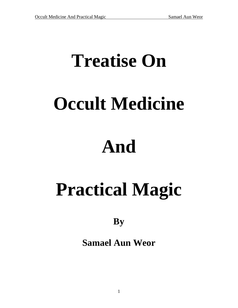# **Treatise On**

# **Occult Medicine**

# **And**

# **Practical Magic**

**By** 

**Samael Aun Weor**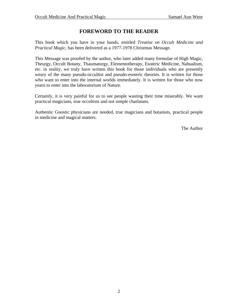### **FOREWORD TO THE READER**

This book which you have in your hands, entitled *Treatise on Occult Medicine and Practical Magic*, has been delivered as a 1977-1978 Christmas Message.

This Message was proofed by the author, who later added many formulae of High Magic, Theurgy, Occult Botany, Thaumaturgy, Elementotherapy, Esoteric Medicine, Nahualism, etc. in reality, we truly have written this book for those individuals who are presently weary of the many pseudo-occultist and pseudo-esoteric theories. It is written for those who want to enter into the internal worlds immediately. It is written for those who now yearn to enter into the laboratorium of Nature.

Certainly, it is very painful for us to see people wasting their time miserably. We want practical magicians, true occultists and not simple charlatans.

Authentic Gnostic physicians are needed, true magicians and botanists, practical people in medicine and magical matters.

The Author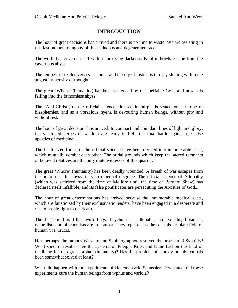### **INTRODUCTION**

The hour of great decisions has arrived and there is no time to waste. We are assisting in this last moment of agony of this caducous and degenerated race.

The world has covered itself with a horrifying darkness. Painflul howls escape from the cavernous abyss.

The tempest of exclusiveness has burst and the ray of justice is terribly shining within the august immensity of thought.

The great 'Whore' (humanity) has been sentenced by the ineffable Gods and now it is falling into the fathomless abyss.

The 'Anti-Christ', or the official science, dressed in purple is seated on a throne of blasphemies, and as a voracious hyena is devouring human beings, without pity and without rest.

The hour of great decisions has arrived. In compact and abundant lines of light and glory, the venerated heroes of wisdom are ready to fight the final battle against the false apostles of medicine.

The fanaticized forces of the official science have been divided into innumerable sects, which mutually combat each other. The burial grounds which keep the sacred remnants of beloved relatives are the only mute witnesses of this quarrel.

The great 'Whore' (humanity) has been deadly wounded. A breath of war escapes from the bottom of the abyss, it is an omen of disgrace. The official science of Allopathy (which was satirized from the time of Moliôre until the time of Bernard Shaw) has declared itself infallible, and its false pontificates are persecuting the Apostles of God...

The hour of great determinations has arrived because the innumerable medical sects, which are fanaticized by their exclusivistic leaders, have been engaged in a desperate and dishonorable fight to the death.

The battlefield is filled with flags. Psychiatrists, allopaths, honieopaths, botanists, naturalists and biochemists are in combat. They repel each other on this desolate field of human Via Crucis.

Has, perhaps, the famous Wassermann Syphilographon resolved the problem of Syphilis? What specific results have the systems of Pneipp, Kilez and Kune had on the field of medicine for this great orphan (humanity)? Has the problem of leprosy or tuberculosis been somewhat solved at least?

What did happen with the experiments of Haneman arid Schussler? Perchance, did these experiments cure the human beings from typhus and variola?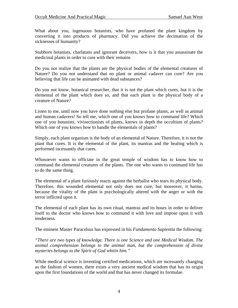What about you, ingenuous botanists, who have profaned the plant kingdom by converting it into products of pharmacy. Did you achieve the decimation of the sicknesses of humanity?

Stubborn botanists, charlatans and ignorant deceivers, how is it that you assassinate the medicinal plants in order to cure with their remains

Do you not realize that the plants are the physical bodies of the elemental creatures of Nature? Do you not understand that no plant or animal cadaver can cure? Are you believing that life can be animated with dead substances?

Do you not know, botanical researcher, that it is not the plant which cures, but it is the elemental of the plant which does so, and that each plant is the physical body of a creature of Nature?

Listen to me, until now you have done nothing else but profane plants, as well as animal and human cadavers! So tell me, which one of you knows how to command life? Which one of you botanists, vivisectionists of plants, knows in depth the occultism of plants? Which one of you knows how to handle the elementals of plants?

Simply, each plant organism is the body of an elemental of Nature. Therefore, it is not the plant that cures. It is the elemental of the plant, its mantras and the healing which is performed incessantly that cures.

Whosoever wants to officiate in the great temple of wisdom has to know how to command the elemental creatures of the plants. The one who wants to conimand life has to do the same thing.

The elemental of a plant furiously reacts against the herbalist who tears its physical body. Therefore, this wounded elemental not only does not cure, but moreover, it harms, because the vitality of the plant is psychologically altered with the anger or with the terror inflicted upon it.

The elemental of each plant has its own ritual, mantras and its hours in order to deliver itself to the doctor who knows how to command it with love and impose upon it with tenderness.

The eminent Master Paracelsus has expressed in his *Fundamento Sapientia* the following:

*"There are two types of knowledge. There is one Science and one Medical Wisdom. The animal comprehension belongs to the animal man, but the comprehension of divine mysteries belongs to the Spirit of God whitin him."* 

While medical science is inventing certified medications, which are incessantly changing as the fashion of women, there exists a very ancient medical wisdom that has its origin upon the first foundations of the world and that has never changed its formulae.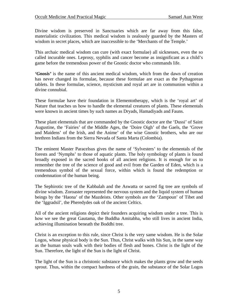Divine wisdom is preserved in Sanctuaries which are far away from this false, materialistic civilization. This medical wisdom is zealously guarded by the Masters of wisdom in secret places, which are inaccessible to the 'Merchants of the Temple.'

This archaic medical wisdom can cure (with exact formulae) all sicknesses, even the so called incurable ones. Leprosy, syphilis and cancer become as insignificant as a child's game before the tremendous power of the Gnostic doctor who commands life.

*'Gnosis'* is the name of this ancient medical wisdom, which from the dawn of creation has never changed its formulae, because these formulae are exact as the Pythagorean tablets. In these formulae, science, mysticism and royal art are in communion within a divine connubial.

These formulae have their foundation in Elementotherapy, which is the 'royal art' of Nature that teaches us how to handle the elemental creatures of plants. These elementals were known in ancient times by such names as Dryads, Hamadiyads and Fauns.

These plant elementals that are commanded by the Gnostic doctor are the 'Dussi' of Saint Augustine, the 'Fairies' of the Middle Ages, the 'Doire Oigh' of the Gaels, the 'Grove and Maidens' of the Irish, and the Anime' of the wise Gnostic brothers, who are our brethren Indians from the Sierra Nevada of Santa Marta (Colombia).

The eminent Master Paracelsus gives the name of 'Sylvesters' to the elementals of the forests and 'Nymphs' to those of aquatic plants. The holy symbology of plants is found broadly exposed in the sacred books of all ancient religions. It is enough for us to remember the tree of the science of good and evil from the Garden of Eden, which is a tremendous symbol of the sexual force, within which is found the redemption or condemnation of the human being.

The Sephirotic tree of the Kabbalah and the Aswatta or sacred fig tree are symbols of divine wisdom. Zoroaster represented the nervous system and the liquid system of human beings by the 'Haona' of the Mazdeists. Other symbols are the 'Zampoun' of Tibet and the 'Iggradsil', the Pheredydes oak of the ancient Celtics.

All of the ancient religions depict their founders acquiring wisdom under a tree. This is how we see the great Gautama, the Buddha Amitabha, who still lives in ancient India, achieving illumination beneath the Boddhi tree.

Christ is an exception to this rule, since Christ is the very same wisdom. He is the Solar Logos, whose physical body is the Sun. Thus, Christ walks with his Sun, in the same way as the human souls walk with their bodies of flesh and bones. Christ is the light of the Sun. Therefore, the light of the Sun is the light of Christ.

The light of the Sun is a christonic substance which makes the plants grow and the seeds sprout. Thus, within the compact hardness of the grain, the substance of the Solar Logos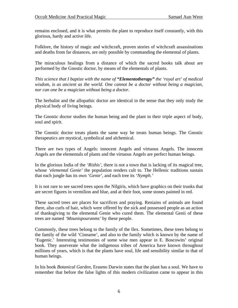remains enclosed, and it is what permits the plant to reproduce itself constantly, with this glorious, hardy and active life.

Folklore, the history of magic and witchcraft, proven stories of witchcraft assassinations and deaths from far distances, are only possible by commanding the elemental of plants.

The miraculous healings from a distance of which the sacred books talk about are performed by the Gnostic doctor, by means of the elementals of plants.

*This science that I baptize with the name of "Elementotherapy" the 'royal art' of medical wisdom, is as ancient as the world. One cannot be a doctor without being a magician, nor can one be a magician without being a doctor.* 

The herbalist and the allopathic doctor are identical in the sense that they only study the physical body of living beings.

The Gnostic doctor studies the human being and the plant in their triple aspect of body, soul and spirit.

The Gnostic doctor treats plants the same way he treats human beings. The Gnostic therapeutics are mystical, symbolical and alchemical.

There are two types of Angels: innocent Angels and virtuous Angels. The innocent Angels are the elementals of plants and the virtuous Angels are perfect human beings.

In the glorious India of the *'Rishis'*, there is not a town that is lacking of its magical tree, whose *'elemental Genie'* the population renders cult to. The Hellenic traditions sustain that each jungle has its own *'Genie'*, and each tree its *'Nymph.'*

It is not rare to see sacred trees upon the Nilgiris, which have graphics on their trunks that are secret figures in vermilion and blue, and at their foot, some stones painted in red.

These sacred trees are places for sacrifices and praying. Reniains of animals are found there, also curls of hair, which were offered by the sick and possessed people as an action of thanksgiving to the elemental Genie who cured them. The elemental Genii of these trees are named *'Mounispouranms'* by these people.

Commonly, these trees belong to the family of the Ilex. Sometimes, these trees belong to the family of the wild 'Cinname', and also to the family which is known by the name of 'Eugenic.' Interesting testimonies of some wise men appear in E. Boscowits' original book. They asseverate what the indigenous tribes of America have known throughout millions of years, which is that the plants have soul, life and sensibility similar to that of human beings.

In his book *Botanical Garden*, Erasmo Darwin states that the plant has a soul. We have to remember that before the false lights of this modern civilization came to appear in this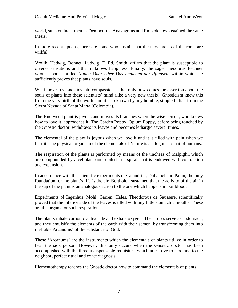world, such eminent men as Democritus, Anaxagoras and Empedocles sustained the same thesis.

In more recent epochs, there are some who sustain that the movements of the roots are willful.

Vrolik, Hedwig, Bonnet, Ludwig, F. Ed. Smith, affirm that the plant is susceptible to diverse sensations and that it knows happiness. Finally, the sage Theodorus Fechner wrote a book entitled *Nanna Oder Uher Das Lenleben der Pflansen*, within which he sufficiently proves that plants have souls.

What moves us Gnostics into compassion is that only now comes the assertion about the souls of plants into these scientists' mind (like a very new thesis). Gnosticism knew this from the very birth of the world and it also known by any humble, simple Indian from the Sierra Nevada of Santa Marta (Colombia).

The Knotweed plant is joyous and moves its branches when the wise person, who knows how to love it, approaches it. The Garden Poppy, Opium Poppy, before being touched by the Gnostic doctor, withdraws its leaves and becomes lethargic several times.

The elemental of the plant is joyous when we love it and it is tilled with pain when we hurt it. The physical organism of the elementals of Nature is analogous to that of humans.

The respiration of the plants is performed by means of the tracheas of Malpighi, which are compounded by a cellular band, coiled in a spiral, that is endowed with contraction and expansion.

In accordance with the scientific experiments of Calandrini, Duhamel and Papin, the only foundation for the plant's life is the air. Bertholon sustained that the activity of the air in the sap of the plant is an analogous action to the one which happens in our blood.

Experiments of Ingenhus, Mohi, Garren, Hales, Theodorous de Saussere, scientifically proved that the inferior side of the leaves is tilled with tiny little stomachic mouths. These are the organs for such respiration.

The plants inhale carbonic anhydride and exhale oxygen. Their roots serve as a stomach, and they emulsify the elements of the earth with their semen, by transforming them into ineffable Arcanums' of the substance of God.

These 'Arcanums' are the instruments which the elementals of plants utilize in order to heal the sick person. However, this only occurs when the Gnostic doctor has been accomplished with the three indispensable requisites, which are: Love to God and to the neighbor, perfect ritual and exact diagnosis.

Elementotherapy teaches the Gnostic doctor how to command the elementals of plants.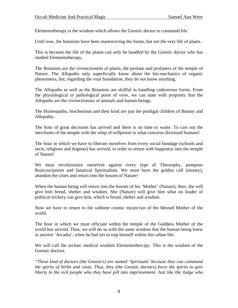Elementotherapy is the wisdom which allows the Gnostic doctor to command life.

Until now, the botanists have been maneuvering the forms, but not the very life of plants.

This is because the life of the plants can only be handled by the Gnostic doctor who has studied Elementotherapy.

The Botanists are the vivisectionists of plants, the profane and profaners of the temple of Nature. The Allopaths only superficially know about the bio-mechanics of organic phenomena, but, regarding the vital foundation, they do not know anything.

The Allopaths as well as the Botanists are skillful in handling cadaverous forms. From the physiological or pathological point of view, we can state with propriety that the Allopaths are the vivisectionists of animals and human beings.

The Homeopaths, biochemists and their kind are just the prodigal children of Botany and Allopathy.

The hour of great decisions has arrived and there is no time to waste. To cast out the merchants of the temple with the whip of willpower is what concerns divinized humans!

The hour in which we have to liberate ourselves from every social bondage (schools and sects, religions and dogmas) has arrived, in order to return with happiness into the temple of Nature!

We must revolutionize ourselves against every type of Theosophy, pompous Rosicrucianism and fanatical Spiritualism. We must burn the golden calf (money), abandon the cities and return into the bosom of Nature!

When the human being will return into the bosom of his 'Mother' (Nature), then, she will give him bread, shelter and wisdom. She (Nature) will give him what no leader of political trickery can give him, which is bread, shelter and wisdom.

Now we have to return to the sublime cosmic mysticism of the blessed Mother of the world.

The hour in which we must officiate within the temple of the Goddess Mother of the world has arrived. Thus, we will do so with the same wisdom that the human being knew in ancient 'Arcadia', when he had yet to trap himself within this urban life.

We will call the archaic medical wisdom Eleineniothercipy. This is the wisdom of the Gnostic doctors.

*"These kind of doctors (the Gnostics) are named 'Spirituals' because they can command the spirits of herbs and roots. Thus, they (the Gnostic doctors) force the spirits to give liberty to the sick people who they have pill into imprisonment. Just like the Judge who*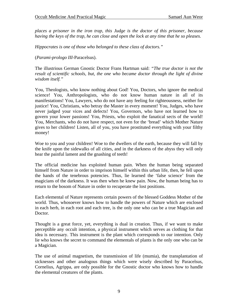*places a prisoner in the iron trap, this Judge is the doctor of this prisoner, because having the keys of the trap, he can close and open the lock at any time that he so pleases.* 

*Hippocrates is one of those who belonged to these class of doctors."*

(*Parami-prologo III*-Paracelsus).

The illustrious German Gnostic Doctor Frans Hartman said: *"The true doctor is not the result of scientific schools, but, the one who became doctor through the light of divine wisdom itself."* 

You, Theologists, who know nothing about God! You, Doctors, who ignore the medical science! You, Anthropologists, who do not know human nature in all of its manifestations! You, Lawyers, who do not have any feeling for righteousness, neither for justice! You, Christians, who betray the Master in every moment! You, Judges, who have never judged your vices and defects! You, Governors, who have not learned how to govern your lower passions! You, Priests, who exploit the fanatical sects of the world! You, Merchants, who do not have respect, not even for the 'bread' which Mother Nature gives to her children! Listen, all of you, you have prostituted everything with your filthy money!

Woe to you and your children! Woe to the dwellers of the earth, because they will fall by the knife upon the sidewalks of all cities, and in the darkness of the abyss they will only hear the painful lament and the gnashing of teeth!

The official medicine has exploited human pain. When the human being separated himself from Nature in order to imprison himself within this urban life, then, he fell upon the hands of the tenebrous potencies. Thus, lie learned the 'false science' from the magicians of the darkness. It was then when he knew pain. Now, the human being has to return to the bosom of Nature in order to recuperate the lost positions.

Each elemental of Nature represents certain powers of the blessed Goddess Mother of the world. Thus, whosoever knows how to handle the powers of Nature which are enclosed in each herb, in each root and each tree, is the only one who can be a true Magician and Doctor.

Thought is a great force, yet, everything is dual in creation. Thus, if we want to make perceptible any occult intention, a physical instrument which serves as clothing for that idea is necessary. This instrument is the plant which corresponds to our intention. Only lie who knows the secret to command the elementals of plants is the only one who can be a Magician.

The use of animal magnetism, the transmission of life (mumia), the transplantation of sicknesses and other analogous things which were wisely described by Paracelsus, Cornelius, Agrippa, are only possible for the Gnostic doctor who knows how to handle the elemental creatures of the plants.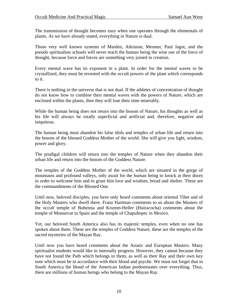The transmission of thought becomes easy when one operates through the elementals of plants. As we have already stated, everything in Nature is dual.

Those very well known systems of Marden, Atkinson, Mesmer, Paul Jagot, and the pseudo spiritualists schools will never teach the human being the wise use of the force of thought, because force and forces are something very joined in creation.

Every mental wave has its exponent in a plant. In order for the mental waves to be crystallized, they must be revested with the occult powers of the plant which corresponds to it.

There is nothing in the universe that is not dual. If the athletes of concentration of thought do not know how to combine their mental waves with the powers of Nature, which are enclosed within the plants, then they will lose their time miserably.

While the human being does not return into the bosom of Nature, his thoughts as well as his life will always be totally superficial and artificial and, therefore, negative and iniquitous.

The human being must abandon his false idols and temples of urban life and return into the bosom of the blessed Goddess Mother of the world. She will give you light, wisdom, power and glory.

The prodigal children will return into the temples of Nature when they abandon their urban life and return into the bosom of the Goddess Nature.

The temples of the Goddess Mother of the world, which are situated in the gorge of mountains and profound valleys, only await for the human being to knock at their doors in order to welcome him and to grant him love and wisdom, bread and shelter. These are the commandments of the Blessed One.

Until now, beloved disciples, you have only heard comments about oriental Tibet and of the Holy Masters who dwell there. Franz Hartman comments to us about the Masters of the occult temple of Bohemia and Krumm-Heller (Huiracocha) comments about the temple of Monserrat in Spain and the temple of Chapultepec in Mexico.

Yet, our beloved South America also has its majestic temples, even when no one has spoken about them. These are the temples of Goddess Nature, these are the temples of the sacred mysteries of the Mayan Ray.

Until now you have heard comments about the Asiatic and European Masters. Many spiritualist students would like to internally progress. However, they cannot because they have not found the Path which belongs to them, as well as their Ray and their own key note which must be in accordance with their blood and psyche. We must not forget that in South America the blood of the American Indian predominates over everything. Thus, there are millions of human beings who belong to the Mayan Ray.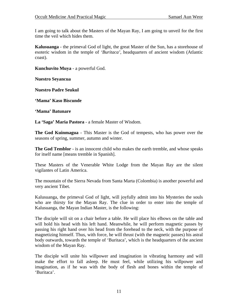I am going to talk about the Masters of the Mayan Ray, I am going to unveil for the first time the veil which hides them.

**Kalusuanga** - the primeval God of light, the great Master of the Sun, has a storehouse of esoteric wisdom in the temple of *'Buritaca'*, headquarters of ancient wisdom (Atlantic coast).

**Kunchuvito Muya** - a powerful God.

**Nuestro Seyancua** 

**Nuestro Padre Seukul** 

**'Mama' Kaso Biscunde** 

**'Mama' Batunare** 

**La 'Saga' Maria Pastora** - a female Master of Wisdom.

**The God Kuinmagua** - This Master is the God of tempests, who has power over the seasons of spring, summer, autumn and winter.

**The God Temblor** - is an innocent child who makes the earth tremble, and whose speaks for itself name [means tremble in Spanish].

These Masters of the Venerable White Lodge from the Mayan Ray are the silent vigilantes of Latin America.

The mountain of the Sierra Nevada from Santa Marta (Colombia) is another powerful and very ancient Tibet.

Kalusuanga, the primeval God of light, will joyfully admit into his Mysteries the souls who are thirsty for the Mayan Ray. The clue in order to enter into the temple of Kalusuanga, the Mayan Indian Master, is the following:

The disciple will sit on a chair before a table. He will place his elbows on the table and will hold his head with his left hand. Meanwhile, he will perform magnetic passes by passing his right hand over his head from the forehead to the neck, with the purpose of magnetizing himself. Thus, with force, he will thrust (with the magnetic passes) his astral body outwards, towards the temple of 'Buritaca', which is the headquarters of the ancient wisdom of the Mayan Ray.

The disciple will unite his willpower and imagination in vibrating harmony and will make the effort to fall asleep. He must feel, while utilizing his willpower and imagination, as if he was with the body of flesh and bones within the temple of 'Buritaca'.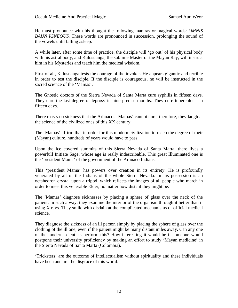He must pronounce with his thought the following mantras or magical words: *OMNIS BAUN IGNEOUS.* These words are pronounced in succession, prolonging the sound of the vowels until falling asleep.

A while later, after some time of practice, the disciple will 'go out' of his physical body with his astral body, and Kalusuanga, the sublime Master of the Mayan Ray, will instruct him in his Mysteries and teach him the medical wisdom.

First of all, Kalusuanga tests the courage of the invoker. He appears gigantic and terrible in order to test the disciple. If the disciple is courageous, he will be instructed in the sacred science of the 'Mamas'.

The Gnostic doctors of the Sierra Nevada of Santa Marta cure syphilis in fifteen days. They cure the last degree of leprosy in nine precise months. They cure tuberculosis in fifteen days.

There exists no sickness that the Arhuacos 'Mamas' cannot cure, therefore, they laugh at the science of the civilized ones of this XX century.

The 'Mamas' affirm that in order for this modern civilization to reach the degree of their (Mayan) culture, hundreds of years would have to pass.

Upon the ice covered summits of this Sierra Nevada of Santa Marta, there lives a powerfull Initiate Sage, whose age is really indescribable. This great Illuminated one is the 'president Mama' of the government of the Arhuaco Indians.

This 'president Mama' has powers over creation in its entirety. He is profoundly venerated by all of the Indians of the whole Sierra Nevada. In his possession is an octahedron crystal upon a tripod, which reflects the images of all people who march in order to meet this venerable Elder, no matter how distant they might be.

The 'Mamas' diagnose sicknesses by placing a sphere of glass over the neck of the patient. In such a way, they examine the interior of the organism through it better than if using X rays. They smile with disdain at the complicated mechanisms of official medical science.

They diagnose the sickness of an ill person simply by placing the sphere of glass over the clothing of the ill one, even if the patient might be many distant miles away. Can any one of the modern scientists perform this? How interesting it would be if someone would postpone their university proficiency by making an effort to study 'Mayan medicine' in the Sierra Nevada of Santa Marta (Colombia).

'Tricksters' are the outcome of intellectualism without spirituality and these individuals have been and are the disgrace of this world.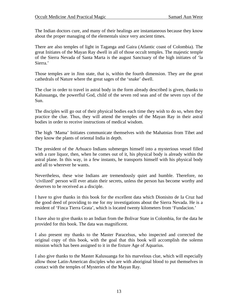The Indian doctors cure, and many of their healings are instantaneous because they know about the proper managing of the elementals since very ancient times.

There are also temples of light in Taganga and Gaira (Atlantic coast of Colombia). The great Initiates of the Mayan Ray dwell in all of those occult temples. The majestic temple of the Sierra Nevada of Santa Marta is the august Sanctuary of the high initiates of 'la Sierra.'

Those temples are in Jinn state, that is, within the fourth dimension. They are the great cathedrals of Nature where the great sages of the 'snake' dwell.

The clue in order to travel in astral body in the form already described is given, thanks to Kalusuanga, the powerflul God, child of the seven red seas and of the seven rays of the Sun.

The disciples will go out of their physical bodies each time they wish to do so, when they practice the clue. Thus, they will attend the temples of the Mayan Ray in their astral bodies in order to receive instructions of medical wisdom.

The high 'Mama' Initiates communicate themselves with the Mahatnias from Tibet and they know the plants of oriental India in depth.

The president of the Arhuaco Indians submerges himself into a mysterious vessel filled with a rare liquor, then, when he comes out of it, his physical body is already within the astral plane. In this way, in a few instants, he transports himself with his physical body and all to wherever he wants.

Nevertheless, these wise Indians are tremendously quiet and humble. Therefore, no 'civilized' person will ever attain their secrets, unless the person has become worthy and deserves to be received as a disciple.

I have to give thanks in this book for the excellent data which Dionisito de Ia Cruz had the good deed of providing to me for my investigations about the Sierra Nevada. He is a resident of 'Finca Tierra Grata', which is located twenty kilometers from 'Fundacion.'

I have also to give thanks to an Indian from the Bolivar State in Colombia, for the data he provided for this book. The data was magnificent.

I also present my thanks to the Master Paracelsus, who inspected and corrected the original copy of this book, with the goal that this book will accomplish the solemn mission which has been assigned to it in the fixture Age of Aquarius.

I also give thanks to the Master Kalusuanga for his marvelous clue, which will especially allow those Latin-American disciples who are with aboriginal blood to put themselves in contact with the temples of Mysteries of the Mayan Ray.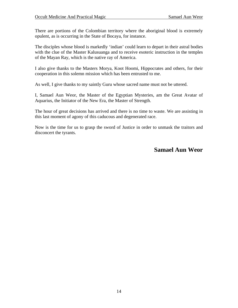There are portions of the Colombian territory where the aboriginal blood is extremely opulent, as is occurring in the State of Bocaya, for instance.

The disciples whose blood is markedly 'indian' could learn to depart in their astral bodies with the clue of the Master Kalusuanga and to receive esoteric instruction in the temples of the Mayan Ray, which is the native ray of America.

I also give thanks to the Masters Morya, Koot Hoomi, Hippocrates and others, for their cooperation in this solemn mission which has been entrusted to me.

As well, I give thanks to my saintly Guru whose sacred name must not be uttered.

I, Samael Aun Weor, the Master of the Egyptian Mysteries, am the Great Avatar of Aquarius, the Initiator of the New Era, the Master of Strength.

The hour of great decisions has arrived and there is no time to waste. We are assisting in this last moment of agony of this caducous and degenerated race.

Now is the time for us to grasp the sword of Justice in order to unmask the traitors and disconcert the tyrants.

### **Samael Aun Weor**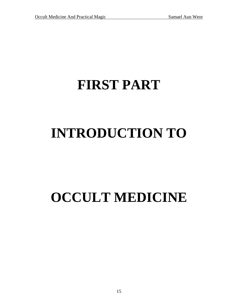### **FIRST PART**

## **INTRODUCTION TO**

## **OCCULT MEDICINE**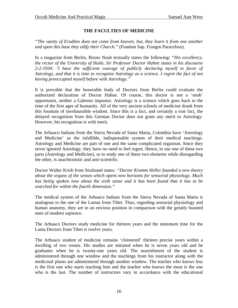#### **THE FACULTIES OF MEDICINE**

*"The vanity of Erudites does not come from heaven, but, they learn it from one another and upon this base they edify their Church."* (Fundam Sap. Frangm Paracelsus).

In a magazine from Berlin, Bruno Noah textually states the following: *"His excellency, the rector of the University of Haile, Sir Professor Doctor Hahne states in his discourse 2-2-1934: 'I have the sufficient courage of publicly declaring myself in favor of Astrology, and that it is time to recognize Astrology as a science. I regret the fact of not having preoccupied myself before with Astrology."* 

It is provable that the honorable body of Doctors from Berlin could evaluate the authorized declaration of Doctor Hahne. Of course, this doctor is not a 'snob' opportunist, neither a Galenist impostor. Astrology is a science which goes back to the time of the first ages of humanity. All of the very ancient schools of medicine drank from this fountain of inexhaustible wisdom. Since this is a fact, and certainly a true fact, the delayed recognition from this German Doctor does not grant any merit to Astrology. However, his recognition is with merit.

The Arhuaco Indians from the Sierra Nevada of Santa Marta, Colombia have 'Astrology and Medicine' as the infallible, indispensable system of their medical teachings. Astrology and Medicine are part of one and the same complicated organism. Since they never ignored Astrology, they have no need to feel regret. Hence, to use one of these two parts (Astrology and Medicine), or to study one of these two elements while disregarding the other, is anachronistic and anti-scientific.

Doctor Walter Krish from Stralsund states*: "Doctor Krumm Heller founded a new theory about the organs of the senses which opens new horizons for sensorial physiology. Much has beitig spoken now about the sixth sense and it has been found that it has to be searched for within the fourth dimension."* 

The medical system of the Arhuaco Indians from the Sierra Nevada of Santa Marta is analogous to the one of the Lamas from Tibet. Thus, regarding sensorial physiology and human anatomy, they are in an envious position in comparison with the greatly boasted ones of modern sapience.

The Arhuaco Doctors study medicine for thirteen years and the minimum time for the Lama Doctors from Tibet is twelve years.

The Arhuaco student of medicine remains 'cloistered' thirteen precise years within a dwelling of two rooms. His studies are initiated when he is seven years old and he graduates when he is twenty-one years old. The nourishment of the student is administered through one window and the teachings from his instructor along with the medicinal plants are administered through another window. The teacher who knows less is the first one who starts teaching him and the teacher who knows the most is the one who is the last. The number of instructors vary in accordance with the educational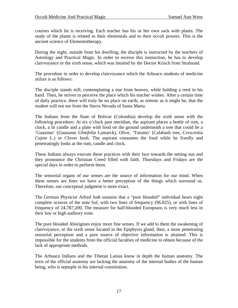courses which lie is receiving. Each teacher has his or her own sack with plants. The study of the plants is related to their elenientals and to their occult powers. This is the ancient science of Elementotherapy.

During the night, outside from his dwelling, the disciple is instructed by the teachers of Astrology and Practical Magic. In order to receive this instruction, he has to develop clairvoyance or the sixth sense, which was intuited by the Doctor Krisch from Stralsund.

The procedure in order to develop clairvoyance which the Arhuaco students of medicine utilize is as follows:

The disciple stands still, contemplating a star from heaven, while holding a reed in his hand. Then, he strives to perceive the place which his teacher wishes. After a certain time of daily practice, there will truly be no place on earth, as remote as it might be, that the student will not see from the Sierra Nevada of Santa Marta.

The Indians from the State of Bolivar (Colombia) develop the sixth sense with the following procedure: At six o'clock past meridian, the aspirant places a bottle of rum, a clock, a lit candle and a plate with food on the ground underneath a tree that could be a 'Guasimo' (*Guazuma Ulmifolia* Lamarck), Olive, 'Totumo' (Calabash tree, *Crescentia Cujete* L.) or Clover bush. The aspirant consumes the food while he fixedly and penetratingly looks at the rum, candle and clock.

These Indians always execute these practices with their face towards the setting sun and they pronounce the Christian Creed filled with faith. Thursdays and Fridays are the special days in order to perform them.

The sensorial organs of our senses are the source of information for our mind. When these senses are finer we have a better perception of the things which surround us. Therefore, our conceptual judgment is more exact.

The German Physicist Alfred Judt sustains that a "pure blooded" individual hears eight complete octaves of the note Sol, with two lines of frequency (96.825), or with lines of frequency of 24,787,200. The measure for half-blooded Europeans is very much less in their low or high auditory zone.

The pure blooded Aborigines enjoy more fine senses. If we add to them the awakening of clairvoyance, or the sixth sense located in the Epiphysis gland, then, a more penetrating sensorial perception and a pure source of objective information is attained. This is impossible for the students from the official faculties of medicine to obtain because of the lack of appropriate methods.

The Arhuaco Indians and the Tibetan Lanias know in depth the human anatomy. The texts of the official anatomy are lacking the anatomy of the internal bodies of the human being, who is septuple in his internal constitution.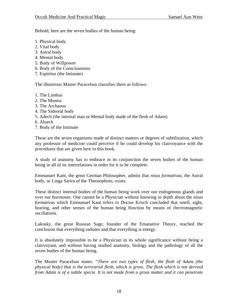Behold, here are the seven bodies of the human being:

- 1. Physical body
- 2. Vital body
- 3. Astral body
- 4. Mental body
- 5. Body of Willpower
- 6. Body of the Consciousness
- 7. Espiritus (the Intimate)

The illustrious Master Paracelsus classifies them as follows:

- 1. The Limbus
- 2. The Mumia
- 3. The Archaous
- 4. The Sidereal body
- 5. Adech (the internal man or Mental body made of the flesh of Adam)
- 6. Aluech
- 7. Body of the Intimate

These are the seven organisms made of distinct matters or degrees of subtilization, which any professor of medicine could perceive if he could develop his clairvoyance with the procedures that are given here in this book.

A study of anatomy has to embrace in its conjunction the seven bodies of the human being in all of its interrelations in order for it to be complete.

Emmanuel Kant, the great German Philosopher, admits that *nisus formativus*, the Astral body, or Linga Sarira of the Theosophists, exists.

These distinct internal bodies of the human being work over our endogenous glands and over our hormones. One cannot be a Physician without knowing in depth about the *nisus formativus* which Emmanuel Kant refers to Doctor Krisch concluded that smell, sight, hearing, and other senses of the human being ftinction by means of electromagnetic oscillations.

Lakosky, the great Russian Sage, founder of the Emanative Theory, reached the conclusion that everything radiates and that everything is energy.

It is absolutely impossible to be a Physician in its whole significance without being a clairvoyant, and without having studied anatomy, biology and the pathology of all the seven bodies of the human being.

The Master Paracelsus states: *"There are two types of flesh, the flesh of Adam (the physical body) that is the terrestrial flesh, which is gross. The flesh which is not derived from Adam is of a subtle specie. It is not made from a gross matter and it can penetrate*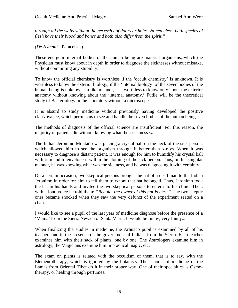*through all the walls without the necessity of doors or holes. Nonetheless, both species of flesh have their blood and bones and both also differ from the spirit."* 

(*De Nymphis*, Paracelsus)

These energetic internal bodies of the human being are material organisms, which the Physician must know about in depth in order to diagnose the sicknesses without mistake, without committing any stupidity.

To know the official chemistry is worthless if the 'occult chemistry' is unknown. It is worthless to know the exterior biology, if the 'internal biology' of the seven bodies of the human being is unknown. In like manner, it is worthless to know only about the exterior anatomy without knowing about the 'internal anatomy.' Futile will be the theoretical study of Bacteriology in the laboratory without a microscope.

It is absurd to study medicine without previously having developed the positive clairvoyance, which permits us to see and handle the seven bodies of the human being.

The methods of diagnosis of the official science are insufficient. For this reason, the majority of patients die without knowing what their sickness was.

The Indian Jeronimo Montaño was placing a crystal ball on the neck of the sick person, which allowed him to see the organism through it better than x-rays. When it was necessary to diagnose a distant patient, it was enough for him to humidify his crystal ball with rum and to envelope it within the clothing of the sick person. Thus, in this singular manner, he was knowing what was the sickness, and he was diagnosing it with certainty.

On a certain occasion, two skeptical persons brought the hat of a dead man to the Indian Jeronimo in order for him to tell them to whom that hat belonged. Thus, Jeronimo took the hat in his hands and invited the two skeptical persons to enter into his clinic. Then, with a loud voice he told them: *"Behold, the owner of this hat is here."* The two skeptic ones became shocked when they saw the very defunct of the experiment seated on a chair.

I would like to see a pupil of the last year of medicine diagnose before the presence of a 'Mama' from the Sierra Nevada of Santa Marta. It would be funny, very funny...

When finalizing the studies in medicine, the Arhuaco pupil is examined by all of his teachers and in the presence of the government of Indians from the Sierra. Each teacher examines him with their sack of plants, one by one. The Astrologers examine him in astrology, the Magicians examine him in practical magic, etc.

The exam on plants is related with the occultism of them, that is to say, with the Elementotherapy, which is ignored by the botanists. The schools of medicine of the Lamas from Oriental Tibet do it in their proper way. One of their specialties is Osmotherapy, or healing through perfumes.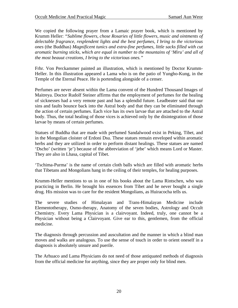We copied the following prayer from a Lamaic prayer book, which is mentioned by Krumm Heller: *"Sublime flowers, chose Rosaries of little flowers, music and ointments of delectable fragrance, resplendent lights and the best perfumes, I bring to the victorious ones* (the Buddhas) *Magnificent tunics and extra-fine perfumes, little sacks filled with cut aromatic burning sticks, which are equal in number to the mountains of 'Miru' and all of the most beauut creations, I bring to the victorious ones."* 

Frhr. Von Perckammer painted an illustration, which is mentioned by Doctor Krumm-Heller. In this illustration appeared a Lama who is on the patio of Yungho-Kung, in the Temple of the Eternal Peace. He is portending alongside of a censer.

Perfumes are never absent within the Lama convent of the Hundred Thousand Images of Maitreya. Doctor Rudolf Steiner affirms that the employment of perfumes for the healing of sicknesses had a very remote past and has a splendid future. Leadbeater said that our sins and faults bounce back into the Astral body and that they can be eliminated through the action of certain perfumes. Each vice has its own larvae that are attached to the Astral body. Thus, the total healing of those vices is achieved only by the disintegration of those larvae by means of certain perfumes.

Statues of Buddha that are made with perfumed Sandalwood exist in Peking, Tibet, and in the Mongolian cloister of Erdoni Dsu. These statues remain enveloped within aromatic herbs and they are utilized in order to perform distant healings. These statues are named 'Dscho' (written 'je') because of the abbreviation of 'jebe' which means Lord or Master. They are also in Lhasa, capital of Tibet.

'Tschima-Purma' is the name of certain cloth balls which are filled with aromatic herbs that Tibetans and Mongolians hang in the ceiling of their temples, for healing purposes.

Krumm-Heller mentions to us in one of his books about the Lama Rintschen, who was practicing in Berlin. He brought his essences from Tibet and he never bought a single drug. His mission was to care for the resident Mongolians, as Huiracocha tells us.

The severe studies of Himalayan and Trans-Himalayan Medicine include Elementotherapy, Osmo-therapy, Anatomy of the seven bodies, Astrology and Occult Chemistry. Every Lama Physician is a clairvoyant. Indeed, truly, one cannot be a Physician without being a Clairvoyant. Give ear to this, gentlemen, from the official medicine.

The diagnosis through percussion and auscultation and the manner in which a blind man moves and walks are analogous. To use the sense of touch in order to orient oneself in a diagnosis is absolutely unsure and puerile.

The Arhuaco and Lama Physicians do not need of those antiquated methods of diagnosis from the official medicine for anything, since they are proper only for blind men.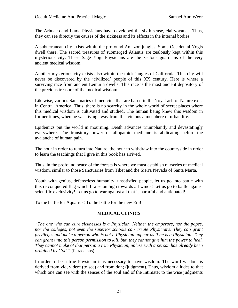The Arhuaco and Lama Physicians have developed the sixth sense, clairvoyance. Thus, they can see directly the causes of the sickness and its effects in the internal bodies.

A subterranean city exists within the profound Amazon jungles. Some Occidental Yogis dwell there. The sacred treasures of submerged Atlantis are zealously kept within this mysterious city. These Sage Yogi Physicians are the zealous guardians of the very ancient medical wisdom.

Another mysterious city exists also within the thick jungles of California. This city will never be discovered by the 'civilized' people of this XX century. Here is where a surviving race from ancient Lemuria dwells. This race is the most ancient depository of the precious treasure of the medical wisdom.

Likewise, various Sanctuaries of medicine that are based in the 'royal art' of Nature exist in Central America. Thus, there is no scarcity in the whole world of secret places where this medical wisdom is cultivated and studied. The human being knew this wisdom in former times, when he was living away from this vicious atmosphere of urban life.

Epidemics put the world in mourning. Death advances triumphantly and devastatingly everywhere. The transitory power of allopathic medicine is abdicating before the avalanche of human pain.

The hour in order to return into Nature, the hour to withdraw into the countryside in order to learn the teachings that I give in this book has arrived.

Thus, in the profound peace of the forests is where we must establish nurseries of medical wisdom, similar to those Sanctuaries from Tibet and the Sierra Nevada of Santa Marta.

Youth with genius, defenseless humanity, unsatisfied people, let us go into battle with this re conquered flag which I raise on high towards all winds! Let us go to battle against scientific exclusivity! Let us go to war against all that is harmful and antiquated!

To the battle for Aquarius! To the battle for the new Era!

#### **MEDICAL CLINICS**

*"The one who can cure sicknesses is a Physician. Neither the emperors, nor the popes, nor the colleges, not even the superior schools can create Physicians. They can grant privileges and make a person who is not a Physician appear as if he is a Physician. They can grant unto this person permission to kill, but, they cannot give him the power to heal. They cannot make of that person a true Physician, unless such a person has already been ordained by God."* (Paracelsus)

In order to be a true Physician it is necessary to have wisdom. The word wisdom is derived from vid, videre (to see) and from don; (judgment). Thus, wisdom alludes to that which one can see with the senses of the soul and of the Intimate; to the wise judgments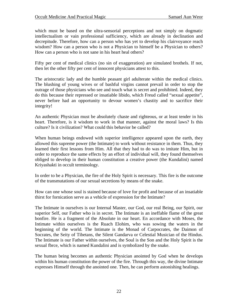which must be based on the ultra-sensorial perceptions and not simply on dogmatic intellectualism or vain professional sufficiency, which are already in declination and decrepitude. Therefore, how can a person who has yet to develop his clairvoyance reach wisdom? How can a person who is not a Physician to himself be a Physician to others? How can a person who is not sane in his heart heal others?

Fifty per cent of medical clinics (no sin of exaggeration) are simulated brothels. If not, then let the other fifty per cent of innocent physicians attest to this.

The aristocratic lady and the humble peasant girl adulterate within the medical clinics. The blushing of young wives or of bashful virgins cannot prevail in order to stop the outrage of those physicians who see and touch what is secret and prohibited. Indeed, they do this because their repressed or insatiable libido, which Freud called "sexual appetite", never before had an opportunity to devour women's chastity and to sacrifice their integrity!

An authentic Physician must be absolutely chaste and righteous, or at least tender in his heart. Therefore, is it wisdom to work in that manner, against the moral laws? Is this culture? Is it civilization? What could this behavior be called?

When human beings endowed with superior intelligence appeared upon the earth, they allowed this supreme power (the Intimate) to work without resistance in them. Thus, they learned their first lessons from Him. All that they had to do was to imitate Him, but in order to reproduce the same effects by an effort of individual will, they found themselves obliged to develop in their human constitution a creative power (the Kundalini) named Kriyashakti in occult terminology.

In order to be a Physician, the fire of the Holy Spirit is necessary. This fire is the outcome of the transmutations of our sexual secretions by means of the snake.

How can one whose soul is stained because of love for profit and because of an insatiable thirst for fornication serve as a vehicle of expression for the Intimate?

The Intimate in ourselves is our Internal Master, our God, our real Being, our Spirit, our superior Self, our Father who is in secret. The Intimate is an ineffable flame of the great bonfire. He is a fragment of the Absolute in our heart. En accordance with Moses, the Intimate within ourselves is the Ruach Elohim, who was sowing the waters in the beginning of the world. The Intimate is the Monad of Carpocrates, the Daimon of Socrates, the Seity of Tibetans, the Silent Gandarva or Celestial Musician of the Hindus. The Intimate is our Father within ourselves, the Soul is the Son and the Holy Spirit is the sexual fbrce, which is named Kundalini and is symbolized by the snake.

The human being becomes an authentic Physician anointed by God when he develops within his human constitution the power of the fire. Through this way, the divine Intimate expresses Himself through the anointed one. Then, he can perform astonishing healings.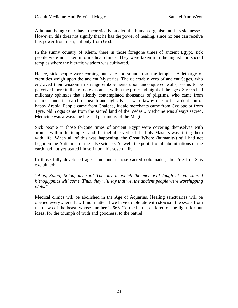A human being could have theoretically studied the human organism and its sicknesses. However, this does not signify that he has the power of healing, since no one can receive this power from men, but only from God.

In the sunny country of Khem, there in those foregone times of ancient Egypt, sick people were not taken into medical clinics. They were taken into the august and sacred temples where the hieratic wisdom was cultivated.

Hence, sick people were coming out sane and sound from the temples. A lethargy of eternities weigh upon the ancient Mysteries. The delectable verb of ancient Sages, who engraved their wisdom in strange embossments upon unconquered walls, seems to be perceived there in that remote distance, within the profound night of the ages. Streets had millenary sphinxes that silently contemplated thousands of pilgrims, who came from distinct lands in search of health and light. Faces were tawny due to the ardent sun of happy Arabia. People came from Chaldea, Judaic merchants came from Cyclope or from Tyre, old Yogis came from the sacred land of the Vedas... Medicine was always sacred. Medicine was always the blessed patrimony of the Magi.

Sick people in those forgone times of ancient Egypt were covering themselves with aromas within the temples, and the ineffable verb of the holy Masters was filling them with life. When all of this was happening, the Great Whore (humanity) still had not begotten the Antichrist or the false science. As well, the pontiff of all abominations of the earth had not yet seated himself upon his seven hills.

In those fully developed ages, and under those sacred colonnades, the Priest of Sais exclaimed:

*"Alas, Solon, Solon, my son! The day in which the men will laugh at our sacred hieroglyphics will come. Thus, they will say that we, the ancient people were worshipping idols."* 

Medical clinics will be abolished in the Age of Aquarius. Healing sanctuaries will be opened everywhere. It will not matter if we have to tolerate with stoicism the swats from the claws of the beast, whose number is 666. To the battle, children of the light, for our ideas, for the triumph of truth and goodness, to the battlel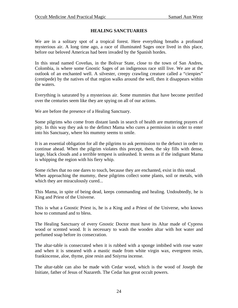#### **HEALING SANCTUARIES**

We are in a solitary spot of a tropical forest. Here everything breaths a profound mysterious air. A long time ago, a race of illuminated Sages once lived in this place, before our beloved Americas had been invaded by the Spanish hordes.

In this stead named Coveñas, in the Bolivar State, close to the town of San Andres, Colombia, is where some Gnostic Sages of an indigenous race still live. We are at the outlook of an enchanted well. A silvester, creepy crawling creature called a "cienpies" (centipede) by the natives of that region walks around the well, then it disappears within the waters.

Everything is saturated by a mysterious air. Some mummies that have become petrified over the centuries seem like they are spying on all of our actions.

We are before the presence of a Healing Sanctuary.

Some pilgrims who come from distant lands in search of health are muttering prayers of pity. In this way they ask to the defimct Mama who cures a permission in order to enter into his Sanctuary, where his mummy seems to smile.

It is an essential obligation for all the pilgrims to ask permission to the defunct in order to continue ahead. When the pilgrim violates this precept, then, the sky fills with dense, large, black clouds and a terrible tempest is unleashed. It seems as if the indignant Mama is whipping the region with his fiery whip.

Some riches that no one dares to touch, because they are enchanted, exist in this stead. When approaching the mummy, these pilgrims collect some plants, soil or metals, with which they are miraculously cured...

This Mama, in spite of being dead, keeps commanding and healing. Undoubtedly, he is King and Priest of the Universe.

This is what a Gnostic Priest is, he is a King and a Priest of the Universe, who knows how to command and to bless.

The Healing Sanctuary of every Gnostic Doctor must have its Altar made of Cypress wood or scented wood. It is necessary to wash the wooden altar with hot water and perfumed soap before its consecration.

The altar-table is consecrated when it is rubbed with a sponge imbibed with rose water and when it is smeared with a mastic made from white virgin wax, evergreen resin, frankincense, aloe, thyme, pine resin and Sniyrna incense.

The altar-table can also be made with Cedar wood, which is the wood of Joseph the Initiate, father of Jesus of Nazareth. The Cedar has great occult powers.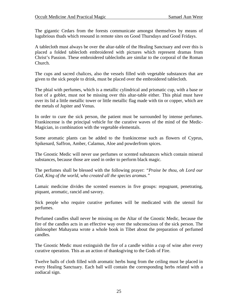The gigantic Cedars from the forests communicate amongst themselves by means of lugubrious thuds which resound in remote sites on Good Thursdays and Good Fridays.

A tablecloth must always be over the altar-table of the Healing Sanctuary and over this is placed a folded tablecloth embroidered with pictures which represent dramas from Christ's Passion. These embroidered tablecloths are similar to the corporal of the Roman Church.

The cups and sacred chalices, also the vessels filled with vegetable substances that are given to the sick people to drink, must be placed over the embroidered tablecloth.

The phial with perfumes, which is a metallic cylindrical and prismatic cup, with a base or foot of a goblet, must not be missing over this altar-table either. This phial must have over its lid a little metallic tower or little metallic flag made with tin or copper, which are the metals of Jupiter and Venus.

In order to cure the sick person, the patient must be surrounded by intense perfumes. Frankincense is the principal vehicle for the curative waves of the mind of the Medic-Magician, in combination with the vegetable elementals.

Some aromatic plants can be added to the frankincense such as flowers of Cyprus, Spikenard, Saffron, Amber, Calamus, Aloe and powderfrom spices.

The Gnostic Medic will never use perfumes or scented substances which contain mineral substances, because those are used in order to perform black magic.

The perfumes shall be blessed with the following prayer: *"Praise be thou, oh Lord our God, King of the world, who created all the species aromas."*

Lamaic medicine divides the scented essences in five groups: repugnant, penetrating, piquant, aromatic, rancid and savory.

Sick people who require curative perfumes will be medicated with the utensil for perfumes.

Perfumed candles shall never be missing on the Altar of the Gnostic Medic, because the fire of the candles acts in an effective way over the subconscious of the sick person. The philosopher Mahayana wrote a whole book in Tibet about the preparation of perfumed candles.

The Gnostic Medic must extinguish the fire of a candle within a cup of wine after every curative operation. This as an action of thanksgiving to the Gods of Fire.

Twelve balls of cloth filled with aromatic herbs hung from the ceiling must be placed in every Healing Sanctuary. Each ball will contain the corresponding herbs related with a zodiacal sign.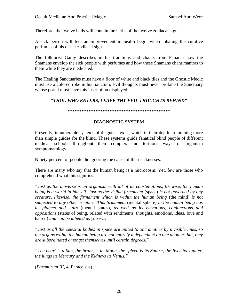Therefore, the twelve balls will contain the herbs of the twelve zodiacal signs.

A sick person will feel an improvement in health begin when inhaling the curative perfumes of his or her zodiacal sign.

The folklorist Garay describes in his traditions and chants from Panama how the Shamans envelop the sick people with perfumes and how these Shamans chant mantras to them while they are medicated.

The Healing Sanctuaries must have a floor of white and black tiles and the Gnostic Medic must use a colored robe in his Sanctum. Evil thoughts must never profane the Sanctuary whose portal must have this inscription displayed:

#### *"THOU WHO ENTERS, LEAVE THY EVIL THOUGHTS BEHIND"*

#### **\*\*\*\*\*\*\*\*\*\*\*\*\*\*\*\*\*\*\*\*\*\*\*\*\*\*\*\*\*\*\*\*\*\*\*\*\*\*\*\*\*\*\*\***

#### **DIAGNOSTIC SYSTEM**

Presently, innumerable systems of diagnosis exist, which in their depth are nothing more than simple guides for the blind. These systems guide fanatical blind people of different medical schools throughout their complex and tortuous ways of organism symptomatology.

Ninety per cent of people die ignoring the cause of their sicknesses.

There are many who say that the human being is a microcosm. Yet, few are those who comprehend what this signifies.

*"Just as the universe is an organism with all of its constellations, likewise, the human being is a world in himself. Just as the visible firmament* (space) *is not governed by any creature, likewise, the firmament which is within the human being* (the mind) *is not subjected to any other creature. This firmament* (mental sphere) *in the human being has its planets and stars* (mental states), *as well as its elevations, conjunctions and oppositions* (states of being, related with sentiments, thoughts, emotions, ideas, love and hatred) *and can be labeled as you wish."* 

*"Just as all the celestial bodies in space are united to one another by invisible links, so the organs within the human being are not entirely independient on one another, but, they are subordinated amongst themselves until certain degrees."* 

*"The heart is a Sun, the brain, is its Moon, the spleen is its Saturn, the liver its Jupiter, the lungs its Mercury and the Kidneys its Venus."* 

(*Paramirum III*, 4, Paracelsus)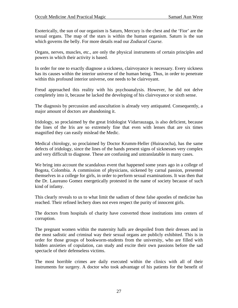Esoterically, the sun of our organism is Saturn, Mercury is the chest and the 'Fior' are the sexual organs. The map of the stars is within the human organism. Saturn is the sun which governs the belly. For more details read our *Zodiacal Course.*

Organs, nerves, muscles, etc., are only the physical instruments of certain principles and powers in which their activity is based.

In order for one to exactly diagnose a sickness, clairvoyance is necessary. Every sickness has its causes within the interior universe of the human being. Thus, in order to penetrate within this profound interior universe, one needs to be clairvoyant.

Freud approached this reality with his psychoanalysis. However, he did not delve completely into it, because he lacked the developing of his clairvoyance or sixth sense.

The diagnosis by percussion and auscultation is already very antiquated. Consequently, a major amount of doctors are abandoning it.

Iridology, so proclaimed by the great Iridologist Vidarrauzaga, is also deficient, because the lines of the Iris are so extremely fine that even with lenses that are six times magnified they can easily mislead the Medic.

Medical chirology, so proclaimed by Doctor Krumm-Heller (Huiracocha), has the same defects of iridology, since the lines of the hands present signs of sicknesses very complex and very difficult to diagnose. These are confusing and untranslatable in many cases.

We bring into account the scandalous event that happened some years ago in a college of Bogota, Colombia. A commission of physicians, sickened by carnal passion, presented themselves in a college for girls, in order to perform sexual examinations. It was then that the Dr. Laureano Gomez energetically protested in the name of society because of such kind of infamy.

This clearly reveals to us to what limit the sadism of these false apostles of medicine has reached. Their refined lechery does not even respect the purity of innocent girls.

The doctors from hospitals of charity have converted those institutions into centers of corruption.

The pregnant women within the maternity halls are despoiled from their dresses and in the most sadistic and criminal way their sexual organs are publicly exhibited. This is in order for those groups of bookworm-students from the university, who are filled with hidden anxieties of copulation, can study and excite their own passions before the sad spectacle of their defenseless victims.

The most horrible crimes are daily executed within the clinics with all of their instruments for surgery. A doctor who took advantage of his patients for the benefit of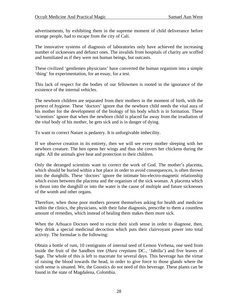advertisements, by exhibiting them in the supreme moment of child deliverance before strange people, had to escape from the city of Cali.

The innovative systems of diagnosis of laboratories only have achieved the increasing number of sicknesses and defunct ones. The invalids from hospitals of charity are scoffed and humiliated as if they were not human beings, but outcasts.

These civilized 'gentlemen physicians' have converted the human organism into a simple 'thing' for experimentation, for an essay, for a test.

This lack of respect for the bodies of our fellowmen is rooted in the ignorance of the existence of the internal vehicles.

The newborn children are separated from their mothers in the moment of birth, with the pretext of hygiene. These 'doctors' ignore that the newborn child needs the vital aura of his mother for the development of the biology of his body which is in formation. These 'scientists' ignore that when the newborn child is placed far away from the irradiation of the vital body of his mother, he gets sick and is in danger of dying.

To want to correct Nature is pedantry. It is unforgivable imbecility.

If we observe creation in its entirety, then we will see every mother sleeping with her newborn creature. The hen opens her wings and thus she covers her chickens during the night. All the animals give heat and protection to their children.

Only the deranged scientists want to correct the work of God. The mother's placenta, which should be buried within a hot place in order to avoid consequences, is often thrown into the dunghills. These 'doctors' ignore the intimate bio-electro-magnetic relationship which exists between the placenta and the organism of the sick woman. A placenta which is thrust into the dunghill or into the water is the cause of multiple and future sicknesses of the womb and other organs.

Therefore, when those poor mothers present themselves asking for health and medicine within the clinics, the physicians, with their false diagnosis, prescribe to them a countless amount of remedies, which instead of healing them makes them more sick.

When the Arhuaco Doctors need to excite their sixth sense in order to diagnose, then, they drink a special medicinal decoction which puts their clairvoyant power into total activity. The formulae is the following:

Obtain a bottle of rum, 10 centigrams of internal seed of Lemon Verbena, one seed from inside the fruit of the Sandbox tree (*Hura crepitans* DC., 'Jabilla') and five leaves of Sage. The whole of this is left to macerate for several days. This beverage has the virtue of raising the blood towards the head, in order to give force to those glands where the sixth sense is situated. We, the Gnostics do not need of this beverage. These plants can be found in the state of Magdalena, Colombia.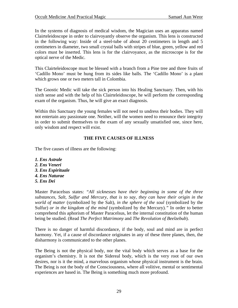In the systems of diagnosis of medical wisdom, the Magician uses an apparatus named Clairteleidoscope in order to clairvoyantly observe the organism. This lens is constructed in the following way: Inside of a steel-tube of about 20 centimeters in length and 5 centimeters in diameter, two small crystal balls with stripes of blue, green, yellow and red colors must be inserted. This lens is for the clairvoyance, as the microscope is for the optical nerve of the Medic.

This Clairteleidoscope must be blessed with a branch from a Pine tree and three fruits of 'Cadillo Mono' must be hung from its sides like balls. The 'Cadillo Mono' is a plant which grows one or two meters tall in Colombia.

The Gnostic Medic will take the sick person into his Healing Sanctuary. Then, with his sixth sense and with the help of his Clairteleidoscope, he will perform the corresponding exam of the organism. Thus, he will give an exact diagnosis.

Within this Sanctuary the young females will not need to undress their bodies. They will not entertain any passionate one. Neither, will the women need to renounce their integrity in order to submit themselves to the exam of any sexually unsatisfied one, since here, only wisdom and respect will exist.

#### **THE FIVE CAUSES OF ILLNESS**

The five causes of illness are the following:

- *1. Ens Astrale 2. Ens Veneri*
- *3. Ens Espirituale*
- *4. Ens Naturae*
- *5. Ens Dei*

Master Paracelsus states: *"All sicknesses have their beginning in some of the three substances, Salt, Sulfur and Mercury, that is to say, they can have their origin in the world of matter* (symbolized by the Salt), *in the sphere of the soul* (symbolized by the Sulfur) *or in the kingdom of the mind* (symbolized by the Mercury)*."* In order to better comprehend this aphorism of Master Paracelsus, let the internal constitution of the human being be studied. (Read *The Perfect Matrimony* and *The Revolution of Beelzebub*).

There is no danger of harmful discordance, if the body, soul and mind are in perfect harmony. Yet, if a cause of discordance originates in any of these three planes, then, the disharmony is communicated to the other planes.

The Being is not the physical body, nor the vital body which serves as a base for the organism's chemistry. It is not the Sidereal body, which is the very root of our own desires, nor is it the mind, a marvelous organism whose physical instrument is the brain. The Being is not the body of the Consciousness, where all volitive, mental or sentimental experiences are based in. The Being is something much more profound.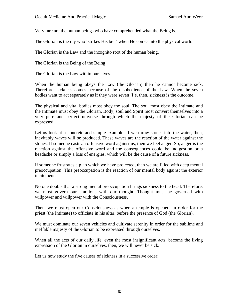Very rare are the human beings who have comprehended what the Being is.

The Glorian is the ray who 'strikes His bell' when He comes into the physical world.

The Glorian is the Law and the incognito root of the human being.

The Glorian is the Being of the Being.

The Glorian is the Law within ourselves.

When the human being obeys the Law (the Glorian) then he cannot become sick. Therefore, sickness comes because of the disobedience of the Law. When the seven bodies want to act separately as if they were seven 'I's, then, sickness is the outcome.

The physical and vital bodies most obey the soul. The soul most obey the Intimate and the Intimate must obey the Glorian. Body, soul and Spirit most convert themselves into a very pure and perfect universe through which the majesty of the Glorian can be expressed.

Let us look at a concrete and simple example: If we throw stones into the water, then, inevitably waves will be produced. These waves are the reaction of the water against the stones. If someone casts an offensive word against us, then we feel anger. So, anger is the reaction against the offensive word and the consequences could be indigestion or a headache or simply a loss of energies, which will be the cause of a future sickness.

If someone frustrates a plan which we have projected, then we are filled with deep mental preoccupation. This preoccupation is the reaction of our mental body against the exterior incitement.

No one doubts that a strong mental preoccupation brings sickness to the head. Therefore, we must govern our emotions with our thought. Thought must be governed with willpower and willpower with the Consciousness.

Then, we must open our Consciousness as when a temple is opened, in order for the priest (the Intimate) to officiate in his altar, before the presence of God (the Glorian).

We must dominate our seven vehicles and cultivate serenity in order for the sublime and ineffable majesty of the Glorian to be expressed through ourselves.

When all the acts of our daily life, even the most insignificant acts, become the living expression of the Glorian in ourselves, then, we will never be sick.

Let us now study the five causes of sickness in a successive order: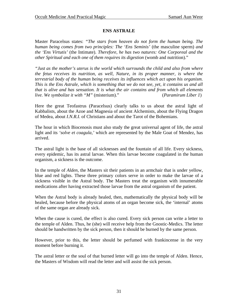#### **ENS ASTRALE**

Master Paracelsus states: *"The stars from heaven do not form the human being. The human being comes from two principles: The 'Ens Seminis'* (the masculine sperm) *and the 'Ens Virtutis'* (the Intimate). *Therefore, he has two natures: One Corporeal and the other Spiritual and each one of them requires its digestion* (womb and nutrition)."

*"Just as the mother's uterus is the world which surrounds the child and also from where the fetus receives its nutrition, as well, Nature, in its proper manner, is where the terrestrial body of the human being receives its influences which act upon his organism. This is the Ens Astrale, which is something that we do not see, yet, it contains us and all that is alive and has sensation. It is what the air contains and from which all elements live. We symbolize it with "M"* (misterium)." (*Paramirum Liber 1*)

Here the great Teofastrus (Paracelsus) clearly talks to us about the astral light of Kabbalists, about the Azoe and Magnesia of ancient Alchemists, about the Flying Dragon of Medea, about *I.N.R.I.* of Christians and about the Tarot of the Bohemians.

The hour in which Biocenosis must also study the great universal agent of life, the astral light and its *'solve et coagula,'* which are represented by the Male Goat of Mendez, has arrived.

The astral light is the base of all sicknesses and the fountain of all life. Every sickness, every epidemic, has its astral larvae. When this larvae become coagulated in the human organism, a sickness is the outcome.

In the temple of *Alden*, the Masters sit their patients in an armchair that is under yellow, blue and red lights. These three primary colors serve in order to make the larvae of a sickness visible in the Astral body. The Masters treat the organism with innumerable medications after having extracted those larvae from the astral organism of the patient.

When the Astral body is already healed, then, mathematically the physical body will be healed, because before the physical atoms of an organ become sick, the 'internal' atoms of the same organ are already sick.

When the cause is cured, the effect is also cured. Every sick person can write a letter to the temple of Alden. Thus, he (she) will receive help from the Gnostic-Medics. The letter should be handwritten by the sick person, then it should be burned by the same person.

However, prior to this, the letter should be perfumed with frankincense in the very moment before burning it.

The astral letter or the soul of that burned letter will go into the temple of Alden. Hence, the Masters of Wisdom will read the letter and will assist the sick person.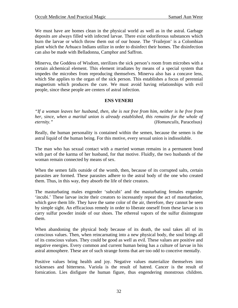We must have are homes clean in the physical world as well as in the astral. Garbage deposits are always filled with infected larvae. There exist odoriferous substances which burn the larvae or which throw them out of our house. The 'Frailejon' is a Colombian plant which the Arhuaco Indians utilize in order to disinfect their homes. The disinfection can also be made with Belladonna, Camphor and Saffron.

Minerva, the Goddess of Wisdom, sterilizes the sick person's room from microbes with a certain alchemical element. This element irradiates by means of a special system that impedes the microbes from reproducing themselves. Minerva also has a concave lens, which She applies to the organ of the sick person. This establishes a focus of perennial magnetism which produces the cure. We must avoid having relationships with evil people, since these people are centers of astral infection.

#### **ENS VENERI**

*"If a woman leaves her husband, then, she is not free from him, neither is he free from her, since, when a marital union is already established, this remains for the whole of eternity."* (*Homunculis*, Paracelsus)

Really, the human personality is contained within the semen, because the semen is the astral liquid of the human being. For this motive, every sexual union is indissoluble.

The man who has sexual contact with a married woman remains in a permanent bond with part of the karma of her husband, for that motive. Fluidly, the two husbands of the woman remain connected by means of sex.

When the semen falls outside of the womb, then, because of its corrupted salts, certain parasites are formed. These parasites adhere to the astral body of the one who created them. Thus, in this way, they absorb the life of their creators.

The masturbating males engender 'subcubi' and the masturbating females engender 'incubi.' These larvae incite their creators to incessantly repeat the act of masturbation, which gave them life. They have the same color of the air, therefore, they cannot be seen by simple sight. An efficacious remedy in order to liberate oneself from these larvae is to carry sulfur powder inside of our shoes. The ethereal vapors of the sulfur disintegrate them.

When abandoning the physical body because of its death, the soul takes all of its conscious values. Then, when reincarnating into a new physical body, the soul brings all of its conscious values. They could be good as well as evil. These values are positive and negative energies. Every common and current human being has a culture of larvae in his astral atmosphere. These are of such strange forms that are too odd to conceive mentally.

Positive values bring health and joy. Negative values materialize themselves into sicknesses and bitterness. Variola is the result of hatred. Cancer is the result of fornication. Lies disfigure the human figure, thus engendering monstrous children.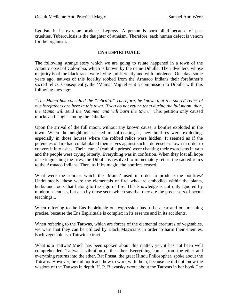Egotism in its extreme produces Leprosy. A person is born blind because of past cruelties. Tuberculosis is the daughter of atheism. Therefore, each human defect is venom for the organism.

#### **ENS ESPIRITUALE**

The following strange story which we are going to relate happened in a town of the Atlantic coast of Colombia, which is known by the name Dibulla. Their dwellers, whose majority is of the black race, were living indifferently and with indolence. One day, some years ago, natives of this locality robbed from the Arhuaco Indians their forefather's sacred relics. Consequently, the 'Mama' Miguel sent a commission to Dibulla with this following message:

*"The Mama has consulted the "lebrillo." Therefore, he knows that the sacred relics of our forefathers are here in this town. If you do not return them during the full moon, then, the Mama will send the 'Animes' and will burn the town."* This petition only caused mocks and laughs among the Dibullans.

Upon the arrival of the full moon, without any known cause, a bonfire exploded in the town. When the neighbors assisted in suffocating it, new bonfires were exploding, especially in those houses where the robbed relics were hidden. It seemed as if the potencies of fire had confabulated themselves against such a defenseless town in order to convert it into ashes. Their 'curas' (catholic priests) were chanting their exorcisms in vain and the people were crying bitterly. Everything was in confusion. When they lost all hope of extinguishing the fires, the Dibullans resolved to immediately return the sacred relics to the Arhuaco Indians. Then, as if by magic, the bonfires ceased.

What were the sources which the 'Mama' used in order to produce the bonfires? Undoubtedly, these were the elementals of fire, who are embodied within the plants, herbs and roots that belong to the sign of fire. This knowledge is not only ignored by modern scientists, but also by those sects which say that they are the possessors of occult teachings...

When referring to the Ens Espirituale our expression has to be clear and our meaning precise, because the Ens Espirituale is complex in its essence and in its accidents.

When referring to the Tattwas, which are forces of the elemental creatures of vegetables, we warn that they can be utilized by Black Magicians in order to harm their enemies. Each vegetable is a Tattwic extract.

What is a Tattwa? Much has been spoken about this matter, yet, it has not been well comprehended. Tattwa is vibration of the ether. Everything comes from the ether and everything returns into the ether. Rat Prasat, the great Hindu Philosopher, spoke about the Tattwas. However, he did not teach how to work with them, because he did not know the wisdom of the Tattwas in depth. H. P. Blavatsky wrote about the Tattwas in her book The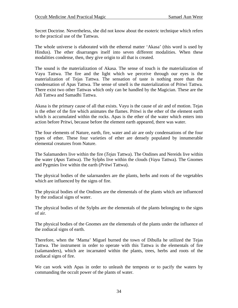Secret Doctrine. Nevertheless, she did not know about the esoteric technique which refers to the practical use of the Tattwas.

The whole universe is elaborated with the ethereal matter 'Akasa' (this word is used by Hindus). The ether disarranges itself into seven different modalities. When these modalities condense, then, they give origin to all that is created.

The sound is the materialization of Akasa. The sense of touch is the materialization of Vayu Tattwa. The fire and the light which we perceive through our eyes is the materialization of Tejas Tattwa. The sensation of taste is nothing more than the condensation of Apas Tattwa. The sense of smell is the materialization of Pritwi Tattwa. There exist two other Tattwas which only can be handled by the Magician. These are the Adi Tattwa and Samadhi Tattwa.

Akasa is the primary cause of all that exists. Vayu is the cause of air and of motion. Tejas is the ether of the fire which animates the flames. Pritwi is the ether of the element earth which is accumulated within the rocks. Apas is the ether of the water which enters into action before Pritwi, because before the element earth appeared, there was water.

The four elements of Nature, earth, fire, water and air are only condensations of the four types of ether. These four varieties of ether are densely populated by innumerable elemental creatures from Nature.

The Salamanders live within the fire (*Tejas* Tattwa). The Ondines and Nereids live within the water (*Apas* Tattwa). The Sylphs live within the clouds (*Vayu* Tattwa). The Gnomes and Pygmies live within the earth (*Pritwi* Tattwa).

The physical bodies of the salarnanders are the plants, herbs and roots of the vegetables which are influenced by the signs of fire.

The physical bodies of the Ondines are the elementals of the plants which are influenced by the zodiacal signs of water.

The physical bodies of the Sylphs are the elementals of the plants belonging to the signs of air.

The physical bodies of the Gnomes are the elementals of the plants under the influence of the zodiacal signs of earth.

Therefore, when the 'Mama' Miguel burned the town of Dibulla he utilized the Tejas Tattwa. The instrument in order to operate with this Tattwa is the elementals of fire (salamanders), which are incarnated within the plants, trees, herbs and roots of the zodiacal signs of fire.

We can work with Apas in order to unleash the tempests or to pacify the waters by commanding the occult power of the plants of water.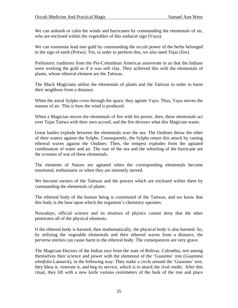We can unleash or calm the winds and hurricanes by commanding the elementals of air, who are enclosed within the vegetables of this zodiacal sign (Vayu).

We can transmute lead into gold by commanding the occult power of the herbs belonged to the sign of earth (Pritwi). Yet, in order to perform this, we also need Tejas (fire).

Prehistoric traditions from the Pre-Colombian Americas asseverate to us that the Indians were working the gold as if it was soft clay. They achieved this with the elementals of plants, whose ethereal element are the Tattwas.

The Black Magicians utilize the elementals of plants and the Tattwas in order to harm their neighbors from a distance.

When the astral Sylphs cross through the space, they agitate Vayu. Thus, Vayu moves the masses of air. This is how the wind is produced.

When a Magician moves the elementals of fire with his power, then, these elenientals act over Tejas Tattwa with their own accord, and the fire devours what this Magician wants.

Great battles explode between the elementals over the sea. The Ondines throw the ether of their waters against the Sylphs. Consequently, the Sylphs return this attack by casting ethereal waves against the Ondines. Then, the tempest explodes from the agitated combination of water and air. The roar of the sea and the whistling of the hurricane are the screams of war of these elementals.

The elements of Nature are agitated when the corresponding elementals become emotional, enthusiastic or when they are intensely moved.

We become owners of the Tattwas and the powers which are enclosed within them by commanding the elementals of plants.

The ethereal body of the human being is constituted of the Tattwas, and we know that this body is the base upon which the organism's chemistry operates.

Nowadays, official science and its treatises of physics cannot deny that the ether penetrates all of the physical elements.

If the ethereal body is harmed, then mathematically, the physical body is also harmed. So, by utilizing the vegetable elementals and their ethereal waves from a distance, the perverse entities can cause harm to the ethereal body. The consequences are very grave.

The Magician-Doctors of the Indian race from the state of Bolivar, Colombia, test among themselves their science and power with the elemental of the 'Guasimo' tree (*Guazmna ulmifolia* Lamarck), in the following way: They niake a circle around the 'Guasimo' tree, they bless it, venerate it, and beg its service, which is to attack the rival medic. After this ritual, they lift with a new knife various centimeters of the bark of the tree and place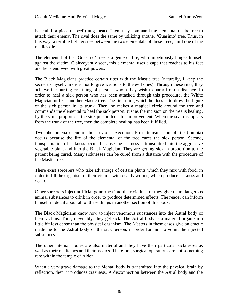beneath it a piece of beef (lung meat). Then, they command the elemental of the tree to attack their enemy. The rival does the same by utilizing another 'Guasimo' tree. Thus, in this way, a terrible fight ensues between the two elementals of these trees, until one of the medics die.

The elemental of the 'Guasimo' tree is a genie of fire, who impetuously lunges himself against the victim. Clairvoyantly seen, this elemental uses a cape that reaches to his feet and he is endowed with great powers.

The Black Magicians practice certain rites with the Mastic tree (naturally, I keep the secret to myself, in order not to give weapons to the evil ones). Through these rites, they achieve the hurting or killing of persons whom they wish to harm from a distance. In order to heal a sick person who has been attacked through this procedure, the White Magician utilizes another Mastic tree. The first thing which he does is to draw the figure of the sick person in its trunk. Then, he makes a magical circle around the tree and commands the elemental to heal the sick person. Just as the incision on the tree is healing, by the same proportion, the sick person feels his improvement. When the scar disappears from the trunk of the tree, then the complete healing has been fulfilled.

Two phenomena occur in the previous execution: First, transmission of life (mumia) occurs because the life of the elemental of the tree cures the sick person. Second, transplantation of sickness occurs because the sickness is transmitted into the aggressive vegetable plant and into the Black Magician. They are getting sick in proportion to the patient being cured. Many sicknesses can be cured from a distance with the procedure of the Mastic tree.

There exist sorcerers who take advantage of certain plants which they mix with food, in order to fill the organism of their victims with deadly worms, which produce sickness and death.

Other sorcerers inject artificial gonorrhea into their victims, or they give them dangerous animal substances to drink in order to produce determined effects. The reader can inform himself in detail about all of these things in another section of this book.

The Black Magicians know how to inject venomous substances into the Astral body of their victims. Thus, inevitably, they get sick. The Astral body is a material organism a little bit less dense than the physical organism. The Masters in these cases give an emetic medicine to the Astral body of the sick person, in order for him to vomit the injected substances.

The other internal bodies are also material and they have their particular sicknesses as well as their medicines and their medics. Therefore, surgical operations are not something rare within the temple of Alden.

When a very grave damage to the Mental body is transmitted into the physical brain by reflection, then, it produces craziness. A disconnection between the Astral body and the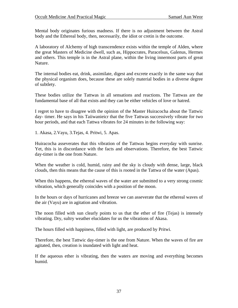Mental body originates furious madness. If there is no adjustment between the Astral body and the Ethereal body, then, necessarily, the idiot or cretin is the outcome.

A laboratory of Alchemy of high transcendence exists within the temple of Alden, where the great Masters of Medicine dwell, such as, Hippocrates, Paracelsus, Galenus, Hermes and others. This temple is in the Astral plane, within the living innermost parts of great Nature.

The internal bodies eat, drink, assimilate, digest and excrete exactly in the same way that the physical organism does, because these are solely material bodies in a diverse degree of subtlety.

These bodies utilize the Tattwas in all sensations and reactions. The Tattwas are the fundamental base of all that exists and they can be either vehicles of love or hatred.

I regret to have to disagree with the opinion of the Master Huiracocha about the Tattwic day- timer. He says in his Taiiwanieicr that the five Tattwas successively vibrate for two hour periods, and that each Tattwa vibrates for 24 minutes in the following way:

1. Akasa, 2.Vayu, 3.Tejas, 4. Pritwi, 5. Apas.

Huiracocha asseverates that this vibration of the Tattwas begins everyday with sunrise. Yet, this is in discordance with the facts and observations. Therefore, the best Tattwic day-timer is the one from Nature.

When the weather is cold, humid, rainy and the sky is cloudy with dense, large, black clouds, then this means that the cause of this is rooted in the Tattwa of the water (Apas).

When this happens, the ethereal waves of the water are submitted to a very strong cosmic vibration, which generally coincides with a position of the moon.

In the hours or days of hurricanes and breeze we can asseverate that the ethereal waves of the air (Vayu) are in agitation and vibration.

The noon filled with sun clearly points to us that the ether of fire (Tejas) is intensely vibrating. Dry, sultry weather elucidates for us the vibrations of Akasa.

The hours filled with happiness, filled with light, are produced by Pritwi.

Therefore, the best Tattwic day-timer is the one from Nature. When the waves of fire are agitated, then, creation is inundated with light and heat.

If the aqueous ether is vibrating, then the waters are moving and everything becomes humid.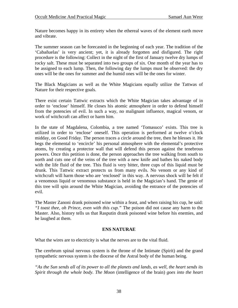Nature becomes happy in its entirety when the ethereal waves of the element earth move and vibrate.

The summer season can be forecasted in the beginning of each year. The tradition of the 'Cabañuelas' is very ancient; yet, it is already forgotten and disfigured. The right procedure is the following: Collect in the night of the first of January twelve dry lumps of rocky salt. These must be separated into two groups of six. One month of the year has to be assigned to each lump. Then, the following day the lumps must be observed: the dry ones will be the ones for summer and the humid ones will be the ones for winter.

The Black Magicians as well as the White Magicians equally utilize the Tattwas of Nature for their respective goals.

There exist certain Tattwic extracts which the White Magician takes advantage of in order to 'enclose' himself. He closes his atomic atmosphere in order to defend himself from the potencies of evil. In such a way, no malignant influence, magical venom, or work of witchcraft can affect or harm him.

In the state of Magdalena, Colombia, a tree named 'Tomasuco' exists. This tree is utilized in order to 'enclose' oneself. This operation is performed at twelve o'clock midday, on Good Friday. The person traces a circle around the tree, then he blesses it. He begs the elemental to 'encircle' his personal atmosphere with the elemental's protective atoms, by creating a protector wall that will defend this person against the tenebrous powers. Once this petition is done, the person approaches the tree walking from south to north and cuts one of the veins of the tree with a new knife and bathes his naked body with the life fluid of the tree. This fluid is very bitter, three cups of this liquid must be drunk. This Tattwic extract protects us from many evils. No venom or any kind of witchcraft will harm those who are 'enclosed' in this way. A nervous shock will be felt if a venomous liquid or venomous substance is held in the Magician's hand. The genie of this tree will spin around the White Magician, avoiding the entrance of the potencies of evil.

The Master Zanoni drank poisoned wine within a feast, and when raising his cup, he said: *"I toast thee, oh Prince, even with this cup."* The poison did not cause any harm to the Master. Also, history tells us that Rasputin drank poisoned wine before his enemies, and he laughed at them.

#### **ENS NATURAE**

What the wires are to electricity is what the nerves are to the vital fluid.

The cerebrum spinal nervous system is the throne of the Intimate (Spirit) and the grand sympathetic nervous system is the diocese of the Astral body of the human being.

*"As the Sun sends all of its power to all the planets and lands, as well, the heart sends its Spirit through the whole body. The Moon* (intelligence of the brain) *goes into the heart*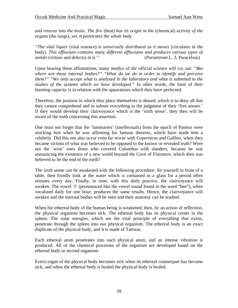*and returns into the brain. The fire* (heat) *has its origin in the* (chemical) *activity of the organs* (the lungs), *yet, it penetrates the whole body.*

*"The vital liquor* (vital essence) *is universally distributed as it moves* (circulates in the body). *This effluvium contains many different effluviums and produces various types of metals* (virtues and defects) *in it."* (*Paramirum* L. 3, Paracelsus)

Upon hearing these affirmations, many medics of the official science will cry out: *"But where are those internal bodies?" "What do we do in order to identify and perceive them?" "We only accept what is analyzed in the laboratory and what is submited to the studies of the systems which we have developed."* In other words, the limit of their learning capacity is in relation with the apparatuses which they have perfected.

Therefore, the position in which they place themselves is absurd, which is to deny all that they cannot comprehend and to submit everything to the judgment of their 'five senses.' If they would develop their clairvoyance which is the 'sixth sense', they then will be aware of the truth concerning this assertion.

One must not forget that the 'luminaries' (intellectuals) from the epoch of Pasteur were mocking him when he was affirming his famous theories, which have made him a celebrity. Did this not also occur even far worse with Copernicus and Galileo, when they became victims of what was believed to be opposed to the known or revealed truth? Were not the 'wise' ones those who covered Columbus with slanders, because he was announcing the existence of a new world beyond the Cove of Finisterre, which then was believed to be the end of the earth?

The sixth sense can be awakened with the following procedure: Sit yourself in front of a table, then fixedly look at the water which is contained in a glass for a period often minutes every day. Finally, in time, with this daily practice, the clairvoyance will awaken. The vowel 'I' (pronounced like the vowel sound found in the word "bee"), when vocalized daily for one hour, produces the same results. Hence, the clairvoyance wilt awaken and the internal bodies will be seen and their anatomy can be studied.

When the ethereal body of the human being is weakened, then, by an action of reflection, the physical organism becomes sick. The ethereal body has its physical center in the spleen. The solar energies, which are the vital principle of everything that exists, penetrate through the spleen into our physical organism. The ethereal body is an exact duplicate of the physical body, and it is made of Tattwas.

Each ethereal atom penetrates into each physical atom, and an intense vibration is produced. All of the chemical processes of the organism are developed based on the ethereal body or second organism.

Every organ of the physical body becomes sick when its ethereal counterpart has become sick, and when the ethereal body is healed the physical body is healed.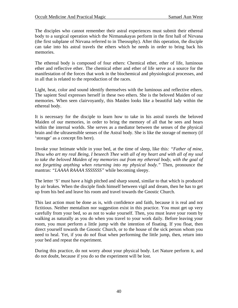The disciples who cannot remember their astral experiences must submit their ethereal body to a surgical operation which the Nirmanakayas perform in the first hall of Nirvana (the first subplane of Nirvana referred to in Theosophy). After this operation, the disciple can take into his astral travels the ethers which he needs in order to bring back his memories.

The ethereal body is composed of four ethers: Chemical ether, ether of life, luminous ether and reflective ether. The chemical ether and ether of life serve as a source for the manifestation of the forces that work in the biochemical and physiological processes, and in all that is related to the reproduction of the races.

Light, heat, color and sound identify themselves with the luminous and reflective ethers. The sapient Soul expresses herself in these two ethers. She is the beloved Maiden of our memories. When seen clairvoyantly, this Maiden looks like a beautiful lady within the ethereal body.

It is necessary for the disciple to learn how to take in his astral travels the beloved Maiden of our memories, in order to bring the memory of all that he sees and hears within the internal worlds. She serves as a mediator between the senses of the physical brain and the ultrasensible senses of the Astral body. She is like the storage of memory (if 'storage' as a concept fits here).

Invoke your Intimate while in your bed, at the time of sleep, like this*: "Father of mine, Thou who art my real Being, I beseech Thee with all of my heart and with all of my soul*  to take the beloved Maiden of my memories out from my ethereal body, with the goal of *not forgetting anything when returning into my physical body."* Then, pronounce the mantras: *"LAAAA RAAAA SSSSSSS"* while becoming sleepy.

The letter 'S' must have a high pitched and sharp sound, similar to that which is produced by air brakes. When the disciple finds himself between vigil and dream, then he has to get up from his bed and leave his room and travel towards the Gnostic Church.

This last action must be done as is, with confidence and faith, because it is real and not fictitious. Neither mentalism nor suggestion exist in this practice. You must get up very carefully from your bed, so as not to wake yourself. Then, you must leave your room by walking as naturally as you do when you travel to your work daily. Before leaving your room, you must perform a little jump with the intention of floating. If you float, then direct yourself towards the Gnostic Church, or to the house of the sick person whom you need to heal. Yet, if you do nof float when performing the little jump, then, return into your bed and repeat the experiment.

During this practice, do not worry about your physical body. Let Nature perform it, and do not doubt, because if you do so the experiment will be lost.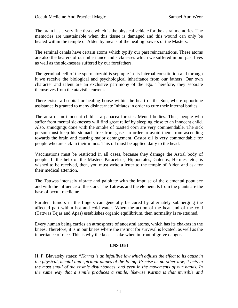The brain has a very fine tissue which is the physical vehicle for the astral memories. The memories are unattainable when this tissue is damaged and this wound can only be healed within the temple of Alden by means of the healing powers of the Masters.

The seminal canals have certain atoms which typify our past reincarnations. These atoms are also the bearers of our inheritance and sicknesses which we suffered in our past lives as well as the sicknesses suffered by our forefathers.

The germinal cell of the spermatozoid is septuple in its internal constitution and through it we receive the biological and psychological inheritance from our fathers. Our own character and talent are an exclusive patrimony of the ego. Therefore, they separate themselves from the atavistic current.

There exists a hospital or healing house within the heart of the Sun, where opportune assistance is granted to many disincarnate Initiates in order to cure their internal bodies.

The aura of an innocent child is a panacea for sick Mental bodies. Thus, people who suffer from mental sicknesses will find great relief by sleeping close to an innocent child. Also, smudgings done with the smoke of toasted corn are very commendable. The sick person must keep his stomach free from gases in order to avoid them from ascending towards the brain and causing major derangement. Castor oil is very commendable for people who are sick in their minds. This oil must be applied daily to the head.

Vaccinations must be restricted in all cases, because they damage the Astral body of people. If the help of the Masters Paracelsus, Hippocrates, Galenus, Hermes, etc., is wished to be received, then, you must write a letter to the temple of Alden and ask for their medical attention.

The Tattwas intensely vibrate and palpitate with the impulse of the elemental populace and with the influence of the stars. The Tattwas and the elementals from the plants are the base of occult medicine.

Purulent tumors in the fingers can generally be cured by alternately submerging the affected part within hot and cold water. When the action of the heat and of the cold (Tattwas Tejas and Apas) establishes organic equilibrium, then normality is re-attained.

Every human being carries an atmosphere of ancestral atoms, which has its chakras in the knees. Therefore, it is in our knees where the instinct for survival is located, as well as the inheritance of race. This is why the knees shake when in front of grave danger.

#### **ENS DEI**

H. P. Blavatsky states: *"Karma is an infallible law which adjusts the effect to its cause in the physical, mental and spiritual planes of the Being. Precise as no other law, it acts in the most small of the cosmic disturbances, and even in the movements of our hands. In the same way that a simile produces a simile, likewise Karma is that invisible and*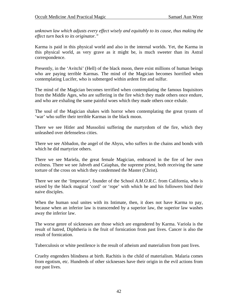*unknown law which adjusts every effect wisely and equitably to its cause, thus making the effect turn back to its originator."* 

Karma is paid in this physical world and also in the internal worlds. Yet, the Karma in this physical world, as very grave as it might be, is much sweeter than its Astral correspondence.

Presently, in the 'Avitchi' (Hell) of the black moon, there exist millions of human beings who are paying terrible Karmas. The mind of the Magician becomes horrified when contemplating Lucifer, who is submerged within ardent fire and sulfur.

The mind of the Magician becomes terrified when contemplating the famous Inquisitors from the Middle Ages, who are suffering in the fire which they made others once endure, and who are exhaling the same painful woes which they made others once exhale.

The soul of the Magician shakes with horror when contemplating the great tyrants of 'war' who suffer their terrible Karmas in the black moon.

There we see Hitler and Mussolini suffering the martyrdom of the fire, which they unleashed over defenseless cities.

There we see Abbadon, the angel of the Abyss, who suffers in the chains and bonds with which he did martyrize others.

There we see Mariela, the great female Magician, embraced in the fire of her own evilness. There we see Jahveh and Caiaphas, the supreme priest, both receiving the same torture of the cross on which they condemned the Master (Christ).

There we see the 'Imperator', founder of the School *A.M.O.R.C*. from California, who is seized by the black magical 'cord' or 'rope' with which he and his followers bind their naive disciples.

When the human soul unites with its Intimate, then, it does not have Karma to pay, because when an inferior law is transcended by a superior law, the superior law washes away the inferior law.

The worse genre of sicknesses are those which are engendered by Karma. Variola is the result of hatred, Diphtheria is the fruit of fornication from past lives. Cancer is also the result of fornication.

Tuberculosis or white pestilence is the result of atheism and materialism from past lives.

Cruelty engenders blindness at birth. Rachitis is the child of materialism. Malaria comes from egotism, etc. Hundreds of other sicknesses have their origin in the evil actions from our past lives.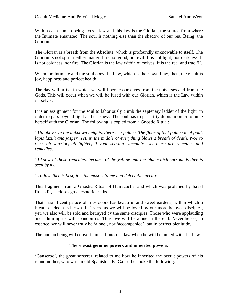Within each human being lives a law and this law is the Glorian, the source from where the Intimate emanated. The soul is nothing else than the shadow of our real Being, the Glorian.

The Glorian is a breath from the Absolute, which is profoundly unknowable to itself. The Glorian is not spirit neither matter. It is not good, nor evil. It is not light, nor darkness. It is not coldness, nor fire. The Glorian is the law within ourselves. It is the real and true 'I'.

When the Intimate and the soul obey the Law, which is their own Law, then, the result is joy, happiness and perfect health.

The day will arrive in which we will liberate ourselves from the universes and from the Gods. This will occur when we will be fused with our Glorian, which is the Law within ourselves.

It is an assignment for the soul to laboriously climb the septenary ladder of the light, in order to pass beyond light and darkness. The soul has to pass fifty doors in order to unite herself with the Glorian. The following is copied from a Gnostic Ritual:

*"Up above, in the unknown heights, there is a palace. The floor of that palace is of gold, lapis lazuli and jasper. Yet, in the middle of everything blows a breath of death. Woe to thee, oh warrior, oh fighter, if your servant succumbs, yet there are remedies and remedies.* 

*"I know of those remedies, because of the yellow and the blue which surrounds thee is seen by me.* 

*"To love thee is best, it ts the most sublime and delectable nectar."* 

This fragment from a Gnostic Ritual of Huiracocha, and which was profaned by Israel Rojas R., encloses great esoteric truths.

That magnificent palace of fifty doors has beautiful and sweet gardens, within which a breath of death is blown. In its rooms we will be loved by our more beloved disciples, yet, we also will be sold and betrayed by the same disciples. Those who were applauding and admiring us will abandon us. Thus, we will be alone in the end. Nevertheless, in essence, we will never truly be 'alone', nor 'accompanied', but in perfect plenitude.

The human being will convert himself into one law when he will be united with the Law.

# **There exist genuine powers and inherited powers.**

'Ganserbo', the great sorcerer, related to me how he inherited the occult powers of his grandmother, who was an old Spanish lady. Ganserbo spoke the following: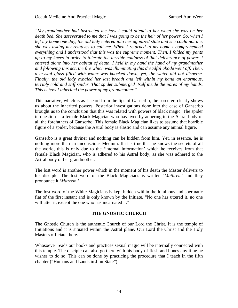*"My grandmother had instructed me how I could attend to her when she was on her*  death bed. She asseverated to me that I was going to be the heir of her power. So, when I left my home one day, the old lady entered into her agonized state and she could not die, *she was asking my relatives to call me. When I returned to my home I comprehended everything and I understood that this was the supreme moment. Then, I folded my pants up to my knees in order to tolerate the terrible coldness of that deliverance of power. I entered alone into her habitat of death. I held in my hand the hand of my grandmother and following this act, the fire which was illuminating this dreadftil abode went off. Then, a crystal glass filled with water was knocked down, yet, the water did not disperse. Finally, the old lady exhaled her last breath and left within my hand an enormous, terribly cold and stiff spider. That spider submerged itself inside the pores of my hands. This is how I inherited the power of my grandmother."* 

This narrative, which is as I heard from the lips of Ganserbo, the sorcerer, clearly shows us about the inherited powers. Posterior investigations done into the case of Ganserbo brought us to the conclusion that this was related with powers of black magic. The spider in question is a female Black Magician who has lived by adhering to the Astral body of all the forefathers of Ganserbo. This female Black Magician likes to assume that horrible figure of a spider, because the Astral body is elastic and can assume any animal figure.

Ganserbo is a great diviner and nothing can be hidden from him. Yet, in essence, he is nothing more than an unconscious Medium. If it is true that he knows the secrets of all the world, this is only due to the 'internal information' which he receives from that female Black Magician, who is adhered to his Astral body, as she was adhered to the Astral body of her grandmother.

The lost word is another power which in the moment of his death the Master delivers to his disciple. The lost word of the Black Magicians is written *'Mathrem'* and they pronounce it *'Mazrem.'* 

The lost word of the White Magicians is kept hidden within the luminous and spermatic fiat of the first instant and is only known by the Initiate. "No one has uttered it, no one will utter it, except the one who has incarnated it."

#### **THE GNOSTIC CHURCH**

The Gnostic Church is the authentic Church of our Lord the Christ. It is the temple of Initiations and it is situated within the Astral plane. Our Lord the Christ and the Holy Masters officiate there.

Whosoever reads our books and practices sexual magic will be internally connected with this temple. The disciple can also go there with his body of flesh and bones any time he wishes to do so. This can be done by practicing the procedure that I teach in the fifth chapter ("Humans and Lands in Jinn State").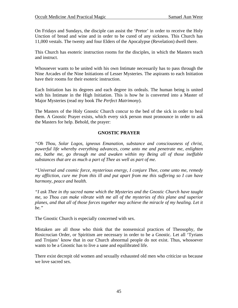On Fridays and Sundays, the disciple can assist the 'Pretor' in order to receive the Holy Unction of bread and wine and in order to be cured of any sickness. This Church has 11,000 vestals. The twenty and four Elders of the Apocalypse (Revelation) dwell there.

This Church has esoteric instruction rooms for the disciples, in which the Masters teach and instruct.

Whosoever wants to be united with his own Intimate necessarily has to pass through the Nine Arcades of the Nine Initiations of Lesser Mysteries. The aspirants to each Initiation have their rooms for their esoteric instruction.

Each Initiation has its degrees and each degree its ordeals. The human being is united with his Intimate in the High Initiation. This is how he is converted into a Master of Major Mysteries (read my book *The Perfect Matrimony*).

The Masters of the Holy Gnostic Church concur to the bed of the sick in order to heal them. A Gnostic Prayer exists, which every sick person must pronounce in order to ask the Masters for help. Behold, the prayer:

# **GNOSTIC PRAYER**

*"Oh Thou, Solar Logos, igneous Emanation, substance and consciousness of christ, powerful life whereby everything advances, come unto me and penetrate me, enlighten me, bathe me, go through me and awaken within my Being all of those ineffable substances that are as much a part of Thee as well as part of me.* 

*"Universal and cosmic force, mysterious energy, I conjure Thee, come unto me, remedy my affliction, cure me from this ill and put apart from me this suffering so I can have harmony, peace and health.* 

*"I ask Thee in thy sacred name which the Mysteries and the Gnostic Church have taught me, so Thou can make vibrate with me all of the mysteries of this plane and superior planes, and that all of those forces together may achieve the miracle of my healing. Let it be."* 

The Gnostic Church is especially concerned with sex.

Mistaken are all those who think that the nonsensical practices of Theosophy, the Rosicrucian Order, or Spiritism are necessary in order to be a Gnostic. Let all 'Tyrians and Trojans' know that in our Church abnormal people do not exist. Thus, whosoever wants to be a Gnostic has to live a sane and equilibrated life.

There exist decrepit old women and sexually exhausted old men who criticize us because we love sacred sex.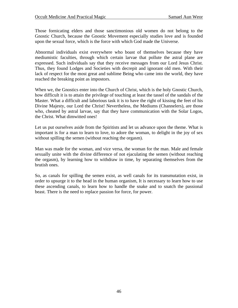Those fornicating elders and those sanctimonious old women do not belong to the Gnostic Church, because the Gnostic Movement especially studies love and is founded upon the sexual force, which is the force with which God made the Universe.

Abnormal individuals exist everywhere who boast of themselves because they have mediumistic faculties, through which certain larvae that pollute the astral plane are expressed. Such individuals say that they receive messages from our Lord Jesus Christ. Thus, they found Lodges and Societies with decrepit and ignorant old men. With their lack of respect for the most great and sublime Being who came into the world, they have reached the breaking point as impostors.

When we, the Gnostics enter into the Church of Christ, which is the holy Gnostic Church, how difficult it is to attain the privilege of touching at least the tassel of the sandals of the Master. What a difficult and laborious task it is to have the right of kissing the feet of his Divine Majesty, our Lord the Christ! Nevertheless, the Mediums (Channelers), are those who, cheated by astral larvae, say that they have communication with the Solar Logos, the Christ. What dimwitted ones!

Let us put ourselves aside from the Spiritists and let us advance upon the theme. What is important is for a man to learn to love, to adore the woman, to delight in the joy of sex without spilling the semen (without reaching the orgasm).

Man was made for the woman, and vice versa, the woman for the man. Male and female sexually unite with the divine difference of not ejaculating the semen (without reaching the orgasm), by learning how to withdraw in time, by separating themselves from the brutish ones.

So, as canals for spilling the semen exist, as well canals for its transmutation exist, in order to upsurge it to the head in the human organism, It is necessary to learn how to use these ascending canals, to learn how to handle the snake and to snatch the passional beast. There is the need to replace passion for force, for power.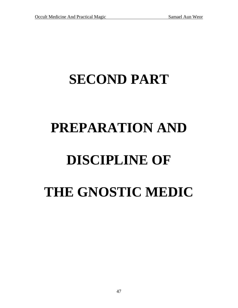# **SECOND PART**

# **PREPARATION AND**

# **DISCIPLINE OF**

# **THE GNOSTIC MEDIC**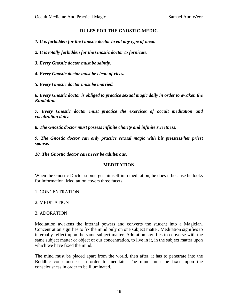#### **RULES FOR THE GNOSTIC-MEDIC**

*1. It is forbidden for the Gnostic doctor to eat any type of meat.* 

*2. It is totally forbidden for the Gnostic doctor to fornicate.* 

*3. Every Gnostic doctor must be saintly.* 

*4. Every Gnostic doctor must be clean of vices.* 

*5. Every Gnostic doctor must be married.* 

*6. Every Gnostic doctor is obliged to practice sexual magic daily in order to awaken the Kundalini.* 

*7. Every Gnostic doctor must practice the exercises of occult meditation and vocalization daily.* 

*8. The Gnostic doctor must possess infinite charity and infinite sweetness.* 

*9. The Gnostic doctor can only practice sexual magic with his priestess/her priest spouse.* 

*10. The Gnostic doctor can never be adulterous.* 

#### **MEDITATION**

When the Gnostic Doctor submerges himself into meditation, he does it because he looks for information. Meditation covers three facets:

#### 1. CONCENTRATION

2. MEDITATION

#### 3. ADORATION

Meditation awakens the internal powers and converts the student into a Magician. Concentration signifies to fix the mind only on one subject matter. Meditation signifies to internally reflect upon the same subject matter. Adoration signifies to converse with the same subject matter or object of our concentration, to live in it, in the subject matter upon which we have fixed the mind.

The mind must be placed apart from the world, then after, it has to penetrate into the Buddhic consciousness in order to meditate. The mind must be fixed upon the consciousness in order to be illuminated.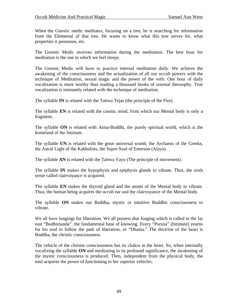When the Gnostic medic meditates, focusing on a tree, he is searching for information from the Elemental of that tree. He wants to know what this tree serves for, what properties it possesses, etc.

The Gnostic Medic receives information during the meditation. The best hour for meditation is the one in which we feel sleepy.

The Gnostic Medic will have to practice internal meditation daily. We achieve the awakening of the consciousness and the actualization of all our occult powers with the technique of Meditation, sexual magic and the power of the verb. One hour of daily vocalization is more worthy than reading a thousand books of oriental theosophy. True vocalization is intimately related with the technique of meditation.

The syllable **IN** is related with the Tattwa Tejas (the principle of the Fire).

The syllable **EN** is related with the cosmic mind, from which our Mental body is only a fragment.

The syllable **ON** is related with Atma-Buddhi, the purely spiritual world, which is the homeland of the Intimate.

The syllable **UN** is related with the great universal womb, the Archaeus of the Greeks, the Astral Light of the Kabbalists, the Super-Soul of Emerson (Alaya).

The syllable **AN** is related with the Tattwa Vayu (The principle of movement).

The syllable **IN** makes the hypophysis and epiphysis glands to vibrate. Thus, the sixth sense called clairvoyance is acquired.

The syllable **EN** makes the thyroid gland and the atoms of the Mental body to vibrate. Thus, the human being acquires the occult ear and the clairvoyance of the Mental body.

The syllable **ON** makes our Buddha, mystic or intuitive Buddhic consciousness to vibrate.

We all have longings for liberation. We all possess that longing which is called in the far east "Bodhimanda", the fundamental base of knowing. Every "Purusa" (Intimate) yearns for his soul to follow the path of liberation, or "Dhama." The doctrine of the heart is Buddha, the christic consciousness.

The vehicle of the christie consciousness has its chakra in the heart. So, when internally vocalizing the syllable **ON** and meditating in its profound significance, the awakening of the mystic consciousness is produced. Then, independent from the physical body, the soul acquires the power of functioning in her superior vehicles.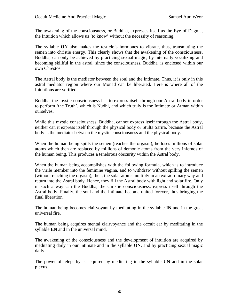The awakening of the consciousness, or Buddha, expresses itself as the Eye of Dagma, the Intuition which allows us 'to know' without the necessity of reasoning.

The syllable **ON** also makes the testicle's hormones to vibrate, thus, transmuting the semen into christie energy. This clearly shows that the awakening of the consciousness, Buddha, can only be achieved by practicing sexual magic, by internally vocalizing and becoming skillful in the astral, since the consciousness, Buddha, is enclosed within our own Chrestos.

The Astral body is the mediator between the soul and the Intimate. Thus, it is only in this astral mediator region where our Monad can be liberated. Here is where all of the Initiations are verified.

Buddha, the mystic consciousness has to express itself through our Astral body in order to perform 'the Truth', which is Nudhi, and which truly is the Intimate or Atman within ourselves.

While this mystic consciousness, Buddha, cannot express itself through the Astral body, neither can it express itself through the physical body or Stulta Sarira, because the Astral body is the mediator between the mystic consciousness and the physical body.

When the human being spills the semen (reaches the orgasm), he loses millions of solar atoms which then are replaced by millions of demonic atoms from the very infernos of the human being. This produces a tenebrous obscurity within the Astral body.

When the human being accomplishes with the following formula, which is to introduce the virile member into the feminine vagina, and to withdraw without spilling the semen (without reaching the orgasm), then, the solar atoms multiply in an extraordinary way and return into the Astral body. Hence, they fill the Astral body with light and solar fire. Only in such a way can the Buddha, the christie consciousness, express itself through the Astral body. Finally, the soul and the Intimate become united forever, thus bringing the final liberation.

The human being becomes clairvoyant by meditating in the syllable **IN** and in the great universal fire.

The human being acquires mental clairvoyance and the occult ear by meditating in the syllable **EN** and in the universal mind.

The awakening of the consciousness and the development of intuition are acquired by meditating daily in our Intimate and in the syllable **ON**, and by practicing sexual magic daily.

The power of telepathy is acquired by meditating in the syllable **UN** and in the solar plexus.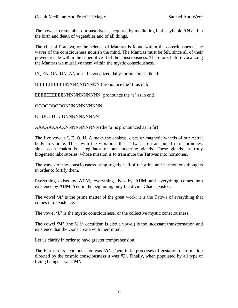The power to remember our past lives is acquired by meditating in the syllable **AN** and in the birth and death of vegetables and of all things.

The clue of Pranava, or the science of Mantras is found within the consciousness. The waves of the consciousness nourish the mind. The Mantras must be felt, since all of their powers reside within the superlative fl of the consciousness. Therefore, before vocalizing the Mantras we must live them within the mystic consciousness.

IN, EN, ON, UN, AN must be vocalized daily for one hour, like this:

IIIIIIIIIIIIIIIIIIIINNNNNNNNNN (pronounce the 'I' as in b

EEEEEEEEEENNNNNNNNNNN (pronounce the 'e' as in end)

OOOOOOOOONNNNNNNNNNN

UUUUUUUUUNNNNNNNNNN

AAAAAAAAANNNNNNNNNN (the 'a' is pronounced as in fir)

The five vowels I, E, O, U, A make the chakras, discs or magnetic wheels of our Astral body to vibrate. Thus, with the vibration, the Tattwas are transmuted into hormones, since each chakra is a regulator of our endocrine glands. These glands are truly biogenetic laboratories, whose mission is to transmute the Tattwas into hormones.

The waves of the consciousness bring together all of the afine and harmonious thoughts in order to fortify them.

Everything exists by **AUM**, everything lives by **AUM** and everything comes into existence by **AUM**. Yet, in the beginning, only the divine Chaos existed.

The vowel **'A'** is the prime matter of the great work; it is the Tattwa of everything that comes into existence.

The vowel **'U'** is the mystic consciousness, or the collective mystic consciousness.

The vowel **'M'** (the M in occultism is also a vowel) is the incessant transformation and existence that the Gods create with their mind.

Let us clarify in order to have greater comprehension:

The Earth in its nebulous state was **'A'**. Then, in its processes of gestation or formation directed by the cosmic consciousness it was **'U'**. Finally, when populated by all type of living beings it was **'M'.**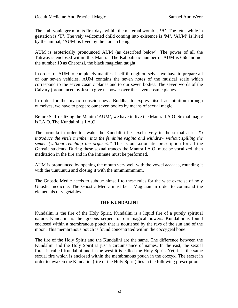The embryonic germ in its first days within the maternal womb is **'A'**. The fetus while in gestation is **'U'**. The veiy welcomed child coming into existence is **'M'**. 'AUM' is lived by the animal, 'AUM' is lived by the human being.

AUM is esoterically pronounced AUM (as described below). The power of all the Tattwas is enclosed within this Mantra. The Kabbalistic number of AUM is 666 and not the number 10 as Cherenzi, the black magician taught.

In order for AUM to completely manifest itself through ourselves we have to prepare all of our seven vehicles. AUM contains the seven notes of the musical scale which correspond to the seven cosmic planes and to our seven bodies. The seven words of the Calvary (pronounced by Jesus) give us power over the seven cosmic planes.

In order for the mystic consciousness, Buddha, to express itself as intuition through ourselves, we have to prepare our seven bodies by means of sexual magic.

Before Self-realizing the Mantra 'AUM', we have to live the Mantra I.A.O. Sexual magic is I.A.O. The Kundalini is I.A.O.

The formula in order to awake the Kundalini lies exclusively in the sexual act: *"To introduce the virile member into the feminine vagina and withdraw without spilling the semen (without reaching the orgasm)."* This is our axiomatic prescription for all the Gnostic students. During these sexual trances the Mantra I.A.O. must be vocalized, then meditation in the fire and in the Intimate must be performed.

AUM is pronounced by opening the mouth very well with the vowel aaaaaaa, rounding it with the uuuuuuuu and closing it with the mmmmmmmm.

The Gnostic Medic needs to subdue himself to these rules for the wise exercise of holy Gnostic medicine. The Gnostic Medic must be a Magician in order to command the elementals of vegetables.

#### **THE KUNDALINI**

Kundalini is the fire of the Holy Spirit. Kundalini is a liquid fire of a purely spiritual nature. Kundalini is the igneous serpent of our magical powers. Kundalini is found enclosed within a membranous pouch that is nourished by the rays of the sun and of the moon. This membranous pouch is found concentrated within the coccygeal bone.

The fire of the Holy Spirit and the Kundalini are the same. The difference between the Kundalini and the Holy Spirit is just a circumstance of names. In the east, the sexual force is called Kundalini and in the west it is called the Holy Spirit. Yet, it is the same sexual fire which is enclosed within the membranous pouch in the coccyx. The secret in order to awaken the Kundalini (fire of the Holy Spirit) lies in the following prescription: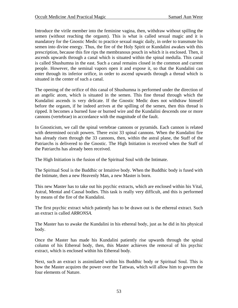Introduce the virile member into the feminine vagina, then, withdraw without spilling the semen (without reaching the orgasm). This is what is called sexual magic and it is mandatory for the Gnostic Medic to practice sexual magic daily, in order to transmute his semen into divine energy. Thus, the fire of the Holy Spirit or Kundalini awakes with this prescription, because this fire rips the membranous pouch in which it is enclosed. Then, it ascends upwards through a canal which is situated within the spinal medulla. This canal is called Shushumna in the east. Such a canal remains closed in the common and current people. However, the seminal vapors open it and expose it, so that the Kundalini can enter through its inferior orifice, in order to ascend upwards through a thread which is situated in the center of such a canal.

The opening of the orifice of this canal of Shushumna is performed under the direction of an angelic atom, which is situated in the semen. This fine thread through which the Kundalini ascends is very delicate. If the Gnostic Medic does not withdraw himself before the orgasm, if he indeed arrives at the spilling of the semen, then this thread is ripped. It becomes a burned fuse or burned wire and the Kundalini descends one or more cannons (vertebrae) in accordance with the magnitude of the fault.

In Gnosticism, we call the spinal vertebrae cannons or pyramids. Each cannon is related with determined occult powers. There exist 33 spinal cannons. When the Kundalini fire has already risen through the 33 cannons, then, within the astral plane, the Staff of the Patriarchs is delivered to the Gnostic. The High Initiation is received when the Staff of the Patriarchs has already been received.

The High Initiation is the fusion of the Spiritual Soul with the Intimate.

The Spiritual Soul is the Buddhic or Intuitive body. When the Buddhic body is fused with the Intimate, then a new Heavenly Man, a new Master is born.

This new Master has to take out his psychic extracts, which are enclosed within his Vital, Astral, Mental and Causal bodies. This task is really very difficult, and this is performed by means of the fire of the Kundalini.

The first psychic extract which patiently has to be drawn out is the ethereal extract. Such an extract is called *ARRONSA.*

The Master has to awake the Kundalini in his ethereal body, just as he did in his physical body.

Once the Master has made his Kundalini patiently rise upwards through the spinal column of his Ethereal body, then, this Master achieves the removal of his psychic extract, which is enclosed within his Ethereal body.

Next, such an extract is assimilated within his Buddhic body or Spiritual Soul. This is how the Master acquires the power over the Tattwas, which will allow him to govern the four elements of Nature.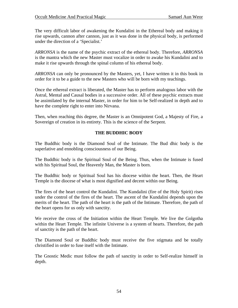The very difficult labor of awakening the Kundalini in the Ethereal body and making it rise upwards, cannon after cannon, just as it was done in the physical body, is performed under the direction of a 'Specialist.'

*ARRONSA* is the name of the psychic extract of the ethereal body. Therefore, *ARRONSA* is the mantra which the new Master must vocalize in order to awake his Kundalini and to make it rise upwards through the spinal column of his ethereal body.

*ARRONSA* can only be pronounced by the Masters, yet, I have written it in this book in order for it to be a guide to the new Masters who will be born with my teachings.

Once the ethereal extract is liberated, the Master has to perform analogous labor with the Astral, Mental and Causal bodies in a successive order. All of these psychic extracts must be assimilated by the internal Master, in order for him to be Self-realized in depth and to have the complete right to enter into Nirvana.

Then, when reaching this degree, the Master is an Omnipotent God, a Majesty of Fire, a Sovereign of creation in its entirety. This is the science of the Serpent.

# **THE BUDDHIC BODY**

The Buddhic body is the Diamond Soul of the Intimate. The Bud dhic body is the superlative and ennobling consciousness of our Being.

The Buddhic body is the Spiritual Soul of the Being. Thus, when the Intimate is fused with his Spiritual Soul, the Heavenly Man, the Master is born.

The Buddhic body or Spiritual Soul has his diocese within the heart. Then, the Heart Temple is the diocese of what is most dignified and decent within our Being.

The fires of the heart control the Kundalini. The Kundalini (fire of the Holy Spirit) rises under the control of the fires of the heart. The ascent of the Kundalini depends upon the merits of the heart. The path of the heart is the path of the Intimate. Therefore, the path of the heart opens for us only with sanctity.

We receive the cross of the Initiation within the Heart Temple. We live the Golgotha within the Heart Temple. The infinite Universe is a system of hearts. Therefore, the path of sanctity is the path of the heart.

The Diamond Soul or Buddhic body must receive the five stigmata and be totally christified in order to fuse itself with the Intimate.

The Gnostic Medic must follow the path of sanctity in order to Self-realize himself in depth.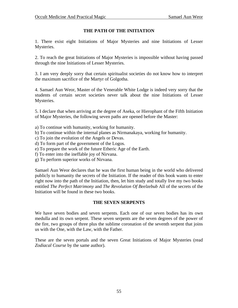## **THE PATH OF THE INITIATION**

1. There exist eight Initiations of Major Mysteries and nine Initiations of Lesser Mysteries.

2. To reach the great Initiations of Major Mysteries is impossible without having passed through the nine Initiations of Lesser Mysteries.

3. I am very deeply sorry that certain spiritualist societies do not know how to interpret the maximum sacrifice of the Martyr of Golgotha.

4. Samael Aun Weor, Master of the Venerable White Lodge is indeed very sorry that the students of certain secret societies never talk about the nine Initiations of Lesser Mysteries.

5. I declare that when arriving at the degree of Aseka, or Hierophant of the Fifth Initiation of Major Mysteries, the following seven paths are opened before the Master:

- a) To continue with humanity, working for humanity.
- b) To continue within the internal planes as Nirmanakaya, working for humanity.
- c) To join the evolution of the Angels or Devas.
- d) To form part of the government of the Logos.
- e) To prepare the work of the future Etheric Age of the Earth.
- f) To enter into the ineffable joy of Nirvana.
- g) To perform superior works of Nirvana.

Samael Aun Weor declares that he was the first human being in the world who delivered publicly to humanity the secrets of the Initiation. If the reader of this book wants to enter right now into the path of the Initiation, then, let him study and totally live my two books entitled *The Perfect Matrimony* and *The Revolution Of Beelzebub* All of the secrets of the Initiation will be found in these two books.

#### **THE SEVEN SERPENTS**

We have seven bodies and seven serpents. Each one of our seven bodies has its own medulla and its own serpent. These seven serpents are the seven degrees of the power of the fire, two groups of three plus the sublime coronation of the seventh serpent that joins us with the One, with the Law, with the Father.

These are the seven portals and the seven Great Initiations of Major Mysteries (read *Zodiacal Course* by the same author).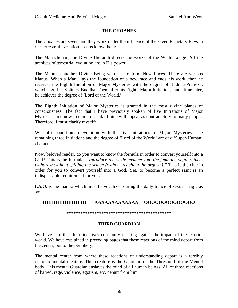#### **THE CHOANES**

The Choanes are seven and they work under the influence of the seven Planetary Rays in our terrestrial evolution. Let us know them:

The Mahachohan, the Divine Hierarch directs the works of the White Lodge. All the archives of terrestrial evolution are in His power.

The Manu is another Divine Being who has to form New Races. There are various Manus. When a Manu lays the foundation of a new race and ends his work, then he receives the Eighth Initiation of Major Mysteries with the degree of Buddha-Pratieka, which signifies Solitary Buddha. Then, after his Eighth Major Initiation, much time later, he achieves the degree of 'Lord of the World.'

The Eighth Initiation of Major Mysteries is granted in the most divine planes of consciousness. The fact that I have previously spoken of five Initiations of Major Mysteries, and now I come to speak of nine will appear as contradictory to many people. Therefore, I must clarify myself:

We fulfill our human evolution with the five Initiations of Major Mysteries. The remaining three Initiations and the degree of 'Lord of the World' are of a 'Super-Human' character.

Now, beloved reader, do you want to know the formula in order to convert yourself into a God? This is the formula: *"Introduce the virile member into the feminine vagina, then, withdraw without spilling the semen (without reaching the orgasm)."* This is the clue in order for you to convert yourself into a God. Yet, to become a perfect saint is an indispensable requirement for you.

**I.A.O.** is the mantra which must be vocalized during the daily trance of sexual magic as so:

# **IIIIIIIIIIIIIIIIIIIIIIII AAAAAAAAAAAAA OOOOOOOOOOOOOO**

**\*\*\*\*\*\*\*\*\*\*\*\*\*\*\*\*\*\*\*\*\*\*\*\*\*\*\*\*\*\*\*\*\*\*\*\*\*\*\*\*\*\*\*\*\*** 

#### **THIRD GUARDIAN**

We have said that the mind lives constantly reacting against the impact of the exterior world. We have explained in preceding pages that these reactions of the mind depart from the center, out to the periphery.

The mental center from where these reactions of understanding depart is a terribly demonic mental creature. This creature is the Guardian of the Threshold of the Mental body. This mental Guardian enslaves the mind of all human beings. All of those reactions of hatred, rage, violence, egotism, etc. depart from him.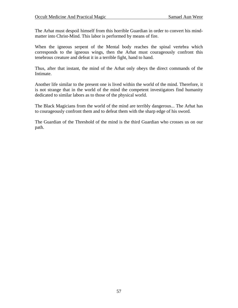The Arhat must despoil himself from this horrible Guardian in order to convert his mindmatter into Christ-Mind. This labor is performed by means of fire.

When the igneous serpent of the Mental body reaches the spinal vertebra which corresponds to the igneous wings, then the Arhat must courageously confront this tenebrous creature and defeat it in a terrible fight, hand to hand.

Thus, after that instant, the mind of the Arhat only obeys the direct commands of the Intimate.

Another life similar to the present one is lived within the world of the mind. Therefore, it is not strange that in the world of the mind the competent investigators find humanity dedicated to similar labors as to those of the physical world.

The Black Magicians from the world of the mind are terribly dangerous... The Arhat has to courageously confront them and to defeat them with the sharp edge of his sword.

The Guardian of the Threshold of the mind is the third Guardian who crosses us on our path.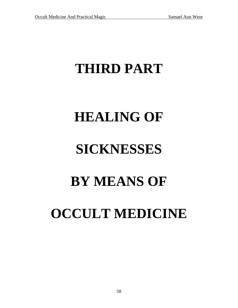# **THIRD PART**

# **HEALING OF**

# **SICKNESSES**

# **BY MEANS OF**

# **OCCULT MEDICINE**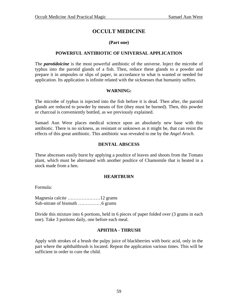# **OCCULT MEDICINE**

#### **(Part one)**

#### **POWERFUL ANTIBIOTIC OF UNIVERSAL APPLICATION**

The *parotidoicine* is the most powerful antibiotic of the universe. Inject the microbe of typhus into the parotid glands of a fish. Then, reduce these glands to a powder and prepare it in ampoules or slips of paper, in accordance to what is wanted or needed for application. Its application is infinite related with the sicknesses that humanity suffers.

#### **WARNING:**

The microbe of typhus is injected into the fish before it is dead. Then after, the parotid glands are reduced to powder by means of fire (they must be burned). Then, this powder or charcoal is conveniently bottled, as we previously explained.

Samael Aun Weor places medical science upon an absolutely new base with this antibiotic. There is no sickness, as resistant or unknown as it might be, that can resist the effects of this great antibiotic. This antibiotic was revealed to me by the *Angel Aroch.*

#### **DENTAL ABSCESS**

These abscesses easily burst by applying a poultice of leaves and shoots from the Tomato plant, which must be alternated with another poultice of Chamomile that is heated in a stock made from a hen.

#### **HEARTBURN**

Formula:

Magnesia calcite …………………12 grams Sub-nitrate of bismuth ……………6 grams

Divide this mixture into 6 portions, held in 6 pieces of paper folded over (3 grams in each one). Take 3 portions daily, one before each meal.

#### **APHTHA - THRUSH**

Apply with strokes of a brush the pulpy juice of blackberries with boric acid, only in the part where the aphthalthrush is located. Repeat the application various times. This will be sufficient in order to cure the child.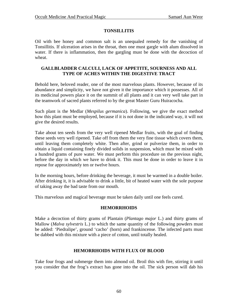### **TONSILLITIS**

Oil with bee honey and common salt is an unequaled remedy for the vanishing of Tonsillitis. If ulceration arises in the throat, then one must gargle with alum dissolved in water. If there is inflammation, then the gargling must be done with the decoction of wheat.

#### **GALLBLADDER CALCULI, LACK OF APPETITE, SOURNESS AND ALL TYPE OF ACHES WITHIN THE DIGESTIVE TRACT**

Behold here, beloved reader, one of the most marvelous plants. However, because of its abundance and simplicity, we have not given it the importance which it possesses. All of its medicinal powers place it on the summit of all plants and it can very well take part in the teamwork of sacred plants referred to by the great Master Guru Huiracocha.

Such plant is the Medlar (*Mespilus germanica*). Following, we give the exact method how this plant must be employed, because if it is not done in the indicated way, it will not give the desired results.

Take about ten seeds from the very well ripened Medlar fruits, with the goal of finding these seeds very well ripened. Take off from them the very fine tissue which covers them, until leaving them completely white. Then after, grind or pulverize them, in order to obtain a liquid containing finely divided solids in suspension, which must be mixed with a hundred grams of pure water. We must perform this procedure on the previous night, before the day in which we have to drink it. This must be done in order to leave it in repose for approximately ten or twelve hours.

In the morning hours, before drinking the beverage, it must be warmed in a double boiler. After drinking it, it is advisable to drink a little, bit of heated water with the sole purpose of taking away the bad taste from our mouth.

This marvelous and magical beverage must be taken daily until one feels cured.

#### **HEMORRHOIDS**

Make a decoction of thirty grams of Plantain (*Plantago major* L.) and thirty grams of Mallow (*Malva sylvestris* L.) to which the same quantity of the following powders must be added: 'Piedralipe', ground 'cacho' (horn) and frankincense. The infected parts must be dabbed with this mixture with a piece of cotton, until totally healed.

#### **HEMORRHOIDS WITH FLUX OF BLOOD**

Take four frogs and submerge them into almond oil. Broil this with fire, stirring it until you consider that the frog's extract has gone into the oil. The sick person will dab his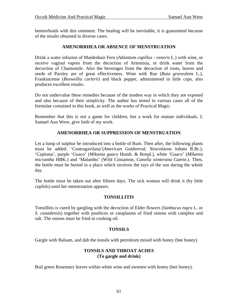hemorrhoids with this ointment. The healing will be inevitable, it is guaranteed because of the results obtained in diverse cases.

### **AMENORRHEA OR ABSENCE OF MENSTRUATION**

Drink a water infusion of Maidenhair Fern (*Adiantum capillus - veneris* L.) with wine, or receive vaginal vapors from the decoction of Artemisia, or drink water from the decoction of Chamomile. Also the beverages from the decoction of roots, leaves and seeds of Parsley are of great effectiveness. Wine with Rue (*Ruta graveolens* L.), Frankincense (*Boswellia carterii*) and black pepper, administered in little cups, also produces excellent results.

Do not undervalue these remedies because of the modest way in which they are exposed and also because of their simplicity. The author has tested in various cases all of the formulae contained in this book, as well as the works of Practical Magic.

Remember that this is not a game for children, but a work for mature individuals. I, Samael Aun Weor, give faith of my work.

## **AMENORRHEA OR SUPPRESSION OF MENSTRUATION**

Let a lump of sulphur be introduced into a bottle of Rum. Then after, the following plants must be added: 'Contragavilana'(*American Goldenrod, Neurolaena lobata* R.Br.), 'Capitana', purple 'Guaco' (*Mikania guaco* Humb. & Bonpl.), white 'Guaco' (*Mikania micrantha* HBK.) and 'Malambo' (Wild Cinnamon, *Canella winterana* Gaertn.). Then, the bottle must be buried in a place which receives the rays of the sun during the whole day.

The bottle must be taken out after fifteen days. The sick woman will drink it (by little cupfuls) until her menstruation appears.

#### **TONSILLITIS**

Tonsillitis is cured by gargling with the decoction of Elder flowers (*Sanbucus nigra* L. or *S. canadensis*) together with poultices or cataplasms of fried onions with camphor and salt. The onions must be fried in cooking oil.

#### **TONSILS**

Gargle with Balsam, and dab the tonsils with petroleum mixed with honey (bee honey).

## **TONSILS AND THROAT ACHES (To gargle and drink)**

Boil green Rosemary leaves within white wine and sweeten with honey (bee honey).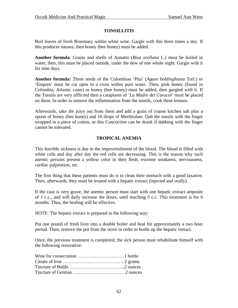## **TONSILLITIS**

Boil leaves of fresh Rosemary within white wine. Gargle with this three times a day. If this produces nausea, then honey (bee honey) must be added.

**Another formula**: Grains and shells of Annatto (*Bixa orellana* L.) must be boiled in water, then, this must be placed outside, under the dew of one whole night. Gargle with it for nine days.

**Another formula:** Three seeds of the Colombian 'Pita' (*Agave boldinghiana* Trel.) or 'Enquen' must be cut open in a cross within pure water. Then, pink honey (found in Colombia, Atlantic coast) or honey (bee honey) must be added, then gargled with it. If the Tonsils are very afflicted then a cataplasm of *'La Madre del Caracol'* must be placed on them. In order to remove the inflammation from the tonsils, cook three lemons.

Afterwards, take the juice out from them and add a grain of coarse kitchen salt plus a spoon of honey (bee honey) and 10 drops of Merthiolate. Dab the tonsils with the finger wrapped in a piece of cotton, or this Concoction can be drank if dabbing with the finger cannot be tolerated.

# **TROPICAL ANEMIA**

This horrible sickness is due to the impoverishment of the blood. The blood is filled with white cells and day after day the red cells are decreasing. This is the reason why such anemic persons present a yellow color in their flesh, extreme weakness, nervousness, cardiac palpitation, etc.

The first thing that these patients must do is to clean their stomach with a good laxative. Then, afterwards, they must be treated with a hepatic extract (injected and orally).

If the case is very grave, the anemic person must start with one hepatic extract ampoule of 1 c.c., and will daily increase the doses, until reaching 5 c.c. This treatment is for 6 months. Thus, the healing will be effective.

NOTE: The hepatic extract is prepared in the following way:

Put one pound of fresh liver into a double boiler and heat for approximately a two hour period. Then, remove the pot from the stove in order to bottle up the hepatic extract.

Once, the previous treatment is completed, the sick person must rehabilitate himself with the following restorative: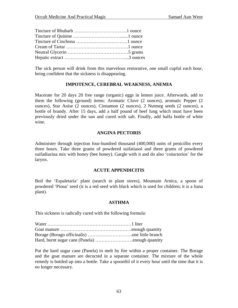The sick person will drink from this marvelous restorative, one small cupful each hour, being confident that the sickness is disappearing.

#### **IMPOTENCE, CEREBRAL WEAKNESS, ANEMIA**

Macerate for 20 days 20 free range (organic) eggs in lemon juice. Afterwards, add to them the following (ground) items: Aromatic Clove (2 ounces), aromatic Pepper (2 ounces), Star Anise (2 ounces), Cinnamon (2 ounces), 2 Nutmeg seeds (2 ounces), a bottle of brandy. After 15 days, add a half pound of beef lung which must have been previously dried under the sun and cured with salt. Finally, add halfa bottle of white wine.

#### **ANGINA PECTORIS**

Administer through injection four-hundred thousand (400,000) units of penicillin every three hours. Take three grams of powdered suifatiasol and three grams of powdered suifadiazina mix with honey (bee honey). Gargle with it and do also 'coiuctorios' for the larynx.

#### **ACUTE APPENDICITIS**

Boil the 'Espaletaria' plant (search in plant stores), Mountain Arnica, a spoon of powdered 'Piona' seed (it is a red seed with black which is used for children; it is a liana plant).

#### **ASTHMA**

This sickness is radically cured with the following formula:

Put the hard sugar cane (Panela) to melt by fire within a proper container. The Borage and the goat manure are decocted in a separate container. The mixture of the whole remedy is bottled up into a bottle. Take a spoonftil of it every hour until the time that it is no longer necessary.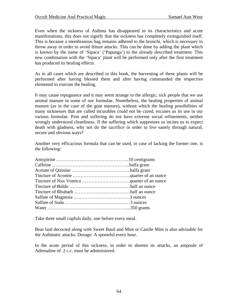Even when the sickness of Asthma has disappeared in its characteristics and acute manifestations, this does not signify that the sickness has completely extinguished itself. This is because a membranous bag remains adhered to the bronchi, which is necessary to throw away in order to avoid ftiture attacks. This can be done by adding the plant which is known by the name of 'Sipaca' ('Papunga') to the already described treatment. This new combination with the 'Sipaca' plant will be performed only after the first treatment has produced its healing effects.

As in all cases which are described in this book, the harvesting of these plants will be performed after having blessed them and after having commanded the respective elemental to execute the healing.

It may cause repugnance and it may seem strange to the allergic, sick people that we use animal manure in some of our formulae. Nonetheless, the healing properties of animal manure (as in the case of the goat manure), without which the healing possibilities of many sicknesses that are called incurables could not be cured, excuses us its use in our various formulae. Pain and suffering do not have extreme social refinements, neither wrongly understood cleanliness. If the suffering which suppresses us incites us to expect death with gladness, why not do the sacrifice in order to live sanely through natural, secure and obvious ways?

Another very efficacious formula that can be used, in case of lacking the former one, is the following:

Take three small cupfuls daily, one before every meal.

Bear lard decocted along with Sweet Basil and Mint or Castile Mint is also advisable for the Asthmatic attacks. Dosage: A spoonful every hour.

In the acute period of this sickness, in order to shorten its attacks, an ampoule of Adrenaline of 2 c.c. must be administered.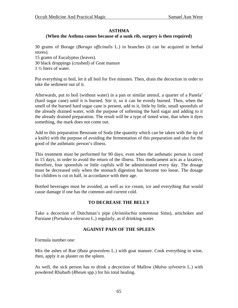## **ASTHMA**

### **(When the Asthma comes because of a sunk rib, surgery is then required)**

30 grams of Borage (*Borago officinalis* L.) in branches (it can be acquired in herbal stores).

15 grams of Eucalyptus (leaves).

30 black droppings (crushed) of Goat manure

1 ½ liters of water.

Put everything to boil, let it all boil for five minutes. Then, drain the decoction in order to take the sediment out of it.

Afterwards, put to boil (without water) in a pan or similar utensil, a quarter of a Panela' (hard sugar cane) until it is burned. Stir it, so it can be evenly burned. Then, when the smell of the burned hard sugar cane is present, add to it, little by little, small spoonfuls of the already drained water, with the purpose of softening the hard sugar and adding to it the already drained preparation. The result will be a type of tinted wine, that when it dyes something, the mark does not come out.

Add to this preparation Benzoate of Soda (the quantity which can be taken with the tip of a knife) with the purpose of avoiding the fermentation of this preparation and also for the good of the asthmatic person's illness.

This treatment must be performed for 90 days, even when the asthmatic person is cured in 15 days, in order to avoid the return of the illness. This medicament acts as a laxative, therefore, four spoonfuls or little cupfuls will be administrated every day. The dosage must be decreased only when the stomach digestion has become too loose. The dosage for children is cut in half, in accordance with their age.

Bottled beverages must be avoided, as well as ice cream, ice and everything that would cause damage if one has the common and current cold.

# **TO DECREASE THE BELLY**

Take a decoction of Dutchman's pipe (*Aristolochia tomentosa* Sims), artichokes and Pursiane (*Portulaca oleracea* L.) regularly, as if drinking water.

#### **AGAINST PAIN OF THE SPLEEN**

Formula number one:

Mix the ashes of Rue (*Ruta graveolens* L.) with goat manure. Cook everything in wine, then, apply it as plaster on the spleen.

As well, the sick person has to drink a decoction of Mallow (*Malva sylvestris* L.) with powdered Rhubarb (*Rheum* spp.) for his total healing.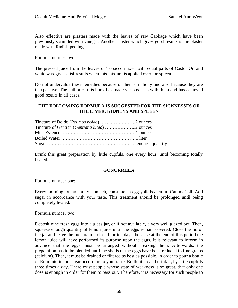Also effective are plasters made with the leaves of raw Cabbage which have been previously sprinided with vinegar. Another plaster which gives good results is the plaster made with Radish peelings.

Formula number two:

The pressed juice from the leaves of Tobacco mixed with equal parts of Castor Oil and white wax give satisf results when this mixture is applied over the spleen.

Do not undervalue these remedies because of their simplicity and also because they are inexpensive. The author of this book has made various tests with them and has achieved good results in all cases.

#### **THE FOLLOWING FORMULA IS SUGGESTED FOR THE SICKNESSES OF THE LIVER, KIDNEYS AND SPLEEN**

Drink this great preparation by little cupfuls, one every hour, until becoming totally healed.

#### **GONORRHEA**

Formula number one:

Every morning, on an empty stomach, consume an egg yolk beaten in 'Canime' oil. Add sugar in accordance with your taste. This treatment should be prolonged until being completely healed.

Formula number two:

Deposit nine fresh eggs into a glass jar, or if not available, a very well glazed pot. Then, squeeze enough quantity of lemon juice until the eggs remain covered. Close the lid of the jar and leave the preparation closed for ten days, because at the end of this period the lemon juice will have performed its purpose upon the eggs. It is relevant to inform in advance that the eggs must be arranged without breaking them. Afterwards, the preparation has to be blended until the shells of the eggs have been reduced to fine grains (calcium). Then, it must be drained or filtered as best as possible, in order to pour a bottle of Rum into it and sugar according to your taste. Bottle it up and drink it, by little cupftils three times a day. There exist people whose state of weakness is so great, that only one dose is enough in order for them to pass out. Therefore, it is necessary for such people to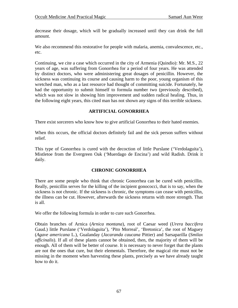decrease their dosage, which will be gradually increased until they can drink the full amount.

We also recommend this restorative for people with malaria, anemia, convalescence, etc., etc.

Continuing, we cite a case which occurred in the city of Armenia (Quindio): Mr. M.S., 22 years of age, was suffering from Gonorrhea for a period of four years. He was attended by distinct doctors, who were administering great dosages of penicillin. However, the sickness was continuing its course and causing harm to the poor, young organism of this wretched man, who as a last resource had thought of committing suicide. Fortunately, he had the opportunity to submit himself to formula number two (previously described), which was not slow in showing him improvement and sudden radical healing. Thus, in the following eight years, this cited man has not shown any signs of this terrible sickness.

## **ARTIFICIAL GONORRHEA**

There exist sorcerers who know how to give artificial Gonorrhea to their hated enemies.

When this occurs, the official doctors definitely fail and the sick person suffers without relief.

This type of Gonorrhea is cured with the decoction of little Purslane ('Verdolaguita'), Mistletoe from the Evergreen Oak ('Muerdago de Encina') and wild Radish. Drink it daily.

# **CHRONIC GONORRHEA**

There are some people who think that chronic Gonorrhea can be cured with penicillin. Really, penicillin serves for the killing of the incipient gonococci, that is to say, when the sickness is not chronic. If the sickness is chronic, the symptoms can cease with penicillin, the illness can be cut. However, afterwards the sickness returns with more strength. That is all.

We offer the following formula in order to cure such Gonorrhea.

Obtain branches of Arnica (*Arnica montana*), root of Caesar weed (*Urera baccifera* Gaud.) little Purslane ('Verdolaguita'), 'Pito Morreal', 'Bretonica', the root of Maguey (*Agave americana* L.), Gualanday (*Jacaranda caucana* Pittier) and Sarsaparilla (*Smilax officinalis*). If all of these plants cannot be obtained, then, the majority of them will be enough. All of them will be better of course. It is necessary to never forget that the plants are not the ones that cure, but their elementals. Therefore, the magical rite must not be missing in the moment when harvesting these plants, precisely as we have already taught how to do it.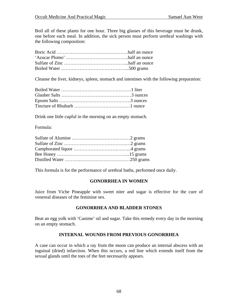Boil all of these plants for one hour. Three big glasses of this beverage must be drunk, one before each meal. In addition, the sick person must perform urethral washings with the following composition:

Cleanse the liver, kidneys, spleen, stomach and intestines with the following preparation:

Drink one little cupful in the morning on an empty stomach.

Formula:

This formula is for the performance of urethral baths, performed once daily.

#### **GONORRHEA IN WOMEN**

Juice from Viche Pineapple with sweet niter and sugar is effective for the cure of venereal diseases of the feminine sex.

#### **GONORRHEA AND BLADDER STONES**

Beat an egg yolk with 'Canime' oil and sugar. Take this remedy every day in the morning on an empty stomach.

#### **INTERNAL WOUNDS FROM PREVIOUS GONORRHEA**

A case can occur in which a ray from the moon can produce an internal abscess with an inguinal (dried) infarction. When this occurs, a red line which extends itself from the sexual glands until the toes of the feet necessarily appears.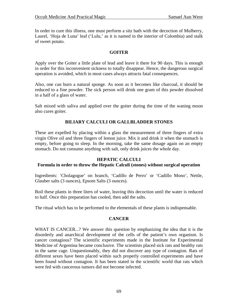In order to cure this illness, one must perform a sitz bath with the decoction of Mulberry, Laurel, 'Hoja de Luna' leaf ('Lulu,' as it is named in the interior of Colombia) and stalk of sweet potato.

## **GOITER**

Apply over the Goiter a little plate of lead and leave it there for 90 days. This is enough in order for this inconvenient sickness to totally disappear. Hence, the dangerous surgical operation is avoided, which in most cases always attracts fatal consequences.

Also, one can burn a natural sponge. As soon as it becomes like charcoal, it should be reduced to a fine powder. The sick person will drink one gram of this powder dissolved in a half of a glass of water.

Salt mixed with saliva and applied over the goiter during the time of the waning moon also cures goiter.

# **BILIARY CALCULI OR GALLBLADDER STONES**

These are expelled by placing within a glass the measurement of three fingers of extra virgin Olive oil and three fingers of lemon juice. Mix it and drink it when the stomach is empty, before going to sleep. In the morning, take the same dosage again on an empty stomach. Do not consume anything with salt, only drink juices the whole day.

#### **HEPATIC CALCULI**

### **Formula in order to throw the Hepatic Calculi (stones) without surgical operation**

Ingredients: 'Cholagogue' on branch, 'Cadillo de Perro' or 'Cadillo Mono', Nettle, Glauber salts (3 ounces), Epsom Salts (3 ounces).

Boil these plants in three liters of water, leaving this decoction until the water is reduced to half. Once this preparation has cooled, then add the salts.

The ritual which has to be performed to the elementals of these plants is indispensable.

#### **CANCER**

WHAT IS CANCER...? We answer this question by emphasizing the idea that it is the disorderly and anarchical development of the cells of the patient's own organism. Is cancer contagious? The scientific experiments made in the Institute for Experimental Medicine of Argentina became conclusive. The scientists placed sick rats and healthy rats in the same cage. Unquestionably, they did not discover any type of contagion. Rats of different sexes have been placed within such properly controlled experiments and have been found without contagion. It has been stated in the scientific world that rats which were fed with cancerous tumors did not become infected.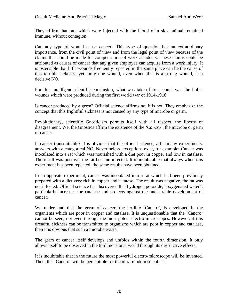They affirm that rats which were injected with the blood of a sick animal remained immune, without contagion.

Can any type of wound cause cancer? This type of question has an extraordinary importance, from the civil point of view and from the legal point of view because of the claims that could be made for compensation of work accidents. These claims could be attributed as causes of cancer that any given employee can acquire from a work injury. It is ostensible that little wounds frequently repeated in the same place can be the cause of this terrible sickness, yet, only one wound, even when this is a strong wound, is a decisive NO.

For this intelligent scientific conclusion, what was taken into account was the bullet wounds which were produced during the first world war of 1914-1918.

Is cancer produced by a germ? Official science affirms no, it is not. They emphasize the concept that this frightflul sickness is not caused by any type of microbe or germ.

Revolutionary, scientific Gnosticism permits itself with all respect, the liberty of disagreement. We, the Gnostics affirm the existence of the *'Cancro'*, the microbe or germ of cancer.

Is cancer transmittable? It is obvious that the official science, affer many experiments, answers with a categorical NO. Nevertheless, exceptions exist, for example: Cancer was inoculated into a rat which was nourished with a diet poor in copper and low in catalase. The result was positive, the rat became infected. It is indubitable that always when this experiment has been repeated, the same results have been obtained.

In an opposite experiment, cancer was inoculated into a rat which had been previously prepared with a diet very rich in copper and catatase. The result was negative, the rat was not infected. Official science has discovered that hydrogen peroxide, "oxygenated water", particularly increases the catalase and protects against the undesirable development of cancer.

We understand that the germ of cancer, the terrible 'Cancro', is developed in the organisms which are poor in copper and catalase. It is unquestionable that the 'Cancro' cannot be seen, not even through the most potent electro-microscopes. However, if this dreadful sickness can be transmitted to organisms which are poor in copper and catalase, then it is obvious that such a microbe exists.

The germ of cancer itself develops and unfolds within the fourth dimension. It only allows itself to be observed in the tn-dimensional world through its destructive effects.

It is indubitable that in the future the most powerful electro-microscope will be invented. Then, the "Cancro" will be perceptible for the ultra-modern scientists.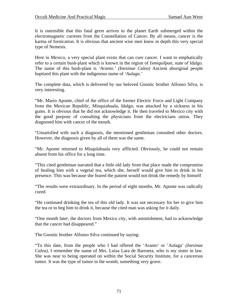It is ostensible that this fatal germ arrives to the planet Earth submerged within the electromagnetic currents from the Constellation of Cancer. By all means, cancer is the karma of fornication. It is obvious that ancient wise men knew in depth this very special type of Nemesis.

Here in Mexico, a very special plant exists that can cure cancer. I want to emphatically refer to a certain bush-plant which is known in the region of *Ixmiquilpan*, state of Idalgo. The name of this bush-plant is *'Aranto.' (Inesinae Calea)* Ancient aboriginal people baptized this plant with the indigenous name of *'Aulaga.'*

The complete data, which is delivered by our beloved Gnostic brother Alfonso Silva, is very interesting.

"Mr. Mario Aponte, chief of the office of the former Electric Force and Light Company from the Mexican Republic, Misquiahuala, Idalgo, was attacked by a sickness in his gums. It is obvious that he did not acknowledge it. He then traveled to Mexico city with the good purpose of consulting the physicians from the electricians union. They diagnosed him with cancer of the mouth.

"Unsatisfied with such a diagnosis, the mentioned gentleman consulted other doctors. However, the diagnosis given by all of them was the same.

"Mr. Aponte returned to Misqulahuala very afflicted. Obviously, he could not remain absent from his office for a long time.

"This cited gentleman narrated that a little old lady from that place made the compromise of healing him with a vegetal tea, which she, herself would give him to drink in his presence. This was because she feared the patient would not drink the remedy by himself

"The results were extraordinary. In the period of eight months, Mr. Aponte was radically cured.

"He continued drinking the tea of this old lady. It was not necessary for her to give him the tea or to beg him to drink it, because the cited man was asking for it daily.

"One month later, the doctors from Mexico city, with astonishment, had to acknowledge that the cancer had disappeared."

The Gnostic brother Alfonso Silva continued by saying:

"To this date, from the people who I had offered the 'Aranto' or 'Aulaga' *(Inesinae Calea)*, I remember the name of Mrs. Luisa Lara de Barroeta, who is my sister in law. She was near to being operated on within the Social Security Institute, for a cancerous tumor. It was the type of tumor in the womb, something very grave.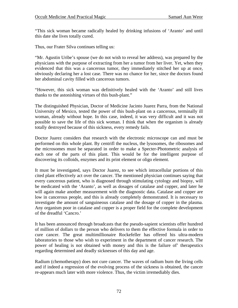"This sick woman became radically healed by drinking infusions of 'Aranto' and until this date she lives totally cured.

Thus, our Frater Silva continues telling us:

"Mr. Agustin Uribe's spouse (we do not wish to reveal her address), was prepared by the physicians with the purpose of extracting from her a tumor from her liver. Yet, when they evidenced that this was a cancerous tumor, they immediately stitched her up at once, obviously declaring her a lost case. There was no chance for her, since the doctors found her abdominal cavity filled with cancerous tumors.

"However, this sick woman was definitively healed with the 'Aranto' and still lives thanks to the astonishing virtues of this bush-plant."

The distinguished Physician, Doctor of Medicine Jacinto Juarez Parra, from the National University of Mexico, tested the power of this bush-plant on a cancerous, terminally ill woman, already without hope. In this case, indeed, it was very difficult and it was not possible to save the life of this sick woman. I think that when the organism is already totally destroyed because of this sickness, every remedy fails.

Doctor Juarez considers that research with the electronic microscope can and must be performed on this whole plant. By centrifl the nucleus, the lysosomes, the ribosomes and the microsomes must be separated in order to make a Specter-Photometric analysis of each one of the parts of this plant. This would be for the intelligent purpose of discovering its colloids, enzymes and its print element or oligo element.

It must be investigated, says Doctor Juarez, to see which intracellular portions of this cited plant effectively act over the cancer. The mentioned physician continues saying that every cancerous patient, who is diagnosed through stimulating cytology and biopsy, will be medicated with the 'Aranto', as well as dosages of catalase and copper, and later he will again make another measurement with the diagnostic data. Catalase and copper are low in cancerous people, and this is already completely demonstrated. It is necessary to investigate the amount of sanguineous catalase and the dosage of copper in the plasma. Any organism poor in catalase and copper is a proper field for the complete development of the dreadful 'Cancro.'

It has been announced through broadcasts that the pseudo-sapient scientists offer hundred of million of dollars to the person who delivers to them the effective formula in order to cure cancer. The great multimillionaire Rockefeller has offered his ultra-modern laboratories to those who wish to experiment in the department of cancer research. The power of healing is not obtained with money and this is the failure of' therapeutics regarding determined and deadly sicknesses of this day and age.

Radium (chemotherapy) does not cure cancer. The waves of radium burn the living cells and if indeed a regression of the evolving process of the sickness is obtained, the cancer re-appears much later with more violence. Thus, the victim irremediably dies.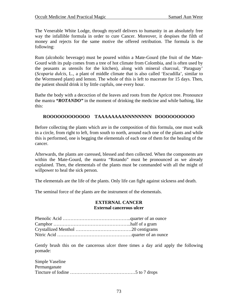The Venerable White Lodge, through myself delivers to humanity in an absolutely free way the infallible formula in order to cure Cancer. Moreover, it despises the filth of money and rejects for the same motive the offered retribution. The formula is the following:

Rum (alcoholic beverage) must be poured within a Mate-Gourd (the fruit of the Mate-Gourd with its pulp comes from a tree of hot climate from Colombia, and is often used by the peasants as utensils for the kitchen), along with mineral charcoal, 'Paraguay' (*Scoparia dulcis*, L., a plant of middle climate that is also called 'Escudilla', similar to the Wormseed plant) and lemon. The whole of this is left to macerate for 15 days. Then, the patient should drink it by little cupfuls, one every hour.

Bathe the body with a decoction of the leaves and roots from the Apricot tree. Pronounce the mantra *"ROTANDO"* in the moment of drinking the medicine and while bathing, like this:

# **ROOOOOOOOOOOO TAAAAAAAANNNNNNNN DOOOOOOOOOO**

Before collecting the plants which are in the composition of this formula, one must walk in a circle, from right to left, from south to north, around each one of the plants and while this is performed, one is begging the elementals of each one of them for the healing of the cancer.

Afterwards, the plants are caressed, blessed and then collected. When the components are within the Mate-Gourd, the mantra "Rotando" must be pronounced as we already explained. Then, the elementals of the plants must be commanded with all the might of willpower to heal the sick person.

The elementals are the life of the plants. Only life can fight against sickness and death.

The seminal force of the plants are the instrument of the elementals.

#### **EXTERNAL CANCER External cancerous ulcer**

Gently brush this on the cancerous ulcer three times a day arid apply the following pomade:

| Simple Vaseline |  |
|-----------------|--|
| Permanganate    |  |
|                 |  |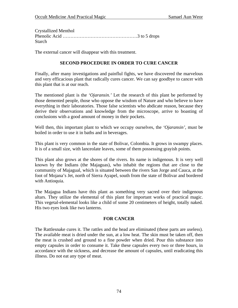Crystallized Menthol Phenolic Acid …………………………………………3 to 5 drops **Starch** 

The external cancer will disappear with this treatment.

# **SECOND PROCEDURE IN ORDER TO CURE CANCER**

Finally, after many investigations and painflul fights, we have discovered the marvelous and very efficacious plant that radically cures cancer. We can say goodbye to cancer with this plant that is at our reach.

The mentioned plant is the *'Ojaransin.'* Let the research of this plant be performed by those demented people, those who oppose the wisdom of Nature and who believe to have everything in their laboratories. Those false scientists who abdicate reason, because they derive their observations and knowledge from the microscope, arrive to boasting of conclusions with a good amount of money in their pockets.

Well then, this important plant to which we occupy ourselves, the *'Ojaransin'*, must be boiled in order to use it in baths and in beverages.

This plant is very common in the state of Bolivar, Colombia. It grows in swampy places. It is of a small size, with lanceolate leaves, some of them possessing grayish points.

This plant also grows at the shores of the rivers. Its name is indigenous. It is very well known by the Indians (the Majaguas), who inhabit the regions that are close to the community of Majagual, which is situated between the rivers San Jorge and Cauca, at the foot of Mojana's Jet, north of Sierra Ayapel, south from the state of Bolivar and bordered with Antioquia.

The Majagua Indians have this plant as something very sacred over their indigenous altars. They utilize the elemental of this plant for important works of practical magic. This vegetal-elemental looks like a child of some 20 centimeters of height, totally naked. His two eyes look like two lanterns.

# **FOR CANCER**

The Rattlesnake cures it. The rattles and the head are eliminated (these parts are useless). The available meat is dried under the sun, at a low heat. The skin must be taken off, then the meat is crushed and ground to a fine powder when dried. Pour this substance into empty capsules in order to consume it. Take these capsules every two or three hours, in accordance with the sickness, and decrease the amount of capsules, until eradicating this illness. Do not eat any type of meat.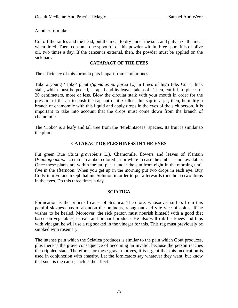Another formula:

Cut off the rattles and the head, put the meat to dry under the sun, and pulverize the meat when dried. Then, consume one spoonful of this powder within three spoonfuls of olive oil, two times a day. If the cancer is external, then, the powder must be applied on the sick part.

# **CATARACT OF THE EYES**

The efficiency of this formula puts it apart from similar ones.

Take a young 'Hobo' plant (*Spondias purpurea* L.) in times of high tide. Cut a thick stalk, which must be peeled, scraped and its leaves taken off. Then, cut it into pieces of 20 centimeters, more or less. Blow the circular stalk with your mouth in order for the pressure of the air to push the sap out of it. Collect this sap in a jar, then, humidify a branch of chamomile with this liquid and apply drops in the eyes of the sick person. It is important to take into account that the drops must come down from the branch of chamomile.

The 'Hobo' is a leafy and tall tree from the 'terebintaceas' species. Its fruit is similar to the plum.

# **CATARACT OR FLESHINESS IN THE EYES**

Put green Rue (*Ruta graveolens* L.), Chamomile, flowers and leaves of Plantain (*Plantago major* L.) into an amber colored jar or white in case the amber is not available. Once these plants are within the jar, put it under the sun from eight in the morning until five in the afternoon. When you get up in the morning put two drops in each eye. Buy Collyrium Furancin Ophthalmic Solution in order to put afterwards (one hour) two drops in the eyes. Do this three times a day.

# **SCIATICA**

Fornication is the principal cause of Sciatica. Therefore, whosoever suffers from this painful sickness has to abandon the ominous, repugnant and vile vice of coitus, if he wishes to be healed. Moreover, the sick person must nourish himself with a good diet based on vegetables, cereals and orchard produce. He also will rub his knees and hips with vinegar, he will use a rag soaked in the vinegar for this. This rag must previously be snioked with rosemary.

The intense pain which the Sciatica produces is similar to the pain which Gout produces, plus there is the grave consequence of becoming an invalid, because the person reaches the crippled state. Therefore, for these grave motives, it is urgent that this medication is used in conjunction with chastity. Let the fornicators say whatever they want, but know that such is the cause, such is the effect.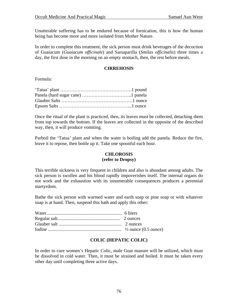Unutterable suffering has to be endured because of fornication, this is how the human being has become more and more isolated from Mother Nature.

In order to complete this treatment, the sick person must drink beverages of the decoction of Guaiacum (*Guaiacum officinale*) and Sarsaparilla (*Smilax officinalis*) three times a day, the first dose in the morning on an empty stomach, then, the rest before meals.

# **CIRREHOSIS**

Formula:

Once the ritual of the plant is practiced, then, its leaves must be collected, detaching them from top towards the bottom. If the leaves are collected in the opposite of the described way, then, it will produce vomiting.

Parboil the 'Tatua' plant and when the water is boiling add the panela. Reduce the fire, leave it to repose, then bottle up it. Take one spoonful each hour.

# **CHLOROSIS (refer to Dropsy)**

This terrible sickness is very frequent in children and also is abundant among adults. The sick person is swollen and his blood rapidly impoverishes itself. The internal organs do not work and the exhaustion with its innumerable consequences produces a perennial martyrdom.

Bathe the sick person with warmed water and earth soap or pine soap or with whatever soap is at hand. Then, suspend this bath and apply this other:

# **COLIC (HEPATIC COLIC)**

In order to cure women's Hepatic Colic, male Goat manure will be utilized, which must be dissolved in cold water. Then, it most be strained and boiled. It must be taken every other day until completing three active days.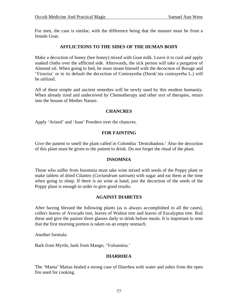For men, the case is similar, with the difference being that the manure must be from a female Goat.

# **AFFLICTIONS TO THE SIDES OF THE HUMAN BODY**

Make a decoction of honey (bee honey) mixed with Goat milk. Leave it to cool and apply soaked cloths over the afflicted side. Afterwards, the sick person will take a purgative of Almond oil. When going to bed, he must steam himself with the decoction of Borage and 'Viravira' or in its default the decoction of Contrayerba (Dorsk'nia conirayerha L.) will be utilized.

All of these simple and ancient remedies will be newly used by this modern humanity. When already tired and undeceived by Chemotherapy and other sort of therapies, return into the bosom of Mother Nature.

# **CHANCRES**

Apply 'Aristol' and 'Juan' Powders over the chancres.

# **FOR FAINTING**

Give the patient to smell the plant called in Colombia 'Destrabadora.' Also the decoction of this plant must be given to the patient to drink. Do not forget the ritual of the plant.

# **INSOMNIA**

Those who suffer from Insomnia must take wine mixed with seeds of the Poppy plant or make tablets of dried Cilantro (*Coriandrum sativum*) with sugar and eat them at the time when going to sleep. If there is no wine at hand, just the decoction of the seeds of the Poppy plant is enough in order to give good results.

# **AGAINST DIABETES**

After having blessed the following plants (as is always accomplished in all the cases), collect leaves of Avocado tree, leaves of Walnut tree and leaves of Eucalyptus tree. Boil these and give the patient three glasses daily to drink before meals. It is important to note that the first morning portion is taken on an empty stomach.

Another formula:

Bark from Myrtle, bark from Mango, 'Volsamina.'

# **DIARRHEA**

The 'Mama' Matias healed a strong case of Diarrhea with water and ashes from the open fire used for cooking.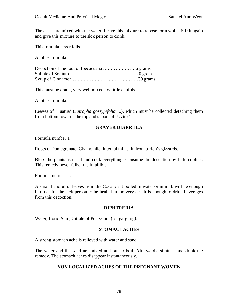The ashes are mixed with the water. Leave this mixture to repose for a while. Stir it again and give this mixture to the sick person to drink.

This formula never fails.

Another formula:

This must be drank, very well mixed, by little cupfuls.

Another formula:

Leaves of 'Tuatua' (*Jairopha gossypifolia* L.), which must be collected detaching them from bottom towards the top and shoots of 'Uvito.'

# **GRAVER DIARRHEA**

Formula number 1

Roots of Pomegranate, Chamomile, internal thin skin from a Hen's gizzards.

Bless the plants as usual and cook everything. Consume the decoction by little cupfuls. This remedy never fails. It is infallible.

Formula number 2:

A small handful of leaves from the Coca plant boiled in water or in milk will be enough in order for the sick person to be healed in the very act. It is enough to drink beverages from this decoction.

#### **DIPHTRERIA**

Water, Boric Acid, Citrate of Potassium (for gargling).

#### **STOMACHACHES**

A strong stomach ache is relieved with water and sand.

The water and the sand are mixed and put to boil. Afterwards, strain it and drink the remedy. The stomach aches disappear instantaneously.

# **NON LOCALIZED ACHES OF THE PREGNANT WOMEN**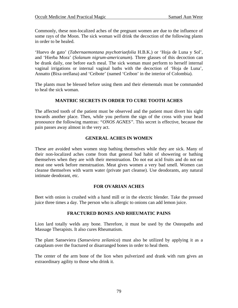Commonly, these non-localized aches of the pregnant women are due to the influence of some rays of the Moon. The sick woman will drink the decoction of the following plants in order to be healed.

'Huevo de gato' (*Tabernaemontana psychotriaefolia* H.B.K.) or 'Hoja de Luna y Sol', and 'Hierba Mora' (*Solanum nigrum-americanum*). Three glasses of this decoction can be drank daily, one before each meal. The sick woman must perform to herself internal vaginal irrigations or internal vaginal baths with the decoction of 'Hoja de Luna', Annatto (Bixa orellana) and 'Ceibote' (named 'Ceibon' in the interior of Colombia).

The plants must be blessed before using them and their elementals must be commanded to heal the sick woman.

# **MANTRIC SECRETS IN ORDER TO CURE TOOTH ACHES**

The affected tooth of the patient must be observed and the patient must divert his sight towards another place. Then, while you perform the sign of the cross with your head pronounce the following mantras: *"ONOS AGNES"*. This secret is effective, because the pain passes away almost in the very act.

# **GENERAL ACHES IN WOMEN**

These are avoided when women stop bathing themselves while they are sick. Many of their non-localized aches come from that general bad habit of showering or bathing themselves when they are with their menstruation. Do not eat acid fruits and do not eat meat one week before menstruation. Meat gives women a very bad smell. Women can cleanse themselves with warm water (private part cleanse). Use deodorants, any natural intimate deodorant, etc.

# **FOR OVARIAN ACHES**

Beet with onion is crushed with a hand mill or in the electric blender. Take the pressed juice three times a day. The person who is allergic to onions can add lemon juice.

# **FRACTURED BONES AND RHEUMATIC PAINS**

Lion lard totally welds any bone. Therefore, it must be used by the Osteopaths and Massage Therapists. It also cures Rheumatism.

The plant Sanseviera (*Sanseviera zeilanica*) must also be utilized by applying it as a cataplasm over the fractured or disarranged bones in order to heal them.

The center of the arm bone of the lion when pulverized and drank with rum gives an extraordinary agility to those who drink it.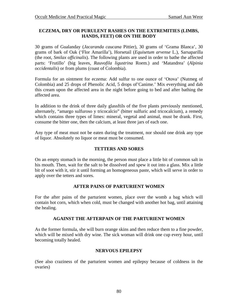# **ECZEMA, DRY OR PURULENT RASHES ON THE EXTREMITIES (LIMBS, HANDS, FEET) OR ON THE BODY**

30 grams of Gualanday (*Jacaranda caucana* Pittier), 30 grams of 'Grama Blanca', 30 grams of bark of Oak ('Flor Amarilla'), Horsetail (*Equisetum arvense* L.), Sarsaparilla (the root, *Smilax officinalis*). The following plants are used in order to bathe the affected parts: 'Frutillo' (big leaves, *Rauvofila ligustrina* Roem.) and 'Matandrea' (*Alpinia occidentalis*) or from plums (coast of Colombia).

Formula for an ointment for eczema: Add sulfur to one ounce of 'Otova' (Nutmeg of Colombia) and 25 drops of Phenolic Acid, 5 drops of'Canime.' Mix everything and dab this cream upon the affected area in the night before going to bed and after bathing the affected area.

In addition to the drink of three daily glassftils of the five plants previously mentioned, alternately, "amargo sulfuroso y tricocalcio" (bitter sulfuric and tricocalcium), a remedy which contains three types of limes: mineral, vegetal and animal, must be drank. First, consume the bitter one, then the calcium, at least three jars of each one.

Any type of meat must not be eaten during the treatment, nor should one drink any type of liquor. Absolutely no liquor or meat must be consumed.

# **TETTERS AND SORES**

On an empty stomach in the morning, the person must place a little bit of common salt in his mouth. Then, wait for the salt to be dissolved and spew it out into a glass. Mix a little bit of soot with it, stir it until forming an homogeneous paste, which will serve in order to apply over the tetters and sores.

# **AFTER PAINS OF PARTURIENT WOMEN**

For the after pains of the parturient women, place over the womb a bag which will contain hot corn, which when cold, must be changed with another hot bag, until attaining the healing.

# **AGAINST THE AFTERPAIN OF THE PARTURIENT WOMEN**

As the former formula, she will burn orange skins and then reduce them to a fine powder, which will be mixed with dry wine. The sick woman will drink one cup every hour, until becoming totally healed.

# **NERVOUS EPILEPSY**

(See also craziness of the parturient women and epilepsy because of coldness in the ovaries)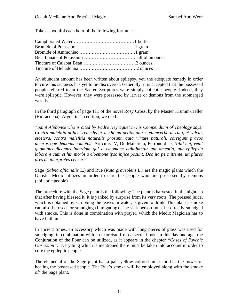Take a spoonfbl each hour of the following formula:

An abundant amount has been written about epilepsy, yet, the adequate remedy in order to cure this sickness has yet to be discovered. Generally, it is accepted that the possessed people referred to in the Sacred Scriptures were simply epileptic people. Indeed, they were epileptic. However, they were possessed by larvae or demons from the submerged worlds.

In the third paragraph of page 111 of the novel Rosy Cross, by the Master Krumm-Heller (Huiracocha), Argentinean edition, we read:

*"Saint Alphonse who is cited by Padre Neyraguet in his Compendium of Theology says: Contra malefitia utilicet remedis ex medicina petitis plures enimverba ut ruta, et salvia, etcetera, contra malefitia naturalis prosunt, quia virtute naturali, corrigunt pravos umeros ope demonis comotos* Articulis IV, De Maleficio, Perrone dice: *Nihil eni, vetat quominus dicamus interdum qui a cleomace agitabantur aut amentia, aut epilepsia laborare cum et hin morbi a cloemone ipso injice posunt. Deo ita permittente, uti plures pres ac interpretes censure"* 

Sage (*Salvia officinalis* L.) and Rue (*Ruta graveolens* L.) are the magic plants which the Gnostic Medic utilizes in order to cure the people who are possessed by demons (epileptic people).

The procedure with the Sage plant is the following: The plant is harvested in the night, so that after having blessed it, it is yanked by surprise from its very roots. The pressed juice, which is obtained by scrubbing the leaves in water, is given to drink. This plant's smoke can also be used for smudging (fumigating). The sick person must be directly smudged with smoke. This is done in combination with prayer, which the Medic Magician has to have faith in.

In ancient times, an accessory which was made with long pieces of glass was used for smudging, in combination with an exorcism from a secret book. In this day and age, the Conjuration of the Four can be utilized, as it appears in the chapter *"Cases of Psychic Obsession"*. Everything which is mentioned there must be taken into account in order to cure the epileptic people.

The elemental of the Sage plant has a pale yellow colored tunic and has the power of healing the possessed people. The Rue's smoke will be employed along with the smoke of' the Sage plant.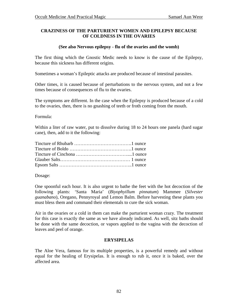# **CRAZINESS OF THE PARTURIENT WOMEN AND EPILEPSY BECAUSE OF COLDNESS IN THE OVARIES**

## **(See also Nervous epilepsy - flu of the ovaries and the womb)**

The first thing which the Gnostic Medic needs to know is the cause of the Epilepsy, because this sickness has different origins.

Sometimes a woman's Epileptic attacks are produced because of intestinal parasites.

Other times, it is caused because of perturbations to the nervous system, and not a few times because of consequences of flu to the ovaries.

The symptoms are different. In the case when the Epilepsy is produced because of a cold to the ovaries, then, there is no gnashing of teeth or froth coming from the mouth.

Formula:

Within a liter of raw water, put to dissolve during 18 to 24 hours one panela (hard sugar cane), then, add to it the following:

Dosage:

One spoonful each hour. It is also urgent to bathe the feet with the hot decoction of the following plants: 'Santa Maria' (*Biyophyillum pinnatum*) Mammee (*Silvester guanabano*), Oregano, Pennyroyal and Lemon Balm. Before harvesting these plants you must bless them and command their elementals to cure the sick woman.

Air in the ovaries or a cold in them can make the parturient woman crazy. The treatment for this case is exactly the same as we have already indicated. As well, sitz baths should be done with the same decoction, or vapors applied to the vagina with the decoction of leaves and peel of orange.

#### **ERYSIPELAS**

The Aloe Vera, famous for its multiple properties, is a powerful remedy and without equal for the healing of Erysipelas. It is enough to rub it, once it is baked, over the affected area.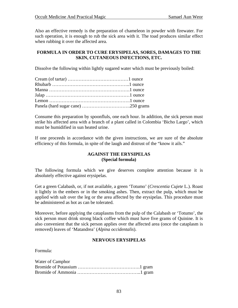Also an effective remedy is the preparation of chameleon in powder with firewater. For such operation, it is enough to rub the sick area with it. The toad produces similar effect when rubbing it over the affected area.

# **FORMULA IN ORDER TO CURE ERYSIPELAS, SORES, DAMAGES TO THE SKIN, CUTANEOUS INFECTIONS, ETC.**

Dissolve the following within lightly sugared water which must be previously boiled:

Consume this preparation by spoonfluls, one each hour. In addition, the sick person must strike his affected area with a branch of a plant called in Colombia 'Bicho Largo', which must be humidified in sun heated urine.

If one proceeds in accordance with the given instructions, we are sure of the absolute efficiency of this formula, in spite of the laugh and distrust of the "know it ails."

### **AGAINST THE ERYSIPELAS (Special formula)**

The following formula which we give deserves complete attention because it is absolutely effective against erysipelas.

Get a green Calabash, or, if not available, a green 'Totumo' (*Crescentia Cujete* L.). Roast it lightly in the embers or in the smoking ashes. Then, extract the pulp, which must be applied with salt over the leg or the area affected by the erysipelas. This procedure must be administered as hot as can be tolerated.

Moreover, before applying the cataplasms from the pulp of the Calabash or 'Totumo', the sick person must drink strong black coffee which must have five grams of Quinine. It is also convenient that the sick person applies over the affected area (once the cataplasm is removed) leaves of 'Matandrea' (*Alpina occidentalis*).

# **NERVOUS ERYSIPELAS**

Formula:

| Water of Camphor |  |
|------------------|--|
|                  |  |
|                  |  |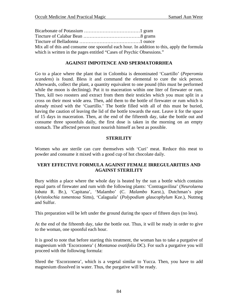| Mix all of this and consume one spoonful each hour. In addition to this, apply the formula |  |
|--------------------------------------------------------------------------------------------|--|
| which is written in the pages entitled "Cases of Psychic Obsessions."                      |  |

## **AGAINST IMPOTENCE AND SPERMATORRHEA**

Go to a place where the plant that in Colombia is denominated 'Cuartillo' (*Peperomia scandens*) is found. Bless it and command the elemental to cure the sick person. Afterwards, collect the plant, a quantity equivalent to one pound (this must be performed while the moon is declining). Put it to maceration within one liter of firewater or rum. Then, kill two roosters and extract from them their testicles which you must split in a cross on their most wide area. Then, add them to the bottle of firewater or rum which is already mixed with the 'Cuartillo.' The bottle filled with all of this must be buried, having the caution of leaving the lid of the bottle towards the east. Leave it for the space of 15 days in maceration. Then, at the end of the fifteenth day, take the bottle out and consume three spoonfuls daily, the first dose is taken in the morning on an empty stomach. The affected person must nourish himself as best as possible.

### **STERILITY**

Women who are sterile can cure themselves with 'Curi' meat. Reduce this meat to powder and consume it mixed with a good cup of hot chocolate daily.

### **VERY EFFECTIVE FORMULA AGAINST FEMALE IRREGULARITIES AND AGAINST STERILITY**

Bury within a place where the whole day is heated by the sun a bottle which contains equal parts of firewater and rum with the following plants: 'Contragavilina' (*Neurolaena lobata* R. Br.), 'Capitana', 'Malambo' (C. *Malambo* Karst.), Dutchman's pipe (*Aristolochia tomentosa* Sims), 'Calaguala' (*Polypodium glaucophylum* Kze.), Nutmeg and Sulfur.

This preparation will be left under the ground during the space of fifteen days (no less).

At the end of the fifteenth day, take the bottle out. Thus, it will be ready in order to give to the woman, one spoonful each hour.

It is good to note that before starting this treatment, the woman has to take a purgative of magnesium with 'Escorzonera' ( *Montanoa ovatifolia* DC). For such a purgative you will proceed with the following formula:

Shred the 'Escorzonera', which is a vegetal similar to Yucca. Then, you have to add magnesium dissolved in water. Thus, the purgative will be ready.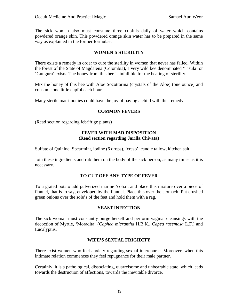The sick woman also must consume three cupfuls daily of water which contains powdered orange skin. This powdered orange skin water has to be prepared in the same way as explained in the former formulae.

# **WOMEN'S STERILITY**

There exists a remedy in order to cure the sterility in women that never has failed. Within the forest of the State of Magdalena (Colombia), a very wild bee denominated 'Tisula' or 'Gungura' exists. The honey from this bee is infallible for the healing of sterility.

Mix the honey of this bee with Aloe Socottorina (crystals of the Aloe) (one ounce) and consume one little cupful each hour.

Many sterile matrimonies could have the joy of having a child with this remedy.

# **COMMON FEVERS**

(Read section regarding febriftige plants)

## **FEVER WITH MAD DISPOSITION (Read section regarding Jarilla Chivata)**

Sulfate of Quinine, Spearmint, iodine (6 drops), 'creso', candle tallow, kitchen salt.

Join these ingredients and rub them on the body of the sick person, as many times as it is necessary.

# **TO CUT OFF ANY TYPE OF FEVER**

To a grated potato add pulverized marine 'coha', and place this mixture over a piece of flannel, that is to say, enveloped by the flannel. Place this over the stomach. Put crushed green onions over the sole's of the feet and hold them with a rag.

#### **YEAST INFECTION**

The sick woman must constantly purge herself and perform vaginal cleansings with the decoction of Myrtle, 'Moradita' (*Caphea micrantha* H.B.K., *Capea rasemosa* L.F.) and Eucalyptus.

# **WIFE'S SEXUAL FRIGIDITY**

There exist women who feel anxiety regarding sexual intercourse. Moreover, when this intimate relation commences they feel repugnance for their male partner.

Certainly, it is a pathological, dissociating, quarrelsome and unbearable state, which leads towards the destruction of affections, towards the inevitable divorce.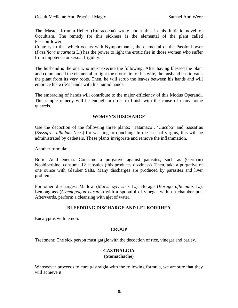The Master Krumm-Heller (Huiracocha) wrote about this in his Initiatic novel of Occultism. The remedy for this sickness is the elemental of the plant called Passionflower.

Contrary to that which occurs with Nymphomania, the elemental of the Passionflower (*Passiflora incarnata* L.) has the power to light the erotic fire in those women who suffer from impotence or sexual frigidity.

The husband is the one who must execute the following. After having blessed the plant and commanded the elemental to light the erotic fire of his wife, the husband has to yank the plant from its very roots. Then, he will scrub the leaves between his hands and will embrace his wife's hands with his humid hands.

The embracing of hands will contribute to the major efficiency of this Modus Operandi. This simple remedy will be enough in order to finish with the cause of many home quarrels.

# **WOMEN'S DISCHARGE**

Use the decoction of the following three plants: 'Tatamaco', 'Cucubo' and Sassafras (*Sassafras albidum* Nees) for washing or douching. In the case of virgins, this will be administrated by catheters. These plants invigorate and remove the inflammation.

Another formula:

Boric Acid enema. Consume a purgative against parasites, such as (German) Neobiperbine, consume 12 capsules (this produces dizziness). Then, take a purgative of one ounce with Glauber Salts. Many discharges are produced by parasites and liver problems.

For other discharges: Mallow (*Malva sylvestris* L.), Borage (*Borago officinalis* L.), Lemongrass (*Cympopogon citratus*) with a spoonful of vinegar within a chamber pot. Afterwards, perform a cleansing with ajet of water.

# **BLEEDDING DISCHARGE AND LEUKORRHEA**

Eucalyptus with lemon.

#### **CROUP**

Treatment: The sick person must gargle with the decoction of rice, vinegar and barley.

#### **GASTRALGIA (Stomachache)**

Whosoever proceeds to cure gastralgia with the following formula, we are sure that they will achieve it.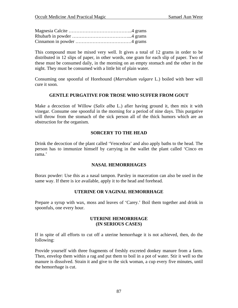This compound must be mixed very well. It gives a total of 12 grams in order to be distributed in 12 slips of paper, in other words, one gram for each slip of paper. Two of these must be consumed daily, in the morning on an empty stomach and the other in the night. They must be consumed with a little bit of plain water.

Consuming one spoonful of Horehound (*Marrubium vulgare* L.) boiled with beer will cure it soon.

### **GENTLE PURGATIVE FOR TROSE WHO SUFFER FROM GOUT**

Make a decoction of Willow (*Salix alba* L.) afier having ground it, then mix it with vinegar. Consume one spoonful in the morning for a period of nine days. This purgative will throw from the stomach of the sick person all of the thick humors which are an obstruction for the organism.

### **SORCERY TO THE HEAD**

Drink the decoction of the plant called 'Vencedora' and also apply baths to the head. The person has to immunize himself by carrying in the wallet the plant called 'Cinco en rama.'

#### **NASAL HEMORRHAGES**

Borax powder: Use this as a nasal tampon. Parsley in maceration can also be used in the same way. If there is ice available, apply it to the head and forehead.

#### **UTERINE OR VAGINAL HEMORRHAGE**

Prepare a syrup with wax, moss and leaves of 'Carey.' Boil them together and drink in spoonfuls, one every hour.

#### **UTERINE HEMORRHAGE (IN SERIOUS CASES)**

If in spite of all efforts to cut off a uterine hemorrhage it is not achieved, then, do the following:

Provide yourself with three fragments of freshly excreted donkey manure from a farm. Then, envelop them within a rag and put them to boil in a pot of water. Stir it well so the manure is dissolved. Strain it and give to the sick woman, a cup every five minutes, until the hemorrhage is cut.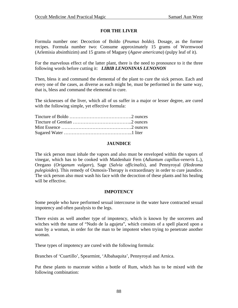# **FOR THE LIVER**

Formula number one: Decoction of Boldo (*Peumus boldo*). Dosage, as the former recipes. Formula number two: Consume approximately 15 grams of Wormwood (Arlemisia absinthizim) and 15 grams of Maguey (*Agave americana*) (pulpy leaf of it).

For the marvelous effect of the latter plant, there is the need to pronounce to it the three following words before cutting it: *LIBIB LENONINAS LENONON*

Then, bless it and command the elemental of the plant to cure the sick person. Each and every one of the cases, as diverse as each might be, must be performed in the same way, that is, bless and command the elemental to cure.

The sicknesses of the liver, which all of us suffer in a major or lesser degree, are cured with the following simple, yet effective formula:

### **JAUNDICE**

The sick person must inhale the vapors and also must be enveloped within the vapors of vinegar, which has to be cooked with Maidenhair Fern (*Adiantum capillus-veneris* L.), Oregano (*Origanum vulgare*), Sage (*Salvia officinalis*), and Pennyroyal (*Hedeoma pulegioides*). This remedy of Osmosis-Therapy is extraordinary in order to cure jaundice. The sick person also must wash his face with the decoction of these plants and his healing will be effective.

# **IMPOTENCY**

Some people who have performed sexual intercourse in the water have contracted sexual impotency and often paralysis to the legs.

There exists as well another type of impotency, which is known by the sorcerers and witches with the name of "Nudo de la agujeta", which consists of a spell placed upon a man by a woman, in order for the man to be impotent when trying to penetrate another woman.

These types of impotency are cured with the following formula:

Branches of 'Cuartillo', Spearmint, 'Albahaquita', Pennyroyal and Arnica.

Put these plants to macerate within a bottle of Rum, which has to be mixed with the following combination: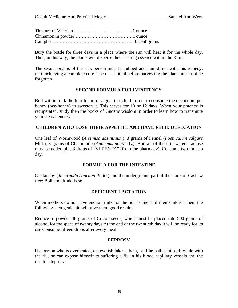Bury the bottle for three days in a place where the sun will heat it for the whole day. Thus, in this way, the plants will disperse their healing essence within the Rum.

The sexual organs of the sick person must be rubbed and humidified with this remedy, until achieving a complete cure. The usual ritual before harvesting the plants must not be forgotten.

# **SECOND FORMULA FOR IMPOTENCY**

Boil within milk the fourth part of a goat testicle. In order to consume the decoction, put honey (bee-honey) to sweeten it. This serves for 10 or 12 days. When your potency is recuperated, study then the books of Gnostic wisdom in order to learn how to transmute your sexual energy.

# **CHILDREN WHO LOSE THEIR APPETITE AND HAVE FETID DEFECATION**

One leaf of Wormwood (*Artemisa absinthium*), 3 grams of Fennel (*Foeniculum vulgare* Mill.), 3 grams of Chamomile (*Anthemis nobilis* L.): Boil all of these in water. Lactose must be added plus 3 drops of "VI-PENTA" (from the pharmacy). Consume two times a day.

# **FORMULA FOR THE INTESTINE**

Gualanday (*Jacaranda caucana* Pittier) and the underground part of the stock of Cashew tree: Boil and drink these

# **DEFICIENT LACTATION**

When mothers do not have enough milk for the nourishment of their children then, the following lactogenic aid will give them good results

Reduce to powder 40 grams of Cotton seeds, which must be placed into 500 grams of alcohol for the space of twenty days At the end of the twentieth day it will be ready for its use Consume fifteen drops after every meal

# **LEPROSY**

If a person who is overheated, or feverish takes a bath, or if he bathes himself while with the flu, he can expose himself to suffering a flu in his blood capillary vessels and the result is leprosy.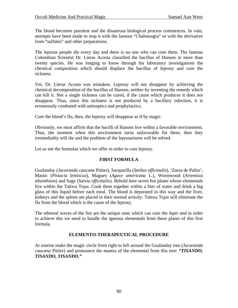The blood becomes purulent and the disastrous biological process commences. In vain, attempts have been made to stop it with the famous "Chalmougra" or with the derivative from "sulfates" and other preparations.

The leprous people die every day and there is no one who can cure them. The famous Colombian Scientist Dr. Lieras Acosta classified the bacillus of Hansen in more than twenty species. He was longing to know through his laboratory investigations the chemical composition which should displace the bacillus of leprosy and cure the sickness.

Yet, Dr. Lieras Acosta was mistaken. Leprosy will not disappear by achieving the chemical decomposition of the bacillus of Hansen, neither by inventing the remedy which can kill it. Not a single sickness can be cured, if the cause which produces it does not disappear. Thus, since this sickness is not produced by a bacillary infection, it is erroneously combated with antiseptics and prophylactics.

Cure the blood's flu, then, the leprosy will disappear as if by magic.

Obviously, we must affirm that the bacilli of Hansen live within a favorable environment. Thus, the moment when this environment turns unfavorable for them, then they irremediably will die and the problem of the leprosariums will be solved.

Let us see the formulas which we offer in order to cure leprosy.

# **FIRST FORMULA**

Gualanday (*Jacaranda caucana* Pittier), Sarsparilla (*Smilax officinalis*), 'Zarza de Palito', Mastic (*Pistacia lentiscus*), Maguey (*Agave americana* L.), Wormwood (*Artemisia absinthium*) and Sage (*Salvia officinalis*). Behold here seven hot plants whose elementals live within the Tattwa Tejas. Cook them together within a liter of water and drink a big glass of this liquid before each meal. The blood is depurated in this way and the liver, kidneys and the spleen are placed in their normal activity. Tattwa Tejas will eliminate the flu from the blood which is the cause of the leprosy.

The ethereal waves of the fire are the unique ones which can cure the leper and in order to achieve this we need to handle the igneous elementals from these plants of this first formula.

# **ELEMENTO-THERAPEUTICAL PROCEDURE**

At sunrise make the magic circle from right to left around the Gualanday tree (*Jacaranda caucana* Pittier) and pronounce the mantra of the elemental from this tree: *"TISANDO, TISANDO, TISANDO."*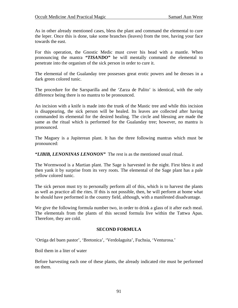As in other already mentioned cases, bless the plant and command the elemental to cure the leper. Once this is done, take some branches (leaves) from the tree, having your face towards the east.

For this operation, the Gnostic Medic must cover his head with a mantle. When pronouncing the mantra *"TISANDO"* he will mentally command the elemental to penetrate into the organism of the sick person in order to cure it.

The elemental of the Gualanday tree possesses great erotic powers and he dresses in a dark green colored tunic.

The procedure for the Sarsparilla and the 'Zarza de Palito' is identical, with the only difference being there is no mantra to be pronounced.

An incision with a knife is made into the trunk of the Mastic tree and while this incision is disappearing, the sick person will be healed. Its leaves are collected after having commanded its elemental for the desired healing. The circle and blessing are made the same as the ritual which is performed for the Gualanday tree; however, no mantra is pronounced.

The Maguey is a Jupiterean plant. It has the three following mantras which must be pronounced:

*"LIBIB, LENONINAS LENONON"* The rest is as the mentioned usual ritual.

The Wormwood is a Martian plant. The Sage is harvested in the night. First bless it and then yank it by surprise from its very roots. The elemental of the Sage plant has a pale yellow colored tunic.

The sick person must try to personally perform all of this, which is to harvest the plants as well as practice all the rites. If this is not possible, then, he will perform at home what he should have performed in the country field, although, with a manifested disadvantage.

We give the following formula number two, in order to drink a glass of it after each meal. The elementals from the plants of this second formula live within the Tattwa Apas. Therefore, they are cold.

#### **SECOND FORMULA**

'Ortiga del buen pastor', 'Bretonica', 'Verdolaguita', Fuchsia, 'Venturosa.'

Boil them in a liter of water

Before harvesting each one of these plants, the already indicated rite must be performed on them.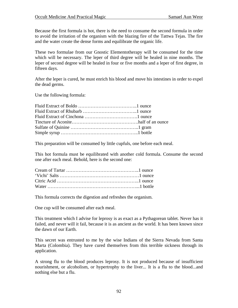Because the first formula is hot, there is the need to consume the second formula in order to avoid the irritation of the organism with the blazing fire of the Tattwa Tejas. The fire and the water create the dense forms and equilibrate the organic life.

These two formulae from our Gnostic Elementotherapy will be consumed for the time which will be necessary. The leper of third degree will be healed in nine months. The leper of second degree will be healed in four or five months and a leper of first degree, in fifteen days.

After the leper is cured, he must enrich his blood and move his intestines in order to expel the dead germs.

Use the following formula:

This preparation will be consumed by little cupfuls, one before each meal.

This hot formula must be equilibrated with another cold formula. Consume the second one after each meal. Behold, here is the second one:

This formula corrects the digestion and refreshes the organism.

One cup will be consumed after each meal.

This treatment which I advise for leprosy is as exact as a Pythagorean tablet. Never has it failed, and never will it fail, because it is as ancient as the world. It has been known since the dawn of our Earth.

This secret was entrusted to me by the wise Indians of the Sierra Nevada from Santa Marta (Colombia). They have cured themselves from this terrible sickness through its application.

A strong flu to the blood produces leprosy. It is not produced because of insufficient nourishment, or alcoholism, or hypertrophy to the liver... It is a flu to the blood...and nothing else but a flu.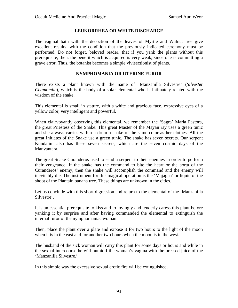## **LEUKORRHEA OR WHITE DISCHARGE**

The vaginal bath with the decoction of the leaves of Myrtle and Walnut tree give excellent results, with the condition that the previously indicated ceremony must be performed. Do not forget, beloved reader, that if you yank the plants without this prerequisite, then, the benefit which is acquired is very weak, since one is committing a grave error. Thus, the botanist becomes a simple vivisectionist of plants.

## **NYMPHOMANIA OR UTERINE FUROR**

There exists a plant known with the name of 'Manzanilla Silvestre' (*Silvester Chamomile*), which is the body of a solar elemental who is intimately related with the wisdom of the snake.

This elemental is small in stature, with a white and gracious face, expressive eyes of a yellow color, very intelligent and powerful.

When clairvoyantly observing this elemental, we remember the 'Sagra' Maria Pastora, the great Priestess of the Snake. This great Master of the Mayan ray uses a green tunic and she always carries within a drum a snake of the same color as her clothes. All the great Initiates of the Snake use a green tunic. The snake has seven secrets. Our serpent Kundalini also has these seven secrets, which are the seven cosmic days of the Manvantara.

The great Snake Curanderos used to send a serpent to their enemies in order to perform their vengeance. If the snake has the command to bite the heart or the aorta of the Curanderos' enemy, then the snake will accomplish the command and the enemy will inevitably die. The instrument for this magical operation is the 'Majagua' or liquid of the shoot of the Plantain banana tree. These things are unknown in the cities.

Let us conclude with this short digression and return to the elemental of the 'Manzanilla Silvestre'.

It is an essential prerequisite to kiss and to lovingly and tenderly caress this plant before yanking it by surprise and after having commanded the elemental to extinguish the internal furor of the nymphomaniac woman.

Then, place the plant over a plate and expose it for two hours to the light of the moon when it is in the east and for another two hours when the moon is in the west.

The husband of the sick woman will carry this plant for some days or hours and while in the sexual intercourse he will humidif the woman's vagina with the pressed juice of the 'Manzanilla Silvestre.'

In this simple way the excessive sexual erotic fire will be extinguished.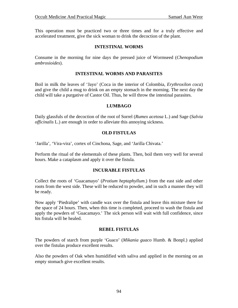This operation must be practiced two or three times and for a truly effective and accelerated treatment, give the sick woman to drink the decoction of the plant.

### **INTESTINAL WORMS**

Consume in the morning for nine days the pressed juice of Wormseed (*Chenopodium ambrosioides*).

## **INTESTINAL WORMS AND PARASITES**

Boil in milk the leaves of 'Jayo' (Coca in the interior of Colombia, *Erythroxilon coca*) and give the child a mug to drink on an empty stomach in the morning. The next day the child will take a purgative of Castor Oil. Thus, he will throw the intestinal parasites.

### **LUMBAGO**

Daily glassfuls of the decoction of the root of Sorrel (*Rumex acetosa* L.) and Sage (*Salvia officinalis* L.) are enough in order to alleviate this annoying sickness.

# **OLD FISTULAS**

'Jarilla', 'Vira-vira', cortex of Cinchona, Sage, and 'Jarilla Chivata.'

Perform the ritual of the elementals of these plants. Then, boil them very well for several hours. Make a cataplasm and apply it over the fistula.

# **INCURABLE FISTULAS**

Collect the roots of 'Guacamayo' (*Protium heptaphyllum*.) from the east side and other roots from the west side. These will be reduced to powder, and in such a manner they will be ready.

Now apply 'Piedralipe' with candle wax over the fistula and leave this mixture there for the space of 24 hours. Then, when this time is completed, proceed to wash the fistula and apply the powders of 'Guacamayo.' The sick person will wait with full confidence, since his fistula will be healed.

### **REBEL FISTULAS**

The powders of starch from purple 'Guaco' (*Mikania guaco* Humb. & Bonpl.) applied over the fistulas produce excellent results.

Also the powders of Oak when humidified with saliva and applied in the morning on an empty stomach give excellent results.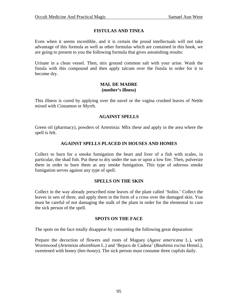# **FISTULAS AND TINEA**

Even when it seems incredible, and it is certain the proud intellectuals will not take advantage of this formula as well as other formulas which are contained in this book, we are going to present to you the following formula that gives astonishing results:

Urinate in a clean vessel. Then, mix ground common salt with your urine. Wash the fistula with this compound and then apply talcum over the fistula in order for it to become dry.

#### **MAL DE MADRE (mother's illness)**

This illness is cured by applying over the navel or the vagina crushed leaves of Nettle mixed with Cinnamon or Myrrh.

# **AGAINST SPELLS**

Green oil (pharmacy), powders of Artemisia: Mlix these and apply in the area where the spell is felt.

### **AGAINST SPELLS PLACED IN HOUSES AND HOMES**

Collect to burn for a smoke fumigation the heart and liver of a fish with scales, in particular, the shad fish. Put these to dry under the sun or upon a low fire. Then, pulverize them in order to burn them as any smoke fumigation. This type of odorous smoke fumigation serves against any type of spell.

#### **SPELLS ON THE SKIN**

Collect in the way already prescribed nine leaves of the plant called 'Solito.' Collect the leaves in sets of three, and apply them in the form of a cross over the damaged skin. You must be careful of not damaging the stalk of the plant in order for the elemental to cure the sick person of the spell.

#### **SPOTS ON THE FACE**

The spots on the face totally disappear by consuming the following great depuration:

Prepare the decoction of flowers and roots of Maguey (*Agave americana* L.), with Wormwood (*Artemisia absinthium* L.) and 'Bejuco de Cadena' (*Bauhinia excisa* Hemsl.), sweetened with honey (*bee-honey*). The sick person must consume three cupfuls daily.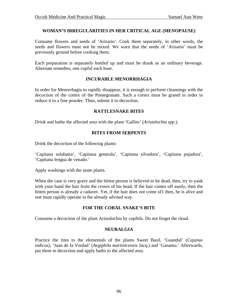# **WOMAN'S IRREGULARITIES IN HER CRITICAL AGE (MENOPAUSE)**

Consume flowers and seeds of 'Arisario'. Cook them separately, in other words, the seeds and flowers must not be mixed. We warn that the seeds of 'Arisario' must be previously ground before cooking them.

Each preparation is separately bottled up and must be drank as an ordinary beverage. Alternate remedies, one cupful each hour.

# **INCURABLE MENORRHAGIA**

In order for Menorrhagia to rapidly disappear, it is enough to perform cleansings with the decoction of the cortex of the Pomegranate. Such a cortex must be grated in order to reduce it to a fine powder. Then, submit it to decoction.

### **RATTLESNAKE BITES**

Drink and bathe the affected area with the plant 'Gallito' (*Aristolochia spp*.).

# **BITES FROM SERPENTS**

Drink the decoction of the following plants:

'Capitana solabasta', 'Capitana generala', 'Capitana silvadora', 'Capitana pujadora', 'Capitana lengua de venado.'

Apply washings with the same plants.

When the case is very grave and the bitten person is believed to be dead, then, try to yank with your hand the hair from the crown of his head. If the hair comes off easily, then the bitten person is already a cadaver. Yet, if the hair does not come of1 then, he is alive and one must rapidly operate in the already advised way.

#### **FOR THE CORAL SNAKE'S BITE**

Consume a decoction of the plant Aristolochia by cupftils. Do not forget the ritual.

#### **NEURALGIA**

Practice the rites to the elementals of the plants Sweet Basil, 'Guandul' (*Cajanus indicus*), 'Juan de Ia Verdad' (*Aegiphila martinicensis* Jacq.) and 'Ganamu.' Afterwards, put them in decoction and apply baths to the affected area.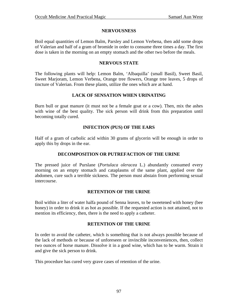# **NERVOUSNESS**

Boil equal quantities of Lemon Balm, Parsley and Lemon Verbena, then add some drops of Valerian and half of a gram of bromide in order to consume three times a day. The first dose is taken in the morning on an empty stomach and the other two before the meals.

#### **NERVOUS STATE**

The following plants will help: Lemon Balm, 'Albaquilla' (small Basil), Sweet Basil, Sweet Marjoram, Lemon Verbena, Orange tree flowers, Orange tree leaves, 5 drops of tincture of Valerian. From these plants, utilize the ones which are at hand.

### **LACK OF SENSATION WHEN URINATING**

Burn bull or goat manure (it must not be a female goat or a cow). Then, mix the ashes with wine of the best quality. The sick person will drink from this preparation until becoming totally cured.

### **INFECTION (PUS) OF THE EARS**

Half of a gram of carbolic acid within 30 grams of glycerin will be enough in order to apply this by drops in the ear.

## **DECOMPOSITION OR PUTREFACTION OF THE URINE**

The pressed juice of Purslane (*Portulaca oleracea* L.) abundantly consumed every morning on an empty stomach and cataplasms of the same plant, applied over the abdomen, cure such a terrible sickness. The person must abstain from performing sexual intercourse.

#### **RETENTION OF THE URINE**

Boil within a liter of water halfa pound of Senna leaves, to be sweetened with honey (bee honey) in order to drink it as hot as possible. If the requested action is not attained, not to mention its efficiency, then, there is the need to apply a catheter.

#### **RETENTION OF THE URINE**

In order to avoid the catheter, which is something that is not always possible because of the lack of methods or because of unforeseen or invincible inconveniences, then, collect two ounces of horse manure. Dissolve it in a good wine, which has to be warm. Strain it and give the sick person to drink.

This procedure has cured very grave cases of retention of the urine.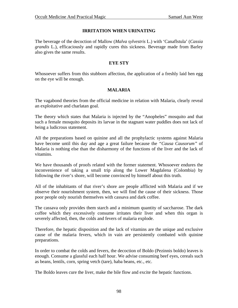# **IRRITATION WHEN URINATING**

The beverage of the decoction of Mallow (*Malva sylvestris* L.) with 'Canaflstula' (*Cassia grandis* L.), efficaciously and rapidly cures this sickness. Beverage made from Barley also gives the same results.

# **EYE STY**

Whosoever suffers from this stubborn affection, the application of a freshly laid hen egg on the eye will be enough.

# **MALARIA**

The vagabond theories from the official medicine in relation with Malaria, clearly reveal an exploitative and charlatan goal.

The theory which states that Malaria is injected by the "Anopheles" mosquito and that such a female mosquito deposits its larvae in the stagnant water puddles does not lack of being a ludicrous statement.

All the preparations based on quinine and all the prophylactic systems against Malaria have become until this day and age a great failure because the *"Causa Causorum"* of Malaria is nothing else than the disharmony of the functions of the liver and the lack of vitamins.

We have thousands of proofs related with the former statement. Whosoever endures the inconvenience of taking a small trip along the Lower Magdalena (Colombia) by following the river's shore, will become convinced by himself about this truth.

All of the inhabitants of that river's shore are people afflicted with Malaria and if we observe their nourishment system, then, we will find the cause of their sickness. Those poor people only nourish themselves with cassava and dark coffee.

The cassava only provides them starch and a minimum quantity of saccharose. The dark coffee which they excessively consume irritates their liver and when this organ is severely affected, then, the colds and fevers of malaria explode.

Therefore, the hepatic disposition and the lack of vitamins are the unique and exclusive cause of the malaria fevers, which in vain are persistently combated with quinine preparations.

In order to combat the colds and fevers, the decoction of Boldo (Pezinnis boldo) leaves is enough. Consume a glassful each half hour. We advise consuming beef eyes, cereals such as beans, lentils, corn, spring vetch (tare), haba beans, etc., etc.

The Boldo leaves cure the liver, make the bile flow and excite the hepatic functions.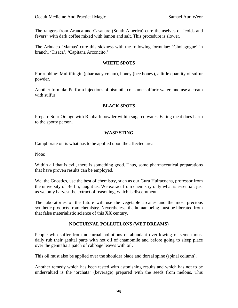The rangers from Arauca and Casanare (South America) cure themselves of "colds and fevers" with dark coffee mixed with lemon and salt. This procedure is slower.

The Arhuaco 'Mamas' cure this sickness with the following formulae: 'Cholagogue' in branch, 'Tisaca', 'Capitana Arconcito.'

### **WHITE SPOTS**

For rubbing: Multiftingin (pharmacy cream), honey (bee honey), a little quantity of sulfur powder.

Another formula: Perform injections of bismuth, consume sulfuric water, and use a cream with sulfur.

### **BLACK SPOTS**

Prepare Sour Orange with Rhubarb powder within sugared water. Eating meat does harm to the spotty person.

### **WASP STING**

Camphorate oil is what has to be applied upon the affected area.

Note:

Within all that is evil, there is something good. Thus, some pharmaceutical preparations that have proven results can be employed.

We, the Gnostics, use the best of chemistry, such as our Guru Huiracocha, professor from the university of Berlin, taught us. We extract from chemistry only what is essential, just as we only harvest the extract of reasoning, which is discernment.

The laboratories of the future will use the vegetable arcanes and the most precious synthetic products from chemistry. Nevertheless, the human being must be liberated from that false materialistic science of this XX century.

# **NOCTURNAL POLLUTLONS (WET DREAMS)**

People who suffer from nocturnal pollutions or abundant overflowing of semen must daily rub their genital parts with hot oil of chamomile and before going to sleep place over the genitalia a patch of cabbage leaves with oil.

This oil must also be applied over the shoulder blade and dorsal spine (spinal column).

Another remedy which has been tested with astonishing results and which has not to be undervalued is the 'orchata' (beverage) prepared with the seeds from melons. This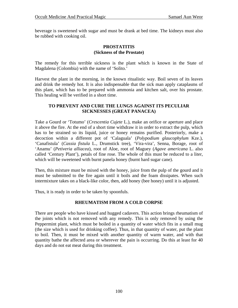beverage is sweetened with sugar and must be drank at bed time. The kidneys must also be rubbed with cooking oil.

#### **PROSTATITIS (Sickness of the Prostate)**

The remedy for this terrible sickness is the plant which is known in the State of Magdalena (Colombia) with the name of 'Solito.'

Harvest the plant in the morning, in the known ritualistic way. Boil seven of its leaves and drink the remedy hot. It is also indispensable that the sick man apply cataplasms of this plant, which has to be prepared with ammonia and kitchen salt, over his prostate. This healing will be verified in a short time.

# **TO PREVENT AND CURE THE LUNGS AGAINST ITS PECULIAR SICKNESSES (GREAT PANACEA)**

Take a Gourd or 'Totumo' (*Crescentia Cujete* L.), make an orifice or aperture and place it above the fire. At the end of a short time withdraw it in order to extract the pulp, which has to be strained so its liquid, juice or honey remains purified. Posteriorly, make a decoction within a different pot of 'Calaguala' (*Polypodium glaucophylum* Kze.), 'Canafistula' (*Cassia fistula* L., Drumstick tree), 'Vira-vira', Senna, Borage, root of 'Anamu' (*Petiveria alliacea*), root of Aloe, root of Maguey (*Agave americana* L. also called 'Century Plant'), petals of fine rose. The whole of this must be reduced to a liter, which will be sweetened with burnt panela honey (burnt hard sugar cane).

Then, this mixture must be mixed with the honey, juice from the pulp of the gourd and it must be submitted to the fire again until it boils and the foam dissipates. When such intermixture takes on a black-like color, then, add honey (bee honey) until it is adjusted.

Thus, it is ready in order to be taken by spoonfuls.

# **RHEUMATISM FROM A COLD CORPSE**

There are people who have kissed and hugged cadavers. This action brings rheumatism of the joints which is not removed with any remedy. This is only removed by using the Peppermint plant, which must be boiled in a quantity of water which fits in a small mug (the size which is used for drinking coffee). Thus, in that quantity of water, put the plant to boil. Then, it must be mixed with another quantity of warm water, and with that quantity bathe the affected area or wherever the pain is occurring. Do this at least for 40 days and do not eat meat during this treatment.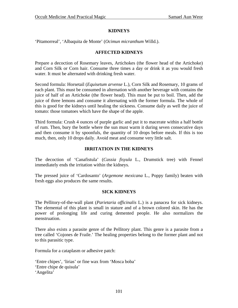# **KIDNEYS**

'Pitamorreal', 'Albaquita de Monte' (*Ocimun micranthum* Willd.).

## **AFFECTED KIDNEYS**

Prepare a decoction of Rosemary leaves, Artichokes (the flower head of the Artichoke) and Corn Silk or Corn hair. Consume three times a day or drink it as you would fresh water. It must be alternated with drinking fresh water.

Second formula: Horsetail (*Equisetum arvense* L.), Corn Silk and Rosemary, 10 grams of each plant. This must be consumed in alternation with another beverage with contains the juice of half of an Artichoke (the flower head). This must be put to boil. Then, add the juice of three lemons and consume it alternating with the former formula. The whole of this is good for the kidneys until healing the sickness. Consume daily as well the juice of tomato: those tomatoes which have the shape of the apple.

Third formula: Crush 4 ounces of purple garlic and put it to macerate within a half bottle of rum. Then, bury the bottle where the sun must warm it during seven consecutive days and then consume it by spoonfuls, the quantity of 10 drops before meals. If this is too much, then, only 10 drops daily. Avoid meat and consume very little salt.

# **IRRITATION IN THE KIDNEYS**

The decoction of 'Canafistula' (*Cassia fisyula* L., Drumstick tree) with Fennel immediately ends the irritation within the kidneys.

The pressed juice of 'Cardosanto' (*Argemone mexicana* L., Poppy family) beaten with fresh eggs also produces the same results.

#### **SICK KIDNEYS**

The Pellitory-of-the-wall plant (*Parietaria officinalis* L.) is a panacea for sick kidneys. The elemental of this plant is small in stature and of a brown colored skin. He has the power of prolonging life and curing demented people. He also normalizes the menstruation.

There also exists a parasite genre of the Pellitory plant. This genre is a parasite from a tree called 'Cojones de Fraile.' The healing properties belong to the former plant and not to this parasitic type.

Formula for a cataplasm or adhesive patch:

'Entre chipes', 'lirias' or fine wax from 'Mosca boba' 'Entre chipe de quisula' 'Angelita'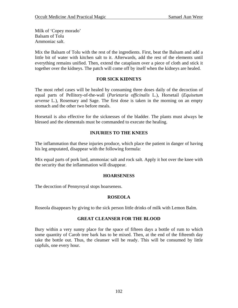Milk of 'Copey morado' Balsam of Tolu Ammoniac salt.

Mix the Balsam of Tolu with the rest of the ingredients. First, beat the Balsam and add a little bit of water with kitchen salt to it. Afterwards, add the rest of the elements until everything remains unified. Then, extend the cataplasm over a piece of cloth and stick it together over the kidneys. The patch will come off by itself when the kidneys are healed.

# **FOR SICK KIDNEYS**

The most rebel cases will be healed by consuming three doses daily of the decoction of equal parts of Pellitory-of-the-wall (*Parietaria officinalis* L.), Horsetail (*Equisetum arvense* L.), Rosemary and Sage. The first dose is taken in the morning on an empty stomach and the other two before meals.

Horsetail is also effective for the sicknesses of the bladder. The plants must always be blessed and the elementals must be commanded to execute the healing.

# **INJURIES TO THE KNEES**

The inflammation that these injuries produce, which place the patient in danger of having his leg amputated, disappear with the following formula:

Mix equal parts of pork lard, ammoniac salt and rock salt. Apply it hot over the knee with the security that the inflammation will disappear.

# **HOARSENESS**

The decoction of Pennyroyal stops hoarseness.

# **ROSEOLA**

Roseola disappears by giving to the sick person little drinks of milk with Lemon Balm.

# **GREAT CLEANSER FOR THE BLOOD**

Bury within a very sunny place for the space of fifteen days a bottle of rum to which some quantity of Carob tree bark has to be mixed. Then, at the end of the fifteenth day take the bottle out. Thus, the cleanser will be ready. This will be consumed by little cupfuls, one every hour.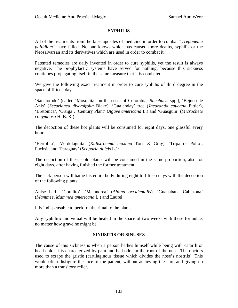### **SYPHILIS**

All of the treatments from the false apostles of medicine in order to combat *"Treponema pallidium"* have failed. No one knows which has caused more deaths, syphilis or the Neosalvarsan and its derivatives which are used in order to combat it.

Patented remedies are daily invented in order to cure syphilis, yet the result is always negative. The prophylactic systems have served for nothing, because this sickness continues propagating itself in the same measure that it is combated.

We give the following exact treatment in order to cure syphilis of third degree in the space of fifteen days:

'Sanalotodo' (called 'Mosquita' on the coast of Colombia, *Baccharis* spp.), 'Bejuco de Anis' (*Securidaca diversifolia* Blake), 'Gualanday' tree (*Jacaranda caucana* Pittier), 'Bretonica', 'Ortiga', 'Century Plant' (*Agave americana* L.) and 'Guasguin' (*Microchete conymbosa* H. B. K.).

The decoction of these hot plants will be consumed for eight days, one glassful every hour.

'Bertolita', 'Verdolaguita' (*Kallstroemia maxima* Torr. & Gray), 'Tripa de Polio', Fuchsia and 'Paraguay' (*Scoparia dulcis* L.):

The decoction of these cold plants will be consumed in the same proportion, also for eight days, after having finished the former treatment.

The sick person will bathe his entire body during eight to fifteen days with the decoction of the following plants:

Anise herb, 'Coralito', 'Matandrea' (*Alpina occidentalis*), 'Guanabana Cabezona' (*Mammee, Mammea americana* L.) and Laurel.

It is indispensable to perform the ritual to the plants.

Any syphilitic individual will be healed in the space of two weeks with these formulae, no matter how grave he might be.

# **SINUSITIS OR SINUSES**

The cause of this sickness is when a person bathes himself while being with catarrh or head cold. It is characterized by pain and bad odor in the root of the nose. The doctors used to scrape the gristle (cartilaginous tissue which divides the nose's nostrils). This would often disfigure the face of the patient, without achieving the cure and giving no more than a transitory relief.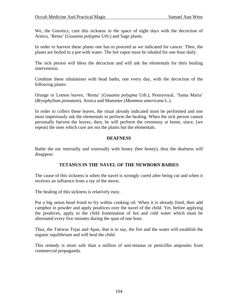We, the Gnostics, cure this sickness in the space of eight days with the decoction of Arnica, 'Rema' (*Gouania polygma* Urb.) and Sage plants.

In order to harvest these plants one has to proceed as we indicated for cancer. Then, the plants are boiled in a pot with water. The hot vapor must be inhaled for one hour daily.

The sick person will bless the decoction and will ask the elementals for their healing intervention.

Combine these inhalations with head baths, one every day, with the decoction of the following plants:

Orange or Lemon leaves, 'Rema' (*Gouania polygma* Urb.), Pennyroyal, 'Santa Maria' (*Bryophyllum pinnatum*), Arnica and Mammee (*Mammea americana* L.).

In order to collect these leaves, the ritual already indicated must be performed and one must imperiously ask the elementals to perform the healing. When the sick person cannot personally harvest the leaves, then, he will perform the ceremony at home, since, (we repeat) the ones which cure are not the plants but the elementals.

# **DEAFNESS**

Bathe the ear internally and externally with honey (bee honey), thus the deafness will disappear.

# **TETANUS IN THE NAVEL OF THE NEWBORN BABIES**

The cause of this sickness is when the navel is wrongly cured after being cut and when it receives an influence from a ray of the moon.

The healing of this sickness is relatively easy.

Put a big onion head frond to fry within cooking oil. When it is already fried, then add camphor in powder and apply poultices over the navel of the child. Yet, before applying the poultices, apply to the child fomentation of hot and cold water which must be alternated every five minutes during the span of one hour.

Thus, the Tattwas Tejas and Apas, that is to say, the fire and the water will establish the organic equilibrium and will heal the child.

This remedy is more safe than a million of anti-tetanus or penicillin ampoules from commercial propaganda.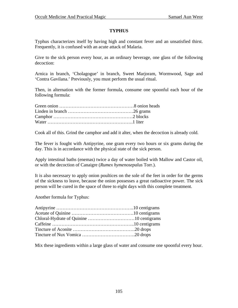# **TYPHUS**

Typhus characterizes itself by having high and constant fever and an unsatisfied thirst. Frequently, it is confused with an acute attack of Malaria.

Give to the sick person every hour, as an ordinary beverage, one glass of the following decoction:

Arnica in branch, 'Cholagogue' in branch, Sweet Marjoram, Wormwood, Sage and 'Contra Gavilana.' Previously, you must perform the usual ritual.

Then, in alternation with the former formula, consume one spoonful each hour of the following formula:

Cook all of this. Grind the camphor and add it alter, when the decoction is already cold.

The fever is fought with Antipyrine, one gram every two hours or six grams during the day. This is in accordance with the physical state of the sick person.

Apply intestinal baths (enemas) twice a day of water boiled with Mallow and Castor oil, or with the decoction of Canaigre (*Rumex hymenosepalus* Torr.).

It is also necessary to apply onion poultices on the sole of the feet in order for the germs of the sickness to leave, because the onion possesses a great radioactive power. The sick person will be cured in the space of three to eight days with this complete treatment.

Another formula for Typhus:

Mix these ingredients within a large glass of water and consume one spoonful every hour.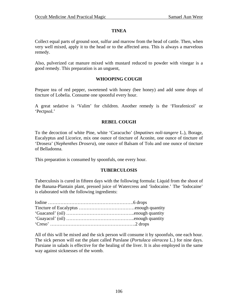# **TINEA**

Collect equal parts of ground soot, sulfur and marrow from the head of cattle. Then, when very well mixed, apply it to the head or to the affected area. This is always a marvelous remedy.

Also, pulverized cat manure mixed with mustard reduced to powder with vinegar is a good remedy. This preparation is an unguent,

# **WHOOPING COUGH**

Prepare tea of red pepper, sweetened with honey (bee honey) and add some drops of tincture of Lobelia. Consume one spoonful every hour.

A great sedative is 'Valim' for children. Another remedy is the 'Florafenicol' or 'Pectpsol.'

# **REBEL COUGH**

To the decoction of white Pine, white 'Caracucho' (*Impatines noli-tangere* L.), Borage, Eucalyptus and Licorice, mix one ounce of tincture of Aconite, one ounce of tincture of 'Drosera' (*Nephenthes Drosera*), one ounce of Balsam of Tolu and one ounce of tincture of Belladonna.

This preparation is consumed by spoonfuls, one every hour.

# **TUBERCULOSIS**

Tuberculosis is cured in fifteen days with the following formula: Liquid from the shoot of the Banana-Plantain plant, pressed juice of Watercress and 'lodocaine.' The 'lodocaine' is elaborated with the following ingredients:

All of this will be mixed and the sick person will consume it by spoonfuls, one each hour. The sick person will eat the plant called Purslane (*Portulaca oleracea* L.) for nine days. Pursiane in salads is effective for the healing of the liver. It is also employed in the same way against sicknesses of the womb.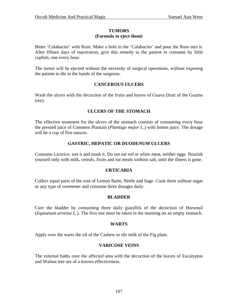#### **TUMORS (Formula to eject them)**

Bitter 'Calabacito' with Rum: Make a hole in the 'Calabacito' and pour the Rum into it. After fifteen days of maceration, give this remedy to the patient to consume by little cupfuls, one every hour.

The tumor will be ejected without the necessity of surgical operations, without exposing the patient to die in the hands of the surgeons.

# **CANCEROUS ULCERS**

Wash the ulcers with the decoction of the fruits and leaves of Guava (fruit of the Guamo tree).

# **ULCERS OF THE STOMACH**

The effective treatment for the ulcers of the stomach consists of consuming every hour the pressed juice of Common Plantain (*Plantago major* L.) with lemon juice. The dosage will be a cup of five ounces.

# **GASTRIC, HEPATIC OR DUODENUM ULCERS**

Consume Licorice, wet it and mash it. Do not eat red or white meat, neither eggs. Nourish yourself only with milk, cereals, fruits and eat meals without salt, until the illness is gone.

# **URTICARIA**

Collect equal parts of the root of Lemon Balm, Nettle and Sage. Cook them without sugar or any type of sweetener and consume three dosages daily.

# **BLADDER**

Cure the bladder by consuming three daily giassftils of the decoction of Horsetail (*Equisetum arvense* L.). The first one must be taken in the morning on an empty stomach.

#### **WARTS**

Apply over the warts the oil of the Cashew or tile milk of the Fig plant.

# **VARICOSE VEINS**

The external baths over the affected area with the decoction of the leaves of Eucalyptus and Walnut tree are of a known effectiveness.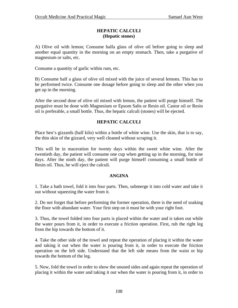# **HEPATIC CALCULI (Hepatic stones)**

A) Olive oil with lemon; Consume halfa glass of olive oil before going to sleep and another equal quantity in the morning on an empty stomach. Then, take a purgative of magnesium or salts, etc.

Consume a quantity of garlic within rum, etc.

B) Consume half a glass of olive oil mixed with the juice of several lemons. This has to be performed twice. Consume one dosage before going to sleep and the other when you get up in the morning.

After the second dose of olive oil mixed with lemon, the patient will purge himself. The purgative must be done with Magnesium or Epsom Salts or Resin oil. Castor oil or Resin oil is preferable, a small bottle. Thus, the hepatic calculi (stones) will be ejected.

# **HEPATIC CALCULI**

Place hen's gizzards (half kilo) within a bottle of white wine. Use the skin, that is to say, the thin skin of the gizzard, very well cleaned without scraping it.

This will be in maceration for twenty days within the sweet white wine. After the twentieth day, the patient will consume one cup when getting up in the morning, for nine days. After the ninth day, the patient will purge himseIf consuming a small bottle of Resin oil. Thus, he will eject the calculi.

# **ANGINA**

1. Take a bath towel, fold it into four parts. Then, submerge it into cold water and take it out without squeezing the water from it.

2. Do not forget that before performing the former operation, there is the need of soaking the floor with abundant water. Your first step on it must be with your right foot.

3. Thus, the towel folded into four parts is placed within the water and is taken out while the water pours from it, in order to execute a friction operation. First, rub the right leg from the hip towards the bottom of it.

4. Take the other side of the towel and repeat the operation of placing it within the water and taking it out when the water is pouring from it, in order to execute the friction operation on the left side. Understand that the left side means from the waist or hip towards the bottom of the leg.

5. Now, fold the towel in order to show the unused sides and again repeat the operation of placing it within the water and taking it out when the water is pouring from it, in order to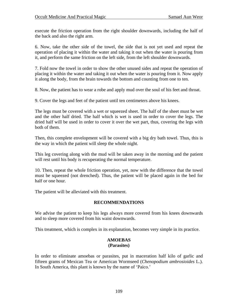execute the friction operation from the right shoulder downwards, including the half of the back and also the right arm.

6. Now, take the other side of the towel, the side that is not yet used and repeat the operation of placing it within the water and taking it out when the water is pouring from it, and perform the same friction on the left side, from the left shoulder downwards.

7. Fold now the towel in order to show the other unused sides and repeat the operation of placing it within the water and taking it out when the water is pouring from it. Now apply it along the body, from the brain towards the bottom and counting from one to ten.

8. Now, the patient has to wear a robe and apply mud over the soul of his feet and throat.

9. Cover the legs and feet of the patient until ten centimeters above his knees.

The legs must be covered with a wet or squeezed sheet. The half of the sheet must be wet and the other half dried. The half which is wet is used in order to cover the legs. The dried half will be used in order to cover it over the wet part, thus, covering the legs with both of them.

Then, this complete envelopment will be covered with a big dry bath towel. Thus, this is the way in which the patient will sleep the whole night.

This leg covering along with the mud will be taken away in the morning and the patient will rest until his body is recuperating the normal temperature.

10. Then, repeat the whole friction operation, yet, now with the difference that the towel must be squeezed (not drenched). Thus, the patient will be placed again in the bed for half or one hour.

The patient will be alleviated with this treatment.

#### **RECOMMENDATIONS**

We advise the patient to keep his legs always more covered from his knees downwards and to sleep more covered from his waist downwards.

This treatment, which is complex in its explanation, becomes very simple in its practice.

#### **AMOEBAS (Parasites)**

In order to eliminate amoebas or parasites, put in maceration half kilo of garlic and fifteen grams of Mexican Tea or American Wormseed (*Chenopodium ambrosioides* L.). In South America, this plant is known by the name of 'Paico.'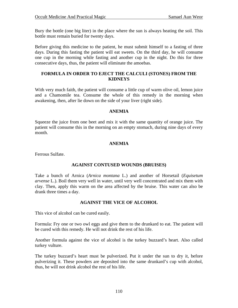Bury the bottle (one big liter) in the place where the sun is always heating the soil. This bottle must remain buried for twenty days.

Before giving this medicine to the patient, he must submit himself to a fasting of three days. During this fasting the patient will eat sweets. On the third day, he will consume one cup in the morning while fasting and another cup in the night. Do this for three consecutive days, thus, the patient will eliminate the amoebas.

#### **FORMULA IN ORDER TO EJECT THE CALCULI (STONES) FROM THE KIDNEYS**

With very much faith, the patient will consume a little cup of warm olive oil, lemon juice and a Chamomile tea. Consume the whole of this remedy in the morning when awakening, then, after lie down on the side of your liver (right side).

#### **ANEMIA**

Squeeze the juice from one beet and mix it with the same quantity of orange juice. The patient will consume this in the morning on an empty stomach, during nine days of every month.

#### **ANEMIA**

Ferrous Sulfate.

#### **AGAINST CONTUSED WOUNDS (BRUISES)**

Take a bunch of Arnica (*Arnica montana* L.) and another of Horsetail (*Equisetum arvense* L.). Boil them very well in water, until very well concentrated and mix them with clay. Then, apply this warm on the area affected by the bruise. This water can also be drank three times a day.

#### **AGAINST THE VICE OF ALCOHOL**

This vice of alcohol can be cured easily.

Formula: Fry one or two owl eggs and give them to the drunkard to eat. The patient will be cured with this remedy. He will not drink the rest of his life.

Another formula against the vice of alcohol is the turkey buzzard's heart. Also called turkey vulture.

The turkey buzzard's heart must be pulverized. Put it under the sun to dry it, before pulverizing it. These powders are deposited into the same drunkard's cup with alcohol, thus, he will not drink alcohol the rest of his life.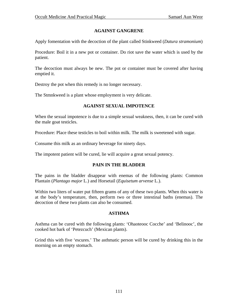#### **AGAINST GANGRENE**

Apply fomentation with the decoction of the plant called Stinkweed (*Datura stramonium*)

Procedure: Boil it in a new pot or container. Do riot save the water which is used by the patient.

The decoction must always be new. The pot or container must be covered after having emptied it.

Destroy the pot when this remedy is no longer necessary.

The Stmnkweed is a plant whose employment is very delicate.

#### **AGAINST SEXUAL IMPOTENCE**

When the sexual impotence is due to a simple sexual weakness, then, it can be cured with the male goat testicles.

Procedure: Place these testicles to boil within milk. The milk is sweetened with sugar.

Consume this milk as an ordinary beverage for ninety days.

The impotent patient will be cured, lie will acquire a great sexual potency.

#### **PAIN IN THE BLADDER**

The pains in the bladder disappear with enemas of the following plants: Common Plantain (*Plantago major* L.) and Horsetail (*Equisetum arvense* L.).

Within two liters of water put fifteen grams of any of these two plants. When this water is at the body's temperature, then, perform two or three intestinal baths (enemas). The decoction of these two plants can also be consumed.

#### **ASTHMA**

Asthma can be cured with the following plants: 'Ohaoteooc Cocche' and 'Belinooc', the cooked hot bark of 'Petezcuch' (Mexican plants).

Grind this with five 'escures.' The asthmatic person will be cured by drinking this in the morning on an empty stomach.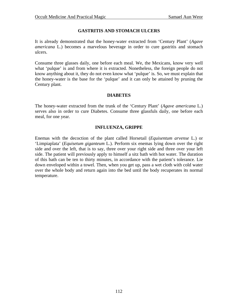#### **GASTRITIS AND STOMACH ULCERS**

It is already demonstrated that the honey-water extracted from 'Century Plant' (*Agave americana* L.) becomes a marvelous beverage in order to cure gastritis and stomach ulcers.

Consume three glasses daily, one before each meal. We, the Mexicans, know very well what 'pulque' is and from where it is extracted. Nonetheless, the foreign people do not know anything about it, they do not even know what 'pulque' is. So, we must explain that the honey-water is the base for the 'pulque' and it can only be attained by pruning the Century plant.

#### **DIABETES**

The honey-water extracted from the trunk of the 'Century Plant' (*Agave americana* L.) serves also in order to cure Diabetes. Consume three glassfuls daily, one before each meal, for one year.

#### **INFLUENZA, GRIPPE**

Enemas with the decoction of the plant called Horsetail (*Equisentum arvense* L.) or 'Limpiaplata' (*Equisetum giganteum* L.). Perform six enemas lying down over the right side and over the left, that is to say, three over your right side and three over your left side. The patient will previously apply to himself a sitz bath with hot water. The duration of this bath can be ten to thirty minutes, in accordance with the patient's tolerance. Lie down enveloped within a towel. Then, when you get up, pass a wet cloth with cold water over the whole body and return again into the bed until the body recuperates its normal temperature.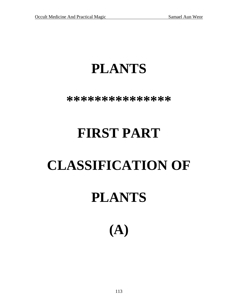### **PLANTS**

**\*\*\*\*\*\*\*\*\*\*\*\*\*\*\*** 

### **FIRST PART**

### **CLASSIFICATION OF**

### **PLANTS**

**(A)**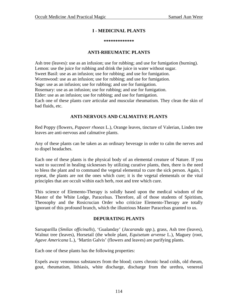#### **I - MEDICINAL PLANTS**

#### **\*\*\*\*\*\*\*\*\*\*\*\*\***

#### **ANTI-RHEUMATIC PLANTS**

Ash tree (leaves): use as an infusion; use for rubbing; and use for fumigation (burning). Lemon: use the juice for rubbing and drink the juice in water without sugar. Sweet Basil: use as an infusion; use for rubbing; and use for fumigation. Wormwood: use as an infusion; use for rubbing; and use for fumigation. Sage: use as an infusion; use for rubbing; and use for fumigation. Rosemary: use as an infusion; use for rubbing; and use for fumigation. Elder: use as an infusion; use for rubbing; and use for fumigation. Each one of these plants cure articular and muscular rheumatism. They clean the skin of bad fluids, etc.

#### **ANTI-NERVOUS AND CALMATIVE PLANTS**

Red Poppy (flowers, *Papaver rhoeas* L.), Orange leaves, tincture of Valerian, Linden tree leaves are anti-nervous and calmative plants.

Any of these plants can be taken as an ordinary beverage in order to calm the nerves and to dispel headaches.

Each one of these plants is the physical body of an elemental creature of Nature. If you want to succeed in healing sicknesses by utilizing curative plants, then, there is the need to bless the plant and to command the vegetal elemental to cure the sick person. Again, I repeat, the plants are not the ones which cure; it is the vegetal elementals or the vital principles that are occult within each herb, root and tree which cure.

This science of Elemento-Therapy is solidly based upon the medical wisdom of the Master of the White Lodge, Paracelsus. Therefore, all of those students of Spiritism, Theosophy and the Rosicrucian Order who criticize Elemento-Therapy are totally ignorant of this profound branch, which the illustrious Master Paracelsus granted to us.

#### **DEPURATING PLANTS**

Sarsaparilla (*Smilax officinalls*), 'Gualanday' (*Jacaranda spp*.), grass, Ash tree (leaves), Walnut tree (leaves), Horsetail (the whole plant, *Equisetum arvense* L.), Maguey (root, *Agave Americana* L.), 'Martin Galvis' (flowers and leaves) are purifying plants.

Each one of these plants has the following properties:

Expels away venomous substances from the blood; cures chronic head colds, old rheum, gout, rheumatism, lithiasis, white discharge, discharge from the urethra, venereal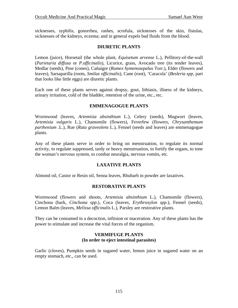sicknesses, syphilis, gonorrhea, rashes, scrofula, sicknesses of the skin, fistulas, sicknesses of the kidneys, eczema; and in general expels bad fluids from the blood.

#### **DIURETIC PLANTS**

Lemon (juice), Horsetail (the whole plant, *Equisetum arvense* L.), Pellitory-of-the-wall (*Parietaria diffusa* or *P.officinalis*), Licorice, grass, Avocado tree (its tender leaves), Medlar (seeds), Pine (cones), Cañaigre (*Rumex hymenosepalus* Torr.), Elder (flowers and leaves), Sarsaparilla (roots, *Smilax officinalis*), Cane (root), 'Caracola' (*Besleria spp*, part that looks like little eggs) are diuretic plants.

Each one of these plants serves against dropsy, gout, lithiasis, illness of the kidneys, urinary irritation, cold of the bladder, retention of the urine, etc., etc.

#### **EMMENAGOGUE PLANTS**

Wormwood (leaves, *Artemisia absinthium* L.), Celery (seeds), Mugwort (leaves, *Artemisia vulgaris* L.), Chamomile (flowers), Feverfew (flowers, *Chrysanthemum parthenium* .L.), Rue (*Ruta graveolens* L.), Fennel (seeds and leaves) are emmenagogue plants.

Any of these plants serve in order to bring on menstruation, to regulate its normal activity, to regulate suppressed, tardy or heavy menstruation, to fortify the organs, to tone the woman's nervous system, to combat neuralgia, nervous vomits, etc.

#### **LAXATIVE PLANTS**

Almond oil, Castor or Resin oil, Senna leaves, Rhubarb in powder are laxatives.

#### **RESTORATIVE PLANTS**

Wormwood (flowers and shoots, *Artemisia absinthium* L.), Chamomile (flowers), Cinchona (bark, *Cinchona spp*.), Coca (leaves, *Erythroxylon spp*.), Fennel (seeds), Lemon Balm (leaves, *Melissa officinalis* L.), Parsley are restorative plants.

They can be consumed in a decoction, inftision or maceration. Any of these plants has the power to stimulate and increase the vital forces of the organism.

#### **VERMIFUGE PLANTS (In order to eject intestinal parasites)**

Garlic (cloves), Pumpkin seeds in sugared water, lemon juice in sugared water on an empty stomach, etc., can be used.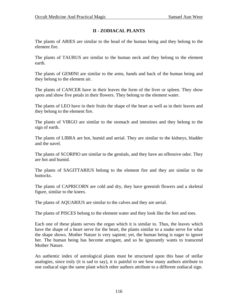#### **II - ZODIACAL PLANTS**

The plants of ARIES are similar to the head of the human being and they belong to the element fire.

The plants of TAURUS are similar to the human neck and they belong to the element earth.

The plants of GEMINI are similar to the arms, hands and back of the human being and they belong to the element air.

The plants of CANCER have in their leaves the form of the liver or spleen. They show spots and show five petals in their flowers. They belong to the element water.

The plants of LEO have in their fruits the shape of the heart as well as in their leaves and they belong to the element fire.

The plants of VIRGO are similar to the stomach and intestines and they belong to the sign of earth.

The plants of LIBRA are hot, humid and aerial. They are similar to the kidneys, bladder and the navel.

The plants of SCORPIO are similar to the genitals, and they have an offensive odor. They are hot and humid.

The plants of SAGITTARIUS belong to the element fire and they are similar to the buttocks.

The plants of CAPRICORN are cold and dry, they have greenish flowers and a skeletal figure, similar to the knees.

The plants of AQUARIUS are similar to the calves and they are aerial.

The plants of PISCES belong to the element water and they look like the feet and toes.

Each one of these plants serves the organ which it is similar to. Thus, the leaves which have the shape of a heart serve for the heart, the plants similar to a snake serve for what the shape shows. Mother Nature is very sapient; yet, the human being is eager to ignore her. The human being has become arrogant, and so he ignorantly wants to transcend Mother Nature.

An authentic index of astrological plants must be structured upon this base of stellar analogies, since truly (it is sad to say), it is painful to see how many authors attribute to one zodiacal sign the same plant which other authors attribute to a different zodiacal sign.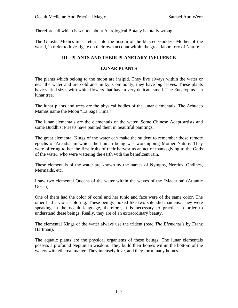Therefore, all which is written about Astrological Botany is totally wrong.

The Gnostic Medics must return into the bosom of the blessed Goddess Mother of the world, in order to investigate on their own account within the great laboratory of Nature.

#### **III - PLANTS AND THEIR PLANETARY INFLUENCE**

#### **LUNAR PLANTS**

The plants which belong to the moon are insipid. They live always within the water or near the water and are cold and milky. Commonly, they have big leaves. These plants have varied sizes with white flowers that have a very delicate smell. The Eucalyptus is a lunar tree.

The lunar plants and trees are the physical bodies of the lunar elementals. The Arhuaco Mamas name the Moon "La Saga Tima."

The lunar elementals are the elementals of the water. Some Chinese Adept artists and some Buddhist Priests have painted them in beautiful paintings.

The great elemental Kings of the water can make the student to remember those remote epochs of Arcadia, in which the human being was worshipping Mother Nature. They were offering to her the first fruits of their harvest as an act of thanksgiving to the Gods of the water, who were watering the earth with the beneficent rain.

These elementals of the water are known by the names of Nymphs, Nereids, Ondines, Mermaids, etc.

I saw two elemental Queens of the water within the waves of the 'Macuriba' (Atlantic Ocean).

One of them had the color of coral and her tunic and face were of the same color. The other had a violet coloring. These beings looked like two splendid maidens. They were speaking in the occult language, therefore, it is necessary to practice in order to understand these beings. Really, they are of an extraordinary beauty.

The elemental Kings of the water always use the trident (read *The Elementals* by Franz Hartman).

The aquatic plants are the physical organisms of these beings. The lunar elementals possess a profound Neptunian wisdom. They build their homes within the bottom of the waters with ethereal matter. They intensely love, and they form many homes.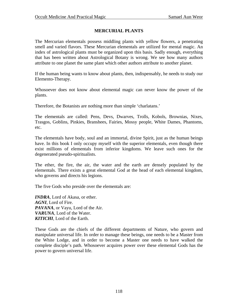#### **MERCURIAL PLANTS**

The Mercurian elementals possess middling plants with yellow flowers, a penetrating smell and varied flavors. These Mercurian elementals are utilized for mental magic. An index of astrological plants must be organized upon this basis. Sadly enough, everything that has been written about Astrological Botany is wrong. We see how many authors attribute to one planet the same plant which other authors attribute to another planet.

If the human being wants to know about plants, then, indispensably, he needs to study our Elemento-Therapy.

Whosoever does not know about elemental magic can never know the power of the plants.

Therefore, the Botanists are nothing more than simple 'charlatans.'

The elementals are called: Pens, Devs, Dwarves, Trolls, Kobols, Brownias, Nixes, Trasgos, Goblins, Pinkies, Branshees, Fairies, Mossy people, White Dames, Phantoms, etc.

The elementals have body, soul and an immortal, divine Spirit, just as the human beings have. In this book I only occupy myself with the superior elementals, even though there exist millions of elementals from inferior kingdoms. We leave such ones for the degenerated pseudo-spiritualists.

The ether, the fire, the air, the water and the earth are densely populated by the elementals. There exists a great elemental God at the head of each elemental kingdom, who governs and directs his legions.

The five Gods who preside over the elementals are:

*INDRA*, Lord of Akasa, or ether. *AGNI*, Lord of Fire. *PAVANA*, or Vayu, Lord of the Air. *VARUNA*, Lord of the Water. *KITICHI*, Lord of the Earth.

These Gods are the chiefs of the different departments of Nature, who govern and manipulate universal life. In order to manage these beings, one needs to be a Master from the White Lodge, and in order to become a Master one needs to have walked the complete disciple's path. Whosoever acquires power over these elemental Gods has the power to govern universal life.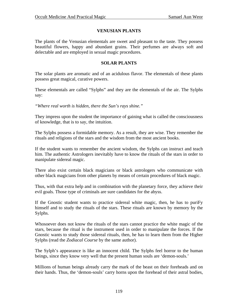#### **VENUSIAN PLANTS**

The plants of the Venusian elementals are sweet and pleasant to the taste. They possess beautiful flowers, happy and abundant grains. Their perfumes are always soft and delectable and are employed in sexual magic procedures.

#### **SOLAR PLANTS**

The solar plants are aromatic and of an acidulous flavor. The elementals of these plants possess great magical, curative powers.

These elementals are called "Sylphs" and they are the elementals of the air. The Sylphs say:

*"Where real worth is hidden, there the Sun's rays shine."* 

They impress upon the student the importance of gaining what is called the consciousness of knowledge, that is to say, the intuition.

The Sylphs possess a formidable memory. As a result, they are wise. They remember the rituals and religions of the stars and the wisdom from the most ancient books.

If the student wants to remember the ancient wisdom, the Sylphs can instruct and teach him. The authentic Astrologers inevitably have to know the rituals of the stars in order to manipulate sidereal magic.

There also exist certain black magicians or black astrologers who communicate with other black magicians from other planets by means of certain procedures of black magic.

Thus, with that extra help and in combination with the planetary force, they achieve their evil goals. Those type of criminals are sure candidates for the abyss.

If the Gnostic student wants to practice sidereal white magic, then, he has to puriFy himself and to study the rituals of the stars. These rituals are known by memory by the Sylphs.

Whosoever does not know the rituals of the stars cannot practice the white magic of the stars, because the ritual is the instrument used in order to manipulate the forces. If the Gnostic wants to study those sidereal rituals, then, he has to learn them from the Higher Sylphs (read the *Zodiacal Course* by the same author).

The Sylph's appearance is like an innocent child. The Sylphs feel horror to the human beings, since they know very well that the present human souls are 'demon-souls.'

Millions of human beings already carry the mark of the beast on their foreheads and on their hands. Thus, the 'demon-souls' carry horns upon the forehead of their astral bodies,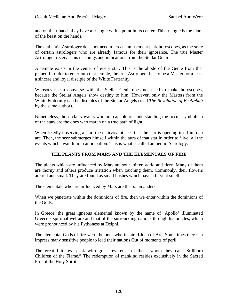and on their hands they have a triangle with a point in its center. This triangle is the niark of the beast on the hands.

The authentic Astrologer does not need to create amusement park horoscopes, as the style of certain astrologers who are already famous for their ignorance. The true Master Astrologer receives his teachings and indications from the Stellar Genii.

A temple exists in the center of every star. This is the abode of the Genie from that planet. In order to enter into that temple, the true Astrologer has to be a Master, or a least a sincere and loyal disciple of the White Fraternity.

Whosoever can converse with the Stellar Genii does not need to make horoscopes, because the Stellar Angels show destiny to him. However, only the Masters from the White Fraternity can be disciples of the Stellar Angels (read *The Revolution of Beelzebub* by the same author).

Nonetheless, those clairvoyants who are capable of understanding the occult symbolism of the stars are the ones who march on a true path of light.

When fixedly observing a star, the clairvoyant sees that the star is opening itself into an arc. Then, the seer submerges himself within the aura of that star in order to 'live' all the events which await him in anticipation. This is what is called authentic Astrology.

#### **THE PLANTS FROM MARS AND THE ELEMENTALS OF FIRE**

The plants which are influenced by Mars are sour, bitter, acrid and fiery. Many of them are thorny and others produce irritation when touching them. Commonly, their flowers are red and small. They are found as small bushes which have a fervent smell.

The elementals who are influenced by Mars are the Salamanders.

When we penetrate within the dominions of fire, then we enter within the dominions of the Gods.

In Greece, the great igneous elemental known by the name of 'Apollo' illuminated Greece's spiritual welfare and that of the surrounding nations through his oracles, which were pronounced by his Pythoness at Delphi.

The elemental Gods of fire were the ones who inspired Joan of Arc. Sometimes they can impress many sensitive people to lead their nations Out of moments of peril.

The great Initiates speak with great reverence of those whom they call "Stillborn Children of the Flame." The redemption of mankind resides exclusively in the Sacred Fire of the Holy Spirit.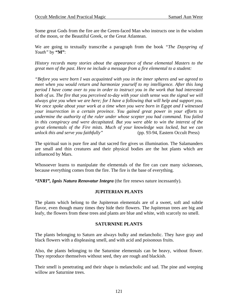Some great Gods from the fire are the Green-faced Man who instructs one in the wisdom of the moon, or the Beautiful Greek, or the Great Atlantean.

We are going to textually transcribe a paragraph from the book *"The Dayspring of Youth"* by **"M"**:

*History records many stories about the appearance of these elemental Masters to the great men of the past. Here ne include a message from a fire elemental to a student:* 

*"Before you were born I was acquainted with you in the inner spheres and we agreed to meet when you would return and harmonize yourself to my intelligence. After this long period I have come over to you in order to instruct you in ihe work that had interested*  both of us. The fire that you perceived to-day with your sixth sense was the signal we will *always give you when we are here; for I have a following that will help and support you. We once spoke about your work at a time when you were born in Egypt and I witnessed your insurrection in a certain province. You gained great power in your efforts to undermine the authority of the ruler under whose scepter you had command. You failed in this conspiracy and were decapitated. But you were able to win the interest of the great elementals of the Fire mists. Much of your knowledge was locked, but we can unlock this and serve you faithfully"* (pp. 93-94, Eastern Occult Press)

The spiritual sun is pure fire and that sacred fire gives us illumination. The Salamanders are small and thin creatures and their physical bodies are the hot plants which are influenced by Mars.

Whosoever learns to manipulate the elementals of the fire can cure many sicknesses, because everything comes from the fire. The fire is the base of everything.

*"INRI", Ignis Natura Renovatur Integra* (the fire renews nature incessantly).

#### **JUPITERIAN PLANTS**

The plants which belong to the Jupiterean elementals are of a sweet, soft and subtle flavor, even though many times they hide their flowers. The Jupiterean trees are big and leafy, the flowers from these trees and plants are blue and white, with scarcely no smell.

#### **SATURNINE PLANTS**

The plants belonging to Saturn are always bulky and melancholic. They have gray and black flowers with a displeasing smell, and with acid and poisonous fruits.

Also, the plants belonging to the Saturnine elementals can be heavy, without flower. They reproduce themselves without seed, they are rough and blackish.

Their smell is penetrating and their shape is melancholic and sad. The pine and weeping willow are Saturnine trees.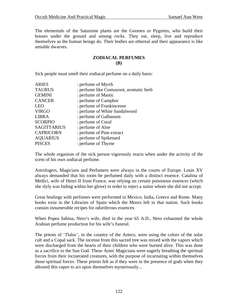The elementals of the Saturnine plants are the Gnomes or Pygmies, who build their houses under the ground and among rocks. They eat, sleep, live and reproduce themselves as the human beings do. Their bodies are ethereal and their appearance is like amiable dwarves.

#### **ZODIACAL PERFUMES (B)**

Sick people must smell their zodiacal perfume on a daily basis:

| : perfume of Myrrh                       |
|------------------------------------------|
| : perfume like Costusroot, aromatic herb |
| : perfume of Mastic                      |
| : perfume of Camphor                     |
| : perfume of Frankincense                |
| : perfume of White Sandalwood            |
| : perfume of Galbanum                    |
| : perfume of Coral                       |
| : perfume of Aloe                        |
| : perfume of Pine extract                |
| : perfume of Spikenard                   |
| : perfume of Thyme                       |
|                                          |

The whole organism of the sick person vigorously reacts when under the activity of the scent of his own zodiacal perfume.

Astrologers, Magicians and Perfumers were always in the courts of Europe. Louis XV always demanded that his room be perfumed daily with a distinct essence. Catalina of Medici, wife of Henri II from France, was relying on certain poisonous essences (which she slyly was hiding within her glove) in order to reject a suitor whom she did not accept.

Great healings with perfumes were performed in Mexico, India, Greece and Rome. Many books exist in the Libraries of Spain which the Moors left in that nation. Such books contain innumerable recipes for odoriferous essences.

When Popea Sabina, Nero's wife, died in the year 65 A.D., Nero exhausted the whole Arabian perfume production for his wife's funeral.

The priests of 'Tlaloc', in the country of the Aztecs, were using the colors of the solar cult and a Copal sack. The incense from this sacred tree was mixed with the vapors which were discharged from the hearts of their children who were burned alive. This was done as a sacrifice to the Sun God. These Aztec Magicians were eagerly breathing the spiritual forces from their incinerated creatures, with the purpose of incarnating within themselves those spiritual forces. These priests felt as if they were in the presence of gods when they allowed this vapor to act upon themselves mysteriously...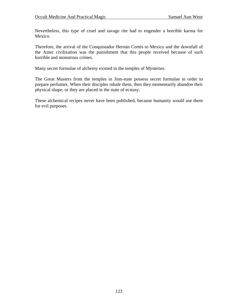Nevertheless, this type of cruel and savage rite had to engender a horrible karma for Mexico.

Therefore, the arrival of the Conquistador Hernán Cortés to Mexico and the downfall of the Aztec civilization was the punishment that this people received because of such horrible and monstrous crimes.

Many secret formulae of alchemy existed in the temples of Mysteries.

The Great Masters from the temples in Jinn-state possess secret formulae in order to prepare perfumes. When their disciples inhale them, then they momentarily abandon their physical shape, or they are placed in the state of ecstasy.

These alchemical recipes never have been published, because humanity would use them for evil purposes.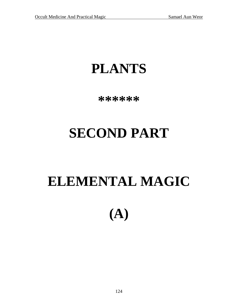### **PLANTS**

**\*\*\*\*\*\*** 

### **SECOND PART**

## **ELEMENTAL MAGIC**

**(A)**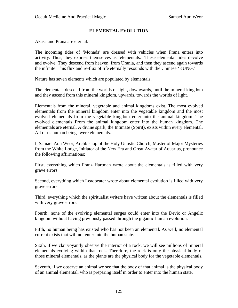#### **ELEMENTAL EVOLUTION**

Akasa and Prana are eternal.

The incoming tides of 'Monads' are dressed with vehicles when Prana enters into activity. Thus, they express themselves as 'elementals.' These elemental tides devolve and evolve. They descend from heaven, from Urania, and then they ascend again towards the infinite. This flux and re-flux of life eternally resounds with the Chinese 'KUNG.'

Nature has seven elements which are populated by elementals.

The elementals descend from the worlds of light, downwards, until the mineral kingdom and they ascend from this mineral kingdom, upwards, towards the worlds of light.

Elementals from the mineral, vegetable and animal kingdoms exist. The most evolved elementals from the mineral kingdom enter into the vegetable kingdom and the most evolved elementals from the vegetable kingdom enter into the animal kingdom. The evolved elementals From the animal kingdom enter into the human kingdom. The elementals are eternal. A divine spark, the Intimate (Spirit), exists within every elemental. All of us human beings were elementals.

I, Samael Aun Weor, Archbishop of the Holy Gnostic Church, Master of Major Mysteries from the White Lodge, Initiator of the New Era and Great Avatar of Aquarius, pronounce the following affirmations:

First, everything which Franz Hartman wrote about the elementals is filled with very grave errors.

Second, everything which Leadbeater wrote about elemental evolution is filled with very grave errors.

Third, everything which the spiritualist writers have written about the elementals is filled with very grave errors.

Fourth, none of the evolving elemental surges could enter into the Devic or Angelic kingdom without having previously passed through the gigantic human evolution.

Fifth, no human being has existed who has not been an elemental. As well, no elemental current exists that will not enter into the human state.

Sixth, if we clairvoyantly observe the interior of a rock, we will see millions of mineral elementals evolving within that rock. Therefore, the rock is only the physical body of those mineral elementals, as the plants are the physical body for the vegetable elementals.

Seventh, if we observe an animal we see that the body of that animal is the physical body of an animal elemental, who is preparing itself in order to enter into the human state.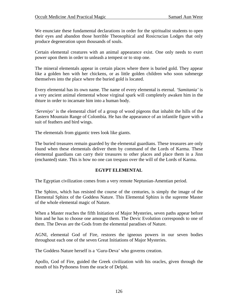We enunciate these fundamental declarations in order for the spiritualist students to open their eyes and abandon those horrible Theosophical and Rosicrucian Lodges that only produce degeneration upon thousands of souls.

Certain elemental creatures with an animal appearance exist. One only needs to exert power upon them in order to unleash a tempest or to stop one.

The mineral elementals appear in certain places where there is buried gold. They appear like a golden hen with her chickens, or as little golden children who soon submerge themselves into the place where the buried gold is located.

Every elemental has its own name. The name of every elemental is eternal. *'Samitania'* is a very ancient animal elemental whose virginal spark will completely awaken him in the thture in order to incarnate him into a human body.

*'Sereniyo'* is the elemental chief of a group of wood pigeons that inhabit the hills of the Eastern Mountain Range of Colombia. He has the appearance of an infantile figure with a suit of feathers and bird wings.

The elementals from gigantic trees look like giants.

The buried treasures remain guarded by the elemental guardians. These treasures are only found when these elementals deliver them by command of the Lords of Karma. These elemental guardians can carry their treasures to other places and place them in a Jinn (enchanted) state. This is how no one can trespass over the will of the Lords of Karma.

#### **EGYPT ELEMENTAL**

The Egyptian civilization comes from a very remote Neptunian-Amentian period.

The Sphinx, which has resisted the course of the centuries, is simply the image of the Elemental Sphinx of the Goddess Nature. This Elemental Sphinx is the supreme Master of the whole elemental magic of Nature.

When a Master reaches the fifth Initiation of Major Mysteries, seven paths appear before him and he has to choose one amongst them. The Devic Evolution corresponds to one of them. The Devas are the Gods from the elemental paradises of Nature.

AGNI, elemental God of Fire, restores the igneous powers in our seven bodies throughout each one of the seven Great Initiations of Major Mysteries.

The Goddess Nature herself is a 'Guru-Deva' who governs creation.

Apollo, God of Fire, guided the Greek civilization with his oracles, given through the mouth of his Pythoness from the oracle of Delphi.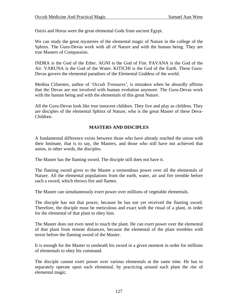Osiris and Horus were the great elemental Gods from ancient Egypt.

We can study the great mysteries of the elemental magic of Nature in the college of the Sphinx. The Guru-Devas work with all of Nature and with the human being. They are true Masters of Compassion.

INDRA is the God of the Ether. AGNI is the God of Fire. PAVANA is the God of the Air. VARUNA is the God of the Water. KITICHI is the God of the Earth. These Guru-Devas govern the elemental paradises of the Elemental Goddess of the world.

Medina Cifuentes, author of *'Occult Treasures'*, is mistaken when he absurdly affirms that the Devas are not involved with human evolution anymore. The Guru-Devas work with the human being and with the elementals of this great Nature.

All the Guru-Devas look like true innocent children. They live and play as children. They are disciples of the elemental Sphinx of Nature, who is the great Master of these Deva-Children.

#### **MASTERS AND DISCIPLES**

A fundamental difference exists between those who have already reached the union with their Intimate, that is to say, the Masters, and those who still have not achieved that union, in other words, the disciples.

The Master has the flaming sword. The disciple still does not have it.

The flaming sword gives to the Master a tremendous power over all the elementals of Nature. All the elemental populations from the earth, water, air and fire tremble before such a sword, which throws fire and flames.

The Master can simultaneously exert power over millions of vegetable elementals.

The disciple has not that power, because he has not yet received the flaming sword. Therefore, the disciple must be meticulous and exact with the ritual of a plant, in order for the elemental of that plant to obey him.

The Master does not even need to touch the plant. He can exert power over the elemental of that plant from remote distances, because the elemental of the plant trembles with terror before the flaming sword of the Master.

It is enough for the Master to unsheath his sword in a given moment in order for millions of elementals to obey his command.

The disciple cannot exert power over various elementals at the same time. He has to separately operate upon each elemental, by practicing around each plant the rite of elemental magic.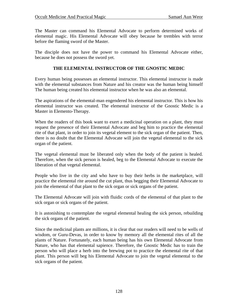The Master can command his Elemental Advocate to perform determined works of elemental magic. His Elemental Advocate will obey because he trembles with terror before the flaming sword of the Master.

The disciple does not have the power to command his Elemental Advocate either, because he does not possess the sword yet.

#### **THE ELEMENTAL INSTRUCTOR OF THE GNOSTIC MEDIC**

Every human being possesses an elemental instructor. This elemental instructor is made with the elemental substances from Nature and his creator was the human being himself The human being created his elemental instructor when he was also an elemental.

The aspirations of the elemental-man engendered his elemental instructor. This is how his elemental instructor was created. The elemental instructor of the Gnostic Medic is a Master in Elemento-Therapy.

When the readers of this book want to exert a medicinal operation on a plant, they must request the presence of their Elemental Advocate and beg him to practice the elemental rite of that plant, in order to join its vegetal element to the sick organ of the patient. Then, there is no doubt that the Elemental Advocate will join the vegetal elemental to the sick organ of the patient.

The vegetal elemental must be liberated only when the body of the patient is healed. Therefore, when the sick person is healed, beg to the Elemental Advocate to execute the liberation of that vegetal elemental.

People who live in the city and who have to buy their herbs in the marketplace, will practice the elemental rite around the cut plant, thus begging their Elemental Advocate to join the elemental of that plant to the sick organ or sick organs of the patient.

The Elemental Advocate will join with fluidic cords of the elemental of that plant to the sick organ or sick organs of the patient.

It is astonishing to contemplate the vegetal elemental healing the sick person, rebuilding the sick organs of the patient.

Since the medicinal plants are millions, it is clear that our readers will need to be wells of wisdom, or Guru-Devas, in order to know by memory all the elemental rites of all the plants of Nature. Fortunately, each human being has his own Elemental Advocate from Nature, who has that elemental sapience. Therefore, the Gnostic Medic has to train the person who will place a herb into the brewing pot to practice the elemental rite of that plant. This person will beg his Elemental Advocate to join the vegetal elemental to the sick organs of the patient.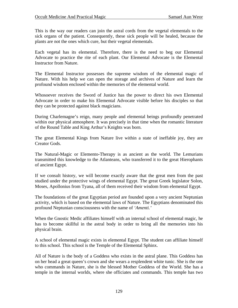This is the way our readers can join the astral cords from the vegetal elementals to the sick organs of the patient. Consequently, these sick people will be healed, because the plants are not the ones which cure, but their vegetal elementals.

Each vegetal has its elemental. Therefore, there is the need to beg our Elemental Advocate to practice the rite of each plant. Our Elemental Advocate is the Elemental Instructor from Nature.

The Elemental Instructor possesses the supreme wisdom of the elemental magic of Nature. With his help we can open the storage and archives of Nature and learn the profound wisdom enclosed within the memories of the elemental world.

Whosoever receives the Sword of Justice has the power to direct his own Elemental Advocate in order to make his Elemental Advocate visible before his disciples so that they can be protected against black magicians.

During Charlemagne's reign, many people and elemental beings profoundly penetrated within our physical atmosphere. It was precisely in that time when the romantic literature of the Round Table and King Arthur's Knights was born.

The great Elemental Kings from Nature live within a state of ineffable joy, they are Creator Gods.

The Natural-Magic or Elemento-Therapy is as ancient as the world. The Lemurians transmitted this knowledge to the Atlanteans, who transferred it to the great Hierophants of ancient Egypt.

If we consult history, we will become exactly aware that the great men from the past studied under the protective wings of elemental Egypt. The great Greek legislator Solon, Moses, Apollonius from Tyana, all of them received their wisdom from elemental Egypt.

The foundations of the great Egyptian period are founded upon a very ancient Neptunian activity, which is based on the elemental laws of Nature. The Egyptians denominated this profound Neptunian consciousness with the name of *'Amenti.'*

When the Gnostic Medic affiliates himself with an internal school of elemental magic, he has to become skillful in the astral body in order to bring all the memories into his physical brain.

A school of elemental magic exists in elemental Egypt. The student can affiliate himself to this school. This school is the Temple of the Elemental Sphinx.

All of Nature is the body of a Goddess who exists in the astral plane. This Goddess has on her head a great queen's crown and she wears a resplendent white tunic. She is the one who commands in Nature, she is the blessed Mother Goddess of the World. She has a temple in the internal worlds, where she officiates and commands. This temple has two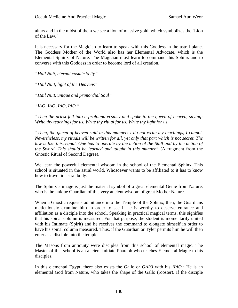altars and in the midst of them we see a lion of massive gold, which symbolizes the 'Lion of the Law.'

It is necessary for the Magician to learn to speak with this Goddess in the astral plane. The Goddess Mother of the World also has her Elemental Advocate, which is the Elemental Sphinx of Nature. The Magician must learn to command this Sphinx and to converse with this Goddess in order to become lord of all creation.

*"Hail Nuit, eternal cosmic Seity"* 

*"Hail Nuit, light of the Heavens"* 

*"Hail Nuit, unique and primordial Soul"* 

*"IAO, IAO, IAO, IAO."* 

*"Then the priest fell into a profound ecstasy and spoke to the queen of heaven, saying: Write thy teachings for us. Write thy ritual for us. Write thy light for us.* 

*"Then, the queen of heaven said in this manner: I do not write my teachings, I cannot. Nevertheless, my rituals will be written for all, yet only that part which is not secret. The*  law is like this, equal. One has to operate by the action of the Staff and by the action of *the Sword. This should be learned and taught in this manner"* (A fragment from the Gnostic Ritual of Second Degree).

We learn the powerful elemental wisdom in the school of the Elemental Sphinx. This school is situated in the astral world. Whosoever wants to be affiliated to it has to know how to travel in astral body.

The Sphinx's image is just the material symbol of a great elemental Genie from Nature, who is the unique Guardian of this very ancient wisdom of great Mother Nature.

When a Gnostic requests admittance into the Temple of the Sphinx, then, the Guardians meticulously examine him in order to see if he is worthy to deserve entrance and affiliation as a disciple into the school. Speaking in practical magical terms, this signifies that his spinal column is measured. For that purpose, the student is momentarily united with his Intimate (Spirit) and he receives the command to elongate himself in order to have his spinal column measured. Thus, if the Guardian or Tyler permits him he will then enter as a disciple into the temple.

The Masons from antiquity were disciples from this school of elemental magic. The Master of this school is an ancient Initiate Pharaoh who teaches Elemental Magic to his disciples.

In this elemental Egypt, there also exists the Gallo or *GAIO* with his *'IAO.'* He is an elemental God from Nature, who takes the shape of the Gallo (rooster). If the disciple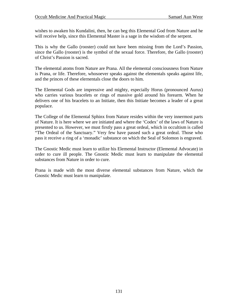wishes to awaken his Kundalini, then, he can beg this Elemental God from Nature and he will receive help, since this Elemental Master is a sage in the wisdom of the serpent.

This is why the Gallo (rooster) could not have been missing from the Lord's Passion, since the Gallo (rooster) is the symbol of the sexual force. Therefore, the Gallo (rooster) of Christ's Passion is sacred.

The elemental atoms from Nature are Prana. All the elemental consciousness from Nature is Prana, or life. Therefore, whosoever speaks against the elementals speaks against life, and the princes of these elernentals close the doors to him.

The Elemental Gods are impressive and mighty, especially Horus (pronounced Aurus) who carries various bracelets or rings of massive gold around his forearm. When he delivers one of his bracelets to an Initiate, then this Initiate becomes a leader of a great populace.

The College of the Elemental Sphinx from Nature resides within the very innermost parts of Nature. It is here where we are initiated and where the 'Codex' of the laws of Nature is presented to us. However, we must firstly pass a great ordeal, which in occultism is called "The Ordeal of the Sanctuary." Very few have passed such a great ordeal. Those who pass it receive a ring of a 'monadic' substance on which the Seal of Solomon is engraved.

The Gnostic Medic must learn to utilize his Elemental Instructor (Elemental Advocate) in order to cure ill people. The Gnostic Medic must learn to manipulate the elemental substances from Nature in order to cure.

Prana is made with the most diverse elemental substances from Nature, which the Gnostic Medic must learn to manipulate.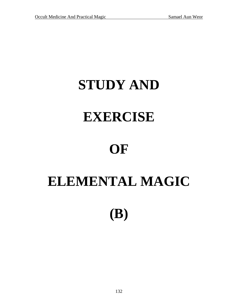### **STUDY AND**

### **EXERCISE**

### **OF**

# **ELEMENTAL MAGIC**

**(B)**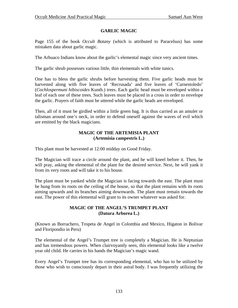#### **GARLIC MAGIC**

Page 155 of the book *Occult Botany* (which is attributed to Paracelsus) has some mistaken data about garlic magic.

The Arhuaco Indians know about the garlic's elemental magic since very ancient times.

The garlic shrub possesses various little, thin elementals with white tunics.

One has to bless the garlic shrubs before harvesting them. Five garlic heads must be harvested along with five leaves of 'Recrusada' and five leaves of 'Carnestoledo' (*Cochlospermuni hibiscoides* Kunth.) trees. Each garlic head must be enveloped within a leaf of each one of these trees. Such leaves must be placed in a cross in order to envelope the garlic. Prayers of faith must be uttered while the garlic heads are enveloped.

Then, all of it must be girdled within a little green bag. It is thus carried as an amulet or talisman around one's neck, in order to defend oneself against the waves of evil which are emitted by the black magicians.

#### **MAGIC OF THE ARTEMISIA PLANT (Artemisia campestris L.)**

This plant must be harvested at 12:00 midday on Good Friday.

The Magician will trace a circle around the plant, and he will kneel before it. Then, he will pray, asking the elemental of the plant for the desired service. Next, he will yank it from its very roots and will take it to his house.

The plant must be yanked while the Magician is facing towards the east. The plant must be hung from its roots on the ceiling of the house, so that the plant remains with its roots aiming upwards and its branches aiming downwards. The plant must remain towards the east. The power of this elemental will grant to its owner whatever was asked for.

#### **MAGIC OF THE ANGEL'S TRUMPET PLANT (Datura Arborea L.)**

(Known as Borrachero, Tropeta de Angel in Colombia and Mexico, Higaton in Bolivar and Floripondio in Peru)

The elemental of the Angel's Trumpet tree is completely a Magician. He is Neptunian and has tremendous powers. When clairvoyantly seen, this elemental looks like a twelve year old child. He carries in his hands the Magician's magic wand.

Every Angel's Trumpet tree has its corresponding elemental, who has to be utilized by those who wish to consciously depart in their astral body. I was frequently utilizing the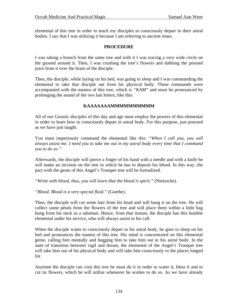elemental of this tree in order to teach my disciples to consciously depart in their astral bodies. I say that I was utilizing it because I am referring to ancient times.

#### **PROCEDURE**

I was taking a branch from the same tree and with it I was tracing a very wide circle on the ground around it. Then, I was crushing the tree's flowers and dabbing the pressed juice from it over the brain of the disciple.

Then, the disciple, while laying on his bed, was going to sleep and I was commanding the elemental to take that disciple out from his physical body. These commands were accompanied with the mantra of this tree, which is *"KAM"* and must be pronounced by prolonging the sound of the two last letters, like this:

#### **KAAAAAAAMMMMMMMMMM**

All of our Gnostic disciples of this day and age must employ the powers of this elemental in order to learn how to consciously depart in astral body. For this purpose, just proceed as we have just taught.

You must imperiously command the elemental like this: *"When I call you, you will always assist me. I need you to take me out in my astral body every time that I command you to do so."* 

Afterwards, the disciple will pierce a finger of his hand with a needle and with a knife he will make an incision on the tree in which he has to deposit his blood. In this way, the pact with the genie of this Angel's Trumpet tree will be formalized.

*"Write with blood, thus, you will learn that the blood is spirit."* (Nietzsche).

*"Blood. Blood is a very special fluid."* (Goethe).

Then, the disciple will cut some hair from his head and will hang it on the tree. He will collect some petals from the flowers of the tree and will place them within a little bag hung from his neck as a talisman. Hence, from that instant, the disciple has this humble elemental under his service, who will always assist to his call.

When the disciple wants to consciously depart in his astral body, he goes to sleep on his bed and pronounces the mantra of this tree. His mind is concentrated on this elemental genie, calling him mentally and begging him to take him out in his astral body. In the state of transition between vigil and dream, the elemental of the Angel's Trumpet tree will take him out of his physical body and will take him consciously to the places longed for.

Anytime the disciple can visit this tree he must do it in order to water it, bless it and to cut its flowers, which he will utilize whenever he wishes to do so. As we have already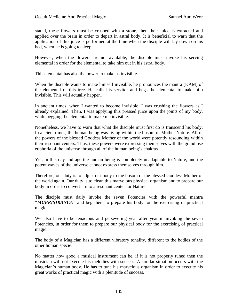stated, these flowers must be crushed with a stone, then their juice is extracted and applied over the brain in order to depart in astral body. It is beneficial to warn that the application of this juice is performed at the time when the disciple will lay down on his bed, when he is going to sleep.

However, when the flowers are not available, the disciple must invoke his serving elemental in order for the elemental to take him out in his astral body.

This elemental has also the power to make us invisible.

When the disciple wants to make himself invisible, he pronounces the mantra (KAM) of the elemental of this tree. He calls his servitor and begs the elemental to make him invisible. This will actually happen.

In ancient times, when I wanted to become invisible, I was crushing the flowers as I already explained. Then, I was applying this pressed juice upon the joints of my body, while begging the elemental to make me invisible.

Nonetheless, we have to warn that what the disciple must first do is transcend his body. In ancient times, the human being was living within the bosom of Mother Nature. All of the powers of the blessed Goddess Mother of the world were potently resounding within their resonant centers. Thus, these powers were expressing themselves with the grandiose euphoria of the universe through all of the human being's chakras.

Yet, in this day and age the human being is completely unadaptable to Nature, and the potent waves of the universe cannot express themselves through him.

Therefore, our duty is to adjust our body to the bosom of the blessed Goddess Mother of the world again. Our duty is to clean this marvelous physical organism and to prepare our body in order to convert it into a resonant center for Nature.

The disciple must daily invoke the seven Potencies with the powerful mantra *"MUERISIRANCA"* and beg them to prepare his body for the exercising of practical magic.

We also have to be tenacious and persevering year after year in invoking the seven Potencies, in order for them to prepare our physical body for the exercising of practical magic.

The body of a Magician has a different vibratory tonality, different to the bodies of the other human specie.

No matter how good a musical instrument can be, if it is not properly tuned then the musician will not execute his melodies with success. A similar situation occurs with the Magician's human body. He has to tune his marvelous organism in order to execute his great works of practical magic with a plenitude of success.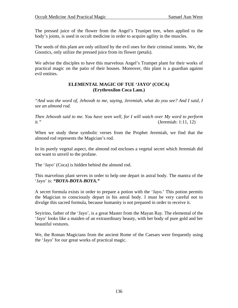The pressed juice of the flower from the Angel's Trunipet tree, when applied to the body's joints, is used in occult medicine in order to acquire agility in the muscles.

The seeds of this plant are only utilized by the evil ones for their criminal intents. We, the Gnostics, only utilize the pressed juice from its flower (petals).

We advise the disciples to have this marvelous Angel's Trumpet plant for their works of practical magic on the patio of their houses. Moreover, this plant is a guardian against evil entities.

#### **ELEMENTAL MAGIC OF TUE 'JAYO' (COCA) (Erythroxilon Coca Lam.)**

*"And was the word of, Jehovah to me, saying, Jeremiah, what do you see? And I said, I see an almond rod.* 

*Then Jehovah said to me. You have seen well, for I will watch over My word to perform it."* (Jeremiah: 1:11, 12)

When we study these symbolic verses from the Prophet Jeremiah, we find that the almond rod represents the Magician's rod.

In its purely vegetal aspect, the almond rod encloses a vegetal secret which Jeremiah did not want to unveil to the profane.

The 'Jayo' (Coca) is hidden behind the almond rod.

This marvelous plant serves in order to help one depart in astral body. The mantra of the 'Jayo' is: *"BOYA-BOYA-BOYA."*

A secret formula exists in order to prepare a potion with the 'Jayo.' This potion permits the Magician to consciously depart in his astral body. I must be very careful not to divulge this sacred formula, because humanity is not prepared in order to receive it.

Seyirino, father of the 'Jayo', is a great Master from the Mayan Ray. The elemental of the 'Jayo' looks like a maiden of an extraordinary beauty, with her body of pure gold and her beautiful vestures.

We, the Roman Magicians from the ancient Rome of the Caesars were frequently using the 'Jayo' for our great works of practical magic.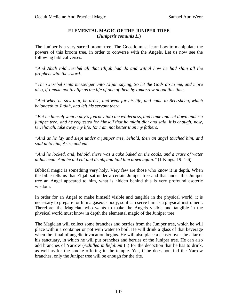#### **ELEMENTAL MAGIC OF THE JUNIPER TREE (***Juniperis comunis L***.)**

The Juniper is a very sacred broom tree. The Gnostic must learn how to manipulate the powers of this broom tree, in order to converse with the Angels. Let us now see the following biblical verses.

*"And Ahab told Jezebel all that Elijah had do and withal how he had slain all the prophets with the sword.* 

*"Then Jezebel senta messenger unto Elijah saying, So let the Gods do to me, and more also, if I make not thy life as the life of one of them by tomorrow about this time.* 

*"And when he saw that, he arose, and went for his life, and came to Beersheha, which belongeth to Judah, and left his servant there.* 

*"But he himself went a day's journey into the wilderness, and came and sat down under a juniper tree: and he requested for himself that he might die; and said, it is enough; now, O Jehovah, take away my life; for I am not better than my fathers.* 

*"And as he lay and slept under a juniper tree, behold, then an angel touched him, and said unto him, Arise and eat.* 

*"And he looked, and, behold, there was a cake baked on the coals, and a cruse of water at his head. And he did eat and drink, and laid him down again."* (1 Kings: 19: 1-6)

Biblical magic is something very holy. Very few are those who know it in depth. When the bible tells us that Elijah sat under a certain Juniper tree and that under this Juniper tree an Angel appeared to him, what is hidden behind this is very profound esoteric wisdom.

In order for an Angel to make himself visible and tangible in the physical world, it is necessary to prepare for him a gaseous body, so it can serve him as a physical instrument. Therefore, the Magician who wants to make the Angels visible and tangible in the physical world must know in depth the elemental magic of the Juniper tree.

The Magician will collect some branches and berries from the Juniper tree, which he will place within a container or pot with water to boil. He will drink a glass of that beverage when the ritual of angelic invocation begins. He will also place a censer over the altar of his sanctuary, in which he will put branches and berries of the Juniper tree. He can also add branches of Yarrow (*Achillea millefolium* L.) for the decoction that he has to drink, as well as for the smoke offering in the temple. Yet, if he does not find the Yarrow branches, only the Juniper tree will be enough for the rite.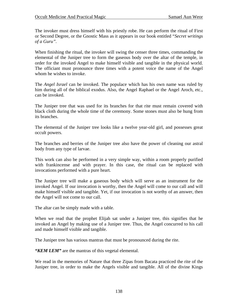The invoker must dress himself with his priestly robe. He can perform the ritual of First or Second Degree, or the Gnostic Mass as it appears in our book entitled "*Secret writings of a Guru".* 

When finishing the ritual, the invoker will swing the censer three times, commanding the elemental of the Juniper tree to form the gaseous body over the altar of the temple, in order for the invoked Angel to make himself visible and tangible in the physical world. The officiant must pronounce three times with a potent voice the name of the Angel whom he wishes to invoke.

The *Angel Israel* can be invoked. The populace which has his own name was ruled by him during all of the biblical exodus. Also, the Angel Raphael or the Angel Aroch, etc., can be invoked.

The Juniper tree that was used for its branches for that rite must remain covered with black cloth during the whole time of the ceremony. Some stones must also be hung from its branches.

The elemental of the Juniper tree looks like a twelve year-old girl, and possesses great occult powers.

The branches and berries of the Juniper tree also have the power of cleaning our astral body from any type of larvae.

This work can also be performed in a very simple way, within a room properly purified with frankincense and with prayer. In this case, the ritual can be replaced with invocations performed with a pure heart.

The Juniper tree will make a gaseous body which will serve as an instrument for the invoked Angel. If our invocation is worthy, then the Angel will come to our call and will make himself visible and tangible. Yet, if our invocation is not worthy of an answer, then the Angel will not come to our call.

The altar can be simply made with a table.

When we read that the prophet Elijah sat under a Juniper tree, this signifies that he invoked an Angel by making use of a Juniper tree. Thus, the Angel concurred to his call and made himself visible and tangible.

The Juniper tree has various mantras that must be pronounced during the rite.

*"KEM LEM"* are the mantras of this vegetal elemental.

We read in the memories of Nature that three Zipas from Bacata practiced the rite of the Juniper tree, in order to make the Angels visible and tangible. All of the divine Kings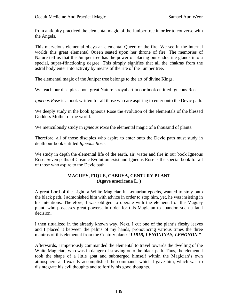from antiquity practiced the elemental magic of the Juniper tree in order to converse with the Angels.

This marvelous elemental obeys an elemental Queen of the fire. We see in the internal worlds this great elemental Queen seated upon her throne of fire. The memories of Nature tell us that the Juniper tree has the power of placing our endocrine glands into a special, super-ffinctioning degree. This simply signifies that all the chakras from the astral body enter into activity by means of the rite of the Juniper tree.

The elemental magic of the Juniper tree belongs to the art of divine Kings.

We teach our disciples about great Nature's royal art in our book entitled Igneous Rose.

*Igneous Rose* is a book written for all those who are aspiring to enter onto the Devic path.

We deeply study in the book Igneous Rose the evolution of the elementals of the blessed Goddess Mother of the world.

We meticulously study in *Igneous Rose* the elemental magic of a thousand of plants.

Therefore, all of those disciples who aspire to enter onto the Devic path must study in depth our book entitled *Igneous Rose*.

We study in depth the elemental life of the earth, air, water and fire in our book Igneous Rose. Seven paths of Cosmic Evolution exist and Jgneous Rose is the special book for all of those who aspire to the Devic path.

#### **MAGUEY, FIQUE, CABUYA, CENTURY PLANT (Agave americana L. )**

A great Lord of the Light, a White Magician in Lemurian epochs, wanted to stray onto the black path. I admonished him with advice in order to stop him, yet, he was insisting in his intentions. Therefore, I was obliged to operate with the elemental of the Maguey plant, who possesses great powers, in order for this Magician to abandon such a fatal decision.

I then ritualized in the already known way. Next, I cut one of the plant's fleshy leaves and I placed it between the palms of my hands, pronouncing various times the three mantras of this elemental from the Century plant: *"LIBIB, LENONINAS, LENONON."*

Afterwards, I imperiously commanded the elemental to travel towards the dwelling of the White Magician, who was in danger of straying onto the black path. Thus, the elemental took the shape of a little goat and submerged himself within the Magician's own atmosphere and exactly accomplished the commands which I gave him, which was to disintegrate his evil thoughts and to fortify his good thoughts.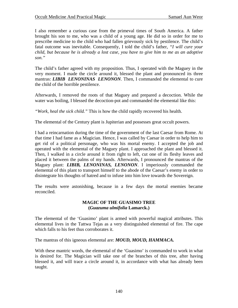I also remember a curious case from the primeval times of South America. A father brought his son to me, who was a child of a young age. He did so in order for me to prescribe medicine to the child who had fallen grievously sick by pestilence. The child's fatal outcome was inevitable. Consequently, I told the child's father, *"I will cure your child, but because he is already a lost case, you have to give him to me as an adoptive son."* 

The child's father agreed with my proposition. Thus, I operated with the Maguey in the very moment. I made the circle around it, blessed the plant and pronounced its three mantras: *LIBIB LENONINAS LENONON*. Then, I commanded the elemental to cure the child of the horrible pestilence.

Afterwards, I removed the roots of that Maguey and prepared a decoction. While the water was boiling, I blessed the decoction-pot and commanded the elemental like this:

*"Work, heal the sick child."* This is how the child rapidly recovered his health.

The elemental of the Century plant is Jupiterian and possesses great occult powers.

I had a reincarnation during the time of the government of the last Caesar from Rome. At that time I had fame as a Magician. Hence, I was called by Caesar in order to help him to get rid of a political personage, who was his mortal enemy. I accepted the job and operated with the elemental of the Maguey plant. I approached the plant and blessed it. Then, I walked in a circle around it from right to left, cut one of its fleshy leaves and placed it between the palms of my hands. Afterwards, I pronounced the mantras of the Maguey plant: *LIBIB, LENONINAS, LENONON*. I imperiously commanded the elemental of this plant to transport himself to the abode of the Caesar's enemy in order to disintegrate his thoughts of hatred and to infuse into him love towards the Sovereign.

The results were astonishing, because in a few days the mortal enemies became reconciled.

#### **MAGIC OF THE GUASIMO TREE (***Guazuma ulmifolia* **Lamarck.)**

The elemental of the 'Guasimo' plant is armed with powerful magical attributes. This elemental lives in the Tattwa Tejas as a very distinguished elemental of fire. The cape which falls to his feet thus corroborates it.

The mantras of this igneous elemental are: *MOUD, MOUD, HAMMACA.* 

With these mantric words, the elemental of the 'Guasimo' is commanded to work in what is desired for. The Magician will take one of the branches of this tree, after having blessed it, and will trace a circle around it, in accordance with what has already been taught.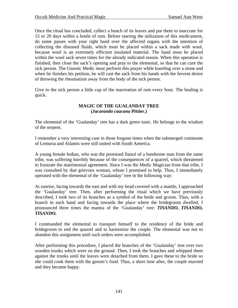Once the ritual has concluded, collect a bunch of its leaves and put them to maccrate for 15 or 20 days within a bottle of rum. Before starting the utilization of this medicament, do some passes with your right hand over the affected organs with the intention of collecting the diseased fluids, which must be placed within a sack made with wool, because wool is an extremely efficient insulated material. The hand must be placed within the wool sack seven times for the already indicated reason. When this operation is finished, then close the sack's opening and pray to the elemental, so that he can cure the sick person. The Gnostic Medic must perform this prayer while kneeling over a stone and when lie finishes his petition, he will cast the sack from his hands with the fervent desire of throwing the rheumatism away from the body of the sick person.

Give to the sick person a little cup of the maceration of rum every hour. The healing is quick.

#### **MAGIC OF THE GUALANDAY TREE (***Jacaranda caucana* **Pittier.)**

The elemental of the 'Gualanday' tree has a dark green tunic. He belongs to the wisdom of the serpent.

I remember a very interesting case in those forgone times when the submerged continents of Lemuria and Atlantis were still united with South America.

A young female Indian, who was the promised fiancé of a handsome man from the same tribe, was suffering horribly because of the consequences of a quarrel, which threatened to frustrate the matrimonial agreement. Since I was the Medic Magician from that tribe, I was consulted by that grievous woman, whom I promised to help. Thus, I immediately operated with the elemental of the 'Gualanday' tree in the following way:

At sunrise, facing towards the east and with my head covered with a mantle, I approached the 'Gualanday' tree. Then, after performing the ritual which we have previously described, I took two of its branches as a symbol of the bride and groom. Thus, with a branch in each hand and facing towards the place where the bridegroom dwelled, I pronounced three times the mantra of the 'Gualanday' tree: *TISANDO, TISANDO, TISANDO.* 

I commanded the elemental to transport himself to the residence of the bride and bridegroom to end the quarrel and to harmonize the couple. The elemental was not to abandon this assignment until such orders were accomplished.

After performing this procedure, I placed the branches of the 'Gualanday' tree over two wooden trunks which were on the ground. Then, I took the branches and whipped them against the trunks until the leaves were detached from them. I gave these to the bride so she could cook them with the groom's food. Thus, a short time after, the couple married and they became happy.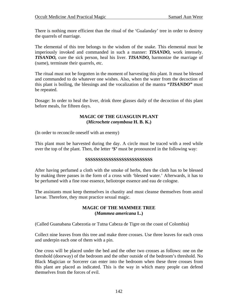There is nothing more efficient than the ritual of the 'Gualanday' tree in order to destroy the quarrels of marriage.

The elemental of this tree belongs to the wisdom of the snake. This elemental must be imperiously invoked and commanded in such a manner: *TISANDO,* work intensely. *TISANDO,* cure the sick person, heal his liver. *TISANDO,* harmonize the marriage of (name), terminate their quarrels, etc.

The ritual must not be forgotten in the moment of harvesting this plant. It must be blessed and commanded to do whatever one wishes. Also, when the water from the decoction of this plant is boiling, the blessings and the vocalization of the mantra *"TISANDO"* must be repeated.

Dosage: In order to heal the liver, drink three glasses daily of the decoction of this plant before meals, for fifteen days.

#### **MAGIC OF THE GUASGUIN PLANT (***Microchete conymbosa* **H. B. K.)**

(In order to reconcile oneself with an enemy)

This plant must be harvested during the day. A circle must be traced with a reed while over the top of the plant. Then, the letter *'S'* must be pronounced in the following way:

#### **SSSSSSSSSSSSSSSSSSSSSSSSSS**

After having perfumed a cloth with the smoke of herbs, then the cloth has to be blessed by making three passes in the form of a cross with 'blessed water.' Afterwards, it has to be perfumed with a fine rose essence, heliotrope essence and eau de cologne.

The assistants must keep themselves in chastity and must cleanse themselves from astral larvae. Therefore, they must practice sexual magic.

#### **MAGIC OF THE MAMMEE TREE (***Mammea americana* **L.)**

(Called Guanabana Cabezotia or Tutna Cabeza de Tigre on the coast of Colombia)

Collect nine leaves from this tree and make three crosses. Use three leaves for each cross and underpin each one of them with a pin.

One cross will be placed under the bed and the other two crosses as follows: one on the threshold (doorway) of the bedroom and the other outside of the bedroom's threshold. No Black Magician or Sorcerer can enter into the bedroom when these three crosses from this plant are placed as indicated. This is the way in which many people can defend themselves from the forces of evil.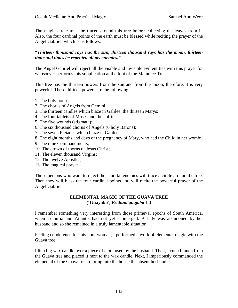The magic circle must be traced around this tree before collecting the leaves from it. Also, the four cardinal points of the earth must be blessed while reciting the prayer of the Angel Gabriel, which is as follows:

#### *"Thirteen thousand rays has the sun, thirteen thousand rays has the moon, thirteen thousand times be repented all my enemies."*

The Angel Gabriel will reject all the visible and invisible evil entities with this prayer for whosoever performs this supplication at the foot of the Mammee Tree.

This tree has the thirteen powers from the sun and from the moon; therefore, it is very powerful. These thirteen powers are the following:

- 1. The holy house;
- 2. The chorus of Angels from Gemini;
- 3. The thirteen candles which blaze in Galilee, the thirteen Marys;
- 4. The four tablets of Moses and the coffin,
- 5. The five wounds (stigmata);
- 6. The six thousand chorus of Angels (6 holy Barons);
- 7. The seven Pleiades which blaze in Galilee;
- 8. The eight months and days of the pregnancy of Mary, who had the Child in her womb;
- 9. The nine Commandments;
- 10. The crown of thorns of Jesus Christ;
- 11. The eleven thousand Virgins;
- 12. The twelve Apostles;
- 13. The magical prayer.

Those persons who want to reject their mortal enemies will trace a circle around the tree. Then they will bless the four cardinal points and will recite the powerful prayer of the Angel Gabriel.

#### **ELEMENTAL MAGIC OF THE GUAVA TREE ('Guayabo',** *Psidium guajaba* **L.)**

I remember something very interesting from those primeval epochs of South America, when Lemuria and Atlantis had not yet submerged. A lady was abandoned by her husband and so she remained in a truly lamentable situation.

Feeling condolence for this poor woman, I performed a work of elemental magic with the Guava tree.

I lit a big wax candle over a piece of cloth used by the husband. Then, I cut a branch from the Guava tree and placed it next to the wax candle. Next, I imperiously commanded the elemental of the Guava tree to bring into the house the absent husband: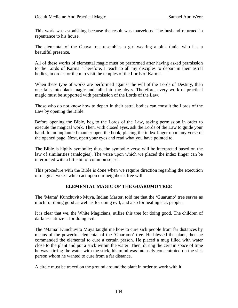This work was astonishing because the result was marvelous. The husband returned in repentance to his house.

The elemental of the Guava tree resembles a girl wearing a pink tunic, who has a beautiful presence.

All of these works of elemental magic must be performed after having asked permission to the Lords of Karma. Therefore, I teach to all my disciples to depart in their astral bodies, in order for them to visit the temples of the Lords of Karma.

When these type of works are performed against the will of the Lords of Destiny, then one falls into black magic and falls into the abyss. Therefore, every work of practical magic must be supported with permission of the Lords of the Law.

Those who do not know how to depart in their astral bodies can consult the Lords of the Law by opening the Bible.

Before opening the Bible, beg to the Lords of the Law, asking permission in order to execute the magical work. Then, with closed eyes, ask the Lords of the Law to guide your hand. In an unplanned manner open the book, placing the index finger upon any verse of the opened page. Next, open your eyes and read what you have pointed to.

The Bible is highly symbolic; thus, the symbolic verse will be interpreted based on the law of similarities (analogies). The verse upon which we placed the index finger can be interpreted with a little bit of common sense.

This procedure with the Bible is done when we require direction regarding the execution of magical works which act upon our neighbor's free will.

#### **ELEMENTAL MAGIC OF THE GUARUMO TREE**

The 'Mama' Kunchuvito Muya, Indian Master, told me that the 'Guarumo' tree serves as much for doing good as well as for doing evil, and also for healing sick people.

It is clear that we, the White Magicians, utilize this tree for doing good. The children of darkness utilize it for doing evil.

The 'Mama' Kunchuvito Muya taught me how to cure sick people from far distances by means of the powerful elemental of the 'Guarumo' tree. He blessed the plant, then he commanded the elemental to cure a certain person. He placed a mug filled with water close to the plant and put a stick within the water. Then, during the certain space of time he was stirring the water with the stick, his mind was intensely concentrated on the sick person whom he wanted to cure from a far distance.

A circle must be traced on the ground around the plant in order to work with it.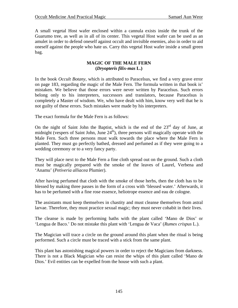A small vegetal Host wafer enclosed within a cannula exists inside the trunk of the Guarumo tree, as well as in all of its center. This vegetal Host wafer can be used as an amulet in order to defend oneself against occult and invisible enemies, also in order to aid oneself against the people who hate us. Carry this vegetal Host wafer inside a small green bag.

#### **MAGIC OF THE MALE FERN (***Dryopteris filix-mas* **L.)**

In the book *Occult Botany*, which is attributed to Paracelsus, we find a very grave error on page 183, regarding the magic of the Male Fern. The formula written in that book is' mistaken. We believe that those errors were never written by Paracelsus. Such errors belong only to his interpreters, successors and translators, because Paracelsus is completely a Master of wisdom. We, who have dealt with him, know very well that he is not guilty of these errors. Such mistakes were made by his interpreters.

The exact formula for the Male Fern is as follows:

On the night of Saint John the Baptist, which is the end of the  $23<sup>rd</sup>$  day of June, at midnight (vespers of Saint John, June  $24<sup>th</sup>$ ), three persons will magically operate with the Male Fern. Such three persons must walk towards the place where the Male Fern is planted. They must go perfectly bathed, dressed and perfumed as if they were going to a wedding ceremony or to a very fancy party.

They will place next to the Male Fern a fine cloth spread out on the ground. Such a cloth must be magically prepared with the smoke of the leaves of Laurel, Verbena and 'Anamu' (*Petiveria alliacea* Plumier).

After having perfumed that cloth with the smoke of those herbs, then the cloth has to be blessed by making three passes in the form of a cross with 'blessed water.' Afterwards, it has to be perfumed with a fine rose essence, heliotrope essence and eau de cologne.

The assistants must keep themselves in chastity and must cleanse themselves from astral larvae. Therefore, they must practice sexual magic; they must never cohabit in their lives.

The cleanse is made by performing baths with the plant called 'Mano de Dios' or 'Lengua de Baco.' Do not mistake this plant with 'Lengua de Vaca' (*Rumex crispus* L.).

The Magician will trace a circle on the ground around this plant when the ritual is being performed. Such a circle must be traced with a stick from the same plant.

This plant has astonishing magical powers in order to reject the Magicians from darkness. There is not a Black Magician who can resist the whips of this plant called 'Mano de Dios.' Evil entities can be expelled from the house with such a plant.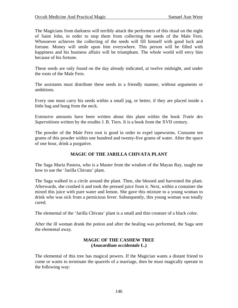The Magicians from darkness will terribly attack the performers of this ritual on the night of Saint John, in order to stop them from collecting the seeds of the Male Fern. Whosoever achieves the collecting of the seeds will fill himself with good luck and fortune. Money will smile upon him everywhere. This person will be filled with happiness and his business affairs will be triumphant. The whole world will envy him because of his fortune.

These seeds are only found on the day already indicated, at twelve midnight, and under the roots of the Male Fern.

The assistants must distribute these seeds in a friendly manner, without arguments or ambitions.

Every one must carry his seeds within a small jug, or better, if they are placed inside a little bag and hung from the neck.

Extensive amounts have been written about this plant within the book *Tratie des Superstitions* written by the erudite J. B. Tiers. It is a book from the XVII century.

The powder of the Male Fern root is good in order to expel tapeworms. Consume ten grams of this powder within one hundred and twenty-five grams of water. After the space of one hour, drink a purgative.

#### **MAGIC OF THE JARILLA CHIVATA PLANT**

The Saga Maria Pastora, who is a Master from the wisdom of the Mayan Ray, taught me how to use the 'Jarilla Chivata' plant.

The Saga walked in a circle around the plant. Then, she blessed and harvested the plant. Afterwards, she crushed it and took the pressed juice from it. Next, within a container she mixed this juice with pure water and lemon. She gave this mixture to a young woman to drink who was sick from a pernicious fever. Subsequently, this young woman was totally cured.

The elemental of the 'Jarilla Chivata' plant is a small and thin creature of a black color.

After the ill woman drank the potion and after the healing was performed, the Saga sent the elemental away.

#### **MAGIC OF THE CASHEW TREE (***Anacardium occidentale* **L.)**

The elemental of this tree has magical powers. If the Magician wants a distant friend to come or wants to terminate the quarrels of a marriage, then he must magically operate in the following way: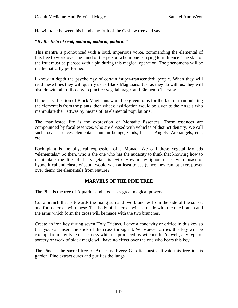He will take between his hands the fruit of the Cashew tree and say:

#### *"By the help of God, padoria, padoria, padoria."*

This mantra is pronounced with a loud, imperious voice, commanding the elemental of this tree to work over the mind of the person whom one is trying to influence. The skin of the fruit must be pierced with a pin during this magical operation. The phenomena will be mathematically performed.

I know in depth the psychology of certain 'super-transcended' people. When they will read these lines they will qualify us as Black Magicians. Just as they do with us, they will also do with all of those who practice vegetal magic and Elemento-Therapy.

If the classification of Black Magicians would be given to us for the fact of manipulating the elementals from the plants, then what classification would be given to the Angels who manipulate the Tattwas by means of its elemental populations?

The manifested life is the expression of Monadic Essences. These essences are compounded by focal essences, who are dressed with vehicles of distinct density. We call such focal essences elementals, human beings, Gods, beasts, Angels, Archangels, etc., etc.

Each plant is the physical expression of a Monad. We call these vegetal Monads "elementals." So then, who is the one who has the audacity to think that knowing how to manipulate the life of the vegetals is evil? How many ignoramuses who boast of hypocritical and cheap wisdom would wish at least to see (since they cannot exert power over them) the elementals from Nature?

#### **MARVELS OF THE PINE TREE**

The Pine is the tree of Aquarius and possesses great magical powers.

Cut a branch that is towards the rising sun and two branches from the side of the sunset and form a cross with these. The body of the cross will be made with the one branch and the arms which form the cross will be made with the two branches.

Create an iron key during seven Holy Fridays. Leave a concavity or orifice in this key so that you can insert the stick of the cross through it. Whosoever carries this key will be exempt from any type of sickness which is produced by witchcraft. As well, any type of sorcery or work of black magic will have no effect over the one who bears this key.

The Pine is the sacred tree of Aquarius. Every Gnostic must cultivate this tree in his garden. Pine extract cures and purifies the lungs.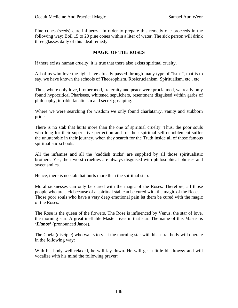Pine cones (seeds) cure influenza. In order to prepare this remedy one proceeds in the following way: Boil 15 to 20 pine cones within a liter of water. The sick person will drink three glasses daily of this ideal remedy.

#### **MAGIC OF THE ROSES**

If there exists human cruelty, it is true that there also exists spiritual cruelty.

All of us who love the light have already passed through many type of "isms", that is to say, we have known the schools of Theosophism, Rosicrucianism, Spiritualism, etc., etc.

Thus, where only love, brotherhood, fraternity and peace were proclaimed, we really only found hypocritical Pharisees, whitened sepulchers, resentment disguised within garbs of philosophy, terrible fanaticism and secret gossiping.

Where we were searching for wisdom we only found charlatanry, vanity and stubborn pride.

There is no stab that hurts more than the one of spiritual cruelty. Thus, the poor souls who long for their superlative perfection and for their spiritual self-ennoblement suffer the unutterable in their journey, when they search for the Truth inside all of those famous spiritualistic schools.

All the infamies and all the 'caddish tricks' are supplied by all those spiritualistic brothers. Yet, their worst cruelties are always disguised with philosophical phrases and sweet smiles.

Hence, there is no stab that hurts more than the spiritual stab.

Moral sicknesses can only be cured with the magic of the Roses. Therefore, all those people who are sick because of a spiritual stab can be cured with the magic of the Roses. Those poor souls who have a very deep emotional pain let them be cured with the magic of the Roses.

The Rose is the queen of the flowers. The Rose is influenced by Venus, the star of love, the morning star. A great ineffable Master lives in that star. The name of this Master is *'Llanos'* (pronounced Janos).

The Chela (disciple) who wants to visit the morning star with his astral body will operate in the following way:

With his body well relaxed, he will lay down. He will get a little bit drowsy and will vocalize with his mind the following prayer: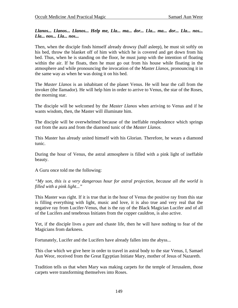*Llanos... Llanos... Llanos... Help me, Lla... ma... dor... Lla... ma... dor... Lla... nos... Lla... nos... Lla... nos...* 

Then, when the disciple finds himself already drowsy (half asleep), he must sit softly on his bed, throw the blanket off of him with which he is covered and get down from his bed. Thus, when he is standing on the floor, he must jump with the intention of floating within the air. If he floats, then he must go out from his house while floating in the atmosphere and while pronouncing the invocation of the Master *Llanos*, pronouncing it in the same way as when he was doing it on his bed.

The *Master Llanos* is an inhabitant of the planet Venus. He will hear the call from the invoker (the llamador). He will help him in order to arrive to Venus, the star of the Roses, the morning star.

The disciple will be welcomed by the *Master Llanos* when arriving to Venus and if he wants wisdom, then, the Master will illuminate him.

The disciple will be overwhelmed because of the ineffable resplendence which springs out from the aura and from the diamond tunic of the *Master Llanos.*

This Master has already united himself with his Glorian. Therefore, he wears a diamond tunic.

During the hour of Venus, the astral atmosphere is filled with a pink light of ineffable beauty.

A Guru once told me the following:

*"My son, this is a very dangerous hour for astral projection, because all the world is filled with a pink light..."* 

This Master was right. If it is true that in the hour of Venus the positive ray from this star is filling everything with light, music and love, it is also true and very real that the negative ray from Lucifer-Venus, that is the ray of the Black Magician Lucifer and of all of the Lucifers and tenebrous Initiates from the copper cauldron, is also active.

Yet, if the disciple lives a pure and chaste life, then he will have nothing to fear of the Magicians from darkness.

Fortunately, Lucifer and the Lucifers have already fallen into the abyss...

This clue which we give here in order to travel in astral body to the star Venus, I, Samael Aun Weor, received from the Great Egyptian Initiate Mary, mother of Jesus of Nazareth.

Tradition tells us that when Mary was making carpets for the temple of Jerusalem, those carpets were transforming themselves into Roses.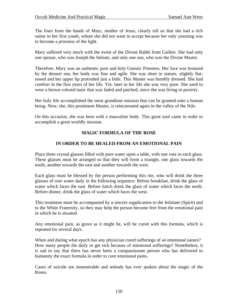The lines from the hands of Mary, mother of Jesus, clearly tell us that she had a rich suitor in her first youth, whom she did not want to accept because her only yearning was to become a priestess of the light.

Mary suffered very much with the event of the Divine Rabbi from Galilee. She had only one spouse, who was Joseph the Initiate, and only one son, who was the Divine Master.

Therefore, Mary was an authentic pure and holy Gnostic Priestess. Her face was bronzed by the dessert sun, her body was fine and agile. She was short in stature, slightly flatnosed and her upper lip protruded just a little. This Master was humbly dressed. She had comfort in the first years of her life. Yet, later in her life she was very poor. She used to wear a brown colored tunic that was faded and patched, since she was living in poverty.

Her holy life accomplished the most grandiose mission that can be granted unto a human being. Now, she, this prominent Master, is reincarnated again in the valley of the Nile.

On this occasion, she was born with a masculine body. This great soul came in order to accomplish a great worldly mission.

#### **MAGIC FORMULA OF THE ROSE**

#### **IN ORDER TO BE HEALED FROM AN EMOTIONAL PAIN**

Place three crystal glasses filled with pure water upon a table, with one rose in each glass. These glasses must be arranged so that they will form a triangle, one glass towards the north, another towards the east and another towards the west.

Each glass must be blessed by the person performing this rite, who will drink the three glasses of rose water daily in the following sequence: Before breakfast, drink the glass of water which faces the east. Before lunch drink the glass of water which faces the north. Before dinner, drink the glass of water which faces the west.

This treatment must be accompanied by a sincere supplication to the Intimate (Spirit) and to the White Fraternity, so they may help the person become free from the emotional pain in which he is situated.

Any emotional pain, as grave as it might be, will be cured with this formula, which is repeated for several days.

When and during what epoch has any physician cured sufferings of an emotional nature? How many people die daily or get sick because of emotional sufferings? Nonetheless, it is sad to say that there has never been a compassionate person who has delivered to humanity the exact formula in order to cure emotional pains.

Cases of suicide are innumerable and nobody has ever spoken about the magic of the Roses.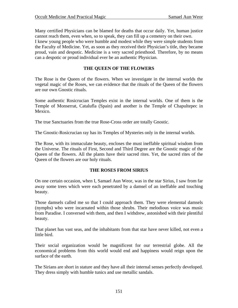Many certified Physicians can be blamed for deaths that occur daily. Yet, human justice cannot reach them, even when, so to speak, they can fill up a cemetery on their own.

I knew young people who were humble and modest while they were simple students from the Faculty of Medicine. Yet, as soon as they received their Physician's title, they became proud, vain and despotic. Medicine is a very sacred priesthood. Therefore, by no means can a despotic or proud individual ever be an authentic Physician.

#### **THE QUEEN OF THE FLOWERS**

The Rose is the Queen of the flowers. When we investigate in the internal worlds the vegetal magic of the Roses, we can evidence that the rituals of the Queen of the flowers are our own Gnostic rituals.

Some authentic Rosicrucian Temples exist in the internal worlds. One of them is the Temple of Monserrat, Catalufla (Spain) and another is the Temple of Chapultepec in Mexico.

The true Sanctuaries from the true Rose-Cross order are totally Gnostic.

The Gnostic-Rosicrucian ray has its Temples of Mysteries only in the internal worlds.

The Rose, with its immaculate beauty, encloses the must ineffable spiritual wisdom from the Universe. The rituals of First, Second and Third Degree are the Gnostic magic of the Queen of the flowers. All the plants have their sacred rites. Yet, the sacred rites of the Queen of the flowers are our holy rituals.

#### **THE ROSES FROM SIRIUS**

On one certain occasion, when I, Samael Aun Weor, was in the star Sirius, I saw from far away some trees which were each penetrated by a damsel of an ineffable and touching beauty.

Those damsels called me so that I could approach them. They were elemental damsels (nymphs) who were incarnated within those shrubs. Their melodious voice was music from Paradise. I conversed with them, and then I withdrew, astonished with their plentiful beauty.

That planet has vast seas, and the inhabitants from that star have never killed, not even a little bird.

Their social organization would be magnificent for our terrestrial globe. All the economical problems from this world would end and happiness would reign upon the surface of the earth.

The Sirians are short in stature and they have all their internal senses perfectly developed. They dress simply with humble tunics and use metallic sandals.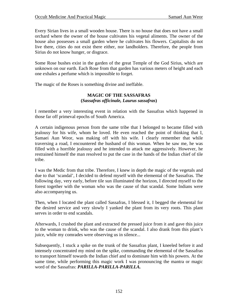Every Sirian lives in a small wooden house. There is no house that does not have a small orchard where the owner of the house cultivates his vegetal aliments. The owner of the house also possesses a small garden where he cultivates his flowers. Capitalists do not live there, cities do not exist there either, nor landholders. Therefore, the people from Sirius do not know hunger, or disgrace.

Some Rose bushes exist in the garden of the great Temple of the God Sirius, which are unknown on our earth. Each Rose from that garden has various meters of height and each one exhales a perfume which is impossible to forget.

The magic of the Roses is something divine and ineffable.

#### **MAGIC OF THE SASSAFRAS (***Sassafras officinale, Laurus sassafras***)**

I remember a very interesting event in relation with the Sassafras which happened in those far off primeval epochs of South America.

A certain indigenous person from the same tribe that I belonged to became filled with jealousy for his wife, whom he loved. He even reached the point of thinking that I, Samaei Aun Weor, was making off with his wife. I clearly remember that while traversing a road, I encountered the husband of this woman. When he saw me, he was filled with a horrible jealousy and he intended to attack me aggressively. However, he restrained himself the man resolved to put the case in the hands of the Indian chief of tile tribe.

I was the Medic from that tribe. Therefore, I knew in depth the magic of the vegetals and due to that 'scandal', I decided to defend myself with the elemental of the Sassafras. The following day, very early, before tile sun illuminated the horizon, I directed myself to the forest together with the woman who was the cause of that scandal. Some Indians were also accompanying us.

Then, when I located the plant called Sassafras, I blessed it, I begged the elemental for the desired service and very slowly I yanked the plant from its very roots. This plant serves in order to end scandals.

Afterwards, I crushed the plant and extracted the pressed juice from it and gave this juice to the woman to drink, who was the cause of the scandal. I also drank from this plant's juice, while my comrades were observing us in silence...

Subsequently, I stuck a spike on the trunk of the Sassafras plant, I kneeled before it and intensely concentrated my mind on the spike, commanding the elemental of the Sassafras to transport himself towards the Indian chief and to dominate him with his powers. At the same time, while performing this magic work I was pronouncing the mantra or magic word of the Sassafras: *PARILLA-PARILLA-PARILLA.*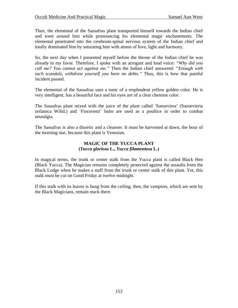Then, the elemental of the Sassafras plant transported himself towards the Indian chief and went around him while pronouncing his elemental magic enchantments. The elemental penetrated into the cerebrum-spinal nervous system of the Indian chief and totally dominated him by saturating him with atoms of love, light and harmony.

So, the next day when I presented myself before the throne of the Indian chief he was already in my favor. Therefore, I spoke with an arrogant and loud voice: *"Why did you call me? You cannot act against me."* Then the Indian chief answered: *"Enough with such scandals, withdraw yourself you have no debts."* Thus, this is how that painful incident passed.

The elemental of the Sassafras uses a tunic of a resplendent yellow golden color. He is very intelligent, has a beautiful face and his eyes are of a clear chestnut color.

The Sassafras plant mixed with the juice of the plant called 'Sanseviera' (Sansevieria zeilanica Wilid.) and 'Fioraventi' balm are used as a poultice in order to combat neuralgia.

The Sassafras is also a diuretic and a cleanser. It must be harvested at dawn, the hour of the morning star, because this plant is Venusian.

#### **MAGIC OF THE YUCCA PLANT (***Yucca gloriosa* **L.,** *Yucca filamentosa* **L.)**

In magical terms, the trunk or center stalk from the Yucca plant is called Black Hen (Black Yucca). The Magician remains completely protected against the assaults from the Black Lodge when he makes a staff from the trunk or center stalk of this plant. Yet, this stalk must be cut on Good Friday at twelve midnight.

If this stalk with its leaves is hung from the ceiling, then, the vampires, which are sent by the Black Magicians, remain stuck there.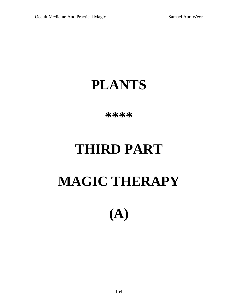## **PLANTS**

### **\*\*\*\***

# **THIRD PART MAGIC THERAPY**

## **(A)**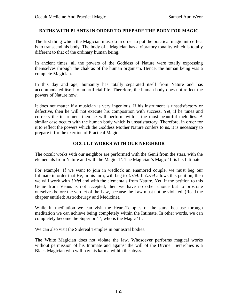#### **BATHS WITH PLANTS IN ORDER TO PREPARE THE BODY FOR MAGIC**

The first thing which the Magician must do in order to put the practical magic into effect is to transcend his body. The body of a Magician has a vibratory tonality which is totally different to that of the ordinary human being.

In ancient times, all the powers of the Goddess of Nature were totally expressing themselves through the chakras of the human organism. Hence, the human being was a complete Magician.

In this day and age, humanity has totally separated itself from Nature and has accommodated itself to an artificial life. Therefore, the human body does not reflect the powers of Nature now.

It does not matter if a musician is very ingenious. If his instrument is unsatisfactory or defective, then he will not execute his composition with success. Yet, if he tunes and corrects the instrument then he will perform with it the most beautiful melodies. A similar case occurs with the human body which is unsatisfactory. Therefore, in order for it to reflect the powers which the Goddess Mother Nature confers to us, it is necessary to prepare it for the exertion of Practical Magic.

#### **OCCULT WORKS WITH OUR NEIGHBOR**

The occult works with our neighbor are performed with the Genii from the stars, with the elementals from Nature and with the Magic 'I'. The Magician's Magic 'I' is his Intimate.

For example: If we want to join in wedlock an enamored couple, we must beg our Intimate in order that He, in his turn, will beg to *Uriel*. If *Uriel* allows this petition, then we will work with *Uriel* and with the elementals from Nature. Yet, if the petition to this Genie from Venus is not accepted, then we have no other choice but to prostrate ourselves before the verdict of the Law, because the Law must not be violated. (Read the chapter entitled: Astrotheurgy and Medicine).

While in meditation we can visit the Heart-Temples of the stars, because through meditation we can achieve being completely within the Intimate. In other words, we can completely become the Superior 'I', who is the Magic 'I'.

We can also visit the Sidereal Temples in our astral bodies.

The White Magician does not violate the law. Whosoever performs magical works without permission of his Intimate and against the will of the Divine Hierarchies is a Black Magician who will pay his karma within the abyss.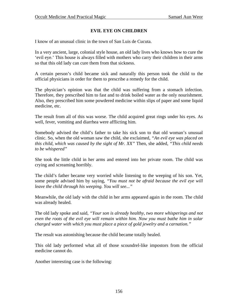#### **EVIL EYE ON CHILDREN**

I know of an unusual clinic in the town of San Luis de Cucuta.

In a very ancient, large, colonial style house, an old lady lives who knows how to cure the 'evil eye.' This house is always filled with mothers who carry their children in their arms so that this old lady can cure them from that sickness.

A certain person's child became sick and naturally this person took the child to the official physicians in order for them to prescribe a remedy for the child.

The physician's opinion was that the child was suffering from a stomach infection. Therefore, they prescribed him to fast and to drink boiled water as the only nourishment. Also, they prescribed him some powdered medicine within slips of paper and some liquid medicine, etc.

The result from all of this was worse. The child acquired great rings under his eyes. As well, fever, vomiting and diarrhea were afflicting him.

Somebody advised the child's father to take his sick son to that old woman's unusual clinic. So, when the old woman saw the child, she exclaimed, *"An evil eye was placed on this child, which was caused by the sight of Mr. XX"* Then, she added, *"This child needs to be whispered"* 

She took the little child in her arms and entered into her private room. The child was crying and screaming horribly.

The child's father became very worried while listening to the weeping of his son. Yet, some people advised him by saying, *"You must not be afraid because the evil eye will leave the child through his weeping. You will see..."* 

Meanwhile, the old lady with the child in her arms appeared again in the room. The child was already healed.

The old lady spoke and said, *"Your son is already healthy, two more whisperings and not even the roots of the evil eye will remain within him. Now you must bathe him in solar charged water with which you must place a piece of gold jewelry and a carnation."* 

The result was astonishing because the child became totally healed.

This old lady performed what all of those scoundrel-like impostors from the official medicine cannot do.

Another interesting case is the following: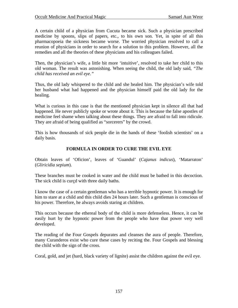A certain child of a physician from Cucuta became sick. Such a physician prescribed medicine by spoons, slips of papers, etc., to his own son. Yet, in spite of all this pharmacopoeia the sickness became worse. The worried physician resolved to call a reunion of physicians in order to search for a solution to this problem. However, all the remedies and all the theories of these physicians and his colleagues failed.

Then, the physician's wife, a little bit more 'intuitive', resolved to take her child to this old woman. The result was astonishing. When seeing the child, the old lady said, *"The child has received an evil eye."* 

Thus, the old lady whispered to the child and she healed him. The physician's wife told her husband what had happened and the physician himself paid the old lady for the healing.

What is curious in this case is that the mentioned physician kept in silence all that had happened. He never publicly spoke or wrote about it. This is because the false apostles of medicine feel shame when talking about these things. They are afraid to fall into ridicule. They are afraid of being qualified as "sorcerers" by the crowd.

This is how thousands of sick people die in the hands of these 'foolish scientists' on a daily basis.

#### **FORMULA IN ORDER TO CURE THE EVIL EYE**

Obtain leaves of 'Oficion', leaves of 'Guandul' (*Cajanus indicus*), 'Matarraton' (*Gliricidia sepium*).

These branches must be cooked in water and the child must be bathed in this decoction. The sick child is curçd with three daily baths.

I know the case of a certain gentleman who has a terrible hypnotic power. It is enough for him to stare at a child and this child dies 24 hours later. Such a gentleman is conscious of his power. Therefore, he always avoids staring at children.

This occurs because the ethereal body of the child is more defenseless. Hence, it can be easily hurt by the hypnotic power from the people who have that power very well developed.

The reading of the Four Gospels depurates and cleanses the aura of people. Therefore, many Curanderos exist who cure these cases by reciting the. Four Gospels and blessing the child with the sign of the cross.

Coral, gold, and jet (hard, black variety of lignite) assist the children against the evil eye.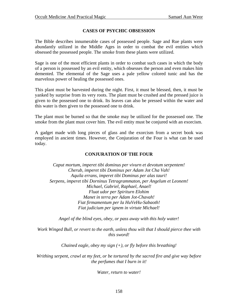#### **CASES OF PSYCHIC OBSESSION**

The Bible describes innumerable cases of possessed people. Sage and Rue plants were abundantly utilized in the Middle Ages in order to combat the evil entities which obsessed the possessed people. The smoke from these plants were utilized.

Sage is one of the most efficient plants in order to combat such cases in which the body of a person is possessed by an evil entity, which obsesses the person and even makes him demented. The elemental of the Sage uses a pale yellow colored tunic and has the marvelous power of healing the possessed ones.

This plant must be harvested during the night. First, it must be blessed, then, it must be yanked by surprise from its very roots. The plant must be crushed and the pressed juice is given to the possessed one to drink. Its leaves can also be pressed within the water and this water is then given to the possessed one to drink.

The plant must be burned so that the smoke may be utilized for the possessed one. The smoke from the plant must cover him. The evil entity must be conjured with an exorcism.

A gadget made with long pieces of glass and the exorcism from a secret book was employed in ancient times. However, the Conjuration of the Four is what can be used today.

#### **CONJURATION OF THE FOUR**

*Caput mortum, imperet tibi dominus per vivurn et devotum serpentem! Cherub, imperet tibi Dominus per Adam Jot Cha Vah! Aquila errans, imperet tibi Dominus per alas tauri! Serpens, imperet tibi Dorninus Tetragrammaton, per Angelum et Leonem! Michael, Gabriel, Raphael, Anael! Fluat udor per Spiriturn Elohim Manet in terra per Adam Jot-Chavah! Fiat firmamentum per Ia HuVeHu-Sabaoth! Fiat judicium per ignem in virtute Michael!* 

*Angel of the blind eyes, obey, or pass away with this holy water!* 

*Work Winged Bull, or revert to the earth, unless thou wilt that I should pierce thee with this sword!* 

*Chained eagle, obey my sign (+), or fly before this breathing!* 

*Writhing serpent, crawl at my feet, or be tortured by the sacred fire and give way before the perfumes that I burn in it!* 

*Water, return to water!*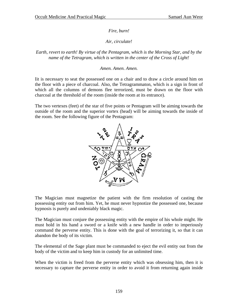*Fire, burn!* 

*Air, circulate!* 

*Earth, revert to earth! By virtue of the Pentagram, which is the Morning Star, and by the name of the Tetragram, which is written in the center of the Cross of Light!* 

*Amen. Amen. Amen.* 

Iit is necessary to seat the possessed one on a chair and to draw a circle around him on the floor with a piece of charcoal. Also, the Tetragrammaton, which is a sign in front of which all the columns of demons flee terrorized, must be drawn on the floor with charcoal at the threshold of the room (inside the room at its entrance).

The two vertexes (feet) of the star of five points or Pentagram will be aiming towards the outside of the room and the superior vortex (head) will be aiming towards the inside of the room. See the following figure of the Pentagram:



The Magician must magnetize the patient with the firm resolution of casting the possessing entity out from him. Yet, he must never hypnotize the possessed one, because hypnosis is purely and undeniably black magic.

The Magician must conjure the possessing entity with the empire of his whole might. He must hold in his hand a sword or a knife with a new handle in order to imperiously command the perverse entity. This is done with the goal of terrorizing it, so that it can abandon the body of its victim.

The elemental of the Sage plant must be commanded to eject the evil entity out from the body of the victim and to keep him in custody for an unlimited time.

When the victim is freed from the perverse entity which was obsessing him, then it is necessary to capture the perverse entity in order to avoid it from returning again inside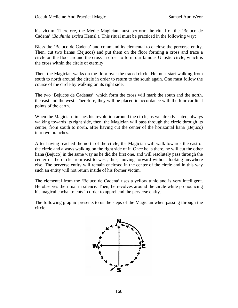his victim. Therefore, the Medic Magician must perform the ritual of the 'Bejuco de Cadena' (*Bauhinia excisa* Hemsl.). This ritual must be practiced in the following way:

Bless the 'Bejuco de Cadena' and command its elemental to enclose the perverse entity. Then, cut two lianas (Bejucos) and put them on the floor forming a cross and trace a circle on the floor around the cross in order to form our famous Gnostic circle, which is the cross within the circle of eternity.

Then, the Magician walks on the floor over the traced circle. He must start walking from south to north around the circle in order to return to the south again. One must follow the course of the circle by walking on its right side.

The two 'Bejucos de Cadenas', which form the cross will mark the south and the north, the east and the west. Therefore, they will be placed in accordance with the four cardinal points of the earth.

When the Magician finishes his revolution around the circle, as we already stated, always walking towards its right side, then, the Magician will pass through the circle through its center, from south to north, after having cut the center of the horizontal liana (Bejuco) into two branches.

After having reached the north of the circle, the Magician will walk towards the east of the circle and always walking on the right side of it. Once he is there, he will cut the other liana (Bejuco) in the same way as he did the first one, and will resolutely pass through the center of the circle from east to west, thus, moving forward without looking anywhere else. The perverse entity will remain enclosed in the center of the circle and in this way such an entity will not return inside of his former victim.

The elemental from the 'Bejuco de Cadena' uses a yellow tunic and is very intelligent. He observes the ritual in silence. Then, he revolves around the circle while pronouncing his magical enchantments in order to apprehend the perverse entity.

The following graphic presents to us the steps of the Magician when passing through the circle:

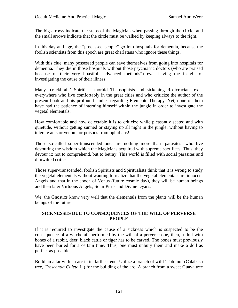The big arrows indicate the steps of the Magician when passing through the circle, and the small arrows indicate that the circle must be walked by keeping always to the right.

In this day and age, the "possessed people" go into hospitals for dementia, because the foolish scientists from this epoch are great charlatans who ignore these things.

With this clue, many possessed people can save themselves from going into hospitals for dementia. They die in those hospitals without those psychiatric doctors (who are praised because of their very boastful "advanced methods") ever having the insight of investigating the cause of their illness.

Many 'crackbrain' Spiritists, morbid Theosophists and sickening Rosicrucians exist everywhere who live comfortably in the great cities and who criticize the author of the present book and his profound studies regarding Elemento-Therapy. Yet, none of them have had the patience of interning himself within the jungle in order to investigate the vegetal elementals.

How comfortable and how delectable it is to criticize while pleasantly seated and with quietude, without getting sunned or staying up all night in the jungle, without having to tolerate ants or venom, or poisons from ophidians!

Those so-called super-transcended ones are nothing more than 'parasites' who live devouring the wisdom which the Magicians acquired with supreme sacrifices. Thus, they devour it; not to comprehend, but to betray. This world is filled with social parasites and dimwitted critics.

Those super-transcended, foolish Spiritists and Spiritualists think that it is wrong to study the vegetal elementals without wanting to realize that the vegetal elementals are innocent Angels and that in the epoch of Venus (future cosmic day), they will be human beings and then later Virtuous Angels, Solar Pitris and Divine Dyans.

We, the Gnostics know very well that the elementals from the plants will be the human beings of the future.

#### **SICKNESSES DUE TO CONSEQUENCES OF THE WILL OF PERVERSE PEOPLE**

If it is required to investigate the cause of a sickness which is suspected to be the consequence of a witchcraft performed by the will of a perverse one, then, a doll with bones of a rabbit, deer, black cattle or tiger has to be carved. The bones must previously have been buried for a certain time. Thus, one must unbury them and make a doll as perfect as possible.

Build an altar with an arc in its farthest end. Utilize a branch of wild 'Totumo' (Calabash tree, *Crescentia Cujete* L.) for the building of the arc. A branch from a sweet Guava tree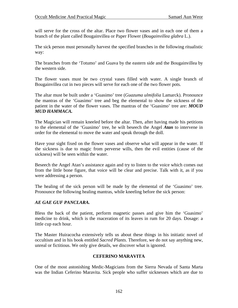will serve for the cross of the altar. Place two flower vases and in each one of them a branch of the plant called Bougainvillea or Paper Flower (*Bougainvillea glabra* L.).

The sick person must personally harvest the specified branches in the following ritualistic way:

The branches from the 'Totumo' and Guava by the eastern side and the Bougainvillea by the western side.

The flower vases must be two crystal vases filled with water. A single branch of Bougainvillea cut in two pieces will serve for each one of the two flower pots.

The altar must be built under a 'Guasimo' tree (*Guazuma ulmifolia* Lamarck). Pronounce the mantras of the 'Guasimo' tree and beg the elemental to show the sickness of the patient in the water of the flower vases. The mantras of the 'Guasimo' tree are: *MOUD MUD HAMMACA.* 

The Magician will remain kneeled before the altar. Then, after having made his petitions to the elemental of the 'Guasimo' tree, he wilt beseech the Angel *Atan* to intervene in order for the elemental to move the water and speak through the doll.

Have your sight fixed on the flower vases and observe what will appear in the water. If the sickness is due to magic from perverse wills, then the evil entities (cause of the sickness) will be seen within the water.

Beseech the Angel Atan's assistance again and try to listen to the voice which comes out from the little bone figure, that voice will be clear and precise. Talk with it, as if you were addressing a person.

The healing of the sick person will be made by the elemental of the 'Guasimo' tree. Pronounce the following healing mantras, while kneeling before the sick person:

#### *AE GAE GUF PANCLARA.*

Bless the back of the patient, perform magnetic passes and give him the 'Guasimo' medicine to drink, which is the rnaceration of its leaves in rum for 20 days. Dosage: a little cup each hour.

The Master Huiracocha extensively tells us about these things in his initiatic novel of occultism and in his book entitled *Sacred Plants*. Therefore, we do not say anything new, unreal or fictitious. We only give details, we discover what is ignored.

#### **CEFERINO MARAVITA**

One of the most astonishing Medic-Magicians from the Sierra Nevada of Santa Marta was the Indian Ceferino Maravita. Sick people who suffer sicknesses which are due to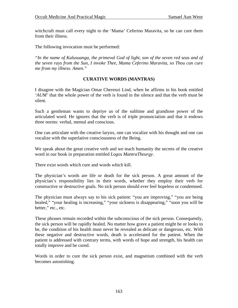witchcraft must call every night to the 'Mama' Ceferino Maravita, so he can cure them from their illness.

The following invocation must be performed:

*"In the name of Kalusuanga, the primeval God of light, son of the seven red seas and of the seven rays from the Sun, I invoke Thee, Mama Ceferino Maravita, so Thou can cure me from my illness. Amen."* 

#### **CURATIVE WORDS (MANTRAS)**

I disagree with the Magician Omar Cherenzi Lind, when he affirms in his book entitled *'AUM'* that the whole power of the verb is found in the silence and that the verb must be silent.

Such a gentleman wants to depriye us of the sublime and grandiose power of the articulated word. He ignores that the verb is of triple pronunciation and that it endows three norms: verbal, mental and conscious.

One can articulate with the creative larynx, one can vocalize with his thought and one can vocalize with the superlative consciousness of the Being.

We speak about the great creative verb and we teach humanity the secrets of the creative word in our book in preparation entitled *Logos MantraTheurgy*.

There exist words which cure and words which kill.

The physician's words are life or death for the sick person. A great amount of the physician's responsibility lies in their words, whether they employ their verb for constructive or destructive goals. No sick person should ever feel hopeless or condemned.

The physician must always say to his sick patient: "you are improving," "you are being healed," "your healing is increasing," "your sickness is disappearing," "soon you will be better," etc., etc.

These phrases remain recorded within the subconscious of the sick person. Consequently, the sick person will be rapidly healed. No matter how grave a patient might be or looks to be, the condition of his health must never be revealed as delicate or dangerous, etc. With these negative and destructive words, death is accelerated for the patient. When the patient is addressed with contrary terms, with words of hope and strength, his health can totally improve and be cured.

Words in order to cure the sick person exist, and magnetism combined with the verb becomes astonishing.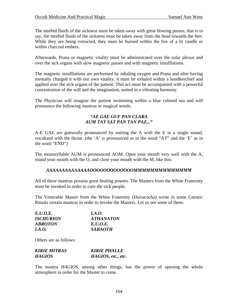The morbid fluids of the sickness must be taken away with great flowing passes, that is to say, the morbid fluids of the sickness must be taken away from the head towards the feet. While they are being extracted, they must be burned within the fire of a lit candle or within charcoal embers.

Afterwards, Prana or magnetic vitality must be administrated over the solar plexus and over the sick organs with slow magnetic passes and with magnetic insufflations.

The magnetic insuffiations are performed by inhaling oxygen and Prana and after having mentally charged it with our own vitality, it must be exhaled within a handkerchief and applied over the sick organs of the patient. This act must be accompanied with a powerful concentration of the will and the imagination, united in a vibrating harmony.

The Physician will imagine the patient swimming within a blue colored sea and will pronounce the following mantras or magical words:

#### *"AE GAE GUF PAN CLARA AUM TAT SAT PAN TAN PAZ..."*

A-E GAE are gutturally pronounced by uniting the A with the E in a single sound, vocalized with the throat. (the 'A' is pronounced as in the word "AT" and the 'E' as in the word "END")

The monosyllable AUM is pronounced AOM. Open your mouth very well with the A, round your mouth with the O, and close your mouth with the M, like this:

#### *AAAAAAAAAAAAAAOOOOOOOOOOOOOMMMMMMMMMMMMMM*

All of these mantras possess great healing powers. The Masters from the White Fraternity must be invoked in order to cure the sick people.

The Venerable Master from the White Fraternity (Huiracocha) wrote in some Gnostic Rituals certain mantras in order to invoke the Masters. Let us see some of them.

| <i>E.U.O.E.</i>  | IA.0.                   |
|------------------|-------------------------|
| <b>ISCHURION</b> | <i><b>ATHANATON</b></i> |
| <i>ABROTON</i>   | E.U.O.E.                |
| I.A.O.           | <i><b>SABAOTH</b></i>   |

Others are as follows:

| <b>KIRIE MITRAS</b> | <b>KIRIE PHALLE</b> |
|---------------------|---------------------|
| <i>HAGIOS</i>       | HAGIOS, etc., etc.  |

The mantra *HAGIOS*, among other things, has the power of opening the whole atmosphere in order for the Master to come.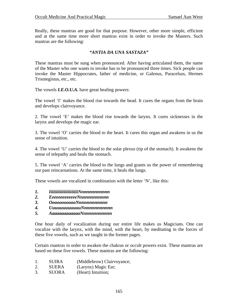Really, these mantras are good for that purpose. However, other more simple, efficient and at the same time more short mantras exist in order to invoke the Masters. Such mantras are the following:

#### *"ANTIA DA UNA SASTAZA"*

These mantras must be sung when pronounced. After having articulated them, the name of the Master who one wants to invoke has to be pronounced three times. Sick people can invoke the Master Hippocrates, father of medicine, or Galenus, Paracelsus, Hermes Trismegistus, etc., etc.

The vowels *I.E.O.U.A.* have great healing powers:

The vowel 'I' makes the blood rise towards the head. It cures the organs from the brain and develops clairvoyance.

2. The vowel 'E' makes the blood rise towards the larynx. It cures sicknesses in the larynx and develops the magic ear.

3. The vowel 'O' carries the blood to the heart. It cures this organ and awakens in us the sense of intuition.

4. The vowel 'U' carries the blood to the solar plexus (tip of the stomach). It awakens the sense of telepathy and heals the stomach.

5. The vowel 'A' carries the blood to the lungs and grants us the power of remembering our past reincarnations. At the same time, it heals the lungs.

These vowels are vocalized in combination with the letter 'N', like this:

- *1. IiiiiiiiiiiiiiiiiiiiiiNnnnnnnnnnnn*
- *2. EeeeeeeeeeeeeNnnnnnnnnnnn*
- *3. OooooooooooNnnnnnnnnnnn*
- *4. UuuuuuuuuuuuNnnnnnnnnnnn*
- *5. AaaaaaaaaaaaaNnnnnnnnnnnn*

One hour daily of vocalization during our entire life makes us Magicians. One can vocalize with the larynx, with the mind, with the heart, by meditating in the forces of these five vowels, such as we taught in the former pages.

Certain rnantras in order to awaken the chakras or occult powers exist. These mantras are based on these five vowels. These mantras are the following:

- 1. SUIRA (Middlebrow) Clairvoyance;
- 2. SUERA (Larynx) Magic Ear;
- 3. SUORA (Heart) Intuition;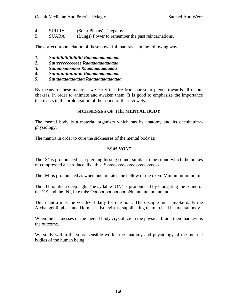- 4. SUURA (Solar Plexus) Telepathy;
- 5. SUARA (Lungs) Power to remember the past reincarnations.

The correct pronunciation of these powerful mantras is in the following way:

- *1. Suuiiiiiiiiiiiiiiiiiiii Raaaaaaaaaaaaaa*
- *2. Suueeeeeeeeeeee Raaaaaaaaaaaaaa*
- *3. Suuoooooooooo Raaaaaaaaaaaaaa*
- *4. Suuuuuuuuuuuu Raaaaaaaaaaaaaa*
- *5. Suuaaaaaaaaaaaa Raaaaaaaaaaaaaa*

By means of these mantras, we carry the fire from our solar plexus towards all of our chakras, in order to animate and awaken them. It is good to emphasize the importance that exists in the prolongation of the sound of these vowels.

#### **SICKNESSES OF TIlE MENTAL BODY**

The mental body is a material organism which has its anatomy and its occult ultraphysiology.

The mantra in order to cure the sicknesses of the mental body is:

#### *"S M HON"*

The 'S' is pronounced as a piercing hissing sound, similar to the sound which the brakes of compressed air produce, like this: Ssssssssssssssssssssssssssssss...

The 'M' is pronounced as when one imitates the bellow of the oxen: Mmmmmmmmmm

The "H" is like a deep sigh. The syllable 'ON' is pronounced by elongating the sound of the 'O' and the 'N', like this: OoooooooooooooooNnnnnnnnnnnnnnnnn.

This mantra must be vocalized daily for one hour. The disciple must invoke daily the Archangel Raphael and Hermes Trismegistus, supplicating them to heal his mental body.

When the sicknesses of the mental body crystallize in the physical brain, then madness is the outcome.

We study within the supra-sensible worlds the anatomy and physiology of the internal bodies of the human being.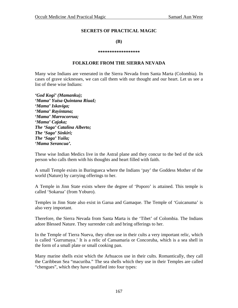#### **SECRETS OF PRACTICAL MAGIC**

#### **(B)**

#### **\*\*\*\*\*\*\*\*\*\*\*\*\*\*\*\*\*\***

#### **FOLKLORE FROM THE SIERRA NEVADA**

Many wise Indians are venerated in the Sierra Nevada from Santa Marta (Colombia). In cases of grave sicknesses, we can call them with our thought and our heart. Let us see a list of these wise Indians:

*'God Kogi' (Mamanku); 'Mama' Yuisa Quintana RiuaI; 'Mama' Iskaviga; 'Mama' Rayintana; 'Mama' Marrocorrua; 'Mama' Cajaka; The 'Saga' Catalina Alberto; The 'Saga' Sinkiri; The 'Saga' Yuila; 'Mama Serancua'.* 

These wise Indian Medics live in the Astral plane and they concur to the bed of the sick person who calls them with his thoughts and heart filled with faith.

A small Temple exists in Buringueca where the Indians 'pay' the Goddess Mother of the world (Nature) by carrying offerings to her.

A Temple in Jinn State exists where the degree of 'Poporo' is attained. This temple is called 'Sokarua' (from Yoburo).

Temples in Jinn State also exist in Garua and Gamaque. The Temple of 'Guicanuma' is also very important.

Therefore, the Sierra Nevada from Santa Marta is the 'Tibet' of Colombia. The Indians adore Blessed Nature. They surrender cult and bring offerings to her.

In the Temple of Tierra Nueva, they often use in their cults a very important relic, which is called 'Gurrumaya.' It is a relic of Cansamaria or Concoruba, which is a sea shell in the form of a small plate or small cooking pan.

Many marine shells exist which the Arhuacos use in their cults. Romantically, they call the Caribbean Sea "macuriba." The sea shells which they use in their Temples are called "chengues", which they have qualified into four types: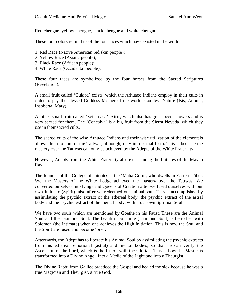Red chengue, yellow chengue, black chengue and white chengue.

These four colors remind us of the four races which have existed in the world:

- 1. Red Race (Native American red skin people);
- 2. Yellow Race (Asiatic people);
- 3. Black Race (African people);
- 4. White Race (Occidental people).

These four races are symbolized by the four horses from the Sacred Scriptures (Revelation).

A small fruit called 'Gulaba' exists, which the Arhuaco Indians employ in their cults in order to pay the blessed Goddess Mother of the world, Goddess Nature (Isis, Adonia, Insoberta, Mary).

Another small fruit called 'Seitamaca' exists, which also has great occult powers and is very sacred for them. The 'Concalva' is a big fruit from the Sierra Nevada, which they use in their sacred cults.

The sacred cults of the wise Arhuaco Indians and their wise utilization of the elementals allows them to control the Tattwas, although, only in a partial form. This is because the mastery over the Tattwas can only be achieved by the Adepts of the White Fraternity.

However, Adepts from the White Fraternity also exist among the Initiates of the Mayan Ray.

The founder of the College of Initiates is the 'Maha-Guru', who dwells in Eastern Tibet. We, the Masters of the White Lodge achieved the mastery over the Tattwas. We converted ourselves into Kings and Queens of Creation after we fused ourselves with our own Intimate (Spirit), also after we redeemed our animal soul. This is accomplished by assimilating the psychic extract of the ethereal body, the psychic extract of the astral body and the psychic extract of the mental body, within our own Spiritual Soul.

We have two souls which are mentioned by Goethe in his Faust. These are the Animal Soul and the Diamond Soul. The beautiful Sulamite (Diamond Soul) is betrothed with Solomon (the Intimate) when one achieves the High Initiation. This is how the Soul and the Spirit are fused and become 'one'.

Afterwards, the Adept has to liberate his Animal Soul by assimilating the psychic extracts from his ethereal, emotional (astral) and mental bodies, so that he can verify the Ascension of the Lord, which is the fusion with the Glorian. This is how the Master is transformed into a Divine Angel, into a Medic of the Light and into a Theurgist.

The Divine Rabbi from Galilee practiced the Gospel and healed the sick because he was a true Magician and Theurgist, a true God.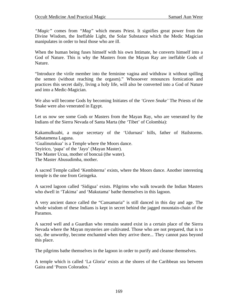*"Magic"* comes from *"Mag"* which means Priest. It signifies great power from the Divine Wisdom, the Ineffable Light, the Solar Substance which the Medic Magician manipulates in order to heal those who are ill.

When the human being fuses himself with his own Intimate, he converts himself into a God of Nature. This is why the Masters from the Mayan Ray are ineffable Gods of Nature.

"Introduce the virile member into the feminine vagina and withdraw it without spilling the semen (without reaching the orgasm)." Whosoever renounces fornication and practices this secret daily, living a holy life, will also be converted into a God of Nature and into a Medic-Magician.

We also will become Gods by becoming Initiates of the *'Green Snake'* The Priests of the Snake were also venerated in Egypt.

Let us now see some Gods or Masters from the Mayan Ray, who are venerated by the Indians of the Sierra Nevada of Santa Marta (the 'Tibet' of Colombia):

Kakamulkuabi, a major secretary of the 'Udurnasi' hills, father of Hailstorms. Sabatamena Laguna. 'Gualinutukua' is a Temple where the Moors dance. Seyirico, 'papa' of the 'Jayo' (Mayan Master). The Master Ucua, mother of boncuá (the water). The Master Abusudimba, mother.

A sacred Temple called 'Kembiterna' exists, where the Moors dance. Another interesting temple is the one from Geingeka.

A sacred lagoon called 'Sidigua' exists. Pilgrims who walk towards the Indian Masters who dwell in 'Takima' and 'Makutama' bathe themselves in this lagoon.

A very ancient dance called the "Cansamaria" is still danced in this day and age. The whole wisdom of these Indians is kept in secret behind the jagged mountain-chain of the Paramos.

A sacred well and a Guardian who remains seated exist in a certain place of the Sierra Nevada where the Mayan mysteries are cultivated. Those who are not prepared, that is to say, the unworthy, become enchanted when they arrive there... They cannot pass beyond this place.

The pilgrims bathe themselves in the lagoon in order to purify and cleanse themselves.

A temple which is called 'La Gloria' exists at the shores of the Caribbean sea between Gaira and 'Pozos Colorados.'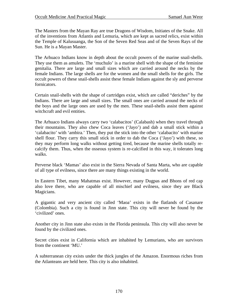The Masters from the Mayan Ray are true Dragons of Wisdom, Initiates of the Snake. All of the inventions from Atlantis and Lemuria, which are kept as sacred relics, exist within the Temple of Kalusuanga, the Son of the Seven Red Seas and of the Seven Rays of the Sun. He is a Mayan Master.

The Arhuaco Indians know in depth about the occult powers of the marine snail-shells. They use them as amulets. The 'muchulo' is a marine shell with the shape of the feminine genitalia. There are large and small sizes which are carried around the necks by the female Indians. The large shells are for the women and the small shells for the girls. The occult powers of these snail-shells assist these female Indians against the sly and perverse fornicators.

Certain snail-shells with the shape of cartridges exist, which are called "deriches" by the Indians. There are large and small sizes. The small ones are carried around the necks of the boys and the large ones are used by the men. These snail-shells assist them against witchcraft and evil entities.

The Arhuaco Indians always carry two 'calabacitos' (Calabash) when they travel through their mountains. They also chew Coca leaves ('Jayo') and dab a small stick within a 'calabacito' with 'ambira.' Then, they put the stick into the other 'calabacito' with marine shell flour. They carry this small stick in order to dab the Coca ('Jayo') with these, so they may perform long walks without getting tired, because the marine shells totally recalcify them. Thus, when the osseous system is re-calcified in this way, it tolerates long walks.

Perverse black 'Mamas' also exist in the Sierra Nevada of Santa Marta, who are capable of all type of evilness, since there are many things existing in the world.

In Eastern Tibet, many Mahatmas exist. However, many Dugpas and Bhons of red cap also love there, who are capable of all mischief and evilness, since they are Black Magicians.

A gigantic and very ancient city called 'Maoa' exists in the flatlands of Casanare (Colombia). Such a city is found in Jinn state. This city will never be found by the 'civilized' ones.

Another city in Jinn state also exists in the Florida peninsula. This city will also never be found by the civilized ones.

Secret cities exist in California which are inhabited by Lemurians, who are survivors from the continent 'MU.'

A subterranean city exists under the thick jungles of the Amazon. Enormous riches from the Atlanteans are held here. This city is also inhabited.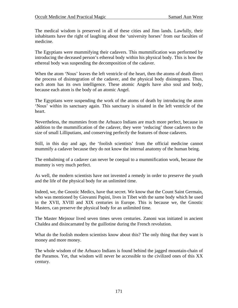The medical wisdom is preserved in all of these cities and Jinn lands. Lawfully, their inhabitants have the right of laughing about the 'university horses' from our faculties of medicine.

The Egyptians were mummifying their cadavers. This mummification was performed by introducing the deceased person's ethereal body within his physical body. This is how the ethereal body was suspending the decomposition of the cadaver.

When the atom 'Nous' leaves the left ventricle of the heart, then the atoms of death direct the process of disintegration of the cadaver, and the physical body disintegrates. Thus, each atom has its own intelligence. These atomic Angels have also soul and body, because each atom is the body of an atomic Angel.

The Egyptians were suspending the work of the atoms of death by introducing the atom 'Nous' within its sanctuary again. This sanctuary is situated in the left ventricle of the heart.

Nevertheless, the mummies from the Arhuaco Indians are much more perfect, because in addition to the mummification of the cadaver, they were 'reducing' those cadavers to the size of small Lilliputians, and conserving perfectly the features of those cadavers.

Still, in this day and age, the 'foolish scientists' from the official medicine cannot mummify a cadaver because they do not know the internal anatomy of the human being.

The embalming of a cadaver can never be coequal to a mummification work, because the mummy is very much perfect.

As well, the modern scientists have not invented a remedy in order to preserve the youth and the life of the physical body for an unlimited time.

Indeed, we, the Gnostic Medics, have that secret. We know that the Count Saint Germain, who was mentioned by Giovanni Papini, lives in Tibet with the same body which he used in the XVII, XVIII and XIX centuries in Europe. This is because we, the Gnostic Masters, can preserve the physical body for an unlimited time.

The Master Mejnour lived seven times seven centuries. Zanoni was initiated in ancient Chaldea and disincarnated by the guillotine during the French revolution.

What do the foolish modern scientists know about this? The only thing that they want is money and more money.

The whole wisdom of the Arhuaco Indians is found behind the jagged mountain-chain of the Paramos. Yet, that wisdom will never be accessible to the civilized ones of this XX century.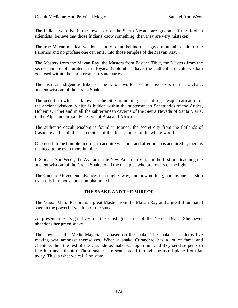The Indians who live in the lower part of the Sierra Nevada are ignorant. If the 'foolish scientists' believe that those Indians know something, then they are very mistaken.

The true Mayan medical wisdom is only found behind the jagged mountain-chain of the Paramos and no profane one can enter into those temples of the Mayan Ray.

The Masters from the Mayan Ray, the Masters from Eastern Tibet, the Masters from the secret temple of Juratena in Boyacá (Colombia) have the authentic occult wisdom enclosed within their subterranean Sanctuaries.

The distinct indigenous tribes of the whole world are the possessors of that archaic, ancient wisdom of the Green Snake.

The occultism which is known in the cities is nothing else but a grotesque caricature of the ancient wisdom, which is hidden within the subterranean Sanctuaries of the Andes, Bohemia, Tibet and in all the subterranean caverns of the Sierra Nevada of Santa Marta, in the Alps and the sandy deserts of Asia and Africa.

The authentic occult wisdom is found in Manoa, the secret city from the flatlands of Casanare and in all the secret cities of the thick jungles of the whole world.

One needs to be humble in order to acquire wisdom, and after one has acquired it, there is the need to be even more humble.

I, Samael Aun Weor, the Avatar of the New Aquarian Era, am the first one teaching the ancient wisdom of the Green Snake to all the disciples who are lovers of the light.

The Gnostic Movement advances in a mighty way, and now nothing, not anyone can stop us in this luminous and triumphal march.

#### **THE SNAKE AND THE MIRROR**

The 'Saga' Maria Pastora is a great Master from the Mayan Ray and a great illuminated sage in the powerful wisdom of the snake.

At present, the 'Saga' lives on the most great star of the 'Great Bear.' She never abandons her green snake.

The power of the Medic-Magician is based on the snake. The snake Curanderos live making war amongst themselves. When a snake Curandero has a lot of fame and clientele, then the rest of the Curanderos make war upon him and they send serpents to bite him and kill him. Those snakes are sent abroad through the astral plane from far away. This is what we call Jinn state.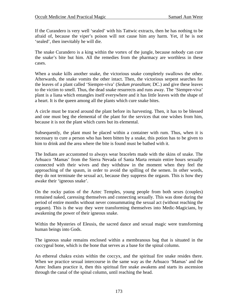If the Curandero is very well 'sealed' with his Tattwic extracts, then he has nothing to be afraid of, because the viper's poison will not cause him any harm. Yet, if he is not 'sealed', then inevitably he will die.

The snake Curandero is a king within the vortex of the jungle, because nobody can cure the snake's bite but him. All the remedies from the pharmacy are worthless in these cases.

When a snake kills another snake, the victorious snake completely swallows the other. Afterwards, the snake vomits the other intact. Then, the victorious serpent searches for the leaves of a plant called 'Siempre-viva' (*Sedum praealtum*; DC.) and give these leaves to the victim to smell. Thus, the dead snake resurrects and runs away. The 'Siempre-viva' plant is a liana which entangles itself everywhere and it has little leaves with the shape of a heart. It is the queen among all the plants which cure snake bites.

A circle must be traced around the plant before its harvesting. Then, it has to be blessed and one must beg the elemental of the plant for the services that one wishes from him, because it is not the plant which cures but its elemental.

Subsequently, the plant must be placed within a container with rum. Thus, when it is necessary to cure a person who has been bitten by a snake, this potion has to be given to him to drink and the area where the bite is found must be bathed with it.

The Indians are accustomed to always wear bracelets made with the skins of snake. The Arhuaco 'Mamas' from the Sierra Nevada of Santa Marta remain entire hours sexually connected with their wives and they withdraw in the moment when they feel the approaching of the spasm, in order to avoid the spilling of the semen. In other words, they do not terminate the sexual act, because they suppress the orgasm. This is how they awake their 'igneous snake'.

On the rocky patios of the Aztec Temples, young people from both sexes (couples) remained naked, caressing themselves and connecting sexually. This was done during the period of entire months without never consummating the sexual act (without reaching the orgasm). This is the way they were transforming themselves into Medic-Magicians, by awakening the power of their igneous snake.

Within the Mysteries of Eleusis, the sacred dance and sexual magic were transforming human beings into Gods.

The igneous snake remains enclosed within a membranous bag that is situated in the coccygeal bone, which is the bone that serves as a base for the spinal column.

An ethereal chakra exists within the coccyx, and the spiritual fire snake resides there. When we practice sexual intercourse in the same way as the Arhuaco 'Mamas' and the Aztec Indians practice it, then this spiritual fire snake awakens and starts its ascension through the canal of the spinal column, until reaching the head.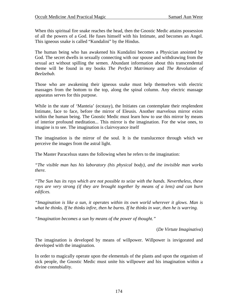When this spiritual fire snake reaches the head, then the Gnostic Medic attains possession of all the powers of a God. He fuses himself with his Intimate, and becomes an Angel. This igneous snake is called "Kundalini" by the Hindus.

The human being who has awakened his Kundalini becomes a Physician anointed by God. The secret dwells in sexually connecting with our spouse and withdrawing from the sexual act without spilling the semen. Abundant information about this transcendental theme will be found in my books *The Perfect Matrimony* and *The Revolution of Beelzebub.* 

Those who are awakening their igneous snake must help themselves with electric massages from the bottom to the top, along the spinal column. Any electric massage apparatus serves for this purpose.

While in the state of 'Manteia' (ecstasy), the Initiates can contemplate their resplendent Intimate, face to face, before the mirror of Eleusis. Another marvelous mirror exists within the human being. The Gnostic Medic must learn how to use this mirror by means of interior profound meditation... This mirror is the imagination. For the wise ones, to imagine is to see. The imagination is clairvoyance itself

The imagination is the mirror of the soul. It is the translucence through which we perceive the images from the astral light.

The Master Paracelsus states the following when he refers to the imagination:

*"The visible man has his laboratory (his physical body), and the invisible man works there.* 

*"The Sun has its rays which are not possible to seize with the hands. Nevertheless, these rays are very strong (if they are brought together by means of a lens) and can burn edifices.* 

*"Imagination is like a sun, it operates within its own world wherever it glows. Man is what he thinks. If he thinks infire, then he burns. If he thinks in war, then he is warring.* 

*"Imagination becomes a sun by means of the power of thought."* 

(*De Virtute Imaginativa*)

The imagination is developed by means of willpower. Willpower is invigorated and developed with the imagination.

In order to magically operate upon the elementals of the plants and upon the organism of sick people, the Gnostic Medic must unite his willpower and his imagination within a divine connubiality.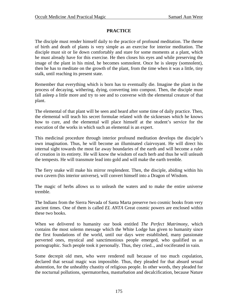#### **PRACTICE**

The disciple must render himself daily to the practice of profound meditation. The theme of birth and death of plants is very simple as an exercise for interior meditation. The disciple must sit or lie down comfortably and stare for some moments at a plant, which he must already have for this exercise. He then closes his eyes and while preserving the image of the plant in his mind, he becomes somnolent. Once he is sleepy (somnolent), then he has to meditate on the growth of the plant, from the time when it was a little, tiny stalk, until reaching its present state.

Remember that everything which is born has to eventually die. Imagine the plant in the process of decaying, withering, dying, converting into compost. Then, the disciple must fall asleep a little more and try to see and to converse with the elemental creature of that plant.

The elemental of that plant will be seen and heard after some time of daily practice. Then, the elemental will teach his secret formulae related with the sicknesses which he knows how to cure, and the elemental will place himself at the student's service for the execution of the works in which such an elemental is an expert.

This medicinal procedure through interior profound meditation develops the disciple's own imagination. Thus, he will become an illuminated clairvoyant. He will direct his internal sight towards the most far away boundaries of the earth and will become a ruler of creation in its entirety. He will know the wisdom of each herb and thus he will unleash the tempests. He will transmute lead into gold and will make the earth tremble.

The fiery snake will make his mirror resplendent. Then, the disciple, abiding within his own cavern (his interior universe), will convert himself into a Dragon of Wisdom.

The magic of herbs allows us to unleash the waters and to make the entire universe tremble.

The Indians from the Sierra Nevada of Santa Marta preserve two cosmic books from very ancient times. One of them is called *EL ANTA* Great cosmic powers are enclosed within these two books.

When we delivered to humanity our book entitled *The Perfect Matrimony*, which contains the most solemn message which the White Lodge has given to humanity since the first foundations of the world, until our days were established, many passionate perverted ones, mystical and sanctimonious people emerged, who qualified us as pornographic. Such people took it personally. Thus, they cried.., and vociferated in vain.

Some decrepit old men, who were rendered null because of too much copulation, declared that sexual magic was impossible. Thus, they pleaded for that absurd sexual abstention, for the unhealthy chastity of religious people. In other words, they pleaded for the nocturnal pollutions, spermatorrhea, masturbation and decalcification, because Nature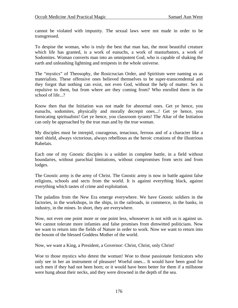cannot be violated with impunity. The sexual laws were not made in order to be transgressed.

To despise the woman, who is truly the best that man has, the most beautiful creature which life has granted, is a work of eunuchs, a work of masturbators, a work of Sodomites. Woman converts man into an omnipotent God, who is capable of shaking the earth and unleashing lightning and tenipests in the whole universe.

The "mystics" of Theosophy, the Rosicrucian Order, and Spiritism were naming us as materialists. These offensive ones believed themselves to be super-transcendental and they forgot that nothing can exist, not even God, without the help of matter. Sex is repulsive to them, but from where are they coming from? Who enrolled them in the school of life...?

Know then that the Initiation was not made for abnormal ones. Get ye hence, you eunuchs, sodomites, physically and morally decrepit ones...! Get ye hence, you fornicating spiritualists! Get ye hence, you classroom tyrants! The Altar of the Initiation can only be approached by the true man and by the true woman.

My disciples must be intrepid, courageous, tenacious, ferrous and of a character like a steel shield, always victorious, always rebellious as the heroic creations of the illustrious Rabelais.

Each one of my Gnostic disciples is a soldier in complete battle, in a field without boundaries, without parochial limitations, without compromises from sects and from lodges.

The Gnostic army is the army of Christ. The Gnostic army is now in battle against false religions, schools and sects from the world. It is against everything black, against everything which tastes of crime and exploitation.

The paladins from the New Era emerge everywhere. We have Gnostic soldiers in the factories, in the workshops, in the ships, in the railroads, in commerce, in the banks, in industry, in the mines. In short, they are everywhere.

Now, not even one point more or one point less, whosoever is not with us is against us. We cannot tolerate more infamies and false promises from dimwitted politicians. Now we want to return into the fields of Nature in order to work. Now we want to return into the bosom of the blessed Goddess Mother of the world.

Now, we want a King, a President, a Governor: Christ, Christ, only Christ!

Woe to those mystics who detest the woman! Woe to those passionate fornicators who only see in her an instrument of pleasure! Woeful ones... It would have been good for such men if they had not been born; or it would have been better for them if a millstone were hung about their necks, and they were drowned in the depth of the sea.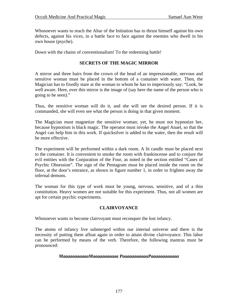Whosoever wants to reach the Altar of the Initiation has to thrust himself against his own defects, against his vices, in a battle face to face against the enemies who dwell in his own house (psyche).

Down with the chains of conventionalism! To the redeeming battle!

#### **SECRETS OF THE MAGIC MIRROR**

A mirror and three hairs from the crown of the head of an impressionable, nervous and sensitive woman must be placed in the bottom of a container with water. Then, the Magician has to fixedly stare at the woman to whom he has to imperiously say: "Look, be well aware. Here, over this mirror is the image of (say here the name of the person who is going to be seen)."

Thus, the sensitive woman will do it, and she will see the desired person. If it is commanded, she will even see what the person is doing in that given moment.

The Magician must magnetize the sensitive woman; yet, he must not hypnotize her, because hypnotism is black magic. The operator must invoke the Angel Anael, so that the Angel can help him in this work. If quicksilver is added to the water, then the result will be more effective.

The experiment will be performed within a dark room. A lit candle must be placed next to the container. It is convenient to smoke the room with frankincense and to conjure the evil entities with the Conjuration of the Four, as noted in the section entitled "Cases of Psychic Obsession". The sign of the Pentagram must be placed inside the room on the floor, at the door's entrance, as shown in figure number 1, in order to frighten away the infernal demons.

The woman for this type of work must be young, nervous, sensitive, and of a thin constitution. Heavy women are not suitable for this experiment. Thus, not all women are apt for certain psychic experiments.

#### **CLAIRVOYANCE**

Whosoever wants to become clairvoyant must reconquer the lost infancy.

The atoms of infancy live submerged within our internal universe and there is the necessity of putting them afloat again in order to attain divine clairvoyance. This labor can be performed by means of the verb. Therefore, the following mantras must be pronounced:

#### *MaaaaaaaaaaaMaaaaaaaaaaa PaaaaaaaaaaaPaaaaaaaaaaaa*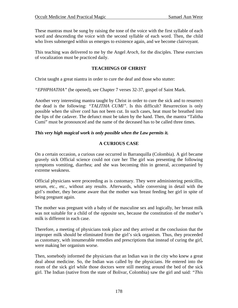These mantras must be sung by raising the tone of the voice with the first syllable of each word and descending the voice with the second syllable of each word. Then, the child who lives submerged within us emerges to existence again, and we become clairvoyant.

This teaching was delivered to me by the Angel *Aroch*, for the disciples. These exercises of vocalization must be practiced daily.

#### **TEACHINGS OF CHRIST**

Christ taught a great niantra in order to cure the deaf and those who stutter:

*"EPHPHATHA"* (be opened), see Chapter 7 verses 32-37, gospel of Saint Mark.

Another very interesting mantra taught by Christ in order to cure the sick and to resurrect the dead is the following: *"TALITHA CUMI"*. Is this difficult? Resurrection is only possible when the silver cord has not been cut. In such cases, heat must be breathed into the lips of the cadaver. The defunct must be taken by the hand. Then, the mantra "Talitha Cumi" must be pronounced and the name of the deceased has to be called three times.

#### *This very high magical work is only possible when the Law permits it.*

#### **A CURIOUS CASE**

On a certain occasion, a curious case occurred in Barranquilla (Colombia). A girl became gravely sick Official science could not cure her The girl was presenting the following symptoms vomiting, diarrhea; and she was becoming thin in general, accompanied by extreme weakness.

Official physicians were proceeding as is customary. They were administering penicillin, serum, etc., etc., without any results. Afterwards, while conversing in detail with the girl's mother, they became aware that the mother was breast feeding her girl in spite of being pregnant again.

The mother was pregnant with a baby of the masculine sex and logically, her breast milk was not suitable for a child of the opposite sex, because the constitution of the mother's milk is different in each case.

Therefore, a meeting of physicians took place and they arrived at the conclusion that the improper milk should be eliminated from the girl's sick organism. Thus, they proceeded as customary, with innumerable remedies and prescriptions that instead of curing the girl, were making her organism worse.

Then, somebody informed the physicians that an Indian was in the city who knew a great deal about medicine. So, the Indian was called by the physicians. He entered into the room of the sick girl while those doctors were still meeting around the bed of the sick girl. The Indian (native from the state of Bolivar, Colombia) saw the girl and said: *"This*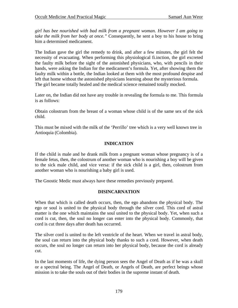*girl has bee nourished with bad milk from a pregnant woman. However I am going to take the milk from her body at once."* Consequently, he sent a boy to his house to bring him a determined medicament.

The Indian gave the girl the remedy to drink, and after a few minutes, the girl felt the necessity of evacuating. When performing this physiological fi.inction, the girl excreted the faulty milk before the sight of the astonished physicians, who, with pencils in their hands, were asking the Indian for the medicament's formula. Yet, after showing them the faulty milk within a bottle, the Indian looked at them with the most profound despise and left that home without the astonished physicians learning about the mysterious formula. The girl became totally healed and the medical science remained totally mocked.

Later on, the Indian did not have any trouble in revealing the formula to me. This formula is as follows:

Obtain colostrum from the breast of a woman whose child is of the same sex of the sick child.

This must be mixed with the milk of the 'Perrillo' tree which is a very well known tree in Antioquia (Colombia).

#### **INDICATION**

If the child is male and he drank milk from a pregnant woman whose pregnancy is of a female fetus, then, the colostrum of another woman who is nourishing a boy will be given to the sick male child, and vice versa: if the sick child is a girl, then, colostrum from another woman who is nourishing a baby girl is used.

The Gnostic Medic must always have these remedies previously prepared.

#### **DISINCARNATION**

When that which is called death occurs, then, the ego abandons the physical body. The ego or soul is united to the physical body through the silver cord. This cord of astral matter is the one which maintains the soul united to the physical body. Yet, when such a cord is cut, then, the soul no longer can enter into the physical body. Commonly, that cord is cut three days after death has occurred.

The silver cord is united to the left ventricle of the heart. When we travel in astral body, the soul can return into the physical body thanks to such a cord. However, when death occurs, the soul no longer can return into her physical body, because the cord is already cut.

In the last moments of life, the dying person sees the Angel of Death as if he was a skull or a spectral being. The Angel of Death, or Angels of Death, are perfect beings whose mission is to take the souls out of their bodies in the supreme instant of death.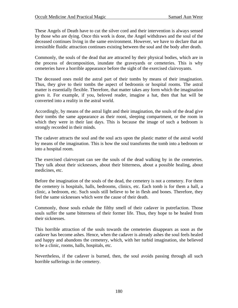These Angels of Death have to cut the silver cord and their intervention is always sensed by those who are dying. Once this work is done, the Angel withdraws and the soul of the deceased continues living in the same environment. However, we have to declare that an irresistible fluidic attraction continues existing between the soul and the body after death.

Commonly, the souls of the dead that are attracted by their physical bodies, which are in the process of decomposition, inundate the graveyards or cemeteries. This is why cemeteries have a horrible appearance before the sight of the exercised clairvoyants.

The deceased ones mold the astral part of their tombs by means of their imagination. Thus, they give to their tombs the aspect of bedroonis or hospital rooms. The astral matter is essentially flexible. Therefore, that matter takes any form which the imagination gives it. For example, if you, beloved reader, imagine a hat, then that hat will be converted into a reality in the astral world.

Accordingly, by means of the astral light and their imagination, the souls of the dead give their tombs the same appearance as their rooni, sleeping compartment, or the room in which they were in their last days. This is because the image of such a bedroom is strongly recorded in their minds.

The cadaver attracts the soul and the soul acts upon the plastic matter of the astral world by means of the imagination. This is how the soul transforms the tomb into a bedroom or into a hospital room.

The exercised clairvoyant can see the souls of the dead walking by in the cemeteries. They talk about their sicknesses, about their bitterness, about a possible healing, about medicines, etc.

Before the imagination of the souls of the dead, the cemetery is not a cemetery. For them the cemetery is hospitals, halls, bedrooms, clinics, etc. Each tomb is for them a hall, a clinic, a bedroom, etc. Such souls still believe to be in flesh and bones. Therefore, they feel the same sicknesses which were the cause of their death.

Commonly, those souls exhale the filthy smell of their cadaver in putrefaction. Those souls suffer the same bitterness of their former life. Thus, they hope to be healed from their sicknesses.

This horrible attraction of the souls towards the cemeteries disappears as soon as the cadaver has become ashes. Hence, when the cadaver is already ashes the soul feels healed and happy and abandons the cemetery, which, with her turbid imagination, she believed to be a clinic, rooms, halls, hospitals, etc.

Nevertheless, if the cadaver is burned, then, the soul avoids passing through all such horrible sufferings in the cemetery.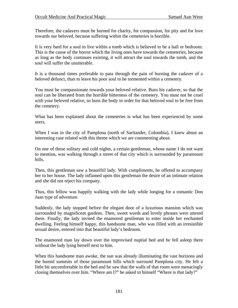Therefore, the cadavers must be burned for charity, for compassion, for pity and for love towards our beloved, because suffering within the cemeteries is horrible.

It is very hard for a soul to live within a tomb which is believed to be a hail or bedroom. This is the cause of the horror which the living ones have towards the cemeteries, because as long as the body continues existing, it will attract the soul towards the tomb, and the soul will suffer the unutterable.

It is a thousand times preferable to pass through the pain of burning the cadaver of a beloved defunct, than to leave his poor soul to be tormented within a cemetery.

You must be compassionate towards your beloved relative. Burn his cadaver, so that the soul can be liberated from the horrible bitterness of the cemetery. You must not be cruel with your beloved relative, so burn the body in order for that beloved soul to be free from the cemetery.

What has been explained about the cemeteries is what has been experienced by some seers.

When I was in the city of Pamplona (north of Saritander, Colombia), I knew about an interesting case related with this theme which we are commenting about.

On one of those solitary and cold nights, a certain gentleman, whose name I do not want to mention, was walking through a street of that city which is surrounded by paramount hills.

Then, this gentleman saw a beautiftil lady. With compliments, he offered to accompany her to her house. The lady inflamed upon this gentleman the desire of an intimate relation and she did not reject his company.

Thus, this fellow was happily walking with the lady while longing for a romantic Don Juan type of adventure.

Suddenly, the lady stopped before the elegant door of a luxurious mansion which was surrounded by magnificent gardens. Then, sweet words and lovely phrases were uttered there. Finally, the lady invited the enamored gentleman to enter inside her enchanted dwelling. Feeling himself happy, this handsome man, who was filled with an irresistible sexual desire, entered into that beautiful lady's bedroom.

The enamored man lay down over the improvised nuptial bed and he fell asleep there without the lady lying herself next to him.

When this handsome man awoke, the sun was already illuminating the vast horizons and the humid summits of those paramount hills which surround Pamplona city. He felt a little bit uncomfortable in the bed and he saw that the walls of that room were menacingly closing themselves over him. "Where am I?" he asked to himself "Where is that lady?"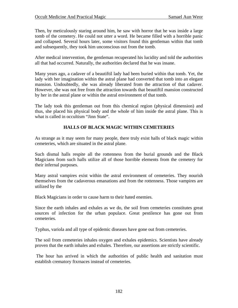Then, by meticulously staring around him, he saw with horror that he was inside a large tomb of the cemetery. He could not utter a word. He became filled with a horrible panic and collapsed. Several hours later, some visitors found this gentleman within that tomb and subsequently, they took him unconscious out from the tomb.

After medical intervention, the gentleman recuperated his lucidity and told the authorities all that had occurred. Naturally, the authorities declared that he was insane.

Many years ago, a cadaver of a beautiftil lady had been buried within that tomb. Yet, the lady with her imagination within the astral plane had converted that tomb into an elegant mansion. Undoubtedly, she was already liberated from the attraction of that cadaver. However, she was not free from the attraction towards that beautiftil mansion constructed by her in the astral plane or within the astral environment of that tomb.

The lady took this gentleman out from this chemical region (physical dimension) and thus, she placed his physical body and the whole of him inside the astral plane. This is what is called in occultism "Jinn State".

# **HALLS OF BLACK MAGIC WITHIN CEMETERIES**

As strange as it may seem for many people, there truly exist halls of black magic within cemeteries, which are situated in the astral plane.

Such dismal halls respite all the rottenness from the burial grounds and the Black Magicians from such halls utilize all of those horrible elements from the cemetery for their infernal purposes.

Many astral vampires exist within the astral environment of cemeteries. They nourish themselves from the cadaverous emanations and from the rottenness. Those vampires are utilized by the

Black Magicians in order to cause harm to their hated enemies.

Since the earth inhales and exhales as we do, the soil from cemeteries constitutes great sources of infection for the urban populace. Great pestilence has gone out from cemeteries.

Typhus, variola and all type of epidemic diseases have gone out from cemeteries.

The soil from cemeteries inhales oxygen and exhales epidemics. Scientists have already proven that the earth inhales and exhales. Therefore, our assertions are strictly scientific.

 The hour has arrived in which the authorities of public health and sanitation must establish crematory ftxrnaces instead of cemeteries.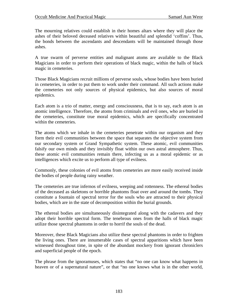The mourning relatives could establish in their homes altars where they will place the ashes of their beloved deceased relatives within beautiful and splendid 'coffins'. Thus, the bonds between the ascendants and descendants will be maintained through those ashes.

A true swarm of perverse entities and malignant atoms are available to the Black Magicians in order to perform their operations of black magic, within the halls of black magic in cemeteries.

Those Black Magicians recruit millions of perverse souls, whose bodies have been buried in cemeteries, in order to put them to work under their command. All such actions make the cemeteries not only sources of physical epidemics, but also sources of moral epidemics.

Each atom is a trio of matter, energy and consciousness, that is to say, each atom is an atomic intelligence. Therefore, the atoms from criminals and evil ones, who are buried in the cemeteries, constitute true moral epidemics, which are specifically concentrated within the cemeteries.

The atoms which we inhale in the cemeteries penetrate within our organism and they form their evil communities between the space that separates the objective system from our secondary system or Grand Sympathetic system. These atomic, evil communities falsify our own minds and they invisibly float within our own astral atmosphere. Thus, these atomic evil communities remain there, infecting us as a moral epidemic or as intelligences which excite us to perform all type of evilness.

Commonly, these colonies of evil atoms from cemeteries are more easily received inside the bodies of people during rainy weather.

The cemeteries are true infernos of evilness, weeping and rottenness. The ethereal bodies of the deceased as skeletons or horrible phantoms float over and around the tombs. They constitute a fountain of spectral terror for the souls who are attracted to their physical bodies, which are in the state of decomposition within the burial grounds.

The ethereal bodies are simultaneously disintegrated along with the cadavers and they adopt their horrible spectral form. The tenebrous ones from the halls of black magic utilize those spectral phantoms in order to horrif the souls of the dead.

Moreover, these Black Magicians also utilize these spectral phantoms in order to frighten the living ones. There are innumerable cases of spectral apparitions which have been witnessed throughout time, in spite of the abundant mockery from ignorant chroniclers and superficial people of the epoch.

The phrase from the ignoramuses, which states that "no one can know what happens in heaven or of a supernatural nature", or that "no one knows what is in the other world,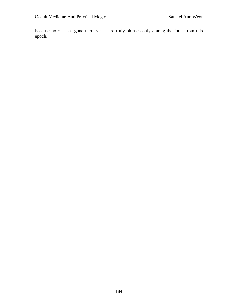because no one has gone there yet ", are truly phrases only among the fools from this epoch.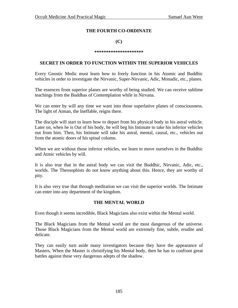## **THE FOURTH CO-ORDINATE**

## **(C)**

#### **\*\*\*\*\*\*\*\*\*\*\*\*\*\*\*\*\*\*\*\*\***

#### **SECRET IN ORDER TO FUNCTION WITHIN THE SUPERIOR VEHICLES**

Every Gnostic Medic must learn how to freely function in his Atomic and Buddhic vehicles in order to investigate the Nirvanic, Super-Nirvanic, Adic, Monadic, etc., planes.

The essences from superior planes are worthy of being studied. We can receive sublime teachings from the Buddhas of Contemplation while in Nirvana.

We can enter by will any time we want into those superlative planes of consciousness. The light of Atman, the Ineffable, reigns there.

The disciple will start to learn how to depart from his physical body in his astral vehicle. Later on, when he is Out of his body, he will beg his Intimate to take his inferior vehicles out from him. Then, his Intimate will take his astral, mental, causal, etc., vehicles out from the atomic doors of his spinal column.

When we are without those inferior vehicles, we learn to move ourselves in the Buddhic and Atmic vehicles by will.

It is also true that in the astral body we can visit the Buddhic, Nirvanic, Adic, etc., worlds. The Theosophists do not know anything about this. Hence, they are worthy of pity.

It is also very true that through meditation we can visit the superior worlds. The Intimate can enter into any department of the kingdom.

#### **THE MENTAL WORLD**

Even though it seems incredible, Black Magicians also exist within the Mental world.

The Black Magicians from the Mental world are the most dangerous of the universe. Those Black Magicians from the Mental world are extremely fine, subtle, erudite and delicate.

They can easily turn aside many investigators because they have the appearance of Masters. When the Master is christifying his Mental body, then he has to confront great battles against these very dangerous adepts of the shadow.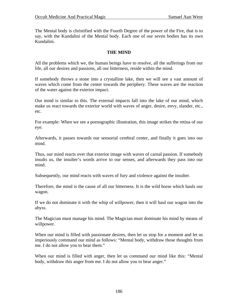The Mental body is christified with the Fourth Degree of the power of the Fire, that is to say, with the Kundalini of the Mental body. Each one of our seven bodies has its own Kundalini.

## **THE MIND**

All the problems which we, the human beings have to resolve, all the sufferings from our life, all our desires and passions, all our bitterness, reside within the mind.

If somebody throws a stone into a crystalline lake, then we will see a vast amount of waves which come from the center towards the periphery. These waves are the reaction of the water against the exterior impact.

Our mind is similar to this. The external impacts fall into the lake of our mind, which make us react towards the exterior world with waves of anger, desire, envy, slander, etc., etc.

For example: When we see a pornographic illustration, this image strikes the retina of our eye.

Afterwards, it passes towards our sensorial cerebral center, and finally it goes into our mind.

Thus, our mind reacts over that exterior image with waves of carnal passion. If somebody insults us, the insulter's words arrive to our senses, and afterwards they pass into our mind.

Subsequently, our mind reacts with waves of fury and violence against the insulter.

Therefore, the mind is the cause of all our bitterness. It is the wild horse which hauls our wagon.

If we do not dominate it with the whip of willpower, then it will haul our wagon into the abyss.

The Magician must manage his mind. The Magician must dominate his mind by means of willpower.

When our mind is filled with passionate desires, then let us stop for a moment and let us imperiously command our mind as follows: "Mental body, withdraw those thoughts from me. I do not allow you to bear them."

When our mind is filled with anger, then let us command our mind like this: "Mental body, withdraw this anger from me. I do not allow you to bear anger."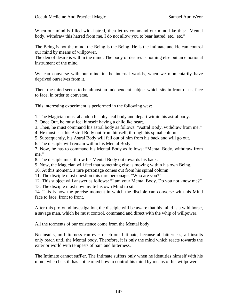When our mind is filled with hatred, then let us command our mind like this: "Mental body, withdraw this hatred from me. I do not allow you to bear hatred, etc., etc."

The Being is not the mind, the Being is the Being. He is the Intimate and He can control our mind by means of willpower.

The den of desire is within the mind. The body of desires is nothing else but an emotional instrument of the mind.

We can converse with our mind in the internal worlds, when we momentarily have deprived ourselves from it.

Then, the mind seems to be almost an independent subject which sits in front of us, face to face, in order to converse.

This interesting experiment is performed in the following way:

1. The Magician must abandon his physical body and depart within his astral body.

- 2. Once Out, he must feel himself having a childlike heart.
- 3. Then, he must command his astral body as follows: "Astral Body, withdraw from me."
- 4. He must cast his Astral Body out from himself, through his spinal column.
- 5. Subsequently, his Astral Body will fall out of him from his back and will go out.
- 6. The disciple will remain within his Mental Body.

7. Now, he has to command his Mental Body as follows: "Mental Body, withdraw from me."

- 8. The disciple must throw his Mental Body out towards his back.
- 9. Now, the Magician will feel that something else is moving within his own Being.
- 10. At this moment, a rare personage comes out from his spinal column.
- 11. The disciple must question this rare personage: "Who are you?"
- 12. This subject will answer as follows: "I am your Mental Body. Do you not know me?"
- 13. The disciple must now invite his own Mind to sit.

14. This is now the precise moment in which the disciple can converse with his Mind face to face, front to front.

After this profound investigation, the disciple will be aware that his mind is a wild horse, a savage man, which he must control, command and direct with the whip of willpower.

All the torments of our existence come from the Mental body.

No insults, no bitterness can ever reach our Intimate, because all bitterness, all insults only reach until the Mental body. Therefore, it is only the mind which reacts towards the exterior world with tempests of pain and bitterness.

The Intimate cannot sufFer. The Intimate suffers only when he identities himself with his mind, when he still has not learned how to control his mind by means of his willpower.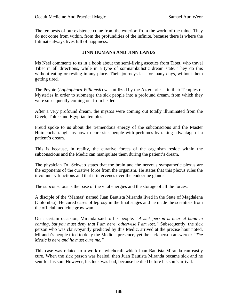The tempests of our existence come from the exterior, from the world of the mind. They do not come from within, from the profundities of the infinite, because there is where the Intimate always lives full of happiness.

## **JINN HUMANS AND JINN LANDS**

Ms Neel comments to us in a book about the semi-flying ascetics from Tibet, who travel Tibet in all directions, while in a type of somnambulistic dream state. They do this without eating or resting in any place. Their journeys last for many days, without them getting tired.

The Peyote (*Lophophora Wiliamsii*) was utilized by the Aztec priests in their Temples of Mysteries in order to submerge the sick people into a profound dream, from which they were subsequently coming out from healed.

After a very profound dream, the mystos were coming out totally illuminated from the Greek, Toltec and Egyptian temples.

Freud spoke to us about the tremendous energy of the subconscious and the Master Huiracocha taught us how to cure sick people with perfumes by taking advantage of a patient's dream.

This is because, in reality, the curative forces of the organism reside within the subconscious and the Medic can manipulate them during the patient's dream.

The physician Dr. Schwab states that the brain and the nervous sympathetic plexus are the exponents of the curative force from the organism. He states that this plexus rules the involuntary functions and that it intervenes over the endocrine glands.

The subconscious is the base of the vital energies and the storage of all the forces.

A disciple of the 'Mamas' named Juan Bautista Miranda lived in the State of Magdalena (Colombia). He cured cases of leprosy in the final stages and he made the scientists from the official medicine grow wan.

On a certain occasion, Miranda said to his people: *"A sick person is near at hand in coming, but you must deny that I am here, otherwise I am lost."* Subsequently, the sick person who was clairvoyantly predicted by this Medic, arrived at the precise hour noted. Miranda's people tried to deny the Medic's presence, yet the sick person answered: *"The Medic is here and he must cure me."* 

This case was related to a work of witchcraft which Juan Bautista Miranda can easily cure. When the sick person was healed, then Juan Bautista Miranda became sick and he sent for his son. However, his luck was bad, because he died before his son's arrival.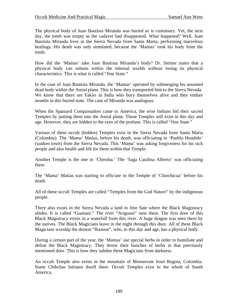The physical body of Juan Bautista Miranda was buried as is customary. Yet, the next day, the tomb was empty as the cadaver had disappeared. What happened? Well, Juan Bautista Miranda lives in the Sierra Nevada from Santa Marta, performing marvelous healings. His death was only simulated, because the 'Mamas' took his body from the tomb.

How did the 'Mamas' take Juan Bautista Miranda's body? Dr. Steiner states that a physical body can remain within the internal worlds without losing its physical characteristics. This is what is called "Jinn State."

In the case of Juan Bautista Miranda, the 'Mamas' operated by submerging his assumed dead body within the Astral plane. This is how they transported him to the Sierra Nevada. We know that there are Fakirs in India who bury themselves alive and they endure months in this buried state. The case of Miranda was analogous.

When the Spaniard Conquistadors came to America, the wise Indians hid their sacred Temples by putting them into the Astral plane. Those Temples still exist in this day and age. However, they are hidden to the eyes of the profane. This is called "Jinn State."

Various of these occult (hidden) Temples exist in the Sierra Nevada from Santa Marta (Colombia). The 'Mama' Matlas, before his death, was officiating in 'Pueblo Hundido' (sunken town) from the Sierra Nevada. This 'Mama' was asking forgiveness for his sick people and also health and life for them within that Temple.

Another Temple is the one in 'Cheruba.' The 'Saga Catalina Alberto' was officiating there.

The 'Mama' Matias was starting to officiate in the Temple of 'Chinchicua' before his death.

All of these occult Temples are called "Temples from the God Nature" by the indigenous people.

There also exists in the Sierra Nevada a land in Jinn Sate where the Black Magistracy abides. It is called "Guanani." The river "Ariguani" runs there. The first door of this Black Magistracy exists in a waterfall from this river. A huge dragon was seen there by the natives. The Black Magicians leave in the night through this door. All of these Black Magicians worship the demon "Ikanuse", who, in this day and age, has a physical body.

During a certain part of the year, the 'Mamas' use special herbs in order to humiliate and defeat the Black Magistracy. They throw their bunches of herbs in that previously mentioned door. This is how they subdue these Magicians from darkness.

An occult Temple also exists in the mountain of Monserrate from Bogota, Colombia. Some Chibchas Initiates dwell there. Occult Temples exist in the whole of South America.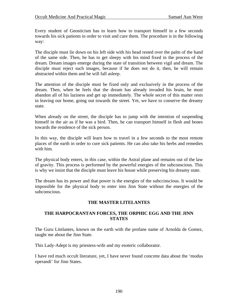Every student of Gnosticism has to learn how to transport himself in a few seconds towards his sick patients in order to visit and cure them. The procedure is in the following way:

The disciple must lie down on his left side with his head rested over the palm of the hand of the same side. Then, he has to get sleepy with his mind fixed in the process of the dream. Dream images emerge during the state of transition between vigil and dream. The disciple must reject such images, because if he does not do it, then, he will remain abstracted within them and he will fall asleep.

The attention of the disciple must be fixed only and exclusively in the process of the dream. Then, when he feels that the dream has already invaded his brain, he must abandon all of his laziness and get up immediately. The whole secret of this matter rests in leaving our home, going out towards the street. Yet, we have to conserve the dreamy state.

When already on the street, the disciple has to jump with the intention of suspending himself in the air as if he was a bird. Then, he can transport himself in flesh and bones towards the residence of the sick person.

In this way, the disciple will learn how to travel in a few seconds to the most remote places of the earth in order to cure sick patients. He can also take his herbs and remedies with him.

The physical body enters, in this case, within the Astral plane and remains out of the law of gravity. This process is performed by the powerful energies of the subconscious. This is why we insist that the disciple must leave his house while preserving his dreamy state.

The dream has its power and that power is the energies of the subccinscious. It would be impossible for the physical body to enter into Jinn State without the energies of the subconscious.

## **THE MASTER LITELANTES**

## **THE HARPOCRANTAN FORCES, THE ORPHIC EGG AND THE JINN STATES**

The Guru Litelantes, known on the earth with the profane name of Arnolda de Gomez, taught me about the Jinn State.

This Lady-Adept is my priestess-wife and my esoteric collaborator.

I have red much occult literature, yet, I have never found concrete data about the 'modus operandi' for Jinn States.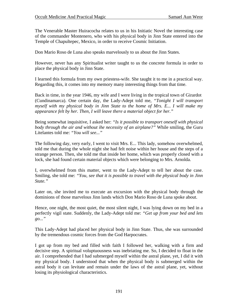The Venerable Master Huiracocha relates to us in his Initiatic Novel the interesting case of the commander Montenero, who with his physical body in Jinn State entered into the Temple of Chapultepec, Mexico, in order to receive Cosmic Initiation.

Don Mario Roso de Luna also speaks marvelously to us about the Jinn States.

However, never has any Spiritualist writer taught to us the concrete formula in order to place the physical body in Jinn State.

I learned this formula from my own priestess-wife. She taught it to me in a practical way. Regarding this, it comes into my memory many interesting things from that time.

Back in time, in the year 1946, my wife and I were living in the tropical town of Girardot (Cundinamarca). One certain day, the Lady-Adept told me, *"Tonight I will transport myself with my physical body in Jinn State to the home of Mrs. E... I will make my appearance felt by her. Then, I will leave there a material object for her."*

Being somewhat inquisitive, I asked her: *"Is it possible to transport oneself with physical body through the air and without ihe necessity of an airplane?"* While smiling, the Guru Litelantes told me: *"You will see..."*

The following day, very early, I went to visit Mrs. E... This lady, somehow overwhelmed, told me that during the whole night she had felt noise within her house and the steps of a strange person. Then, she told me that inside her home, which was properly closed with a lock, she had found certain material objects which were belonging to Mrs. Arnolda.

I, overwhelmed from this matter, went to the Lady-Adept to tell her about the case. Smiling, she told me: *"You, see that it is possible to travel with the physical body in Jinn State."* 

Later on, she invited me to execute an excursion with the physical body through the dominions of those marvelous Jinn lands which Don Mario Roso de Luna spoke about.

Hence, one night, the most quiet, the most silent night, I was lying down on my bed in a perfectly vigil state. Suddenly, the Lady-Adept told me: *"Get up from your bed and lets go..."* 

This Lady-Adept had placed her physical body in Jinn State. Thus, she was surrounded by the tremendous cosmic forces from the God Harpocrates.

I got up from my bed and filled with faith I followed her, walking with a firm and decisive step. A spiritual voluptuousness was inebriating me. So, I decided to float in the air. I comprehended that I had submerged myself within the astral plane, yet, I did it with my physical body. I understood that when the physical body is submerged within the astral body it can levitate and remain under the laws of the astral plane, yet, without losing its physiological characteristics.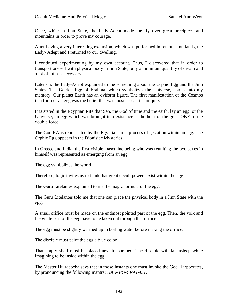Once, while in Jinn State, the Lady-Adept made me fly over great precipices and mountains in order to prove my courage.

After having a very interesting excursion, which was performed in remote Jinn lands, the Lady- Adept and I returned to our dwelling.

I continued experimenting by my own account. Thus, I discovered that in order to transport oneself with physical body in Jinn State, only a minimum quantity of dream and a lot of faith is necessary.

Later on, the Lady-Adept explained to me something about the Orphic Egg and the Jinn States. The Golden Egg of Brahma, which symbolizes the Universe, comes into my memory. Our planet Earth has an oviform figure. The first manifestation of the Cosmos in a form of an egg was the belief that was most spread in antiquity.

It is stated in the Egyptian Rite that Seb, the God of time and the earth, lay an egg, or the Universe; an egg which was brought into existence at the hour of the great ONE of the double force.

The God RA is represented by the Egyptians in a process of gestation within an egg. The Orphic Egg appears in the Dionisiac Mysteries.

In Greece and India, the first visible masculine being who was reuniting the two sexes in himself was represented as emerging from an egg.

The egg symbolizes the world.

Therefore, logic invites us to think that great occult powers exist within the egg.

The Guru Litelantes explained to me the magic formula of the egg.

The Guru Litelantes told me that one can place the physical body in a Jinn State with the egg.

A small orifice must be made on the endmost pointed part of the egg. Then, the yolk and the white part of the egg have to be taken out through that orifice.

The egg must be slightly warmed up in boiling water before making the orifice.

The disciple must paint the egg a blue color.

That empty shell must be placed next to our bed. The disciple will fall asleep while imagining to be inside within the egg.

The Master Huiracocha says that in those instants one must invoke the God Harpocrates, by pronouncing the following mantra: *HAR- PO-CRAT-IST*.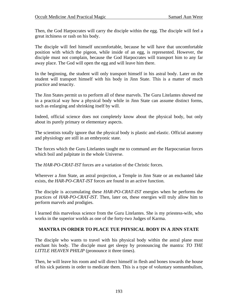Then, the God Harpocrates will carry the disciple within the egg. The disciple will feel a great itchiness or rash on his body.

The disciple will feel himself uncomfortable, because he will have that uncomfortable position with which the pigeon, while inside of an egg, is represented. However, the disciple must not complain, because the God Harpocrates will transport him to any far away place. The God will open the egg and will leave him there.

In the beginning, the student will only transport himself in his astral body. Later on the student will transport himself with his body in Jinn State. This is a matter of much practice and tenacity.

The Jinn States permit us to perform all of these marvels. The Guru Litelantes showed me in a practical way how a physical body while in Jinn State can assume distinct forms, such as enlarging and shrinking itself by will.

Indeed, official science does not completely know about the physical body, but only about its purely primary or elementary aspects.

The scientists totally ignore that the physical body is plastic and elastic. Official anatomy and physiology are still in an embryonic state.

The forces which the Guru Litelantes taught me to command are the Harpocranian forces which boil and palpitate in the whole Universe.

The *HAR-PO-CRAT-IST* forces are a variation of the Christic forces.

Wherever a Jinn State, an astral projection, a Temple in Jinn State or an enchanted lake exists, the *HAR-PO-CRAT-IST* forces are found in an active function.

The disciple is accumulating these *HAR-PO-CRAT-IST* energies when he performs the practices of *HAR-PO-CRAT-IST*. Then, later on, these energies will truly allow him to perform marvels and prodigies.

I learned this marvelous science from the Guru Litelantes. She is my priestess-wife, who works in the superior worlds as one of the forty-two Judges of Karma.

## **MANTRA IN ORDER TO PLACE TUE PHYSICAL BODY IN A JINN STATE**

The disciple who wants to travel with his physical body within the astral plane must enchant his body. The disciple must get sleepy by pronouncing the mantra: *TO THE LITTLE HEAVEN PHILIP* (pronounce it three times).

Then, he will leave his room and will direct himself in flesh and bones towards the house of his sick patients in order to medicate them. This is a type of voluntary somnambulism,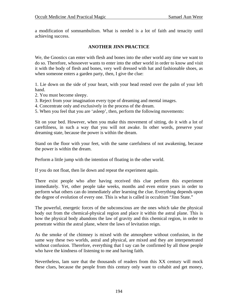a modification of somnambulism. What is needed is a lot of faith and tenacity until achieving success.

## **ANOTHER JINN PRACTICE**

We, the Gnostics can enter with flesh and bones into the other world any time we want to do so. Therefore, whosoever wants to enter into the other world in order to know and visit it with the body of flesh and bones, very well dressed with hat and fashionable shoes, as when someone enters a garden party, then, I give the clue:

1. Lie down on the side of your heart, with your head rested over the palm of your left hand.

- 2. You must become sleepy.
- 3. Reject from your imagination every type of dreaming and mental images.
- 4. Concentrate only and exclusively in the process of the dream.
- 5. When you feel that you are 'asleep', then, perform the following movements:

Sit on your bed. However, when you make this movement of sitting, do it with a lot of careftilness, in such a way that you will not awake. In other words, preserve your dreaming state, because the power is within the dream.

Stand on the floor with your feet, with the same carefulness of not awakening, because the power is within the dream.

Perform a little jump with the intention of floating in the other world.

If you do not float, then lie down and repeat the experiment again.

There exist people who after having received this clue perform this experiment immediately. Yet, other people take weeks, months and even entire years in order to perform what others can do immediately after learning the clue. Everything depends upon the degree of evolution of every one. This is what is called in occultism "Jinn State."

The powerful, energetic forces of the subconscious are the ones which take the physical body out from the chemical-physical region and place it within the astral plane. This is how the physical body abandons the law of gravity and this chemical region, in order to penetrate within the astral plane, where the laws of levitation reign.

As the smoke of the chimney is mixed with the atmosphere without confusion, in the same way these two worlds, astral and physical, are mixed and they are interpenetrated without confusion. Therefore, everything that I say can be confirmed by all those people who have the kindness of listening to me and having faith.

Nevertheless, lam sure that the thousands of readers from this XX century will mock these clues, because the people from this century only want to cohabit and get money,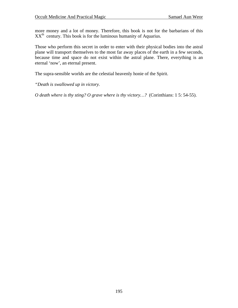more money and a lot of money. Therefore, this book is not for the barbarians of this  $XX<sup>th</sup>$  century. This book is for the luminous humanity of Aquarius.

Those who perform this secret in order to enter with their physical bodies into the astral plane will transport themselves to the most far away places of the earth in a few seconds, because time and space do not exist within the astral plane. There, everything is an eternal 'now', an eternal present.

The supra-sensible worlds are the celestial heavenly honie of the Spirit.

*"Death is swallowed up in victory.* 

*O death where is thy sting? O grave where is thy victory…?* (Corinthians: 1 5: 54-55).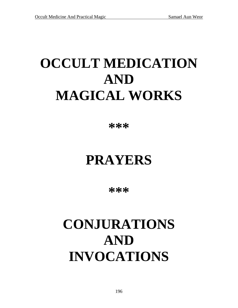# **OCCULT MEDICATION AND MAGICAL WORKS**

**\*\*\*** 

# **PRAYERS**

**\*\*\*** 

# **CONJURATIONS AND INVOCATIONS**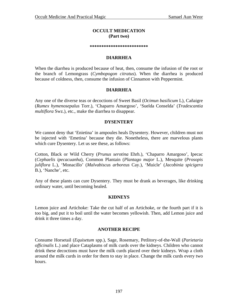#### **OCCULT MEDICATION (Part two)**

**\*\*\*\*\*\*\*\*\*\*\*\*\*\*\*\*\*\*\*\*\*\*\*\*\*** 

#### **DIARRHEA**

When the diarrhea is produced because of heat, then, consume the infusion of the root or the branch of Lemongrass (*Cymbopogon citratus*). When the diarrhea is produced because of coldness, then, consume the infusion of Cinnamon with Peppermint.

#### **DIARRHEA**

Any one of the diverse teas or decoctions of Sweet Basil (*Ocimun basilicum* L), Cañaigre (*Rumex hymenosepalus* Torr.), 'Chaparro Amargoso', 'Suelda Conselda' (*Tradescantia multiflora* Swz.), etc., make the diarrhea to disappear.

#### **DYSENTERY**

We cannot deny that 'Enietina' in ampoules heals Dysentery. However, children must not be injected with 'Emetina' because they die. Nonetheless, there are marvelous plants which cure Dysentery. Let us see these, as follows:

Cotton, Black or Wild Cherry (*Prunus serotina* Ehrh.), 'Chaparro Amargoso', Ipecac (*Cephaelis ipecacuanha*), Common Plantain (*Plantago major* L.), Mesquite (*Prosopis juliflora* L.), 'Monacillo' (*Malvabiscus arboreus* Cay.), 'Muicle' (*Jacobinia spicigera* B.), 'Nanche', etc.

Any of these plants can cure Dysentery. They must be drank as beverages, like drinking ordinary water, until becoming healed.

#### **KIDNEYS**

Lemon juice and Artichoke: Take the cut half of an Artichoke, or the fourth part if it is too big, and put it to boil until the water becomes yellowish. Then, add Lemon juice and drink it three times a day.

#### **ANOTHER RECIPE**

Consume Horsetail (*Equisetum* spp.), Sage, Rosemary, Petlitory-of-the-Wall (*Parietaria officinalis* L.) and place Cataplasms of milk curds over the kidneys. Children who cannot drink these decoctions must have the milk curds placed over their kidneys. Wrap a cloth around the milk curds in order for them to stay in place. Change the milk curds every two hours.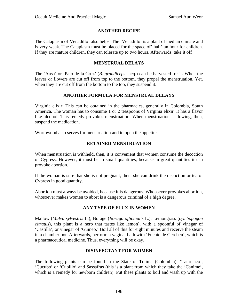#### **ANOTHER RECIPE**

The Cataplasm of'Venadillo' also helps. The 'Venadillo' is a plant of median climate and is very weak. The Cataplasm must be placed for the space of' half' an hour for children. If they are mature children, they can tolerate up to two hours. Afterwards, take it off

#### **MENSTRUAL DELAYS**

The 'Ansa' or 'Palo de Ia Cruz' (*B. grandiceps* Jacq.) can be harvested for it. When the leaves or flowers are cut off from top to the bottom, they propel the menstruation. Yet, when they are cut off from the bottom to the top, they suspend it.

## **ANOTHER FORMULA FOR MENSTRUAL DELAYS**

Virginia elixir: This can be obtained in the pharmacies, generally in Colombia, South America. The woman has to consume 1 or 2 teaspoons of Virginia elixir. It has a flavor like alcohol. This remedy provokes menstruation. When menstruation is flowing, then, suspend the medication.

Wormwood also serves for menstruation and to open the appetite.

## **RETAINED MENSTRUATION**

When menstruation is withheld, then, it is convenient that women consume the decoction of Cypress. However, it must be in small quantities, because in great quantities it can provoke abortion.

If the woman is sure that she is not pregnant, then, she can drink the decoction or tea of Cypress in good quantity.

Abortion must always be avoided, because it is dangerous. Whosoever provokes abortion, whosoever makes women to abort is a dangerous criminal of a high degree.

#### **ANY TYPE OF FLUX IN WOMEN**

Mallow (*Malva sylvestris* L.), Borage (*Borago officinalis* L.), Lemongrass (*cymbopogon citratus*), this plant is a herb that tastes like lemon), with a spoonful of vinegar of 'Castilla', or vinegar of 'Guineo.' Boil all of this for eight minutes and receive the steam in a chamber pot. Afterwards, perform a vaginal bath with 'Fuente de Gereben', which is a pharmaceutical medicine. Thus, everything will be okay.

#### **DISINFECTANT FOR WOMEN**

The following plants can be found in the State of Tolima (Colombia). 'Tatarnaco', 'Cucubo' or 'Cubillo' and Sassafras (this is a plant from which they take the 'Canime', which is a remedy for newborn children). Put these plants to boil and wash up with the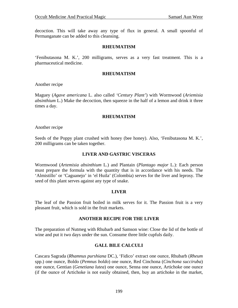decoction. This will take away any type of flux in general. A small spoonful of Permanganate can be added to this cleansing.

#### **RHEUMATISM**

'Fenibutasona M. K.', 200 milligrams, serves as a very fast treatment. This is a pharmaceutical medicine.

#### **RHEUMATISM**

Another recipe

Maguey (*Agave americana* L. also called *'Century Plant'*) with Wormwood (*Ariemisia absinthium* L.) Make the decoction, then squeeze in the half of a lemon and drink it three times a day.

#### **RHEUMATISM**

Another recipe

Seeds of the Poppy plant crushed with honey (bee honey). Also, 'Fenibutasona M. K.', 200 milligrams can be taken together.

#### **LIVER AND GASTRIC VISCERAS**

Wormwood (*Artemisia absinthium* L.) and Plantain (*Plantago major* L.): Each person must prepare the formula with the quantity that is in accordance with his needs. The 'Almistillo' or 'Caguanejo' in 'el Huila' (Colombia) serves for the liver and leprosy. The seed of this plant serves against any type of snake.

#### **LIVER**

The leaf of the Passion fruit boiled in milk serves for it. The Passion fruit is a very pleasant fruit, which is sold in the fruit markets.

#### **ANOTHER RECIPE FOR THE LIVER**

The preparation of Nutmeg with Rhubarb and Samson wine: Close the lid of the bottle of wine and put it two days under the sun. Consume three little cupfuls daily.

#### **GALL BILE CALCULI**

Cascara Sagrada (*Rhamnus purshiana* DC.), 'Fidico' extract one ounce, Rhubarb (*Rheum*  spp.) one ounce, Boldo (*Pemnus boldo*) one ounce, Red Cinchona (*Cinchona succiruba*) one ounce, Gentian (*Genetiana lutea*) one ounce, Senna one ounce, Artichoke one ounce (if the ounce of Artichoke is not easily obtained, then, buy an artichoke in the market,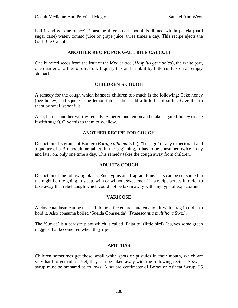boil it and get one ounce). Consume three small spoonfuls diluted within panela (hard sugar cane) water, tomato juice or grape juice, three times a day. This recipe ejects the Gall Bile Calculi.

## **ANOTHER RECIPE FOR GALL BILE CALCULI**

One hundred seeds from the fruit of the Medlar tree (*Mespilus germanica*), the white part, one quarter of a liter of olive oil: Liquefy this and drink it by little cupfuls on an empty stomach.

## **CHILDREN'S COUGH**

A remedy for the cough which harasses children too much is the following: Take honey (bee honey) and squeeze one lemon into it, then, add a little bit of sulfur. Give this to them by small spoonfuls.

Also, here is another worthy remedy: Squeeze one lemon and make sugared-honey (make it with sugar). Give this to them to swallow.

## **ANOTHER RECIPE FOR COUGH**

Decoction of 5 grams of Borage (*Borago officinalis* L.), 'Tusiago' or any expectorant and a quarter of a Bromoquinine tablet. In the beginning, it has to be consumed twice a day and later on, only one time a day. This remedy takes the cough away from children.

## **ADULT'S COUGH**

Decoction of the following plants: Eucalyptus and fragrant Pine. This can be consumed in the night before going to sleep, with or without sweetener. This recipe serves in order to take away that rebel cough which could not be taken away with any type of expectorant.

## **VARICOSE**

A clay cataplasm can be used. Rub the affected area and envelop it with a rag in order to hold it. Also consume boiled 'Suelda Consuelda' (*Tradescantia multiflora* Swz.).

The 'Suelda' is a parasite plant which is called 'Pajarito' (little bird). It gives some green nuggets that become red when they ripen.

#### **APHTHAS**

Children sometimes get those small white spots or pustules in their mouth, which are very hard to get rid of. Yet, they can be taken away with the following recipe. A sweet syrup must be prepared as follows: A square centimeter of Borax or Atincar Syrup; 25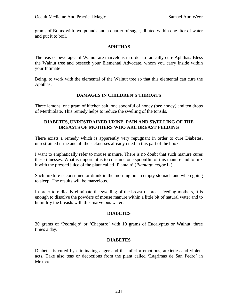grams of Borax with two pounds and a quarter of sugar, diluted within one liter of water and put it to boil.

## **APHTHAS**

The teas or beverages of Walnut are marvelous in order to radically cure Aphthas. Bless the Walnut tree and beseech your Elemental Advocate, whom you carry inside within your Intimate

Being, to work with the elemental of the Walnut tree so that this elemental can cure the Aphthas.

## **DAMAGES IN CHILDREN'S THROATS**

Three lemons, one gram of kitchen salt, one spoonful of honey (bee honey) and ten drops of Merthiolate. This remedy helps to reduce the swelling of the tonsils.

#### **DIABETES, UNRESTRAINED URINE, PAIN AND SWELLING OF THE BREASTS OF MOTHERS WHO ARE BREAST FEEDING**

There exists a remedy which is apparently very repugnant in order to cure Diabetes, unrestrained urine and all the sicknesses already cited in this part of the book.

I want to emphatically refer to mouse manure. There is no doubt that such manure cures these illnesses. What is important is to consume one spoonflul of this manure and to mix it with the pressed juice of the plant called 'Plantain' (*Plantago major* L.).

Such mixture is consumed or drank in the morning on an empty stomach and when going to sleep. The results will be marvelous.

In order to radically eliminate the swelling of the breast of breast feeding mothers, it is enough to dissolve the powders of mouse manure within a little bit of natural water and to humidify the breasts with this marvelous water.

#### **DIABETES**

30 grams of 'Pedralejo' or 'Chaparro' with 10 grams of Eucalyptus or Walnut, three times a day.

#### **DIABETES**

Diabetes is cured by eliminating anger and the inferior emotions, anxieties and violent acts. Take also teas or decoctions from the plant called 'Lagrimas de San Pedro' in Mexico.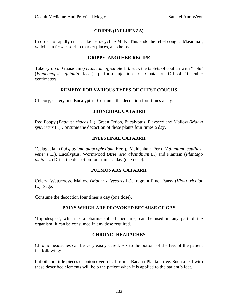## **GRIPPE (INFLUENZA)**

In order to rapidly cut it, take Tetracycline M. K. This ends the rebel cough. 'Masiquia', which is a flower sold in market places, also helps.

## **GRIPPE, ANOTHER RECIPE**

Take syrup of Guaiacum (*Guaiacum officinale* L.), suck the tablets of coal tar with 'Tolu' (*Bombacopsis quinata* Jacq.), perform injections of Guaiacurn Oil of 10 cubic centimeters.

## **REMEDY FOR VARIOUS TYPES OF CHEST COUGHS**

Chicory, Celery and Eucalyptus: Consume the decoction four times a day.

## **BRONCHIAL CATARRH**

Red Poppy (*Papaver rhoeas* L.), Green Onion, Eucalyptus, Flaxseed and Mallow (*Malva syilvertris* L.) Consume the decoction of these plants four times a day.

# **INTESTINAL CATARRH**

'Calaguala' (*Polypodium glaucophyllum* Kze.), Maidenhair Fern (*Adiantum capillusveneris* L.), Eucalyptus, Wormwood (*Artemisia absinthium* L.) and Plantain (*Plantago major* L.) Drink the decoction four times a day (one dose).

## **PULMONARY CATARRH**

Celery, Watercress, Mallow (*Malva sylvestiris* L.), fragrant Pine, Pansy (*Viola tricolor* L.), Sage:

Consume the decoction four times a day (one dose).

# **PAINS WHICH ARE PROVOKED BECAUSE OF GAS**

'Hipodespas', which is a pharmaceutical medicine, can be used in any part of the organism. It can be consumed in any dose required.

## **CHRONIC HEADACHES**

Chronic headaches can be very easily cured: Fix to the bottom of the feet of the patient the following:

Put oil and little pieces of onion over a leaf from a Banana-Plantain tree. Such a leaf with these described elements will help the patient when it is applied to the patient's feet.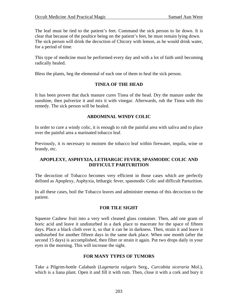The leaf must be tied to the patient's feet. Command the sick person to lie down. It is clear that because of the poultice being on the patient's feet, he must remain lying down. The sick person will drink the decoction of Chicory with lemon, as he would drink water, for a period of time.

This type of medicine must be performed every day and with a lot of faith until becoming radically healed.

Bless the plants, beg the elemental of each one of them to heal the sick person.

## **TINEA OF THE HEAD**

It has been proven that duck manure cures Tinea of the head. Dry the manure under the sunshine, then pulverize it and mix it with vinegar. Afterwards, rub the Tinea with this remedy. The sick person will be healed.

## **ABDOMINAL WINDY COLIC**

In order to cure a windy colic, it is enough to rub the painful area with saliva and to place over the painful area a marinated tobacco leaf.

Previously, it is necessary to moisten the tobacco leaf within firewater, tequila, wine or brandy, etc.

## **APOPLEXY, ASPHYXIA, LETHARGIC FEVER, SPASMODIC COLIC AND DIFFICULT PARTURITION**

The decoction of Tobacco becomes very efficient in those cases which are perfectly defined as Apoplexy, Asphyxia, lethargic fever, spasmodic Colic and difficult Parturition.

In all these cases, boil the Tobacco leaves and administer enemas of this decoction to the patient.

## **FOR TILE SIGHT**

Squeeze Cashew fruit into a very well cleaned glass container. Then, add one gram of boric acid and leave it undisturbed in a dark place to macerate for the space of fifteen days. Place a black cloth over it, so that it can be in darkness. Then, strain it and leave it undisturbed for another fifteen days in the same dark place. When one month (after the second 15 days) is accomplished, then filter or strain it again. Put two drops daily in your eyes in the morning. This will increase the sight.

#### **FOR MANY TYPES OF TUMORS**

Take a Pilgrim-bottle Calabash (*Lagenaria vulgaris* Serg., *Curcubita siceraria* Mol.), which is a liana plant. Open it and fill it with rum. Then, close it with a cork and bury it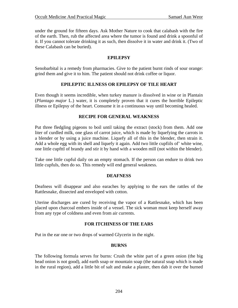under the ground for fifteen days. Ask Mother Nature to cook that calabash with the fire of the earth. Then, rub the affected area where the tumor is found and drink a spoonful of it. If you cannot tolerate drinking it as such, then dissolve it in water and drink it. (Two of these Calabash can be buried).

## **EPILEPSY**

Senobarbital is a remedy from pharmacies. Give to the patient burnt rinds of sour orange: grind them and give it to him. The patient should not drink coffee or liquor.

## **EPILEPTIC ILLNESS OR EPILEPSY OF TILE HEART**

Even though it seems incredible, when turkey manure is dissolved in wine or in Plantain (*Plantago major* L.) water, it is completely proven that it cures the horrible Epileptic illness or Epilepsy of the heart. Consume it in a continuous way until becoming healed.

## **RECIPE FOR GENERAL WEAKNESS**

Put three fledgling pigeons to boil until taking the extract (stock) from them. Add one liter of curdled milk, one glass of carrot juice, which is made by liquefying the carrots in a blender or by using a juice machine. Liquefy all of this in the blender, then strain it. Add a whole egg with its shell and liquefy it again. Add two little cupfiils of' white wine, one little cupfttl of brandy and stir it by hand with a wooden mill (not within the blender).

Take one little cupful daily on an empty stomach. If the person can endure to drink two little cupfuls, then do so. This remedy will end general weakness.

## **DEAFNESS**

Deafness will disappear and also earaches by applying to the ears the rattles of the Rattlesnake, dissected and enveloped with cotton.

Uterine discharges are cured by receiving the vapor of a Rattlesnake, which has been placed upon charcoal embers inside of a vessel. The sick woman must keep herself away from any type of coldness and even from air currents.

## **FOR ITCHINESS OF THE EARS**

Put in the ear one or two drops of warmed Glycerin in the night.

## **BURNS**

The following formula serves for burns: Crush the white part of a green onion (the big head onion is not good), add earth soap or mountain soap (the natural soap which is made in the rural region), add a little bit of salt and make a plaster, then dab it over the burned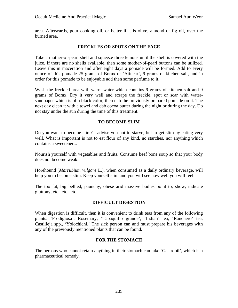area. Afterwards, pour cooking oil, or better if it is olive, almond or fig oil, over the burned area.

## **FRECKLES OR SPOTS ON THE FACE**

Take a mother-of-pearl shell and squeeze three lemons until the shell is covered with the juice. If there are no shells available, then some mother-of-pearl buttons can be utilized. Leave this in maceration and after eight days a pomade will be formed. Add to every ounce of this pomade 25 grams of Borax or 'Atincar', 9 grams of kitchen salt, and in order for this pomade to be enjoyable add then some perfume to it.

Wash the freckled area with warm water which contains 9 grams of kitchen salt and 9 grams of Borax. Dry it very well and scrape the freckle, spot or scar with watersandpaper which is of a black color, then dab the previously prepared pomade on it. The next day clean it with a towel and dab cocoa butter during the night or during the day. Do not stay under the sun during the time of this treatment.

## **TO BECOME SLIM**

Do you want to become slim? I advise you not to starve, but to get slim by eating very well. What is important is not to eat flour of any kind, no starches, nor anything which contains a sweetener...

Nourish yourself with vegetables and fruits. Consume beef bone soup so that your body does not become weak.

Horehound (*Marrubium vulgare* L.), when consumed as a daily ordinary beverage, will help you to become slim. Keep yourself slim and you will see how well you will feel.

The too fat, big bellied, paunchy, obese arid massive bodies point to, show, indicate gluttony, etc., etc., etc.

## **DIFFICULT DIGESTION**

When digestion is difficult, then it is convenient to drink teas from any of the following plants: 'Prodigiosa', Rosemary, 'Tabaquillo grande', 'Indian' tea, 'Ranchero' tea, Castilleja spp., 'Yolochichi.' The sick person can and must prepare his beverages with any of the previously mentioned plants that can be found.

## **FOR THE STOMACH**

The persons who cannot retain anything in their stomach can take 'Gastrobil', which is a pharmaceutical remedy.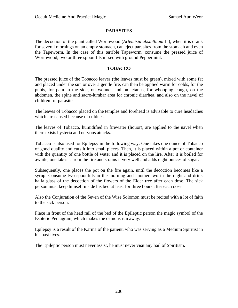## **PARASITES**

The decoction of the plant called Wormwood (*Artemisia absinthium* L.), when it is drank for several mornings on an empty stomach, can eject parasites from the stomach and even the Tapeworm. In the case of this terrible Tapeworm, consume the pressed juice of Wormwood, two or three spoonflils mixed with ground Peppermint.

## **TOBACCO**

The pressed juice of the Tobacco leaves (the leaves must be green), mixed with some fat and placed under the sun or over a gentle fire, can then be applied warm for colds, for the pubis, for pain in the side, on wounds and on tetanus, for whooping cough, on the abdomen, the spine and sacro-lumbar area for chronic diarrhea, and also on the navel of children for parasites.

The leaves of Tobacco placed on the temples and forehead is advisable to cure headaches which are caused because of coldness.

The leaves of Tobacco, humidified in firewater (liquor), are applied to the navel when there exists hysteria and nervous attacks.

Tobacco is also used for Epilepsy in the following way: One takes one ounce of Tobacco of good quality and cuts it into small pieces. Then, it is placed within a pot or container with the quantity of one bottle of water and it is placed on the lire. After it is boiled for awhile, one takes it from the fire and strains it very well and adds eight ounces of sugar.

Subsequently, one places the pot on the fire again, until the decoction becomes like a syrup. Consume two spoonfuls in the morning and another two in the night and drink halfa glass of the decoction of the flowers of the Elder tree after each dose. The sick person must keep himself inside his bed at least for three hours after each dose.

Also the Conjuration of the Seven of the Wise Solomon must be recited with a lot of faith to the sick person.

Place in front of the head rail of the bed of the Epileptic person the magic symbol of the Esoteric Pentagram, which makes the demons run away.

Epilepsy is a result of the Karma of the patient, who was serving as a Medium Spiritist in his past lives.

The Epileptic person must never assist, he must never visit any hail of Spiritism.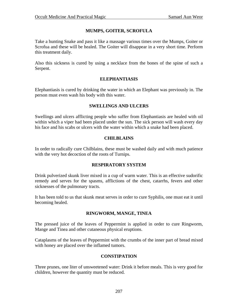## **MUMPS, GOITER, SCROFULA**

Take a hunting Snake and pass it like a massage various times over the Mumps, Goiter or Scrofua and these will be healed. The Goiter will disappear in a very short time. Perform this treatment daily.

Also this sickness is cured by using a necklace from the bones of the spine of such a Serpent.

## **ELEPHANTIASIS**

Elephantiasis is cured by drinking the water in which an Elephant was previously in. The person must even wash his body with this water.

#### **SWELLINGS AND ULCERS**

Swellings and ulcers afflicting people who suffer from Elephantiasis are healed with oil within which a viper had been placed under the sun. The sick person will wash every day his face and his scabs or ulcers with the water within which a snake had been placed.

## **CHILBLAINS**

In order to radically cure Chilblains, these must be washed daily and with much patience with the very hot decoction of the roots of Turnips.

## **RESPIRATORY SYSTEM**

Drink pulverized skunk liver mixed in a cup of warm water. This is an effective sudorific remedy and serves for the spasms, afflictions of the chest, catarrhs, fevers and other sicknesses of the pulmonary tracts.

It has been told to us that skunk meat serves in order to cure Syphilis, one must eat it until becoming healed.

## **RINGWORM, MANGE, TINEA**

The pressed juice of the leaves of Peppermint is applied in order to cure Ringworm, Mange and Tinea and other cutaneous physical eruptions.

Cataplasms of the leaves of Peppermint with the crumbs of the inner part of bread mixed with honey are placed over the inflamed tumors.

## **CONSTIPATION**

Three prunes, one liter of unsweetened water: Drink it before meals. This is very good for children, however the quantity must be reduced.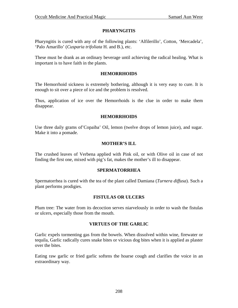## **PHARYNGITIS**

Pharyngitis is cured with any of the following plants: 'Alfilerillo', Cotton, 'Mercadela', 'Palo Amarillo' (*Cusparia trifoliata* H. and B.), etc.

These must be drank as an ordinary beverage until achieving the radical healing. What is important is to have faith in the plants.

#### **HEMORRHOIDS**

The Hemorrhoid sickness is extremely bothering, although it is very easy to cure. It is enough to sit over a piece of ice and the problem is resolved.

Thus, application of ice over the Hemorrhoids is the clue in order to make them disappear.

#### **HEMORRHOIDS**

Use three daily grams of'Copaiba' Oil, lemon (twelve drops of lemon juice), and sugar. Make it into a pomade.

## **MOTHER'S ILL**

The crushed leaves of Verbena applied with Pink oil, or with Olive oil in case of not finding the first one, mixed with pig's fat, makes the mother's ill to disappear.

#### **SPERMATORRHEA**

Spermatorrhea is cured with the tea of the plant called Damiana (*Turnera diffusa*). Such a plant performs prodigies.

## **FISTULAS OR ULCERS**

Plum tree: The water from its decoction serves niarvelously in order to wash the fistulas or ulcers, especially those from the mouth.

## **VIRTUES OF THE GARLIC**

Garlic expels tormenting gas from the bowels. When dissolved within wine, firewater or tequila, Garlic radically cures snake bites or vicious dog bites when it is applied as plaster over the bites.

Eating raw garlic or fried garlic softens the hoarse cough and clarifies the voice in an extraordinary way.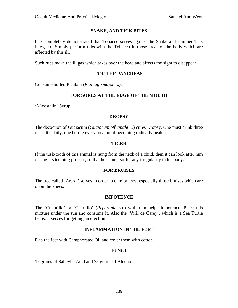## **SNAKE, AND TICK BITES**

It is completely demonstrated that Tobacco serves against the Snake and summer Tick bites, etc. Simply perform rubs with the Tobacco in those areas of the body which are affected by this ill.

Such rubs make the ill gas which takes over the head and affects the sight to disappear.

#### **FOR THE PANCREAS**

Consume boiled Plantain (*Plantago major* L.).

## **FOR SORES AT THE EDGE OF THE MOUTH**

'Micostalin' Syrup.

#### **DROPSY**

The decoction of Guaiacum (*Guaiacum officinale* L.) cures Dropsy. One must drink three glassfüls daily, one before every meal until becoming radically healed.

## **TIGER**

If the tusk-tooth of this animal is hung from the neck of a child, then it can look after him during his teething process, so that he cannot suffer any irregularity in his body.

#### **FOR BRUISES**

The tree called 'Ararat' serves in order to cure bruises, especially those bruises which are upon the knees.

## **IMPOTENCE**

The 'Cuaotillo' or 'Cuartillo' (*Peperonia* sp.) with rum helps impotence. Place this mixture under the sun and consume it. Also the 'Viril de Carey', which is a Sea Turtle helps. It serves for getting an erection.

#### **INFLAMMATION IN THE FEET**

Dab the feet with Camphorated Oil and cover them with cotton.

## **FUNGI**

15 grams of Salicylic Acid and 75 grams of Alcohol.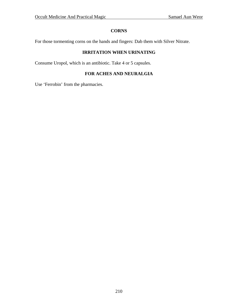# **CORNS**

For those tormenting corns on the hands and fingers: Dab them with Silver Nitrate.

# **IRRITATION WHEN URINATING**

Consume Uropol, which is an antibiotic. Take 4 or 5 capsules.

# **FOR ACHES AND NEURALGIA**

Use 'Ferrobin' from the pharmacies.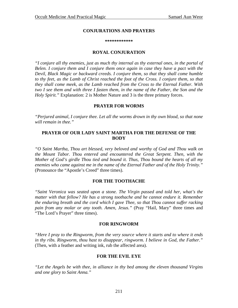#### **CONJURATIONS AND PRAYERS**

**\*\*\*\*\*\*\*\*\*\*\*\*** 

#### **ROYAL CONJURATION**

*"I conjure all thy enemies, just as much thy internal as thy external ones, in the portal of Belen. I conjure them and I conjure them once again in case they have a pact with the Devil, Black Magic or backward creeds. I conjure them, so that they shall come humble to thy feet, as the Lamb of Christ reached the foot of the Cross. I conjure them, so that they shall come meek, as the Lamb reached from the Cross to the Eternal Father. With two I see them and with three I fasten them, in the name of the Father, the Son and the Holy Spirit."* Explanation: 2 is Mother Nature and 3 is the three primary forces.

#### **PRAYER FOR WORMS**

*"Perjured animal, I conjure thee. Let all the worms drown in thy own blood, so that none will remain in thee."* 

#### **PRAYER OF OUR LADY SAINT MARTHA FOR THE DEFENSE OF THE BODY**

*"O Saint Martha, Thou art blessed, very beloved and worthy of God and Thou walk on the Mount Tabor. Thou entered and encountered the Great Serpent. Then, with the Mother of God's girdle Thou tied and bound it. Thus, Thou bound the hearts of all my enemies who came against me in the name of the Eternal Father and of the Holy Trinity."* (Pronounce the "Apostle's Creed" three times).

#### **FOR THE TOOTHACHE**

*"Saint Veronica was seated upon a stone. The Virgin passed and told her, what's the matter with that fellow? He has a strong toothache and he cannot endure it. Remember the enduring breath and the cord which I gave Thee, so that Thou cannot suffer racking pain from any molar or any tooth. Amen, Jesus."* (Pray "Hail, Mary" three times and "The Lord's Prayer" three times).

#### **FOR RINGWORM**

*"Here I pray to the Ringworm, from the very source where it starts and to where it ends in thy ribs. Ringworm, thou hast to disappear, ringworm. I believe in God, the Father."* (Then, with a feather and writing ink, rub the affected area).

#### **FOR THE EVIL EYE**

*"Let the Angels be with thee, in alliance in thy bed among the eleven thousand Virgins and one glory to Saint Anna."*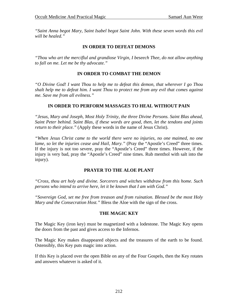*"Saint Anna begot Mary, Saint Isabel begot Saint John. With these seven words this evil will be healed."* 

## **IN ORDER TO DEFEAT DEMONS**

*"Thou who art the merciflul and grandiose Virgin, I beseech Thee, do not allow anything to fall on me. Let me be thy advocate."* 

# **IN ORDER TO COMBAT THE DEMON**

*"O Divine God! I want Thou to help me to defeat this demon, that wherever I go Thou shalt help me to defeat him. I want Thou to protect me from any evil that comes against me. Save me from all evilness."* 

## **IN ORDER TO PERFORM MASSAGES TO HEAL WITHOUT PAIN**

*"Jesus, Mary and Joseph, Most Holy Trinity, the three Divine Persons. Saint Blas ahead, Saint Peter behind. Saint Blas, if these words are good, then, let the tendons and joints return to their place."* (Apply these words in the name of Jesus Christ).

*"When Jesus Christ came to the world there were no injuries, no one maimed, no one lame, so let the injuries cease and Hail, Mary."* (Pray the "Apostle's Creed" three times. If the injury is not too severe, pray the "Apostle's Creed" three times. However, if the injury is very bad, pray the "Apostle's Creed" nine times. Rub menthol with salt into the injury).

## **PRAYER TO THE ALOE PLANT**

*"Cross, thou art holy and divine. Sorcerers and witches withdraw from this home. Such persons who intend to arrive here, let it be known that I am with God."* 

*"Sovereign God, set me free from treason and from ruination. Blessed be the most Holy Mary and the Consecration Host."* Bless the Aloe with the sign of the cross.

## **THE MAGIC KEY**

The Magic Key (iron key) must be magnetized with a lodestone. The Magic Key opens the doors from the past and gives access to the Infernos.

The Magic Key makes disappeared objects and the treasures of the earth to be found. Ostensibly, this Key puts magic into action.

If this Key is placed over the open Bible on any of the Four Gospels, then the Key rotates and answers whatever is asked of it.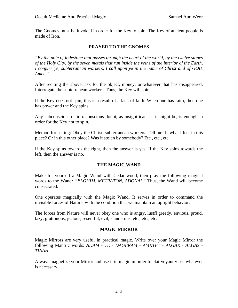The Gnomes must be invoked in order for the Key to spin. The Key of ancient people is made of Iron.

## **PRAYER TO THE GNOMES**

*"By the pole of lodestone that passes through the heart of the world, by the twelve stones of the Holy City, by the seven metals that run inside the veins of the interior of the Earth, I conjure ye, subterranean workers, I call upon ye in the name of Christ and of GOB. Amen."* 

After reciting the above, ask for the object, money, or whatever that has disappeared. Interrogate the subterranean workers. Thus, the Key will spin.

If the Key does not spin, this is a result of a lack of faith. When one has faith, then one has power and the Key spins.

Any subconscious or infraconscious doubt, as insignificant as it might be, is enough in order for the Key not to spin.

Method for asking: Obey the Christ, subterranean workers. Tell me: Is what I lost in this place? Or in this other place? Was it stolen by somebody? Etc., etc., etc.

If the Key spins towards the right, then the answer is yes. If the Key spins towards the left, then the answer is no.

## **THE MAGIC WAND**

Make for yourself a Magic Wand with Cedar wood, then pray the following magical words to the Wand*: "ELOHIM, METRATON, ADONAI."* Thus, the Wand will become consecrated.

One operates magically with the Magic Wand. It serves in order to command the invisible forces of Nature, with the condition that we maintain an upright behavior.

The forces from Nature will never obey one who is angry, lustfl greedy, envious, proud, lazy, gluttonous, jealous, resentful, evil, slanderous, etc., etc., etc.

#### **MAGIC MIRROR**

Magic Mirrors are very useful in practical magic. Write over your Magic Mirror the following Mantric words: *ADAM - TE - DAGERAM - AMRTET - ALGAR - ALGAS - TINAH.* 

Always magnetize your Mirror and use it in magic in order to clairvoyantly see whatever is necessary.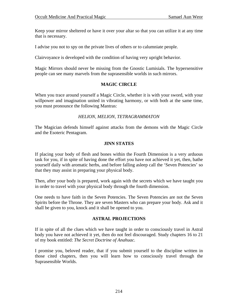Keep your mirror sheltered or have it over your altar so that you can utilize it at any time that is necessary.

I advise you not to spy on the private lives of others or to calumniate people.

Clairvoyance is developed with the condition of having very upright behavior.

Magic Mirrors should never be missing from the Gnostic Lumisials. The hypersensitive people can see many marvels from the suprasensible worlds in such mirrors.

## **MAGIC CIRCLE**

When you trace around yourself a Magic Circle, whether it is with your sword, with your willpower and imagination united in vibrating harmony, or with both at the same time, you must pronounce the following Mantras:

## *HELION, MELION, TETRAGRAMMATON*

The Magician defends himself against attacks from the demons with the Magic Circle and the Esoteric Pentagram.

#### **JINN STATES**

If placing your body of flesh and bones within the Fourth Dimension is a very arduous task for you, if in spite of having done the effort you have not achieved it yet, then, bathe yourself daily with aromatic herbs, and before falling asleep call the 'Seven Potencies' so that they may assist in preparing your physical body.

Then, after your body is prepared, work again with the secrets which we have taught you in order to travel with your physical body through the fourth dimension.

One needs to have faith in the Seven Potencies. The Seven Potencies are not the Seven Spirits before the Throne. They are seven Masters who can prepare your body. Ask and it shall be given to you, knock and it shall be opened to you.

## **ASTRAL PROJECTIONS**

If in spite of all the clues which we have taught in order to consciously travel in Astral body you have not achieved it yet, then do not feel discouraged. Study chapters 16 to 21 of my book entitled: *The Secret Doctrine of Anahuac.*

I promise you, beloved reader, that if you submit yourself to the discipline written in those cited chapters, then you will learn how to consciously travel through the Suprasensible Worlds.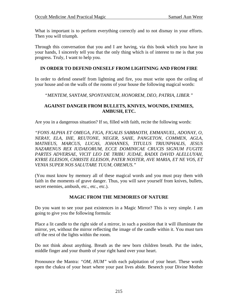What is important is to perform everything correctly and to not dismay in your efforts. Then you will triumph.

Through this conversation that you and I are having, via this book which you have in your hands, I sincerely tell you that the only thing which is of interest to me is that you progress. Truly, I want to help you.

## **IN ORDER TO DEFEND ONESELF FROM LIGHTNING AND FROM FIRE**

In order to defend oneself from lightning and fire, you must write upon the ceiling of your house and on the walls of the rooms of your house the following magical words:

## *"MENTEM, SANTAM, SPONTANEUM, HONOREM, DEO, PATRIA, LIBER."*

## **AGAINST DANGER FROM BULLETS, KNIVES, WOUNDS, ENEMIES, AMBUSH, ETC.**

Are you in a dangerous situation? If so, filled with faith, recite the following words:

*"FONS ALPHA ET OMEGA, FIGA, FIGALIS SABBAOTH, EMMANUEL, ADONAY, O, NERAY, ELA, IHE, REUTONE, NEGER, SAHE, PANGETON, COMMEN, AGLA, MATHEUS, MARCUS, LUCAS, JOHANNES, TITULUS TRIUNPHALIS, JESUS NAZARENUS REX IUDAEORUM, ECCE DOMINICAE CRUCIS SIGNUM FUGITE PARTES ADVERSAE, VICIT LEO DE TRIBU JUDAE, RADIX DAVID ALELLUYAH, KYRIE ELEISON, CHRISTE ELEISON, PATER NOSTER, AVE MARIA, ET NE VOS, ET VENIA SUPER NOS SALUTARE TUUM, OREMUS."* 

(You must know by memory all of these magical words and you must pray them with faith in the moments of grave danger. Thus, you will save yourself from knives, bullets, secret enemies, ambush, etc., etc., etc.).

## **MAGIC FROM THE MEMORIES OF NATURE**

Do you want to see your past existences in a Magic Mirror? This is very simple. I am going to give you the following formula:

Place a lit candle to the right side of a mirror, in such a position that it will illuminate the mirror, yet, without the mirror reflecting the image of the candle within it. You must turn off the rest of the lights within the room.

Do not think about anything. Breath as the new born children breath. Put the index, middle finger and your thumb of your right hand over your heart.

Pronounce the Mantra: "*OM, HUM*" with each palpitation of your heart. These words open the chakra of your heart where your past lives abide. Beseech your Divine Mother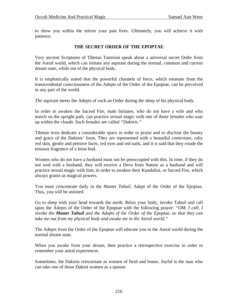to show you within the mirror your past lives. Ultimately, you will achieve it with patience.

#### **THE SECRET ORDER OF THE EPOPTAE**

Very ancient Scriptures of Tibetan Tantrism speak about a universal secret Order from the Astral world, which can initiate any aspirant during the normal, common and current dream state, while out of the physical body.

It is emphatically stated that the powerful channels of force, which emanate from the transcendental consciousness of the Adepts of the Order of the Epoptae, can be perceived in any part of the world.

The aspirant meets the Adepts of such an Order during the sleep of his physical body.

In order to awaken the Sacred Fire, male Initiates, who do not have a wife and who march on the upright path, can practice sexual magic with one of those females who soar up within the clouds. Such females are called *"Dakinis."*

Tibetan texts dedicate a considerable space in order to praise and to disclose the beauty and grace of the Dakinis' form. They are represented with a beautiful contexture, ruby red skin, gentle and pensive faces, red eyes and red nails, and it is said that they exude the tenuous fragrance of a lotus bud.

Women who do not have a husband must not be preoccupied with this. In time, if they do not wed with a husband, they will receive a Deva from Nature as a husband and will practice sexual magic with him, in order to awaken their Kundalini, or Sacred Fire, which always grants us magical powers.

You must concentrate daily in the Master *Tahuil*, Adept of the Order of the Epoptae. Thus, you will be assisted.

Go to sleep with your head towards the north. Relax your body, invoke Tahuil and call upon the Adepts of the Order of the Epoptae with the following prayer: *"OM, I call, I invoke the Master Tahuil and the Adepts of the Order of the Epoptae, so that they can take me out from my physical body and awake me in the Astral world."* 

The Adepts from the Order of the Epoptae will educate you in the Astral world during the normal dream state.

When you awake from your dream, then practice a retrospective exercise in order to remember your astral experiences.

Sometimes, the Dakinis reincarnate as women of flesh and bones. Joyful is the man who can take one of those Dakini women as a spouse.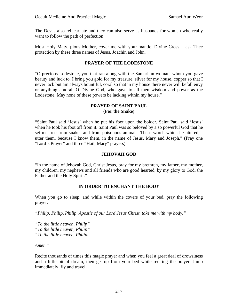The Devas also reincarnate and they can also serve as husbands for women who really want to follow the path of perfection.

Most Holy Maty, pious Mother, cover me with your mantle. Divine Cross, I ask Thee protection by these three names of Jesus, Joachin and John.

### **PRAYER OF THE LODESTONE**

"O precious Lodestone, you that ran along with the Samaritan woman, whom you gave beauty and luck to. I bring you gold for my treasure, silver for my house, copper so that I never lack but am always bountiful, coral so that in my house there never will befall envy or anything amoral. O Divine God, who gave to all men wisdom and power as the Lodestone. May none of these powers be lacking within my house."

# **PRAYER OF SAINT PAUL (For the Snake)**

"Saint Paul said 'Jesus' when he put his foot upon the bolder. Saint Paul said 'Jesus' when he took his foot off from it. Saint Paul was so beloved by a so powerful God that he set me free from snakes and from poisonous animals. These words which he uttered, I utter them, because I know them, in the name of Jesus, Mary and Joseph." (Pray one "Lord's Prayer" and three "Hail, Mary" prayers).

#### **JEHOVAH GOD**

"In the name of Jehovah God, Christ Jesus, pray for my brethren, my father, my mother, my children, my nephews and all friends who are good hearted, by my glory to God, the Father and the Holy Spirit."

# **IN ORDER TO ENCHANT THE BODY**

When you go to sleep, and while within the covers of your bed, pray the following prayer:

*"Philip, Philip, Philip, Apostle of our Lord Jesus Christ, take me with my body."* 

*"To the little heaven, Philip" "To the little heaven, Philip" "To the little heaven, Philip.* 

*Amen."* 

Recite thousands of times this magic prayer and when you feel a great deal of drowsiness and a little bit of dream, then get up from your bed while reciting the prayer. Jump immediately, fly and travel.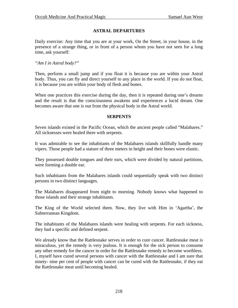# **ASTRAL DEPARTURES**

Daily exercise: Any time that you are at your work, On the Street, in your house, in the presence of a strange thing, or in front of a person whom you have not seen for a long time, ask yourself:

### *"Am I in Astral body?"*

Then, perform a small jump and if you float it is because you are within your Astral body. Thus, you can fly and direct yourself to any place in the world. If you do not float, it is because you are within your body of flesh and bones.

When one practices this exercise during the day, then it is repeated during one's dreams and the result is that the consciousness awakens and experiences a lucid dream. One becomes aware that one is out from the physical body in the Astral world.

### **SERPENTS**

Seven islands existed in the Pacific Ocean, which the ancient people called "Malabares." All sicknesses were healed there with serpents.

It was admirable to see the inhabitants of the Malabares islands skillfully handle many vipers. Those people had a stature of three meters in height and their bones were elastic.

They possessed double tongues and their ears, which were divided by natural partitions, were forming a double ear.

Such inhabitants from the Malabares islands could sequentially speak with two distinct persons in two distinct languages.

The Malabares disappeared from night to morning. Nobody knows what happened to those islands and their strange inhabitants.

The King of the World selected them. Now, they live with Him in 'Agartha', the Subterranean Kingdom.

The inhabitants of the Malabares islands were healing with serpents. For each sickness, they had a specific and defined serpent.

We already know that the Rattlesnake serves in order to cure cancer. Rattlesnake meat is miraculous, yet the remedy is very jealous. It is enough for the sick person to consume any other remedy for the cancer in order for the Rattlesnake remedy to become worthless. I, myself have cured several persons with cancer with the Rattlesnake and I am sure that ninety- nine per cent of people with cancer can be cured with the Rattlesnake, if they eat the Rattlesnake meat until becoming healed.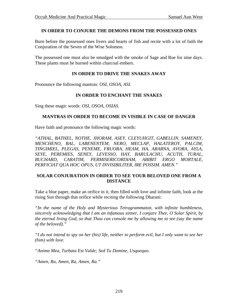### **IN ORDER TO CONJURE THE DEMONS FROM THE POSSESSED ONES**

Burn before the possessed ones livers and hearts of fish and recite with a lot of faith the Conjuration of the Seven of the Wise Solomon.

The possessed one must also be smudged with the smoke of Sage and Rue for nine days. These plants must be burned within charcoal embers.

# **IN ORDER TO DRIVE THE SNAKES AWAY**

Pronounce the following mantras: *OSI, OSOA, ASI.*

# **IN ORDER TO ENCHANT THE SNAKES**

Sing these magic words: *OSI, OSOA, OSIAS.*

#### **MANTRAS IN ORDER TO BECOME IN VISIBLE IN CASE OF DANGER**

Have faith and pronounce the following magic words:

*"ATHAL, BATHEL, NOTHE, JHORAM, ASEY, CLEYUHGIT, GABELLIN, SAMENEY, MENCHENO, BAL, LABENENTEM, NERO, MECLAP, HALATEROY, PALCIM, TINGIMIEL, PLEGAS, PENEME, FRUORA, HEAM, HA, ARARNA, AVORA, AYLA, SEYE, PEREMIES, SENEY, LEVESSO, HAY, BARULACHU, ACUTH, TURAL, BUCHARD, CARATIM, PERMISERICORDIAM, ABIBIT ERGO MORTALE, PERFICIAT QUA HOC OPUS, UT INVISIBILITER, IRE POSSIM. AMEN."* 

### **SOLAR CONJURATION IN ORDER TO SEE YOUR BELOVED ONE FROM A DISTANCE**

Take a blue paper, make an orifice in it, then filled with love and infinite faith, look at the rising Sun through that orifice while reciting the following Dharani:

*"In the name of the Holy and Mysterious Tetragrammaton, with infinite humbleness, sincerely acknowledging that I am an infamous sinner, I conjure Thee, O Solar Spirit, by the eternal living God, so that Thou can console me by allowing me to see (say the name of the beloved)."* 

*"I do not intend to spy on her (his) life, neither to perform evil, but I only want to see her (him) with love.* 

*"Anima Mea, Turbata Est Valde; Sed Tu Domine, Usquequo.* 

*"Amen, Ra, Amen, Ra, Amen, Ra."*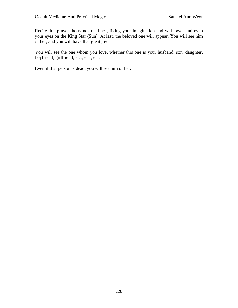Recite this prayer thousands of times, fixing your imagination and willpower and even your eyes on the King Star (Sun). At last, the beloved one will appear. You will see him or her, and you will have that great joy.

You will see the one whom you love, whether this one is your husband, son, daughter, boyfriend, girlfriend, etc., etc., etc.

Even if that person is dead, you will see him or her.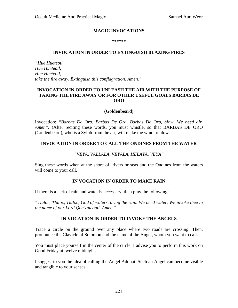# **MAGIC INVOCATIONS**

#### **\*\*\*\*\*\***

#### **INVOCATION IN ORDER TO EXTINGUISH BLAZING FIRES**

*"Hue Hueteotl, Hue Hueteotl, Hue Hueteotl, take the fire away. Extinguish this conflagration. Amen."* 

### **INVOCATION IN ORDER TO UNLEASH THE AIR WITH THE PURPOSE OF TAKING THE FIRE AWAY OR FOR OTHER USEFUL GOALS BARBAS DE ORO**

#### **(Goldenbeard)**

Invocation: *"Barbas De Oro, Barbas De Oro, Barbas De Oro, blow. We need air. Amen".* (After reciting these words, you must whistle, so that BARBAS DE ORO (Goldenbeard), who is a Sylph from the air, will make the wind to blow.

### **INVOCATION IN ORDER TO CALL THE ONDINES FROM THE WATER**

#### *"VEYA, VALLALA, VEYALA, HELAYA, VEYA"*

Sing these words when at the shore of' rivers or seas and the Ondines from the waters will come to your call.

# **IN VOCATION IN ORDER TO MAKE RAIN**

If there is a lack of rain and water is necessary, then pray the following:

*"Tlaloc, Tlaloc, Tlaloc, God of waters, bring the rain. We need water. We invoke thee in the name of our Lord Quetzalcoatl. Amen."* 

# **IN VOCATION IN ORDER TO INVOKE THE ANGELS**

Trace a circle on the ground over any place where two roads are crossing. Then, pronounce the Clavicle of Solomon and the name of the Angel, whom you want to call.

You must place yourself in the center of the circle. I advise you to perform this work on Good Friday at twelve midnight.

I suggest to you the idea of calling the Angel Adonai. Such an Angel can become visible and tangible to your senses.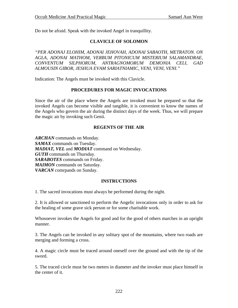Do not be afraid. Speak with the invoked Angel in tranquillity.

# **CLAVICLE OF SOLOMON**

*"PER ADONAJ ELOHIM, ADONAI JEHOVAH, ADONAI SABAOTH, METRATON. ON AGLA, ADONAI MATHOM, VERBUM PITONICUM MISTERIUM SALAMANDRAE, CONVENTUM SILPHORUM, ANTRAGNOMORUM DEMONIA CELI, GAD ALMOUSIN GIBOR, JESHUA EVAM SARIATNIAMIC, VENI, VENI, VENI."* 

Indication: The Angels must be invoked with this Clavicle.

# **PROCEDURES FOR MAGIC INVOCATIONS**

Since the air of the place where the Angels are invoked must be prepared so that the invoked Angels can become visible and tangible, it is convenient to know the names of the Angels who govern the air during the distinct days of the week. Thus, we will prepare the magic air by invoking such Genii.

# **REGENTS OF THE AIR**

*ARCHAN* commands on Monday. *SAMAX* commands on Tuesday. *MADIAT, VEL* and *MODIAT* command on Wednesday. *GUTH* commands on Thursday. *SARABOTES* commands on Friday. *MAIMON* commands on Saturday. *VARCAN* comrpands on Sunday.

# **INSTRUCTIONS**

1. The sacred invocations must always be performed during the night.

2. It is allowed or sanctioned to perform the Angelic invocations only in order to ask for the healing of some grave sick person or for some charitable work.

Whosoever invokes the Angels for good and for the good of others marches in an upright manner.

3. The Angels can be invoked in any solitary spot of the mountains, where two roads are merging and forming a cross.

4. A magic circle must be traced around oneself over the ground and with the tip of the sword.

5. The traced circle must be two meters in diameter and the invoker must place himself in the center of it.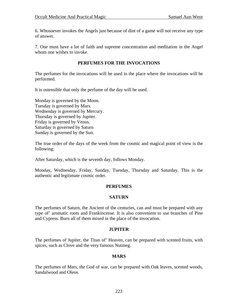6. Whosoever invokes the Angels just because of dint of a game will not receive any type of answer.

7. One must have a lot of faith and supreme concentration and meditation in the Angel whom one wishes to invoke.

# **PERFUMES FOR THE INVOCATIONS**

The perfumes for the invocations will be used in the place where the invocations will be performed.

It is ostensible that only the perfume of the day will be used.

Monday is governed by the Moon. Tuesday is governed by Mars. Wednesday is governed by Mercury. Thursday is governed by Jupiter. Friday is governed by Venus. Saturday is governed by Saturn Sunday is governed by the Sun.

The true order of the days of the week from the cosmic and magical point of view is the following:

After Saturday, which is the seventh day, follows Monday.

Monday, Wednesday, Friday, Sunday, Tuesday, Thursday and Saturday. This is the authentic and legitimate cosmic order.

# **PERFUMES**

# **SATURN**

The perfumes of Saturn, the Ancient of the centuries, can and must be prepared with any type of' aromatic roots and Frankincense. It is also convenient to use branches of Pine and Cypress. Burn all of them mixed in the place of the invocation.

#### **JUPITER**

The perfumes of Jupiter, the Titan of' Heaven, can be prepared with scented fruits, with spices, such as Clove and the very famous Nutmeg.

# **MARS**

The perfumes of Mars, the God of war, can be prepared with Oak leaves, scented woods, Sandalwood and Oleos.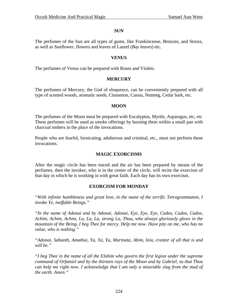### **SUN**

The perfumes of the Sun are all types of gums, like Frankincense, Benzoin, and Storax, as well as Sunflower, flowers and leaves of Laurel (*Bay leaves*) etc.

# **VENUS**

The perfumes of Venus can be prepared with Roses and Violets.

### **MERCURY**

The perfumes of Mercury, the God of eloquence, can be conveniently prepared with all type of scented woods, aromatic seeds, Cinnamon, Cassia, Nutmeg, Cedar bark, etc.

#### **MOON**

The perfumes of the Moon must be prepared with Eucalyptus, Myrtle, Asparagus, etc, etc These perfumes will be used as smoke offerings by burning them within a small pan with charcoal embers in the place of the invocations.

People who are fearful, fornicating, adulterous and criminal, etc., must not perform these invocations.

### **MAGIC EXORCISMS**

After the magic circle has been traced and the air has been prepared by means of the perfumes, then the invoker, who is in the center of the circle, will recite the exorcism of that day in which he is working in with great faith. Each day has its own exorcism.

# **EXORCISM FOR MONDAY**

*"With infinite humbleness and great love, in the name of the terrific Tetragrammaton, I invoke Ye, ineffable Beings."* 

*"In the name of Adonai and by Adonai, Adonai, Eye, Eye, Eye, Cados, Cados, Cados, Achim, Achim, Achim, La, La, La, strong La, Thou, who always gloriously glows in the mountain of the Being, I beg Thee for mercy. Help me now. Have pity on me, who has no value, who is nothing."* 

*"Adonai, Sabaoth, Amathai, Ya, Ya, Ya, Marinata, Abim, Ieia, creator of all that is and will be."* 

*"I beg Thee in the name of all the Elohim who govern the first legion under the supreme command of Orfamiel and by the thirteen rays of the Moon and by Gabriel, so that Thou can help me right now. I acknowledge that I am only a miserable slug from the mud of the earth. Amen."*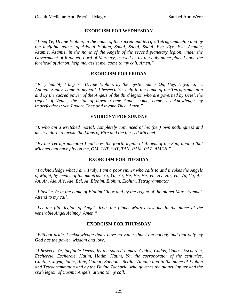### **EXORCISM FOR WEDNESDAY**

*"I beg Ye, Divine Elohim, in the name of the sacred and terrific Tetragrammaton and by the ineffable names of Adonai Elohim, Sadal, Sadai, Sadai, Eye, Eye, Eye, Asamie, Asamie, Asamie, in the name of the Angels of the second planetary legion, under the Government of Raphael, Lord of Mercury, as well as by the holy name placed upon the forehead of Aaron, help me, assist me, come to my call. Amen."* 

### **EXORCISM FOR FRIDAY**

*"Very humbly I beg Ye, Divine Elohim, by the mystic names On, Hey, Heya, ia, ie, Adonai, Saday, come to my call. I beseech Ye, help in the name of the Tetragrammaton and by the sacred power of the Angels of the third legion who are governed by Uriel, the regent of Venus, the star of dawn. Come Anael, come, come. I acknowledge my imperfections; yet, I adore Thee and invoke Thee. Amen."* 

### **EXORCISM FOR SUNDAY**

*"I, who am a wretched mortal, completely convinced of his (her) own nothingness and misery, dare to invoke the Lions of Fire and the blessed Michael.* 

*"By the Tetragrammaton I call now the fourth legion of Angels of the Sun, hoping that Michael can have pity on me, OM, TAT, SAT, TAN, PAM, PAZ, AMEN."* 

# **EXORCISM FOR TUESDAY**

*"I acknowledge what I am. Truly, I am a poor sinner who calls to and invokes the Angels of Might, by means of the mantras: Ya, Ya, Ya, He, He, He, Va, Hy, Ha, Va, Va, Va, An, An, An, Aie, Aie, Aie, Ecl, Ai, Elohim, Elohim, Elohim, Tetragrammaton.* 

*"I invoke Ye in the name of Elohim Gibor and by the regent of the planet Mars, Samael. Attend to my call.* 

*"Let the fifth legion of Angels from the planet Mars assist me in the name of the venerable Angel Acimoy. Amen."* 

#### **EXORCISM FOR THURSDAY**

*"Without pride, I acknowledge that I have no value, that I am nobody and that only my God has the power, wisdom and love.* 

*"I beseech Ye, ineffable Devas, by the sacred names: Cados, Cados, Cados, Eschereie, Eschereie, Eschereie, Hatim, Hatim, Hatim, Ya, the corroborator of the centuries, Cantine, Jaym, Janic, Anie, Caibar, Sabaoth, Betifai, Alnaim and in the name of Elohim and Tetragrammaton and by the Divine Zachariel who governs the planet Jupiter and the sixth legion of Cosmic Angels, attend to my call.*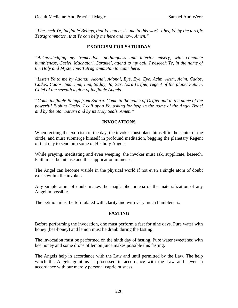*"I beseech Ye, Ineffable Beings, that Ye can assist me in this work. I beg Ye by the terrific Tetragrammaton, that Ye can help me here and now. Amen."* 

# **EXORCISM FOR SATURDAY**

*"Acknowledging my tremendous nothingness and interior misery, with complete humbleness, Casiel, Machatori, Sarakiel, attend to my call. I beseech Ye, in the name of the Holy and Mysterious Tetragrammaton to come here.* 

*"Listen Ye to me by Adonai, Adonai, Adonai, Eye, Eye, Eye, Acim, Acim, Acim, Cados, Cados, Cados, Ima, ima, Ima, Saday; Io, Sar, Lord Orifiel, regent of the planet Saturn, Chief of the seventh legion of ineffable Angels.* 

*"Come ineffable Beings from Saturn. Come in the name of Orifiel and in the name of the powerftil Elohim Casiel. I call upon Ye, asking for help in the name of the Angel Booel and by the Star Saturn and by its Holy Seals. Amen."* 

### **INVOCATIONS**

When reciting the exorcism of the day, the invoker must place himself in the center of the circle, and must submerge himself in profound meditation, begging the planetary Regent of that day to send him some of His holy Angels.

While praying, meditating and even weeping, the invoker must ask, supplicate, beseech. Faith must be intense and the supplication immense.

The Angel can become visible in the physical world if not even a single atom of doubt exists within the invoker.

Any simple atom of doubt makes the magic phenomena of the materialization of any Angel impossible.

The petition must be formulated with clarity and with very much humbleness.

# **FASTING**

Before performing the invocation, one must perform a fast for nine days. Pure water with honey (bee-honey) and lemon must be drank during the fasting.

The invocation must be performed on the ninth day of fasting. Pure water sweetened with bee honey and some drops of lemon juice makes possible this fasting.

The Angels help in accordance with the Law and until permitted by the Law. The help which the Angels grant us is processed in accordance with the Law and never in accordance with our merely personal capriciousness.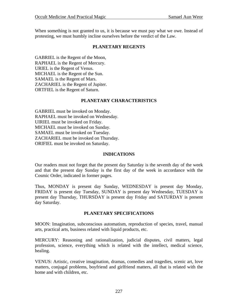When something is not granted to us, it is because we must pay what we owe. Instead of protesting, we must humbly incline ourselves before the verdict of the Law.

# **PLANETARY REGENTS**

GABRIEL is the Regent of the Moon, RAPHAEL is the Regent of Mercury. URIEL is the Regent of Venus. MICHAEL is the Regent of the Sun. SAMAEL is the Regent of Mars. ZACHARIEL is the Regent of Jupiter. ORTFIEL is the Regent of Saturn.

# **PLANETARY CHARACTERISTICS**

GABRIEL must be invoked on Monday. RAPHAEL must be invoked on Wednesday. UIRIEL must be invoked on Friday. MICHAEL must be invoked on Sunday. SAMAEL must be invoked on Tuesday. ZACHARIEL must be invoked on Thursday. ORIFIEL must be invoked on Saturday.

# **INDICATIONS**

Our readers must not forget that the present day Saturday is the seventh day of the week and that the present day Sunday is the first day of the week in accordance with the Cosmic Order, indicated in former pages.

Thus, MONDAY is present day Sunday, WEDNESDAY is present day Monday, FRIDAY is present day Tuesday, SUNDAY is present day Wednesday, TUESDAY is present day Thursday, THURSDAY is present day Friday and SATURDAY is present day Saturday.

# **PLANETARY SPECIFICATIONS**

MOON: Imagination, subconscious automatism, reproduction of species, travel, manual arts, practical arts, business related with liquid products, etc.

MERCURY: Reasoning and rationalization, judicial disputes, civil matters, legal profession, science, everything which is related with the intellect, medical science, healing.

VENUS: Artistic, creative imagination, dramas, comedies and tragedies, scenic art, love matters, conjugal problems, boyfriend and girlfriend matters, all that is related with the home and with children, etc.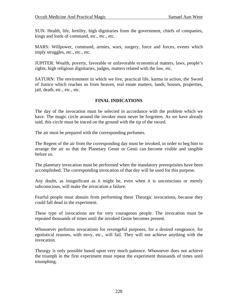SUN: Health, life, fertility, high dignitaries from the government, chiefs of companies, kings and lords of command, etc., etc., etc.

MARS: Willpower, command, armies, wars, surgery, force and forces, events which imply struggles, etc., etc., etc.

JUPITER: Wealth, poverty, favorable or unfavorable economical matters, laws, people's rights, high religious dignitaries, judges, matters related with the law, etc.

SATURN: The environment in which we live, practical life, karma in action, the Sword of Justice which reaches us from heaven, real estate matters, lands, houses, properties, jail, death, etc., etc., etc.

# **FINAL INDICATIONS**

The day of the invocation must be selected in accordance with the problem which we have. The magic circle around the invoker must never be forgotten. As we have already said, this circle must be traced on the ground with the tip of the sword.

The air must be prepared with the corresponding perfumes.

The Regent of the air from the corresponding day must be invoked, in order to beg him to arrange the air so that the Planetary Genie or Genii can become visible and tangible before us.

The planetary invocation must be performed when the mandatory prerequisites have been accomplished. The corresponding invocation of that day will be used for this purpose.

Any doubt, as insignificant as it might be, even when it is unconscious or merely subconscious, will make the invocation a failure.

Fearful people must abstain from performing these Theurgic invocations, because they could fall dead in the experiment.

These type of invocations are for very courageous people. The invocation must be repeated thousands of times until the invoked Genie becomes present.

Whosoever performs invocations for revengeful purposes, for a desired vengeance, for egotistical reasons, with envy, etc., will fail. They will not achieve anything with the invocation.

Theurgy is only possible based upon very much patience. Whosoever does not achieve the triumph in the first experiment must repeat the experiment thousands of times until triumphing.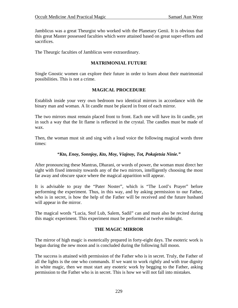Jamblicus was a great Theurgist who worked with the Planetary Genii. It is obvious that this great Master possessed faculties which were attained based on great super-efforts and sacrifices.

The Theurgic faculties of Jamblicus were extraordinary.

### **MATRIMONIAL FUTURE**

Single Gnostic women can explore their future in order to learn about their matrimonial possibilities. This is not a crime.

### **MAGICAL PROCEDURE**

Establish inside your very own bedroom two identical mirrors in accordance with the binary man and woman. A lit candle must be placed in front of each mirror.

The two mirrors must remain placed front to front. Each one will have its lit candle, yet in such a way that the lit flame is reflected in the crystal. The candles must be made of wax.

Then, the woman must sit and sing with a loud voice the following magical words three times:

### *"Kto, Enoy, Sonnjoy, Kto, Moy, Viajnoy, Tot, Pokajetsia Ninie."*

After pronouncing these Mantras, Dharani, or words of power, the woman must direct her sight with fixed intensity towards any of the two mirrors, intelligently choosing the most far away and obscure space where the magical apparition will appear.

It is advisable to pray the "Pater Noster", which is "The Lord's Prayer" before performing the experiment. Thus, in this way, and by asking permission to our Father, who is in secret, is how the help of the Father will be received and the future husband will appear in the mirror.

The magical words "Lucia, Stof Lub, Salem, Sadil" can and must also be recited during this magic experiment. This experiment must be performed at twelve midnight.

#### **THE MAGIC MIRROR**

The mirror of high magic is esoterically prepared in forty-eight days. The esoteric work is begun during the new moon and is concluded during the following full moon.

The success is attained with permission of the Father who is in secret. Truly, the Father of all the lights is the one who commands. If we want to work rightly and with true dignity in white magic, then we must start any esoteric work by begging to the Father, asking permission to the Father who is in secret. This is how we will not fall into mistakes.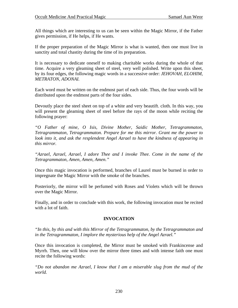All things which are interesting to us can be seen within the Magic Mirror, if the Father gives permission, if He helps, if He wants.

If the proper preparation of the Magic Mirror is what is wanted, then one must live in sanctity and total chastity during the time of its preparation.

It is necessary to dedicate oneself to making charitable works during the whole of that time. Acquire a very gleaming sheet of steel, very well polished. Write upon this sheet, by its four edges, the following magic words in a successive order: *JEHOVAH, ELOHIM, METRATON, ADONAI.* 

Each word must be written on the endmost part of each side. Thus, the four words will be distributed upon the endmost parts of the four sides.

Devoutly place the steel sheet on top of a white and very beautift. cloth. In this way, you will present the gleaming sheet of steel before the rays of the moon while reciting the following prayer:

*"O Father of mine, O Isis, Divine Mother, Saidic Mother, Tetragrammaton, Tetragrammaton, Tetragrammaton. Prepare for me this mirror. Grant me the power to*  look into it, and ask the resplendent Angel Azrael to have the kindness of appearing in *this mirror.* 

*"Azrael, Azrael, Azrael, I adore Thee and I invoke Thee. Come in the name of the Tetragrammaton, Amen, Amen, Amen."* 

Once this magic invocation is performed, branches of Laurel must be burned in order to impregnate the Magic Mirror with the smoke of the branches.

Posteriorly, the mirror will be perfumed with Roses and Violets which will be thrown over the Magic Mirror.

Finally, and in order to conclude with this work, the following invocation must be recited with a lot of faith.

# **INVOCATION**

*"In this, by this and with this Mirror of the Tetragrammaton, by the Tetragrammaton and in the Tetragrammaton, I implore the mysterious help of the Angel Azrael."* 

Once this invocation is completed, the Mirror must be smoked with Frankincense and Myrrh. Then, one will blow over the mirror three times and with intense faith one must recite the following words:

*"Do not abandon me Azrael, I know that I am a miserable slug from the mud of the world.*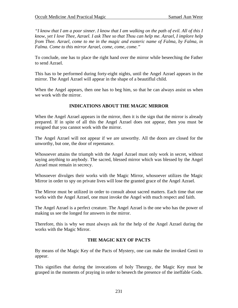*"I know that I am a poor sinner. I know that I am walking on the path of evil. All of this I know, yet I love Thee, Azrael. I ask Thee so that Thou can help me. Azrael, I implore help from Thee. Azrael, come to me in the magic and esoteric name of Falma, by Falma, in Falma. Come to this mirror Azrael, come, come, come."* 

To conclude, one has to place the right hand over the mirror while beseeching the Father to send Azrael.

This has to be performed during forty-eight nights, until the Angel Azrael appears in the mirror. The Angel Azrael will appear in the shape of a beautiflul child.

When the Angel appears, then one has to beg him, so that he can always assist us when we work with the mirror.

# **INDICATIONS ABOUT THE MAGIC MIRROR**

When the Angel Azrael appears in the mirror, then it is the sign that the mirror is already prepared. If in spite of all this the Angel Azrael does not appear, then you must be resigned that you cannot work with the mirror.

The Angel Azrael will not appear if we are unworthy. All the doors are closed for the unworthy, but one, the door of repentance.

Whosoever attains the triumph with the Angel Azrael must only work in secret, without saying anything to anybody. The sacred, blessed mirror which was blessed by the Angel Azrael must remain in secrecy.

Whosoever divulges their works with the Magic Mirror, whosoever utilizes the Magic Mirror in order to spy on private lives will lose the granted grace of the Angel Azrael.

The Mirror must be utilized in order to consult about sacred matters. Each time that one works with the Angel Azrael, one must invoke the Angel with much respect and faith.

The Angel Azrael is a perfect creature. The Angel Azrael is the one who has the power of making us see the longed for answers in the mirror.

Therefore, this is why we must always ask for the help of the Angel Azrael during the works with the Magic Mirror.

# **THE MAGIC KEY OF PACTS**

By means of the Magic Key of the Pacts of Mystery, one can make the invoked Genii to appear.

This signifies that during the invocations of holy Theurgy, the Magic Key must be grasped in the moments of praying in order to beseech the presence of the ineffable Gods.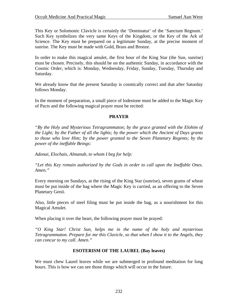This Key or Solomonic Clavicle is certainly the 'Dominatur' of the 'Sanctum Regnum.' Such Key symbolizes the very same Keys of the Kingdom, or the Key of the Ark of Science. The Key must be prepared on a legitimate Sunday, at the precise moment of sunrise. The Key must be made with Gold, Brass and Bronze.

In order to make this magical amulet, the first hour of the King Star (the Sun, sunrise) must be chosen. Precisely, this should be on the authentic Sunday, in accordance with the Cosmic Order, which is: Monday, Wednesday, Friday, Sunday, Tuesday, Thursday and Saturday.

We already know that the present Saturday is cosmically correct and that after Saturday follows Monday.

In the moment of preparation, a small piece of lodestone must be added to the Magic Key of Pacts and the following magical prayer must be recited:

# **PRAYER**

*"By the Holy and Mysterious Tetragrammaton; by the grace granted with the Elohim of the Light; by the Father of all the lights; by the power which the Ancient of Days grants to those who love Him; by the power granted to the Seven Planetary Regents; by the power of the ineffable Beings:* 

*Adonai, Elochais, Almanab, to whom I beg for help:* 

*"Let this Key remain authorized by the Gods in order to call upon the Ineffable Ones. Amen."* 

Every morning on Sundays, at the rising of the King Star (sunrise), seven grams of wheat must be put inside of the bag where the Magic Key is carried, as an offering to the Seven Planetary Genii.

Also, little pieces of steel filing must be put inside the bag, as a nourishment for this Magical Amulet.

When placing it over the heart, the following prayer must be prayed:

*"O King Star! Christ Sun, helps me in the name of the holy and mysterious Tetragrammaton. Prepare for me this Clavicle, so that when I show it to the Angels, they can concur to my call. Amen."* 

# **ESOTERISM OF THE LAUREL (Bay leaves)**

We must chew Laurel leaves while we are submerged in profound meditation for long hours. This is how we can see those things which will occur in the future.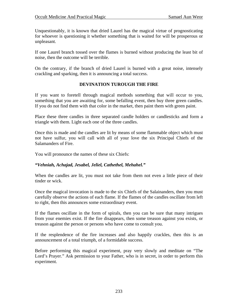Unquestionably, it is known that dried Laurel has the magical virtue of prognosticating for whoever is questioning it whether something that is waited for will be prosperous or unpleasant.

If one Laurel branch tossed over the flames is burned without producing the least bit of noise, then the outcome will be terrible.

On the contrary, if the branch of dried Laurel is burned with a great noise, intensely crackling and sparking, then it is announcing a total success.

# **DEVINATION TUROUGH THE FIRE**

If you want to foretell through magical methods something that will occur to you, something that you are awaiting for, some befalling event, then buy three green candles. If you do not find them with that color in the market, then paint them with green paint.

Place these three candles in three separated candle holders or candlesticks and form a triangle with them. Light each one of the three candles.

Once this is made and the candles are lit by means of some flammable object which must not have sulfur, you will call with all of your love the six Principal Chiefs of the Salamanders of Fire.

You will pronounce the names of these six Chiefs:

# *"Vehniah, Achajad, Jesabel, Jeliel, Cathethel, Mehahel."*

When the candles are lit, you must not take from them not even a little piece of their tinder or wick.

Once the magical invocation is made to the six Chiefs of the Salainanders, then you must carefully observe the actions of each flame. If the flames of the candles oscillate from left to right, then this announces some extraordinary event.

If the flames oscillate in the form of spirals, then you can be sure that many intrigues from your enemies exist. If the fire disappears, then some treason against you exists, or treason against the person or persons who have come to consult you.

If the resplendence of the fire increases and also happily crackles, then this is an announcement of a total triumph, of a formidable success.

Before performing this magical experiment, pray very slowly and meditate on "The Lord's Prayer." Ask permission to your Father, who is in secret, in order to perform this experiment.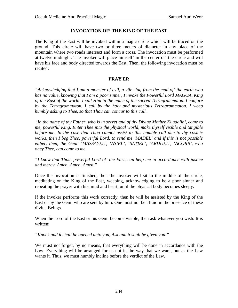# **INVOCATION OF' THE KING OF THE EAST**

The King of the East will be invoked within a magic circle which will be traced on the ground. This circle will have two or three meters of diameter in any place of the mountain where two roads intersect and form a cross. The invocation must be performed at twelve midnight. The invoker will place himself' in the center of' the circle and will have his face and body directed towards the East. Then, the following invocation must be recited:

# **PRAY ER**

*"Acknowledging that I am a monster of evil, a vile slug from the mud of' the earth who has no value, knowing that I am a poor sinner, I invoke the Powerful Lord MAGOA, King of the East of the world. I call Him in the name of the sacred Tetragrammaton. I conjure by the Tetragrammaton. I call by the holy and mysterious Tetragrammaton. I weep humbly asking to Thee, so that Thou can concur to this call.* 

*"In the name of thy Father, who is in secret and of thy Divine Mother Kundalini, come to me, powerful King. Enter Thee into the physical world, make thyself visible and tangible before me. In the case that Thou cannot assist to this humble call due to thy cosmic works, then I beg Thee, powerful Lord, to send me 'MADEL' and if this is not possible either, then, the Genii 'MASSAYEL', 'ASIEL', 'SATIEL', 'ARDUEL', 'ACORB', who obey Thee, can come to me.* 

*"I know that Thou, powerful Lord of' the East, can help me in accordance with justice and mercy. Amen, Amen, Amen."* 

Once the invocation is finished, then the invoker will sit in the middle of the circle, meditating on the King of the East, weeping, acknowledging to be a poor sinner and repeating the prayer with his mind and heart, until the physical body becomes sleepy.

If the invoker performs this work correctly, then he will be assisted by the King of the East or by the Genii who are sent by him. One must not be afraid in the presence of these divine Beings.

When the Lord of the East or his Genii become visible, then ask whatever you wish. It is written:

*"Knock and it shall be opened unto you, Ask and it shall be given you."* 

We must not forget, by no means, that everything will be done in accordance with the Law. Everything will be arranged for us not in the way that we want, but as the Law wants it. Thus, we must humbly incline before the verdict of the Law.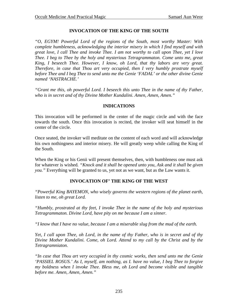### **INVOCATION OF THE KING OF THE SOUTH**

*"O, EGYM! Powerful Lord of the regions of the South, most worthy Master: With complete humbleness, acknowledging the interior misery in which I find myself and with great love, I call Thee and invoke Thee. I am not worthy to call upon Thee, yet I love Thee. I beg to Thee by the holy and mysterious Tetragrammaton. Come unto me, great King, I beseech Thee. However, I know, oh Lord, that thy labors are very great. Therefore, in case that Thou art very occupied, then I very humbly prostrate myself before Thee and I beg Thee to send unto me the Genie 'FADAL' or the other divine Genie named 'NASTRACHE.'* 

*"Grant me this, oh powerful Lord. I beseech this unto Thee in the name of thy Father, who is in secret and of thy Divine Mother Kundalini. Amen, Amen, Amen."* 

#### **INDICATIONS**

This invocation will be performed in the center of the magic circle and with the face towards the south. Once this invocation is recited, the invoker will seat himself in the center of the circle.

Once seated, the invoker will meditate on the content of each word and will acknowledge his own nothingness and interior misery. He will greatly weep while calling the King of the South.

When the King or his Genii will present themselves, then, with humbleness one must ask for whatever is wished*. "Knock and it shall be opened unto you, Ask and it shall be given you."* Everything will be granted to us, yet not as we want, but as the Law wants it.

# **INVOCATION OF' THE KING OF THE WEST**

*"Powerful King BAYEMON, who wisely governs the western regions of the planet earth, listen to me, oh great Lord.* 

*"Humbly, prostrated at thy feet, I invoke Thee in the name of the holy and mysterious Tetragrammaton. Divine Lord, have pity on me because I am a sinner.* 

*"I know that I have no value, because I am a miserable slug from the mud of the earth.* 

*Yet, I call upon Thee, oh Lord, in the name of thy Father, who is in secret and of thy Divine Mother Kundalini. Come, oh Lord. Attend to my call by the Christ and by the Tetragramniaton.* 

*"In case that Thou art very occupied in thy cosmic works, then send unto me the Genie 'PASSIEL ROSUS.' As I, myself, am nothing, as I. have no value, I beg Thee to forgive my boldness when I invoke Thee. Bless me, oh Lord and become visible and tangible before me. Amen, Amen, Amen."*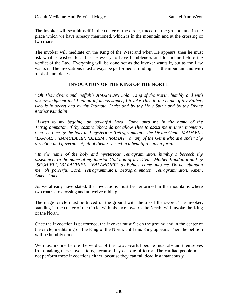The invoker will seat himself in the center of the circle, traced on the ground, and in the place which we have already mentioned, which is in the mountain and at the crossing of two roads.

The invoker will meditate on the King of the West and when He appears, then he must ask what is wished for. It is necessary to have humbleness and to incline before the verdict of the Law. Everything will be done not as the invoker wants it, but as the Law wants it. The invocations must always be performed at midnight in the mountain and with a lot of humbleness.

# **INVOCATION OF THE KING OF THE NORTH**

*"Oh Thou divine and ineffable AMAIMON! Solar King of the North, humbly and with acknowledgment that I am an infamous sinner, I invoke Thee in the name of thy Father, who is in secret and by thy Intimate Christ and by thy Holy Spirit and by thy Divine Mother Kundalini.* 

*"Listen to my begging, oh powerful Lord. Come unto me in the name of the Tetragrammaton. If thy cosmic labors do not allow Thee to assist me in these moments, then send me by the holy and mysterious Tetragrammaton the Divine Genii 'MADAEL', 'LAAVAL', 'BAMULAHE', 'BELEM', 'RAMAT', or any of the Genii who are under Thy direction and government, all of them revested in a beautiful human form.* 

*"In the name of the holy and mysterious Tetragrammaton, humbly I beseech thy assistance. In the name of my interior God and of my Divine Mother Kundalini and by 'SECHIEL', 'BARACHIEL', 'BALANDIER', as Beings, come unto me. Do not abandon me, oh powerful Lord. Tetragrammaton, Tetragrammaton, Tetragrammaton. Amen, Amen, Amen."* 

As we already have stated, the invocations must be performed in the mountains where two roads are crossing and at twelve midnight.

The magic circle must be traced on the ground with the tip of the sword. The invoker, standing in the center of the circle, with his face towards the North, will invoke the King of the North.

Once the invocation is performed, the invoker must Sit on the ground and in the center of the circle, meditating on the King of the North, until this King appears. Then the petition will be humbly done.

We must incline before the verdict of the Law. Fearful people must abstain themselves from making these invocations, because they can die of terror. The cardiac people must not perform these invocations either, because they can fall dead instantaneously.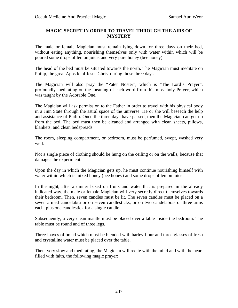# **MAGIC SECRET IN ORDER TO TRAVEL THROUGH THE AIRS OF MYSTERY**

The male or female Magician must remain lying down for three days on their bed, without eating anything, nourishing themselves only with water within which will be poured some drops of lemon juice, and very pure honey (bee honey).

The head of the bed must be situated towards the north. The Magician must meditate on Philip, the great Apostle of Jesus Christ during those three days.

The Magician will also pray the "Pater Noster", which is "The Lord's Prayer", profoundly meditating on the meaning of each word from this most holy Prayer, which was taught by the Adorable One.

The Magician will ask permission to the Father in order to travel with his physical body in a Jinn State through the astral space of the universe. He or she will beseech the help and assistance of Philip. Once the three days have passed, then the Magician can get up from the bed. The bed must then be cleaned and arranged with clean sheets, pillows, blankets, and clean bedspreads.

The room, sleeping compartment, or bedroom, must be perfumed, swept, washed very well.

Not a single piece of clothing should be hung on the ceiling or on the walls, because that damages the experiment.

Upon the day in which the Magician gets up, he must continue nourishing himself with water within which is mixed honey (bee honey) and some drops of lemon juice.

In the night, after a dinner based on fruits and water that is prepared in the already indicated way, the male or female Magician will very secretly direct themselves towards their bedroom. Then, seven candles must be lit. The seven candles must be placed on a seven armed candelabra or on seven candlesticks, or on two candelabras of three arms each, plus one candlestick for a single candle.

Subsequently, a very clean mantle must be placed over a table inside the bedroom. The table must be round and of three legs.

Three loaves of bread which must be blended with barley flour and three glasses of fresh and crystalline water must be placed over the table.

Then, very slow and meditating, the Magician will recite with the mind and with the heart filled with faith, the following magic prayer: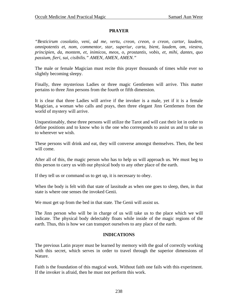# **PRAYER**

*"Besticirum cosolatio, veni, ad me, vertu, creon, creon, o creon, cartor, laudem, omnipotentis et, nom, commentor, star, superiur, carta, bient, laudem, om, viestra, principien, da, montem, et, inimicos, meos, o, prostantis, vobis, et, mihi, dantes, quo passium, fieri, sui, cisibilis." AMEN, AMEN, AMEN."* 

The male or female Magician must recite this prayer thousands of times while ever so slightly becoming sleepy.

Finally, three mysterious Ladies or three magic Gentlemen will arrive. This matter pertains to three Jinn persons from the fourth or fifth dimension.

It is clear that three Ladies will arrive if the invoker is a male, yet if it is a female Magician, a woman who calls and prays, then three elegant Jinn Gentlemen from the world of mystery will arrive.

Unquestionably, these three persons will utilize the Tarot and will cast their lot in order to define positions and to know who is the one who corresponds to assist us and to take us to wherever we wish.

These persons will drink and eat, they will converse amongst themselves. Then, the best will come.

After all of this, the magic person who has to help us will approach us. We must beg to this person to carry us with our physical body to any other place of the earth.

If they tell us or command us to get up, it is necessary to obey.

When the body is felt with that state of lassitude as when one goes to sleep, then, in that state is where one senses the invoked Genii.

We must get up from the bed in that state. The Genii will assist us.

The Jinn person who will be in charge of us will take us to the place which we will indicate. The physical body delectably floats while inside of the magic regions of the earth. Thus, this is how we can transport ourselves to any place of the earth.

# **INDICATIONS**

The previous Latin prayer must be learned by memory with the goal of correctly working with this secret, which serves in order to travel through the superior dimensions of Nature.

Faith is the foundation of this magical work. Without faith one fails with this experiment. If the invoker is afraid, then he must not perform this work.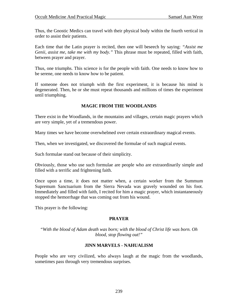Thus, the Gnostic Medics can travel with their physical body within the fourth vertical in order to assist their patients.

Each time that the Latin prayer is recited, then one will beseech by saying: *"Assist me Genii, assist me, take me with my body."* This phrase must be repeated, filled with faith, between prayer and prayer.

Thus, one triumphs. This science is for the people with faith. One needs to know how to be serene, one needs to know how to be patient.

If someone does not triumph with the first experiment, it is because his mind is degenerated. Then, he or she must repeat thousands and millions of times the experiment until triumphing.

# **MAGIC FROM THE WOODLANDS**

There exist in the Woodlands, in the mountains and villages, certain magic prayers which are very simple, yet of a tremendous power.

Many times we have become overwhelmed over certain extraordinary magical events.

Then, when we investigated, we discovered the formulae of such magical events.

Such formulae stand out because of their simplicity.

Obviously, those who use such formulae are people who are extraordinarily simple and filled with a terrific and frightening faith.

Once upon a time, it does not matter when, a certain worker from the Summum Supremum Sanctuarium from the Sierra Nevada was gravely wounded on his foot. Immediately and filled with faith, I recited for him a magic prayer, which instantaneously stopped the hemorrhage that was coming out from his wound.

This prayer is the following:

# **PRAYER**

*"With the blood of Adam death was born; with the blood of Christ life was born. Oh blood, stop flowing out!"* 

# **JINN MARVELS - NAHUALISM**

People who are very civilized, who always laugh at the magic from the woodlands, sometimes pass through very tremendous surprises.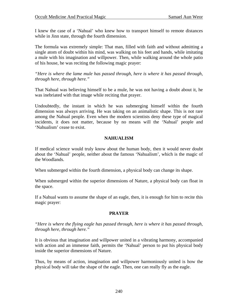I knew the case of a 'Nahual' who knew how to transport himself to remote distances while in Jinn state, through the fourth dimension.

The formula was extremely simple: That man, filled with faith and without admitting a single atom of doubt within his mind, was walking on his feet and hands, while imitating a mule with his imagination and willpower. Then, while walking around the whole patio of his house, he was reciting the following magic prayer:

*"Here is where the lame mule has passed through, here is where it has passed through, through here, through here."* 

That Nahual was believing himself to be a mule, he was not having a doubt about it, he was inebriated with that image while reciting that prayer.

Undoubtedly, the instant in which he was submerging himself within the fourth dimension was always arriving. He was taking on an animalistic shape. This is not rare among the Nahual people. Even when the modern scientists deny these type of magical incidents, it does not matter, because by no means will the 'Nahual' people and 'Nahualism' cease to exist.

# **NAHUALISM**

If medical science would truly know about the human body, then it would never doubt about the 'Nahual' people, neither about the famous 'Nahualism', which is the magic of the Woodlands.

When submerged within the fourth dimension, a physical body can change its shape.

When submerged within the superior dimensions of Nature, a physical body can float in the space.

If a Nahual wants to assume the shape of an eagle, then, it is enough for him to recite this magic prayer:

# **PRAYER**

*"Here is where the flying eagle has passed through, here is where it has passed through, through here, through here."* 

It is obvious that imagination and willpower united in a vibrating harmony, accompanied with action and an immense faith, permits the 'Nahual' person to put his physical body inside the superior dimensions of Nature.

Thus, by means of action, imagination and willpower harmoniously united is how the physical body will take the shape of the eagle. Then, one can really fly as the eagle.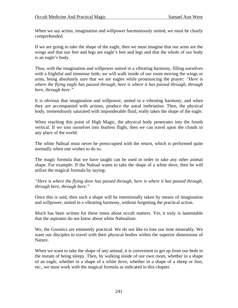When we say action, imagination and willpower harmoniously united, we must be clearly comprehended.

If we are going to take the shape of the eagle, then we must imagine that our arms are the wings and that our feet and legs are eagle's feet and legs and that the whole of our body is an eagle's body.

Thus, with the imagination and willpower united in a vibrating harmony, filling ourselves with a frightful and immense faith, we will walk inside of our room moving the wings or arms, being absolutely sure that we are eagles while pronouncing the prayer: *"Here is where the flying eagle has passed through, here is where it has passed through, through here, through here."* 

It is obvious that imagination and willpower, united in a vibrating harmony, and when they are accompanied with actions, produce the astral inebriation. Then, the physical body, tremendously saturated with imponderable fluid, really takes the shape of the eagle.

When reaching this point of High Magic, the physical body penetrates into the fourth vertical. If we toss ourselves into fearless flight, then we can travel upon the clouds to any place of the world.

The white Nahual must never be preoccupied with the return, which is performed quite normally when one wishes to do so.

The magic formula that we have taught can be used in order to take any other animal shape. For example: If the Nahual wants to take the shape of a white dove, then he will utilize the magical formula by saying:

*"Here is where the flying dove has passed through, here is where it has passed through, through here, through here."* 

Once this is said, then such a shape will be intentionally taken by means of imagination and willpower, united in a vibrating harmony, without forgetting the practical action.

Much has been written for these times about occult matters. Yet, it truly is lamentable that the aspirants do not know about white Nahualism.

We, the Gnostics are eminently practical. We do not like to lose our time miserably. We want our disciples to travel with their physical bodies within the superior dimensions of Nature.

When we want to take the shape of any animal, it is convenient to get up from our beds in the instant of being sleepy. Then, by walking inside of our own room, whether in a shape of an eagle, whether in a shape of a white dove, whether in a shape of a sheep or lion, etc., we must work with the magical formula as indicated in this chapter.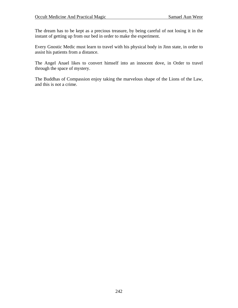The dream has to be kept as a precious treasure, by being careful of not losing it in the instant of getting up from our bed in order to make the experiment.

Every Gnostic Medic must learn to travel with his physical body in Jinn state, in order to assist his patients from a distance.

The Angel Anael likes to convert himself into an innocent dove, in Order to travel through the space of mystery.

The Buddhas of Compassion enjoy taking the marvelous shape of the Lions of the Law, and this is not a crime.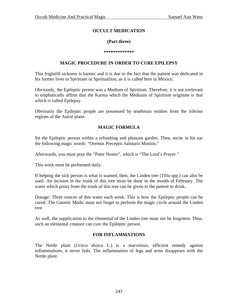# **OCCULT MEDICATION**

# **(Part three)**

#### **\*\*\*\*\*\*\*\*\*\*\*\*\***

# **MAGIC PROCEDURE IN ORDER TO CURE EPILEPSY**

This frightifil sickness is karmic and it is due to the fact that the patient was dedicated in his former lives to Spiritism or Spiritualism, as it is called here in Mexico.

Obviously, the Epileptic person was a Medium of Spiritism. Therefore, it is not irrelevant to emphatically affirm that the Karma which the Mediums of Spiritism originate is that which is called Epilepsy.

Obviously the Epileptic people are possessed by tenebrous entities from the inferior regions of the Astral plane.

# **MAGIC FORMULA**

Sit the Epileptic person within a refreshing and pleasant garden. Then, recite in his ear the following magic words: "Oremus Preceptis Salutaris Monitis."

Afterwards, you must pray the "Pater Noster", which is "The Lord's Prayer."

This work must be performed daily.

If helping the sick person is what is wanted, then, the Linden tree (*Tilia* spp.) can also be used. An incision in the trunk of this tree must be done in the month of February. The water which pours from the trunk of this tree can be given to the patient to drink.

Dosage: Three ounces of this water each week. This is how the Epileptic people can be cured. The Gnostic Medic must not forget to perform the magic circle around the Linden tree.

As well, the supplication to the elemental of the Linden tree must not be forgotten. Thus, such an elemental creature can cure the Epileptic person.

# **FOR INFLAMMATIONS**

The Nettle plant (*Urtica dioica* L.) is a marvelous, efficient remedy against inflammations, it never fails. The inflammation of legs and arms disappears with the Nettle plant.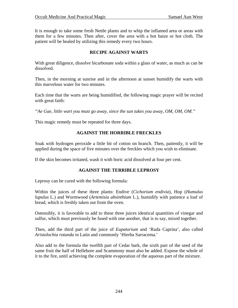It is enough to take some fresh Nettle plants and to whip the inflamed area or areas with them for a few minutes. Then after, cover the area with a hot baize or hot cloth. The patient will be healed by utilizing this remedy every two hours.

# **RECIPE AGAINST WARTS**

With great diligence, dissolve bicarbonate soda within a glass of water, as much as can be dissolved.

Then, in the morning at sunrise and in the afternoon at sunset humidify the warts with this marvelous water for two minutes.

Each time that the warts are being humidified, the following magic prayer will be recited with great faith:

*"Ae Gae, little wart you must go away, since the sun takes you away, OM, OM, OM."* 

This magic remedy must be repeated for three days.

# **AGAINST THE HORRIBLE FRECKLES**

Soak with hydrogen peroxide a little bit of cotton on branch. Then, patiently, it will be applied during the space of five minutes over the freckles which you wish to eliminate.

If the skin becomes irritated, wash it with boric acid dissolved at four per cent.

# **AGAINST THE TERRIBLE LEPROSY**

Leprosy can be cured with the following formula:

Within the juices of these three plants: Endive (*Cichorium endivia*), Hop (*Humulus lupulus* L.) and Wormwood (*Artemisia absinthium* L.), humidify with patience a loaf of bread, which is freshly taken out from the oven.

Ostensibly, it is favorable to add to these three juices identical quantities of vinegar and sulfur, which must previously be fused with one another, that is to say, mixed together.

Then, add the third part of the juice of *Eupatorium* and 'Ruda Caprina', also called *Aristolochia rotunda* in Latin and commonly 'Hierba Sarracema.'

Also add to the formula the twelfth part of Cedar bark, the sixth part of the seed of the same fruit the half of Hellebore and Scammony must also be added. Expose the whole of it to the fire, until achieving the complete evaporation of the aqueous part of the mixture.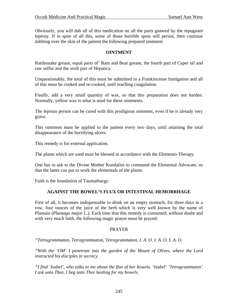Obviously, you will dab all of this medication on all the parts gnawed by the repugnant leprosy. If in spite of all this, some of those horrible spots still persist, then continue dabbing over the skin of the patient the following prepared ointment:

# **OINTMENT**

Rattlesnake grease, equal parts of' Ram and Bear grease, the fourth part of Caper oil and raw sulfur and the sixth part of Hepatica.

Unquestionably, the total of this must be subniitted to a Frankincense fumigation and all of this must be cooked and re-cooked, until reaching coagulation.

Finally, add a very small quantity of wax, so that this preparation does not harden. Normally, yellow wax is what is used for these ointments.

The leprous person can be cured with this prodigious ointment, even if he is already very grave.

This ointment must be applied to the patient every two days, until attaining the total disappearance of the horrifying ulcers.

This remedy is for external application.

The plants which are used must be blessed in accordance with the Elemento-Therapy.

One has to ask to the Divine Mother Kundalini to command the Elemental Advocate, so that the latter can put to work the elementals of the plants.

Faith is the foundation of Taumathurgy.

# **AGAINST THE BOWEL'S FLUX OR INTESTINAL HEMORRHAGE**

First of all, it becomes indispensable to drink on an empty stomach, for three days in a row, four ounces of the juice of the herb which is very well known by the name of Plantain (*Plantago major* L.). Each time that this remedy is consumed, without doubt and with very much faith, the following magic prayer must be prayed:

#### PRAYER

*"Tetragrammaton, Tetragrammaton, Tetragrammaton, I. A. O. I. A. O. I. A. O.* 

*"With the 'OM' I penetrate into the garden of the Mount of Olives, where the Lord instructed his disciples in secrecy.* 

*"I find 'Isabel', who talks to me about the flux of her bowels. 'Isabel' 'Tetragrammaton' I ask unto Thee, I beg unto Thee healing for my bowels.*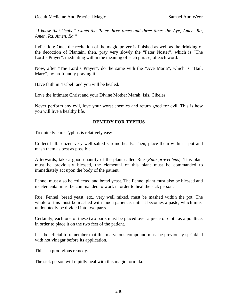*"I know that 'Isabel' wants the Pater three times and three times the Aye, Amen, Ra, Amen, Ra, Amen, Ra."* 

Indication: Once the recitation of the magic prayer is finished as well as the drinking of the decoction of Plantain, then, pray very slowly the "Pater Noster", which is "The Lord's Prayer", meditating within the meaning of each phrase, of each word.

Now, after "The Lord's Prayer", do the same with the "Ave Maria", which is "Hail, Mary", by profoundly praying it.

Have faith in 'Isabel' and you will be healed.

Love the Intimate Christ and your Divine Mother Marah, Isis, Cibeles.

Never perform any evil, love your worst enemies and return good for evil. This is how you will live a healthy life.

### **REMEDY FOR TYPHUS**

To quickly cure Typhus is relatively easy.

Collect halfa dozen very well salted sardine heads. Then, place them within a pot and mash them as best as possible.

Afterwards, take a good quantity of the plant called Rue (*Ruta graveolens*). This plant must be previously blessed, the elemental of this plant must be commanded to immediately act upon the body of the patient.

Fennel must also be collected and bread yeast. The Fennel plant must also be blessed and its elemental must be commanded to work in order to heal the sick person.

Rue, Fennel, bread yeast, etc., very well mixed, must be mashed within the pot. The whole of this must be mashed with much patience, until it becomes a paste, which must undoubtedly be divided into two parts.

Certainly, each one of these two parts must be placed over a piece of cloth as a poultice, in order to place it on the two feet of the patient.

It is beneficial to remember that this marvelous compound must be previously sprinkled with hot vinegar before its application.

This is a prodigious remedy.

The sick person will rapidly heal with this magic formula.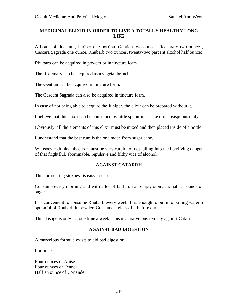# **MEDICINAL ELIXIR IN ORDER TO LIVE A TOTALLY HEALTHY LONG LIFE**

A bottle of fine rum, Juniper one portion, Gentian two ounces, Rosemary two ounces, Cascara Sagrada one ounce, Rhubarb two ounces, twenty-two percent alcohol half ounce:

Rhubarb can be acquired in powder or in tincture form.

The Rosemary can be acquired as a vegetal branch.

The Gentian can be acquired in tincture form.

The Cascara Sagrada can also be acquired in tincture form.

In case of not being able to acquire the Juniper, the elixir can be prepared without it.

I believe that this elixir can be consumed by little spoonfuls. Take three teaspoons daily.

Obviously, all the elements of this elixir must be mixed and then placed inside of a bottle.

I understand that the best rum is the one made from sugar cane.

Whosoever drinks this elixir must be very careful of not falling into the horrifying danger of that frightflul, abominable, repulsive and filthy vice of alcohol.

# **AGAINST CATARRH**

This tormenting sickness is easy to cure.

Consume every morning and with a lot of faith, on an empty stomach, half an ounce of sugar.

It is convenient to consume Rhubarb every week. It is enough to put into boiling water a spoonful of Rhubarb in powder. Consume a glass of it before dinner.

This dosage is only for one time a week. This is a marvelous remedy against Catarrh.

#### **AGAINST BAD DIGESTION**

A marvelous formula exists to aid bad digestion.

Formula:

Four ounces of Anise Four ounces of Fennel Half an ounce of Coriander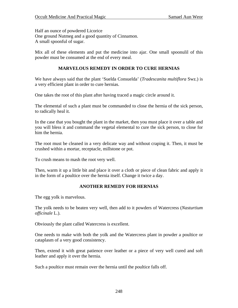Half an ounce of powdered Licorice

One ground Nutmeg and a good quantity of Cinnamon. A small spoonful of sugar.

Mix all of these elements and put the medicine into ajar. One small spoonulil of this powder must be consumed at the end of every meal.

# **MARVELOUS REMEDY IN ORDER TO CURE HERNIAS**

We have always said that the plant 'Suelda Consuelda' (*Tradescanita multiflora* Swz.) is a very efficient plant in order to cure hernias.

One takes the root of this plant after having traced a magic circle around it.

The elemental of such a plant must be commanded to close the hernia of the sick person, to radically heal it.

In the case that you bought the plant in the market, then you must place it over a table and you will bless it and command the vegetal elemental to cure the sick person, to close for him the hernia.

The root must be cleaned in a very delicate way and without craping it. Then, it must be crushed within a mortar, receptacle, millstone or pot.

To crush means to mash the root very well.

Then, warm it up a little bit and place it over a cloth or piece of clean fabric and apply it in the form of a poultice over the hernia itself. Change it twice a day.

# **ANOTHER REMEDY FOR HERNIAS**

The egg yolk is marvelous.

The yolk needs to be beaten very well, then add to it powders of Watercress (*Nasturtium officinale* L.).

Obviously the plant called Watercress is excellent.

One needs to make with both the yolk and the Watercress plant in powder a poultice or cataplasm of a very good consistency.

Then, extend it with great patience over leather or a piece of very well cured and soft leather and apply it over the hernia.

Such a poultice must remain over the hernia until the poultice falls off.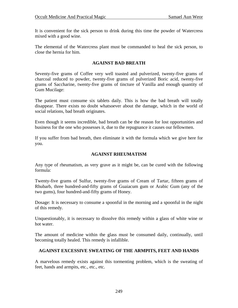It is convenient for the sick person to drink during this time the powder of Watercress mixed with a good wine.

The elemental of the Watercress plant must be commanded to heal the sick person, to close the hernia for him.

### **AGAINST BAD BREATH**

Seventy-five grams of Coffee very well toasted and pulverized, twenty-five grams of charcoal reduced to powder, twenty-five grams of pulverized Boric acid, twenty-five grams of Saccharine, twenty-five grams of tincture of Vanilla and enough quantity of Gum Mucilage:

The patient must consume six tablets daily. This is how the bad breath will totally disappear. There exists no doubt whatsoever about the damage, which in the world of social relations, bad breath originates.

Even though it seems incredible, bad breath can be the reason for lost opportunities and business for the one who possesses it, due to the repugnance it causes our fellowmen.

If you suffer from bad breath, then eliminate it with the formula which we give here for you.

# **AGAINST RHEUMATISM**

Any type of rheumatism, as very grave as it might be, can be cured with the following formula:

Twenty-five grams of Sulfur, twenty-five grams of Cream of Tartar, fifteen grams of Rhubarb, three hundred-and-fifty grams of Guaiacum gum or Arabic Gum (any of the two gums), four hundred-and-fifty grams of Honey.

Dosage: It is necessary to consume a spoonful in the morning and a spoonful in the night of this remedy.

Unquestionably, it is necessary to dissolve this remedy within a glass of white wine or hot water.

The amount of medicine within the glass must be consumed daily, continually, until becoming totally healed. This remedy is infallible.

# **AGAINST EXCESSIVE SWEATING OF THE ARMPITS, FEET AND HANDS**

A marvelous remedy exists against this tormenting problem, which is the sweating of feet, hands and armpits, etc., etc., etc.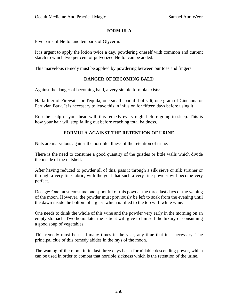# **FORM ULA**

Five parts of Neftol and ten parts of Glycerin.

It is urgent to apply the lotion twice a day, powdering oneself with common and current starch to which two per cent of pulverized Neftol can be added.

This marvelous remedy must be applied by powdering between our toes and fingers.

# **DANGER OF BECOMING BALD**

Against the danger of becoming bald, a very simple formula exists:

Haifa liter of Firewater or Tequila, one small spoonful of salt, one gram of Cinchona or Peruvian Bark. It is necessary to leave this in infusion for fifteen days before using it.

Rub the scalp of your head with this remedy every night before going to sleep. This is how your hair will stop falling out before reaching total baldness.

# **FORMULA AGAINST THE RETENTION OF URINE**

Nuts are marvelous against the horrible illness of the retention of urine.

There is the need to consume a good quantity of the gristles or little walls which divide the inside of the nutshell.

After having reduced to powder all of this, pass it through a silk sieve or silk strainer or through a very fine fabric, with the goal that such a very fine powder will become very perfect.

Dosage: One must consume one spoonful of this powder the three last days of the waning of the moon. However, the powder must previously be left to soak from the evening until the dawn inside the bottom of a glass which is filled to the top with white wine.

One needs to drink the whole of this wine and the powder very early in the morning on an empty stomach. Two hours later the patient will give to himself the luxury of consuming a good soup of vegetables.

This remedy must be used many times in the year, any time that it is necessary. The principal clue of this remedy abides in the rays of the moon.

The waning of the moon in its last three days has a formidable descending power, which can be used in order to combat that horrible sickness which is the retention of the urine.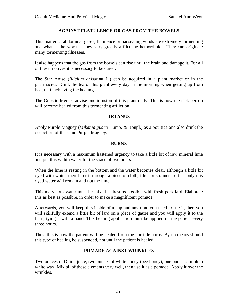# **AGAINST FLATULENCE OR GAS FROM THE BOWELS**

This matter of abdominal gases, flatulence or nauseating winds are extremely tormenting and what is the worst is they very greatly afflict the hemorrhoids. They can originate many tormenting illnesses.

It also happens that the gas from the bowels can rise until the brain and damage it. For all of these motives it is necessary to be cured.

The Star Anise (*Illicium anisatum* L.) can be acquired in a plant market or in the pharmacies. Drink the tea of this plant every day in the morning when getting up from bed, until achieving the healing.

The Gnostic Medics advise one infusion of this plant daily. This is how the sick person will become healed from this tormenting affliction.

# **TETANUS**

Apply Purple Maguey (*Mikania guaco* Humb. & Bonpl.) as a poultice and also drink the decoctiori of the same Purple Maguey.

# **BURNS**

It is necessary with a maximum hastened urgency to take a little bit of raw mineral lime and put this within water for the space of two hours.

When the lime is resting in the bottom and the water becomes clear, although a little bit dyed with white, then filter it through a piece of cloth, filter or strainer, so that only this dyed water will remain and not the lime.

This marvelous water must be mixed as best as possible with fresh pork lard. Elaborate this as best as possible, in order to make a magnificent pomade.

Afterwards, you will keep this inside of a cup and any time you need to use it, then you will skillfully extend a little bit of lard on a piece of gauze and you will apply it to the burn, tying it with a band. This healing application must be applied on the patient every three hours.

Thus, this is how the patient will be healed from the horrible burns. By no means should this type of healing be suspended, not until the patient is healed.

# **POMADE AGAINST WRINKLES**

Two ounces of Onion juice, two ounces of white honey (bee honey), one ounce of molten white wax: Mix all of these elements very well, then use it as a pomade. Apply it over the wrinkles.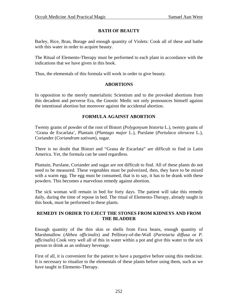# **BATH OF BEAUTY**

Barley, Rice, Bran, Borage and enough quantity of Violets: Cook all of these and bathe with this water in order to acquire beauty.

The Ritual of Elemento-Therapy must be performed to each plant in accordance with the indications that we have given in this book.

Thus, the elementals of this formula will work in order to give beauty.

### **ABORTIONS**

In opposition to the merely materialistic Scientism and to the provoked abortions from this decadent and perverse Era, the Gnostic Medic not only pronounces himself against the intentional abortion but moreover against the accidental abortion.

# **FORMULA AGAINST ABORTION**

Twenty grams of powder of the root of Bistort (*Polygonyum bistorta* L.), twenty grams of 'Grana de Escarlata', Plantain (*Plantago major* L.), Purslane (*Portulaca oleracea* L.), Coriander (*Coriandrum sativum*), sugar.

There is no doubt that Bistort and "Grana de Escarlata" are difficult to find in Latin America. Yet, the formula can be used regardless.

Plantain, Purslane, Coriander and sugar are not difficult to find. All of these plants do not need to be measured. These vegetables must be pulverized, then, they have to be mixed with a warm egg. The egg must be consumed, that is to say, it has to be drank with these powders. This becomes a marvelous remedy against abortion.

The sick woman will remain in bed for forty days. The patient will take this remedy daily, during the time of repose in bed. The ritual of Elemento-Therapy, already taught in this book, must be performed to these plants.

# **REMEDY IN ORDER TO EJECT THE STONES FROM KIDNEYS AND FROM THE BLADDER**

Enough quantity of the thin skin or shells from Fava beans, enough quantity of Marshmallow (*Althea officinalis*) and Pellitory-of-the-Wall (*Parietaria diffusa* or *P. officinalis*) Cook very well all of this in water within a pot and give this water to the sick person to drink as an ordinary beverage.

First of all, it is convenient for the patient to have a purgative before using this medicine. It is necessary to ritualize to the elementals of these plants before using them, such as we have taught in Elemento-Therapy.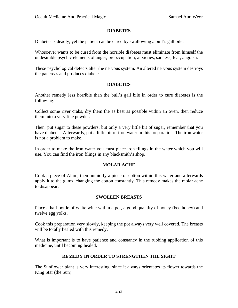#### **DIABETES**

Diabetes is deadly, yet the patient can be cured by swallowing a bull's gall bile.

Whosoever wants to be cured from the horrible diabetes must eliminate from himself the undesirable psychic elements of anger, preoccupation, anxieties, sadness, fear, anguish.

These psychological defects alter the nervous system. An altered nervous system destroys the pancreas and produces diabetes.

## **DIABETES**

Another remedy less horrible than the bull's gall bile in order to cure diabetes is the following:

Collect some river crabs, dry them the as best as possible within an oven, then reduce them into a very fine powder.

Then, put sugar to these powders, but only a very little bit of sugar, remember that you have diabetes. Afterwards, put a little bit of iron water in this preparation. The iron water is not a problem to make.

In order to make the iron water you must place iron filings in the water which you will use. You can find the iron filings in any blacksmith's shop.

## **MOLAR ACHE**

Cook a piece of Alum, then humidify a piece of cotton within this water and afterwards apply it to the gums, changing the cotton constantly. This remedy makes the molar ache to disappear.

## **SWOLLEN BREASTS**

Place a half bottle of white wine within a pot, a good quantity of honey (bee honey) and twelve egg yolks.

Cook this preparation very slowly, keeping the pot always very well covered. The breasts will be totally healed with this remedy.

What is important is to have patience and constancy in the rubbing application of this medicine, until becoming healed.

## **REMEDY IN ORDER TO STRENGTHEN THE SIGHT**

The Sunflower plant is very interesting, since it always orientates its flower towards the King Star (the Sun).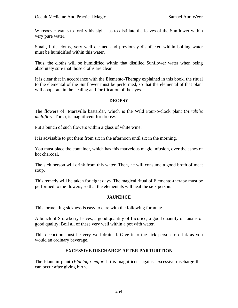Whosoever wants to fortify his sight has to distillate the leaves of the Sunflower within very pure water.

Small, little cloths, very well cleaned and previously disinfected within boiling water must be humidified within this water.

Thus, the cloths will be humidified within that distilled Sunflower water when being absolutely sure that those cloths are clean.

It is clear that in accordance with the Elemento-Therapy explained in this book, the ritual to the elemental of the Sunflower must be performed, so that the elemental of that plant will cooperate in the healing and fortification of the eyes.

# **DROPSY**

The flowers of 'Maravilla bastarda', which is the Wild Four-o-clock plant (*Mirabilis multiflora* Torr.), is magnificent for dropsy.

Put a bunch of such flowers within a glass of white wine.

It is advisable to put them from six in the afternoon until six in the morning.

You must place the container, which has this marvelous magic infusion, over the ashes of hot charcoal.

The sick person will drink from this water. Then, he will consume a good broth of meat soup.

This remedy will be taken for eight days. The magical ritual of Elemento-therapy must be performed to the flowers, so that the elementals will heal the sick person.

## **JAUNDICE**

This tormenting sickness is easy to cure with the following formula:

A bunch of Strawberry leaves, a good quantity of Licorice, a good quantity of raisins of good quality; Boil all of these very well within a pot with water.

This decoction must be very well drained. Give it to the sick person to drink as you would an ordinary beverage.

## **EXCESSIVE DISCHARGE AFTER PARTURITION**

The Plantain plant (*Plantago major* L.) is magnificent against excessive discharge that can occur after giving birth.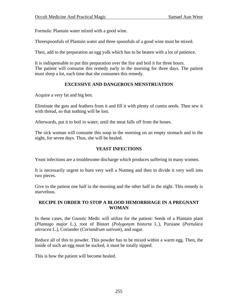Formula: Plantain water mixed with a good wine.

Threespoonfuls of Plantain water and three spoonfuls of a good wine must be mixed.

Then, add to the preparation an egg yolk which has to be beaten with a lot of patience.

It is indispensable to put this preparation over the fire and boil it for three hours. The patient will consume this remedy early in the morning for three days. The patient must sleep a lot, each time that she consumes this remedy.

# **EXCESSIVE AND DANGEROUS MENSTRUATION**

Acquire a very fat and big hen.

Eliminate the guts and feathers from it and fill it with plenty of cumin seeds. Then sew it with thread, so that nothing will be lost.

Afterwards, put it to boil in water; until the meat falls off from the bones.

The sick woman will consume this soup in the morning on an empty stomach and in the night, for seven days. Thus, she will be healed.

# **YEAST INFECTIONS**

Yeast infections are a troublesome discharge which produces suffering in many women.

It is necessarily urgent to burn very well a Nutmeg and then to divide it very well into two pieces.

Give to the patient one half in the morning and the other half in the night. This remedy is marvelous.

# **RECIPE IN ORDER TO STOP A BLOOD HEMORRHAGE IN A PREGNANT WOMAN**

In these cases, the Gnostic Medic will utilize for the patient: Seeds of a Plantain plant (*Plantago major* L.), root of Bistort (*Polygonym bistorta* L.), Pursiane (*Portulaca oleracea* L.), Coriander (*Coriandrum sativum*), and sugar.

Reduce all of this to powder. This powder has to be mixed within a warm egg. Then, the inside of such an egg must be sucked, it must be totally sipped.

This is how the patient will become healed.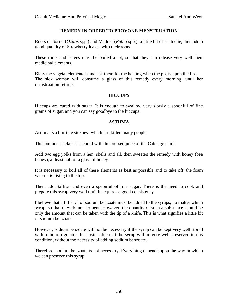## **REMEDY IN ORDER TO PROVOKE MENSTRUATION**

Roots of Sorrel (*Oxalis* spp.) and Madder (*Rubia* spp.), a little bit of each one, then add a good quantity of Strawberry leaves with their roots.

These roots and leaves must be boiled a lot, so that they can release very well their medicinal elements.

Bless the vegetal elementals and ask them for the healing when the pot is upon the fire. The sick woman will consume a glass of this remedy every morning, until her menstruation returns.

## **HICCUPS**

Hiccups are cured with sugar. It is enough to swallow very slowly a spoonful of fine grains of sugar, and you can say goodbye to the hiccups.

#### **ASTHMA**

Asthma is a horrible sickness which has killed many people.

This ominous sickness is cured with the pressed juice of the Cabbage plant.

Add two egg yolks from a hen, shells and all, then sweeten the remedy with honey (bee honey), at least half of a glass of honey.

It is necessary to boil all of these elements as best as possible and to take ofF the foam when it is rising to the top.

Then, add Saffron and even a spoonful of fine sugar. There is the need to cook and prepare this syrup very well until it acquires a good consistency.

I believe that a little bit of sodium benzoate must be added to the syrups, no matter which syrup, so that they do not ferment. However, the quantity of such a substance should be only the amount that can be taken with the tip of a knife. This is what signifies a little bit of sodium benzoate.

However, sodium benzoate will not be necessary if the syrup can be kept very well stored within the refrigerator. It is ostensible that the syrup will be very well preserved in this condition, without the necessity of adding sodium benzoate.

Therefore, sodium benzoate is not necessary. Everything depends upon the way in which we can preserve this syrup.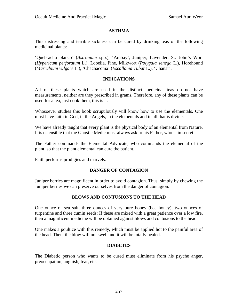## **ASTHMA**

This distressing and terrible sickness can be cured by drinking teas of the following medicinal plants:

'Quebracho blanco' (*Astronium* spp.), 'Ambay', Juniper, Lavender, St. John's Wort (*Hypericum perforatum* L.), Lobelia, Pine, Milkwort (*Polygala senega* L.), Horehound (*Marrubium vulgare* L.), 'Chachacoma' (*Escallonia Tubar* L.), 'Chañar'.

#### **INDICATIONS**

All of these plants which are used in the distinct medicinal teas do not have measurements, neither are they prescribed in grams. Therefore, any of these plants can be used for a tea, just cook them, this is it.

Whosoever studies this book scrupulously will know how to use the elementals. One must have faith in God, in the Angels, in the elementals and in all that is divine.

We have already taught that every plant is the physical body of an elemental from Nature. It is ostensible that the Gnostic Medic must always ask to his Father, who is in secret.

The Father commands the Elemental Advocate, who commands the elemental of the plant, so that the plant elemental can cure the patient.

Faith performs prodigies and marvels.

## **DANGER OF CONTAGION**

Juniper berries are magnificent in order to avoid contagion. Thus, simply by chewing the Juniper berries we can preserve ourselves from the danger of contagion.

## **BLOWS AND CONTUSIONS TO THE HEAD**

One ounce of sea salt, three ounces of very pure honey (bee honey), two ounces of turpentine and three cumin seeds: If these are mixed with a great patience over a low fire, then a magnificent medicine will be obtained against blows and contusions to the head.

One makes a poultice with this remedy, which must be applied hot to the painful area of the head. Then, the blow will not swell and it will be totally healed.

#### **DIABETES**

The Diabetic person who wants to be cured must eliminate from his psyche anger, preoccupation, anguish, fear, etc.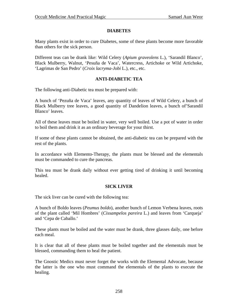#### **DIABETES**

Many plants exist in order to cure Diabetes, some of these plants become more favorable than others for the sick person.

Different teas can be drank like: Wild Celery (*Apium graveolens* L.), 'Sarandil Blanco', Black Mulberry, Walnut, 'Pesuña de Vaca', Watercress, Artichoke or Wild Artichoke, 'Lagrimas de San Pedro' (*Croix lacryma-Jobi* L.), etc., etc.

## **ANTI-DIABETIC TEA**

The following anti-Diabetic tea must be prepared with:

A bunch of 'Pezuña de Vaca' leaves, any quantity of leaves of Wild Celery, a bunch of Black Mulberry tree leaves, a good quantity of Dandelion leaves, a bunch of'Sarandil Blanco' leaves.

All of these leaves must be boiled in water, very well boiled. Use a pot of water in order to boil them and drink it as an ordinary beverage for your thirst.

If some of these plants cannot be obtained, the anti-diabetic tea can be prepared with the rest of the plants.

In accordance with Elemento-Therapy, the plants must be blessed and the elementals must be commanded to cure the pancreas.

This tea must be drank daily without ever getting tired of drinking it until becoming healed.

## **SICK LIVER**

The sick liver can be cured with the following tea:

A bunch of Boldo leaves (*Peumus boldo*), another bunch of Lemon Verbena leaves, roots of the plant called 'Mil Hombres' (*Cissampelos pareira* L.) and leaves from 'Carqueja' and 'Cepa de Caballo.'

These plants must be boiled and the water must be drank, three glasses daily, one before each meal.

It is clear that all of these plants must be boiled together and the elementals must be blessed, commanding them to heal the patient.

The Gnostic Medics must never forget the works with the Elemental Advocate, because the latter is the one who must command the elementals of the plants to execute the healing.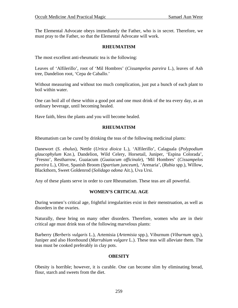The Elemental Advocate obeys immediately the Father, who is in secret. Therefore, we must pray to the Father, so that the Elemental Advocate will work.

## **RHEUMATISM**

The most excellent anti-rheumatic tea is the following:

Leaves of 'Alfilerillo', root of 'Mil Hombres' (*Cissampelos pareira* L.), leaves of Ash tree, Dandelion root, 'Cepa de Caballo.'

Without measuring and without too much complication, just put a bunch of each plant to boil within water.

One can boil all of these within a good pot and one must drink of the tea every day, as an ordinary beverage, until becoming healed.

Have faith, bless the plants and you will become healed.

#### **RHEUMATISM**

Rheumatism can be cured by drinking the teas of the following medicinal plants:

Danewort (*S. ebulus*), Nettle (*Urtica dioica* L.), 'Alfilerillo', Calaguala (*Polypodium glaucophylum* Kze.), Dandelion, Wild Celery, Horsetail, Juniper, 'Espina Colorada', 'Fresno', Restharrow, Guaiacum (*Guaiacum officinale*), 'Mil Hombres' (*Cissampelos pareira* L.), Olive, Spanish Broom (*Spartium junceum*), 'Arenaria', (*Rubia* spp.), Willow, Blackthorn, Sweet Goldenrod (*Solidago odona* Ait.), Uva Ursi.

Any of these plants serve in order to cure Rheumatism. These teas are all powerful.

## **WOMEN'S CRITICAL AGE**

During women's critical age, frightful irregularities exist in their menstruation, as well as disorders in the ovaries.

Naturally, these bring on many other disorders. Therefore, women who are in their critical age must drink teas of the following marvelous plants:

Barberry (*Berberis vulgaris* L.), Artemisia (*Artemisia* spp.), Viburnum (*Viburnum* spp.), Juniper and also Horehound (*Marrubium vulgare* L.). These teas will alleviate them. The teas must be cooked preferably in clay pots.

#### **OBESITY**

Obesity is horrible; however, it is curable. One can become slim by eliminating bread, flour, starch and sweets from the diet.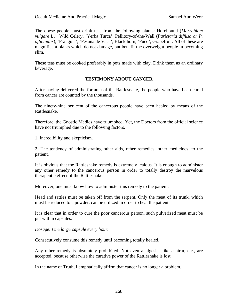The obese people must drink teas from the following plants: Horehound (*Marrubium vulgare* L.), Wild Celery, 'Yerba Turca', Pellitory-of-the-Wall (*Parietaria diffusa or P. officinalis*), 'Frangula', 'Pesuña de Vaca', Blackthorn, 'Fuco', Grapefruit. All of these are magnificent plants which do not damage, but benefit the overweight people in becoming slim.

These teas must be cooked preferably in pots made with clay. Drink them as an ordinary beverage.

# **TESTIMONY ABOUT CANCER**

After having delivered the formula of the Rattlesnake, the people who have been cured from cancer are counted by the thousands.

The ninety-nine per cent of the cancerous people have been healed by means of the Rattlesnake.

Therefore, the Gnostic Medics have triumphed. Yet, the Doctors from the official science have not triumphed due to the following factors.

1. Incredibility and skepticism.

2. The tendency of administrating other aids, other remedies, other medicines, to the patient.

It is obvious that the Rattlesnake remedy is extremely jealous. It is enough to administer any other remedy to the cancerous person in order to totally destroy the marvelous therapeutic effect of the Rattlesnake.

Moreover, one must know how to administer this remedy to the patient.

Head and rattles must be taken off from the serpent. Only the meat of its trunk, which must be reduced to a powder, can be utilized in order to heal the patient.

It is clear that in order to cure the poor cancerous person, such pulverized meat must be put within capsules.

*Dosage: One large capsule every hour.* 

Consecutively consume this remedy until becoming totally healed.

Any other remedy is absolutely prohibited. Not even analgesics like aspirin, etc., are accepted, because otherwise the curative power of the Rattlesnake is lost.

In the name of Truth, I emphatically affirm that cancer is no longer a problem.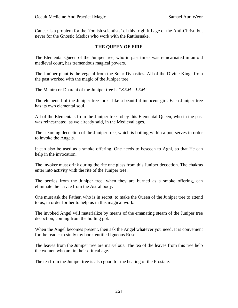Cancer is a problem for the 'foolish scientists' of this frightftil age of the Anti-Christ, but never for the Gnostic Medics who work with the Rattlesnake.

## **THE QUEEN OF FIRE**

The Elemental Queen of the Juniper tree, who in past times was reincarnated in an old medieval court, has tremendous magical powers.

The Juniper plant is the vegetal from the Solar Dynasties. All of the Divine Kings from the past worked with the magic of the Juniper tree.

The Mantra or Dharani of the Juniper tree is *"KEM – LEM"*

The elemental of the Juniper tree looks like a beautiful innocent girl. Each Juniper tree has its own elemental soul.

All of the Elementals from the Juniper trees obey this Elemental Queen, who in the past was reincarnated, as we already said, in the Medieval ages.

The steaming decoction of the Juniper tree, which is boiling within a pot, serves in order to invoke the Angels.

It can also be used as a smoke offering. One needs to beseech to Agni, so that He can help in the invocation.

The invoker must drink during the rite one glass from this Juniper decoction. The chakras enter into activity with the rite of the Juniper tree.

The berries from the Juniper tree, when they are burned as a smoke offering, can eliminate the larvae from the Astral body.

One must ask the Father, who is in secret, to make the Queen of the Juniper tree to attend to us, in order for her to help us in this magical work.

The invoked Angel will materialize by means of the emanating steam of the Juniper tree decoction, coming from the boiling pot.

When the Angel becomes present, then ask the Angel whatever you need. It is convenient for the reader to study my book entitled Igneous Rose.

The leaves from the Juniper tree are marvelous. The tea of the leaves from this tree help the women who are in their critical age.

The tea from the Juniper tree is also good for the healing of the Prostate.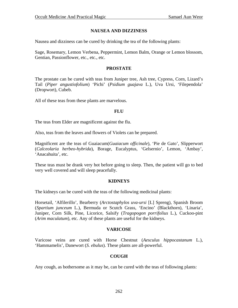## **NAUSEA AND DIZZINESS**

Nausea and dizziness can be cured by drinking the tea of the following plants:

Sage, Rosemary, Lemon Verbena, Peppermint, Lemon Balm, Orange or Lemon blossom, Gentian, Passionflower, etc., etc., etc.

#### **PROSTATE**

The prostate can be cured with teas from Juniper tree, Ash tree, Cypress, Corn, Lizard's Tail (*Piper angustiofolium*) 'Pichi' (*Psidium guajava* L.), Uva Ursi, 'Filependola' (Dropwort), Cubeb.

All of these teas from these plants are marvelous.

# **FLU**

The teas from Elder are magnificent against the flu.

Also, teas from the leaves and flowers of Violets can be prepared.

Magnificent are the teas of Guaiacum(*Guaiacum officinale*), 'Pie de Gato', Slipperwort (*Calceolaria herbeo-hybrida*), Borage, Eucalyptus, 'Gelsernio', Lemon, 'Ambay', 'Anacahuita', etc.

These teas must be drank very hot before going to sleep. Then, the patient will go to bed very well covered and will sleep peacefully.

## **KIDNEYS**

The kidneys can be cured with the teas of the following medicinal plants:

Horsetail, 'Alfilerillo', Bearberry (*Arctostaphylos uva-ursi* [L] Spreng), Spanish Broom (*Spartium junceum* L.), Bermuda or Scutch Grass, 'Encino' (Blackthorn), 'Linaria', Juniper, Corn Silk, Pine, Licorice, Salsify (*Tragopogon porrifolius* L.), Cuckoo-pint (*Arim maculatum*), etc. Any of these plants are useful for the kidneys.

## **VARICOSE**

Varicose veins are cured with Horse Chestnut (*Aesculus hippocastanum* L.), 'Hammamelis', Danewort (*S. ebulus*). These plants are all-powerful.

## **COUGH**

Any cough, as bothersome as it may be, can be cured with the teas of following plants: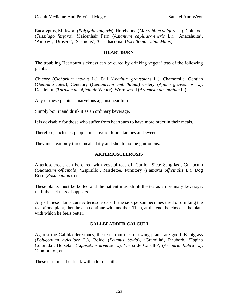Eucalyptus, Milkwort (*Polygala vulgaris*), Horehound (*Marrubium vulgare* L.), Coltsfoot (*Tussilago farfara*), Maidenhair Fern (*Adiantum capillus-veneris* L.), 'Anacahuita', 'Ambay', 'Drosera', 'Scabious', 'Chachacoma' (*Escallonia Tubar Mutis*).

#### **HEARTBURN**

The troubling Heartburn sickness can be cured by drinking vegeta! teas of the following plants:

Chicory (*Cichorium intybus* L.), Dill (*Anethum graveolens* L.), Chamomile, Gentian (*Gentiana lutea*), Centaury (*Centaurium umbellatum*) Celery (*Apium graveolens* L.), Dandelion (*Taraxacum officinale* Weber), Wormwood (*Artemisia absinthium* L.).

Any of these plants is marvelous against heartburn.

Simply boil it and drink it as an ordinary beverage.

It is advisable for those who suffer from heartburn to have more order in their meals.

Therefore, such sick people must avoid flour, starches and sweets.

They must eat only three meals daily and should not be gluttonous.

# **ARTERIOSCLEROSIS**

Arteriosclerosis can be cured with vegetal teas of: Garlic, 'Siete Sangrias', Guaiacum (*Guaiacum officinale*) 'Espinillo', Mistletoe, Fumitory (*Fumaria officinalis* L.), Dog Rose (*Rosa canina*), etc.

These plants must be boiled and the patient must drink the tea as an ordinary beverage, until the sickness disappears.

Any of these plants cure Arteriosclerosis. If the sick person becomes tired of drinking the tea of one plant, then he can continue with another. Then, at the end, he chooses the plant with which he feels better.

## **GALLBLADDER CALCULI**

Against the Gallbladder stones, the teas from the following plants are good: Knotgrass (*Polygonium aviculare* L.), Boldo (*Peumus boldo*), 'Gramilla', Rhubarb, 'Espina Colorada', Horsetail (*Equisetum arvense* L.), 'Cepa de Caballo', (*Arenaria Rubra* L.), 'Combreto', etc.

These teas must be drank with a lot of faith.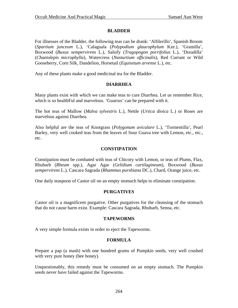#### **BLADDER**

For illnesses of the Bladder, the following teas can be drank: 'Alfilerillo', Spanish Broom (*Spartium junceum* L.), 'Calaguala (*Polypodium glaucophylum* Kze.), 'Gramilla', Boxwood (*Buxus sempervirens* L.), Salsify (*Tragopogon porrifolius* L.), 'Doradilla' (*Chaetolepis microphylla*), Watercress (*Nasturtium officinalis*), Red Currant or Wild Gooseberry, Corn Silk, Dandelion, Horsetail (*Equisetum arvense* L.), etc.

Any of these plants make a good medicinal tea for the Bladder.

# **DIARRHEA**

Many plants exist with which we can make teas to cure Diarrhea. Let us remember Rice, which is so healthFul and marvelous. 'Guarrus' can be prepared with it.

The hot teas of Mallow (*Malva sylvestris* L.), Nettle (*Urtica dioica* L.) or Roses are marvelous against Diarrhea.

Also helpful are the teas of Knotgrass (*Polygonum aviculare* L.), 'Tormentilla', Pearl Barley, very well cooked teas from the leaves of Sour Guava tree with Lemon, etc., etc., etc.

## **CONSTIPATION**

Constipation must be combated with teas of Chicory with Lemon, or teas of Plums, Flax, Rhubarb (*Rheum* spp.), Agar Agar (*Gelidium cartilagineum*), Boxwood (*Buxus sempervirens* L.), Cascara Sagrada (*Rhammus purshiana* DC.), Chard, Orange juice, etc.

One daily teaspoon of Castor oil on an empty stomach helps to eliminate constipation.

## **PURGATIVES**

Castor oil is a magnificent purgative. Other purgatives for the cleansing of the stomach that do not cause harm exist. Example: Cascara Sagrada, Rhubarb, Senna, etc.

#### **TAPEWORMS**

A very simple formula exists in order to eject the Tapeworms.

## **FORMULA**

Prepare a pap (a mash) with one hundred grams of Pumpkin seeds, very well crushed with very pure honey (bee honey).

Unquestionably, this remedy must be consumed on an empty stomach. The Pumpkin seeds never have failed against the Tapeworms.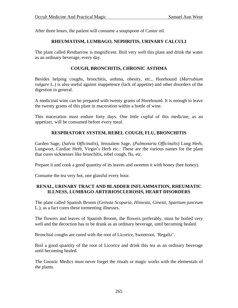After three hours, the patient will consume a soupspoon of Castor oil.

## **RHEUMATISM, LUMBAGO, NEPHRITIS, URINARY CALCULI**

The plant called Restharrow is magnificent. Boil very well this plant and drink the water as an ordinary beverage, every day.

# **COUGH, BRONCHITIS, CHRONIC ASTHMA**

Besides helping coughs, bronchitis, asthma, obesity, etc., Horehound (*Marrubium vulgare* L.) is also useful against inappetence (lack of appetite) and other disorders of the digestion in general.

A medicinal wine can be prepared with twenty grams of Horehound. It is enough to leave the twenty grams of this plant in maceration within a bottle of wine.

This maceration must endure forty days. One little cupful of this medicine, as an appetizer, will be consumed before every meal.

# **RESPIRATORY SYSTEM, REBEL COUGH, FLU, BRONCHITIS**

Garden Sage, (*Salvia Officinalis*), Jerusalem Sage, (*Pulmonaria Officinalis*) Lung Herb, Lungwort, Cardiac Herb, Virgin's Herb etc.: These are the various names for the plant that cures sicknesses like bronchitis, rebel cough, flu, etc.

Prepare it and cook a good quantity of its leaves and sweeten it with honey (bee honey).

Consume the tea very hot, one glassful every hour.

## **RENAL, URINARY TRACT AND BLADDER INFLAMMATION, RHEUMATIC ILLNESS, LUMBAGO ARTERIOSCLEROSIS, HEART DISORDERS**

The plant called Spanish Broom (*Geinsta Scoparia, Hiniesta, Ginesti, Spartium junceum* L.), as a fact cures these tormenting illnesses.

The flowers and leaves of Spanish Broom, the flowers preferably, must be boiled very well and the decoction has to be drank as an ordinary beverage, until becoming healed.

Bronchial coughs are cured with the root of Licorice, Sweetroot, 'Regaliz'.

Boil a good quantity of the root of Licorice and drink this tea as an ordinary beverage until becoming healed.

The Gnostic Medics must never forget the rituals or magic works with the elementals of the plants.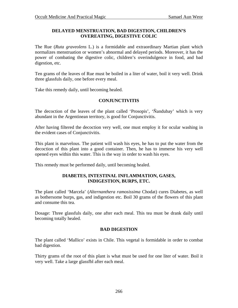## **DELAYED MENSTRUATION, BAD DIGESTION, CHILDREN'S OVEREATING, DIGESTIVE COLIC**

The Rue (*Ruta graveolens* L.) is a formidable and extraordinary Martian plant which normalizes menstruation or women's abnormal and delayed periods. Moreover, it has the power of combating the digestive colic, children's overindulgence in food, and bad digestion, etc.

Ten grams of the leaves of Rue must be boiled in a liter of water, boil it very well. Drink three glassfuls daily, one before every meal.

Take this remedy daily, until becoming healed.

## **CONJUNCTIVITIS**

The decoction of the leaves of the plant called 'Prosopis', 'Ñandubay' which is very abundant in the Argentinean territory, is good for Conjunctivitis.

After having filtered the decoction very well, one must employ it for ocular washing in the evident cases of Conjunctivitis.

This plant is marvelous. The patient will wash his eyes, he has to put the water from the decoction of this plant into a good container. Then, he has to immerse his very well opened eyes within this water. This is the way in order to wash his eyes.

This remedy must be performed daily, until becoming healed.

#### **DIABETES, INTESTINAL INFLAMMATION, GASES, INDIGESTION, BURPS, ETC.**

The plant called 'Marcela' (*Alternanthera ramosissima* Chodat) cures Diabetes, as well as bothersome burps, gas, and indigestion etc. Boil 30 grams of the flowers of this plant and consume this tea.

Dosage: Three glassfuls daily, one after each meal. This tea must be drank daily until becoming totally healed.

#### **BAD DIGESTION**

The plant called 'Mallico' exists in Chile. This vegetal is formidable in order to combat bad digestion.

Thirty grams of the root of this plant is what must be used for one liter of water. Boil it very well. Take a large glassfbl after each meal.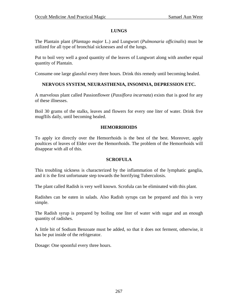# **LUNGS**

The Plantain plant (*Plantago major* L.) and Lungwort (*Pulmonaria officinalis*) must be utilized for all type of bronchial sicknesses and of the lungs.

Put to boil very well a good quantity of the leaves of Lungwort along with another equal quantity of Plantain.

Consume one large glassful every three hours. Drink this remedy until becoming healed.

## **NERVOUS SYSTEM, NEURASTHENIA, INSOMNIA, DEPRESSION ETC.**

A marvelous plant called Passionflower (*Passiflora incarnata*) exists that is good for any of these illnesses.

Boil 30 grams of the stalks, leaves and flowers for every one liter of water. Drink five mugfIils daily, until becoming healed.

# **HEMORRHOIDS**

To apply ice directly over the Hemorrhoids is the best of the best. Moreover, apply poultices of leaves of Elder over the Hemorrhoids. The problem of the Hemorrhoids will disappear with all of this.

## **SCROFULA**

This troubling sickness is characterized by the inflammation of the lymphatic ganglia, and it is the first unfortunate step towards the horrifying Tuberculosis.

The plant called Radish is very well known. Scrofula can be eliminated with this plant.

Radishes can be eaten in salads. Also Radish syrups can be prepared and this is very simple.

The Radish syrup is prepared by boiling one liter of water with sugar and an enough quantity of radishes.

A little bit of Sodium Benzoate must be added, so that it does not ferment, otherwise, it has be put inside of the refrigerator.

Dosage: One spoonful every three hours.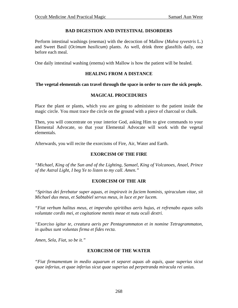#### **BAD DIGESTION AND INTESTINAL DISORDERS**

Perform intestinal washings (enemas) with the decoction of Mallow (*Malva syvestris* L.) and Sweet Basil (*Ocimum basilicum*) plants. As well, drink three glassftils daily, one before each meal.

One daily intestinal washing (enema) with Mallow is how the patient will be healed.

## **HEALING FROM A DISTANCE**

#### **The vegetal elementals can travel through the space in order to cure the sick people.**

## **MAGICAL PROCEDURES**

Place the plant or plants, which you are going to administer to the patient inside the magic circle. You must trace the circle on the ground with a piece of charcoal or chalk.

Then, you will concentrate on your interior God, asking Him to give commands to your Elemental Advocate, so that your Elemental Advocate will work with the vegetal elementals.

Afterwards, you will recite the exorcisms of Fire, Air, Water and Earth.

#### **EXORCISM OF THE FIRE**

*"Michael, King of the Sun and of the Lighting, Samael, King of Volcanoes, Anael, Prince of the Astral Light, I beg Ye to listen to my call. Amen."* 

#### **EXORCISM OF THE AIR**

*"Spiritus dei ferebatur super aquas, et inspiravit in faciem hominis, spiraculum vitae, sit Michael dux meus, et Sabtabiel servus meus, in luce et per lucem.* 

*"Fiat verbum halitus meus, et imperabo spiritibus aeris hujus, et refrenabo equos solis voluntate cordis mei, et cogitatione mentis meae et nutu oculi dextri.* 

*"Exorciso igitur te, creatura aeris per Pentagrammaton et in nomine Tetragrammaton, in quibus sunt voluntas firma et fides recta.* 

*Amen, Sela, Fiat, so be it."* 

#### **EXORCISM OF THE WATER**

*"Fiat firmamentum in medio aquarum et separet aquas ab aquis, quae superius sicut quae inferius, et quae inferius sicut quae superius ad perpetranda miracula rei unius.*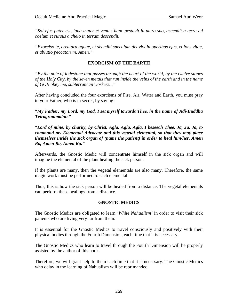*"Sol ejus pater est, luna mater et ventus hanc gestavit in utero suo, ascendit a terra ad coelum et rursus a chelo in terram descendit.* 

*"Exorciso te, creatura aquae, ut sis mihi speculum del vivi in operibus ejus, et fons vitae, et ablutio peccatorum, Amen."* 

## **EXORCISM OF THE EARTH**

*"By the pole of lodestone that passes through the heart of the world, by the twelve stones of the Holy City, by the seven metals that run inside the veins of the earth and in the name of GOB obey me, subterranean workers..."* 

After having concluded the four exorcisms of Fire, Air, Water and Earth, you must pray to your Father, who is in secret, by saying:

*"My Father, my Lord, my God, I set myself towards Thee, in the name of Adi-Buddha Tetragrammaton."* 

*"Lord of mine, by charity, by Christ, Agla, Agla, Agla, I beseech Thee, Ja, Ja, Ja, to command my Elemental Advocate and this vegetal elemental, so that they may place themselves inside the sick organ of (name the patient) in order to heal him/her. Amen Ra, Amen Ra, Amen Ra."* 

Afterwards, the Gnostic Medic will concentrate himself in the sick organ and will imagine the elemental of the plant healing the sick person.

If the plants are many, then the vegetal elementals are also many. Therefore, the same magic work must be performed to each elemental.

Thus, this is how the sick person will be healed from a distance. The vegetal elementals can perform these healings from a distance.

## **GNOSTIC MEDICS**

The Gnostic Medics are obligated to learn *'White Nahualism'* in order to visit their sick patients who are living very far from them.

It is essential for the Gnostic Medics to travel consciously and positively with their physical bodies through the Fourth Dimension, each time that it is necessary.

The Gnostic Medics who learn to travel through the Fourth Dimension will be properly assisted by the author of this book.

Therefore, we will grant help to them each tinie that it is necessary. The Gnostic Medics who delay in the learning of Nahualism will be reprimanded.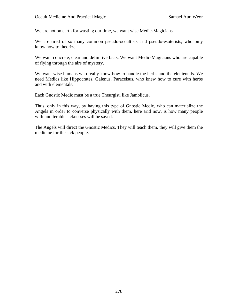We are not on earth for wasting our time, we want wise Medic-Magicians.

We are tired of so many common pseudo-occultists arid pseudo-esoterists, who only know how to theorize.

We want concrete, clear and definitive facts. We want Medic-Magicians who are capable of flying through the airs of mystery.

We want wise humans who really know how to handle the herbs and the elenientals. We need Medics like Hippocrates, Galenus, Paracelsus, who knew how to cure with herbs and with elementals.

Each Gnostic Medic must be a true Theurgist, like Jamblicus.

Thus, only in this way, by having this type of Gnostic Medic, who can materialize the Angels in order to converse physically with them, here arid now, is how many people with unutterable sicknesses will be saved.

The Angels will direct the Gnostic Medics. They will teach them, they will give them the medicine for the sick people.